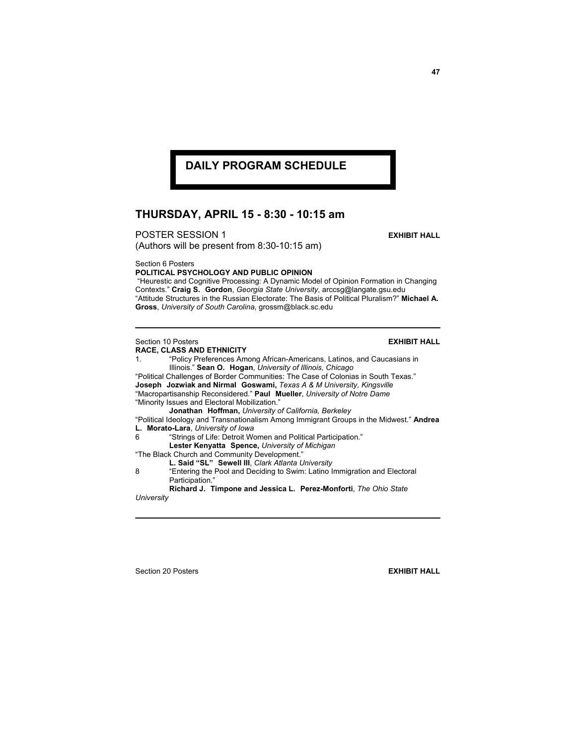## **DAILY PROGRAM SCHEDULE**

## **THURSDAY, APRIL 15 - 8:30 - 10:15 am**

**POSTER SESSION 1 EXHIBIT HALL** (Authors will be present from 8:30-10:15 am)

Section 6 Posters

**POLITICAL PSYCHOLOGY AND PUBLIC OPINION**

 "Heurestic and Cognitive Processing: A Dynamic Model of Opinion Formation in Changing Contexts." **Craig S. Gordon**, *Georgia State University*, arccsg@langate.gsu.edu "Attitude Structures in the Russian Electorate: The Basis of Political Pluralism?" **Michael A. Gross**, *University of South Carolina*, grossm@black.sc.edu

## Section 10 Posters **EXHIBIT HALL**

**RACE, CLASS AND ETHNICITY**

1. "Policy Preferences Among African-Americans, Latinos, and Caucasians in Illinois." **Sean O. Hogan**, *University of Illinois, Chicago* "Political Challenges of Border Communities: The Case of Colonias in South Texas." **Joseph Jozwiak and Nirmal Goswami,** *Texas A & M University, Kingsville* "Macropartisanship Reconsidered." **Paul Mueller**, *University of Notre Dame* "Minority Issues and Electoral Mobilization." **Jonathan Hoffman,** *University of California, Berkeley* "Political Ideology and Transnationalism Among Immigrant Groups in the Midwest." **Andrea L. Morato-Lara**, *University of Iowa* 6 "Strings of Life: Detroit Women and Political Participation." **Lester Kenyatta Spence,** *University of Michigan* "The Black Church and Community Development." **L. Said "SL" Sewell III**, *Clark Atlanta University* 8 "Entering the Pool and Deciding to Swim: Latino Immigration and Electoral Participation." **Richard J. Timpone and Jessica L. Perez-Monforti**, *The Ohio State University*

Section 20 Posters **EXHIBIT HALL**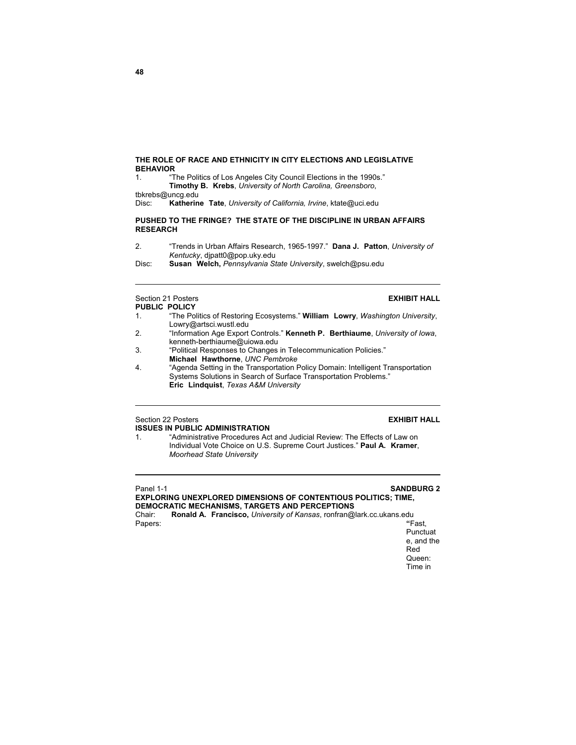### **THE ROLE OF RACE AND ETHNICITY IN CITY ELECTIONS AND LEGISLATIVE BEHAVIOR**

1. "The Politics of Los Angeles City Council Elections in the 1990s." **Timothy B. Krebs**, *University of North Carolina, Greensboro*,

tbkrebs@uncg.edu

Disc: **Katherine Tate**, *University of California, Irvine*, ktate@uci.edu

### **PUSHED TO THE FRINGE? THE STATE OF THE DISCIPLINE IN URBAN AFFAIRS RESEARCH**

2. "Trends in Urban Affairs Research, 1965-1997." **Dana J. Patton**, *University of Kentucky*, djpatt0@pop.uky.edu

Disc: **Susan Welch,** *Pennsylvania State University*, swelch@psu.edu

## Section 21 Posters **EXHIBIT HALL**

# **PUBLIC POLICY**<br>1. **The Poly**

- 1. "The Politics of Restoring Ecosystems." **William Lowry**, *Washington University*, Lowry@artsci.wustl.edu
- 2. "Information Age Export Controls." **Kenneth P. Berthiaume**, *University of Iowa*, kenneth-berthiaume@uiowa.edu
- 3. "Political Responses to Changes in Telecommunication Policies." **Michael Hawthorne**, *UNC Pembroke*<br>4. "Agenda Setting in the Transportation F
- 4. "Agenda Setting in the Transportation Policy Domain: Intelligent Transportation Systems Solutions in Search of Surface Transportation Problems."  **Eric Lindquist**, *Texas A&M University*

## Section 22 Posters **EXHIBIT HALL**

### **ISSUES IN PUBLIC ADMINISTRATION**

1. "Administrative Procedures Act and Judicial Review: The Effects of Law on Individual Vote Choice on U.S. Supreme Court Justices." **Paul A. Kramer**, *Moorhead State University*

 $\overline{a}$ 

## Panel 1-1 **SANDBURG 2**

**EXPLORING UNEXPLORED DIMENSIONS OF CONTENTIOUS POLITICS; TIME, DEMOCRATIC MECHANISMS, TARGETS AND PERCEPTIONS** 

Chair: **Ronald A. Francisco,** *University of Kansas*, ronfran@lark.cc.ukans.edu Papers: **"**Fast,

Punctuat e, and the Red Queen: Time in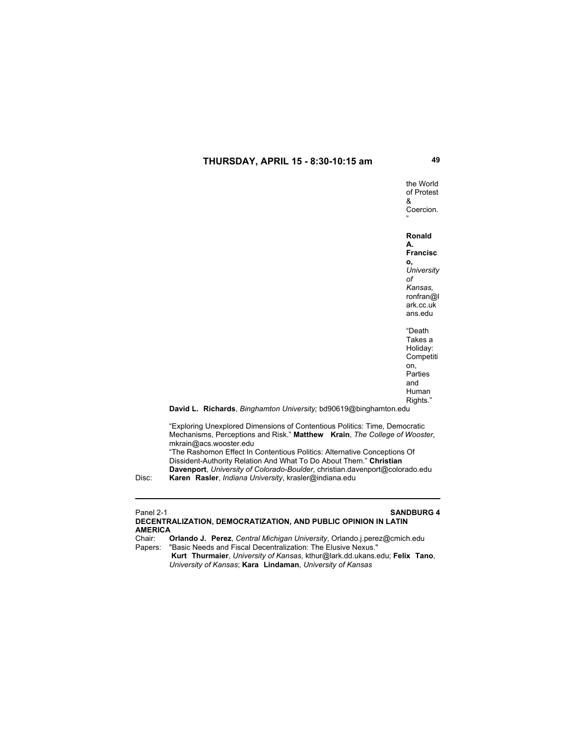the World of Protest & Coercion. "

**Ronald A.** 

**Francisc o,**  *University of Kansas,* ronfran@l ark.cc.uk ans.edu

"Death Takes a Holiday: **Competiti** on, Parties and Human Rights."

**David L. Richards**, *Binghamton University;* bd90619@binghamton.edu

"Exploring Unexplored Dimensions of Contentious Politics: Time, Democratic Mechanisms, Perceptions and Risk." **Matthew Krain**, *The College of Wooster*, mkrain@acs.wooster.edu

"The Rashomon Effect In Contentious Politics: Alternative Conceptions Of Dissident-Authority Relation And What To Do About Them." **Christian Davenport**, *University of Colorado-Boulder*, christian.davenport@colorado.edu Disc: **Karen Rasler**, *Indiana University*, krasler@indiana.edu

# Panel 2-1 **SANDBURG 4**

**DECENTRALIZATION, DEMOCRATIZATION, AND PUBLIC OPINION IN LATIN AMERICA** Chair: **Orlando J. Perez**, *Central Michigan University*, Orlando.j.perez@cmich.edu

Papers: "Basic Needs and Fiscal Decentralization: The Elusive Nexus."

 **Kurt Thurmaier**, *University of Kansas*, kthur@lark.dd.ukans.edu; **Felix Tano**,  *University of Kansas*; **Kara Lindaman**, *University of Kansas*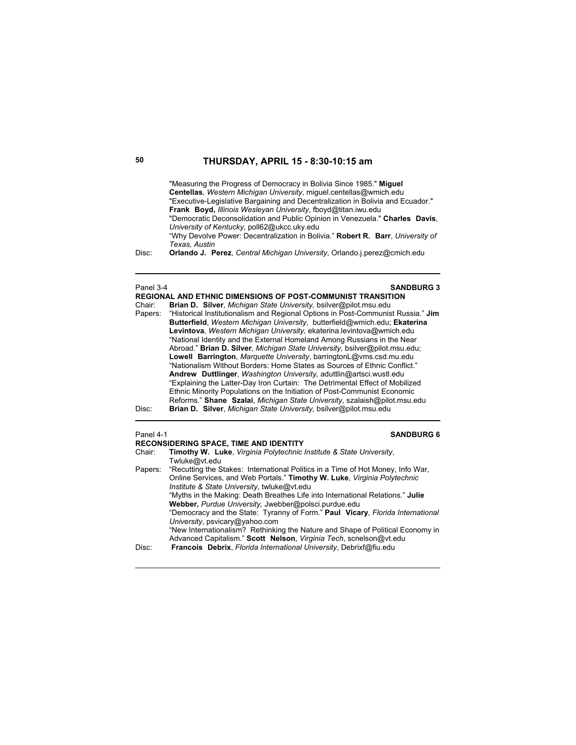|                   | "Measuring the Progress of Democracy in Bolivia Since 1985." Miquel             |
|-------------------|---------------------------------------------------------------------------------|
|                   | Centellas, Western Michigan University, miguel.centellas@wmich.edu              |
|                   | "Executive-Legislative Bargaining and Decentralization in Bolivia and Ecuador." |
|                   | <b>Frank Boyd, Illinois Wesleyan University, fboyd@titan.iwu.edu</b>            |
|                   | "Democratic Deconsolidation and Public Opinion in Venezuela." Charles Davis,    |
|                   | University of Kentucky, poll62@ukcc.ukv.edu                                     |
|                   | "Why Devolve Power: Decentralization in Bolivia." Robert R. Barr, University of |
|                   | Texas, Austin                                                                   |
| Diec <sup>.</sup> | Orlando I, Perez, Central Michigan University Orlando i perez@cmich.edu         |

Disc: **Orlando J. Perez**, *Central Michigan University*, Orlando.j.perez@cmich.edu

Panel 3-4 **SANDBURG 3 REGIONAL AND ETHNIC DIMENSIONS OF POST-COMMUNIST TRANSITION**

| Chair:  | <b>Brian D. Silver, Michigan State University, bsilver@pilot.msu.edu</b>         |  |  |
|---------|----------------------------------------------------------------------------------|--|--|
| Papers: | "Historical Institutionalism and Regional Options in Post-Communist Russia." Jim |  |  |
|         | Butterfield, Western Michigan University, butterfield@wmich.edu; Ekaterina       |  |  |
|         | Levintova, Western Michigan University, ekaterina levintova@wmich.edu            |  |  |
|         | "National Identity and the External Homeland Among Russians in the Near          |  |  |
|         | Abroad." Brian D. Silver, Michigan State University, bsilver@pilot.msu.edu;      |  |  |
|         | <b>Lowell Barrington, Marguette University, barringtonL@vms.csd.mu.edu</b>       |  |  |
|         | "Nationalism Without Borders: Home States as Sources of Ethnic Conflict."        |  |  |
|         | Andrew Duttlinger, <i>Washington University</i> , aduttlin@artsci.wustl.edu      |  |  |
|         | "Explaining the Latter-Day Iron Curtain: The Detrimental Effect of Mobilized     |  |  |
|         | Ethnic Minority Populations on the Initiation of Post-Communist Economic         |  |  |
|         | Reforms." Shane Szalai, Michigan State University, szalaish@pilot.msu.edu        |  |  |
| Disc:   | Brian D. Silver, Michigan State University, bsilver@pilot.msu.edu                |  |  |

### Panel 4-1 **SANDBURG 6**

|                                                      | <b>RECONSIDERING SPACE, TIME AND IDENTITY</b>                                           |  |  |  |
|------------------------------------------------------|-----------------------------------------------------------------------------------------|--|--|--|
| Chair:                                               | Timothy W. Luke, Virginia Polytechnic Institute & State University,                     |  |  |  |
|                                                      | Twluke@vt.edu                                                                           |  |  |  |
|                                                      | Papers: "Recutting the Stakes: International Politics in a Time of Hot Money, Info War, |  |  |  |
|                                                      | Online Services, and Web Portals." Timothy W. Luke, Virginia Polytechnic                |  |  |  |
| Institute & State University, twluke@vt.edu          |                                                                                         |  |  |  |
|                                                      | "Myths in the Making: Death Breathes Life into International Relations." Julie          |  |  |  |
| Webber, Purdue University, Jwebber@polsci.purdue.edu |                                                                                         |  |  |  |
|                                                      | "Democracy and the State: Tyranny of Form." Paul Vicary, Florida International          |  |  |  |
|                                                      | University, psvicary@yahoo.com                                                          |  |  |  |
|                                                      | "New Internationalism? Rethinking the Nature and Shape of Political Economy in          |  |  |  |
|                                                      | Advanced Capitalism." Scott Nelson, Virginia Tech, scnelson@vt.edu                      |  |  |  |
| Disc:                                                | Francois Debrix, Florida International University, Debrixf@fiu.edu                      |  |  |  |
|                                                      |                                                                                         |  |  |  |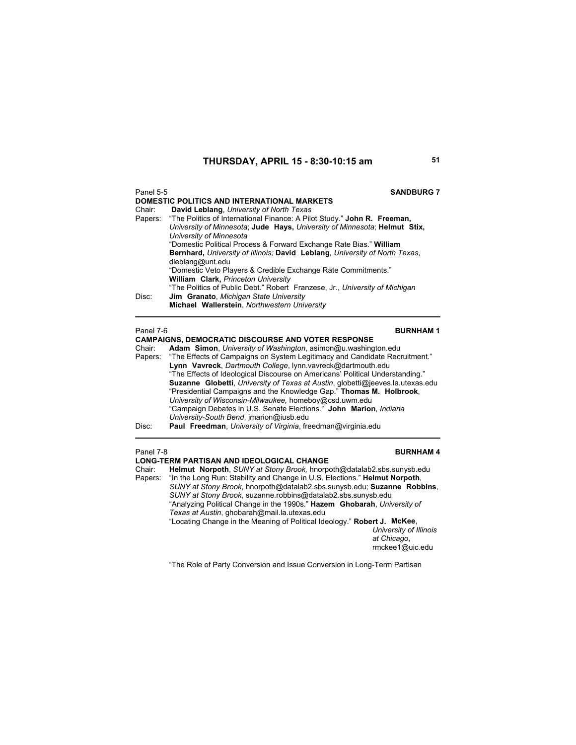| Panel 5-5 | <b>SANDBURG 7</b>                                                                |
|-----------|----------------------------------------------------------------------------------|
|           | DOMESTIC POLITICS AND INTERNATIONAL MARKETS                                      |
| Chair:    | David Leblang, University of North Texas                                         |
|           | Papers: "The Politics of International Finance: A Pilot Study." John R. Freeman, |
|           | University of Minnesota: Jude Hays, University of Minnesota: Helmut Stix,        |
|           | University of Minnesota                                                          |
|           | "Domestic Political Process & Forward Exchange Rate Bias." William               |
|           | Bernhard, University of Illinois; David Leblang, University of North Texas,      |
|           | dleblang@unt.edu                                                                 |
|           | "Domestic Veto Players & Credible Exchange Rate Commitments."                    |
|           | <b>William Clark, Princeton University</b>                                       |
|           | "The Politics of Public Debt." Robert Franzese, Jr., University of Michigan      |
| Disc:     | <b>Jim Granato, Michigan State University</b>                                    |
|           | Michael Wallerstein, Northwestern University                                     |

Panel 7-6 **BURNHAM 1 CAMPAIGNS, DEMOCRATIC DISCOURSE AND VOTER RESPONSE**<br>Chair: **Adam Simon**, University of Washington, asimon@u.washing Chair: **Adam Simon**, *University of Washington*, asimon@u.washington.edu Papers: "The Effects of Campaigns on System Legitimacy and Candidate Recruitment." **Lynn Vavreck**, *Dartmouth College*, lynn.vavreck@dartmouth.edu "The Effects of Ideological Discourse on Americans' Political Understanding." **Suzanne Globetti**, *University of Texas at Austin*, globetti@jeeves.la.utexas.edu "Presidential Campaigns and the Knowledge Gap." **Thomas M. Holbrook**, *University of Wisconsin-Milwaukee,* homeboy@csd.uwm.edu "Campaign Debates in U.S. Senate Elections." **John Marion**, *Indiana University-South Bend*, jmarion@iusb.edu Disc: **Paul Freedman**, *University of Virginia*, freedman@virginia.edu

**Panel 7-8 BURNHAM 4** 

**LONG-TERM PARTISAN AND IDEOLOGICAL CHANGE**  Chair: **Helmut Norpoth**, *SUNY at Stony Brook,* hnorpoth@datalab2.sbs.sunysb.edu "In the Long Run: Stability and Change in U.S. Elections." Helmut Norpoth, *SUNY at Stony Brook*, hnorpoth@datalab2.sbs.sunysb.edu; **Suzanne Robbins**, *SUNY at Stony Brook*, suzanne.robbins@datalab2.sbs.sunysb.edu "Analyzing Political Change in the 1990s." **Hazem Ghobarah**, *University of Texas at Austin*, ghobarah@mail.la.utexas.edu "Locating Change in the Meaning of Political Ideology." **Robert J. McKee**, *University of Illinois* 

*at Chicago*, rmckee1@uic.edu

"The Role of Party Conversion and Issue Conversion in Long-Term Partisan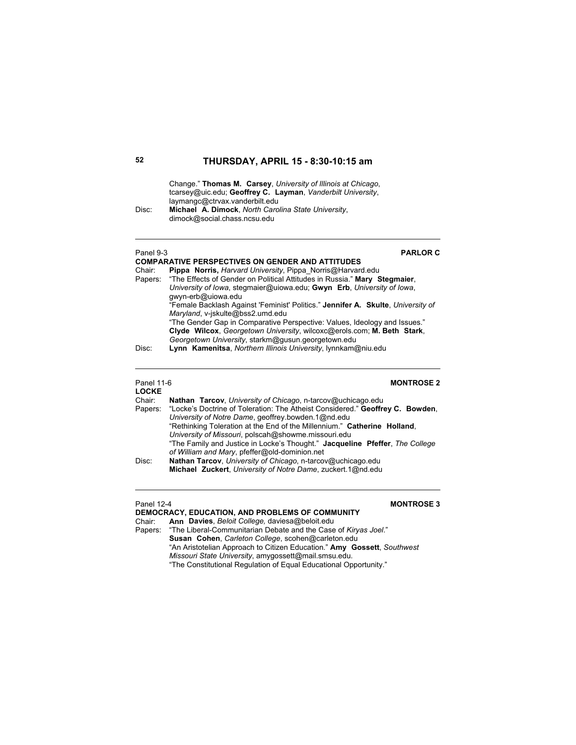Change." **Thomas M. Carsey**, *University of Illinois at Chicago*, tcarsey@uic.edu; **Geoffrey C. Layman**, *Vanderbilt University*, laymangc@ctrvax.vanderbilt.edu Disc: **Michael A. Dimock**, *North Carolina State University*,

dimock@social.chass.ncsu.edu

### Panel 9-3 **PARLOR C**

|                                                                        | <b>COMPARATIVE PERSPECTIVES ON GENDER AND ATTITUDES</b>                           |
|------------------------------------------------------------------------|-----------------------------------------------------------------------------------|
| Chair:                                                                 | Pippa Norris, Harvard University, Pippa Norris@Harvard.edu                        |
|                                                                        | Papers: "The Effects of Gender on Political Attitudes in Russia." Mary Stegmaier. |
| University of Iowa, stegmaier@uiowa.edu; Gwyn Erb, University of Iowa, |                                                                                   |
|                                                                        | qwyn-erb@uiowa.edu                                                                |
|                                                                        | "Female Backlash Against 'Feminist' Politics." Jennifer A. Skulte, University of  |
|                                                                        | Maryland, v-jskulte@bss2.umd.edu                                                  |
|                                                                        | "The Gender Gap in Comparative Perspective: Values, Ideology and Issues."         |
|                                                                        | Clyde Wilcox, Georgetown University, wilcoxc@erols.com; M. Beth Stark,            |
|                                                                        | Georgetown University, starkm@gusun.georgetown.edu                                |
| Disc:                                                                  | <b>Lynn Kamenitsa</b> Northern Illinois University Iynnkam@niu edu                |

Disc: **Lynn Kamenitsa**, *Northern Illinois University*, lynnkam@niu.edu

# **LOCKE**

## Panel 11-6 **MONTROSE 2**

| Chair:<br>Papers:                                            | Nathan Tarcov, University of Chicago, n-tarcov@uchicago.edu<br>"Locke's Doctrine of Toleration: The Atheist Considered." Geoffrey C. Bowden,<br>University of Notre Dame, geoffrey bowden.1@nd.edu<br>"Rethinking Toleration at the End of the Millennium." Catherine Holland. |  |
|--------------------------------------------------------------|--------------------------------------------------------------------------------------------------------------------------------------------------------------------------------------------------------------------------------------------------------------------------------|--|
|                                                              | University of Missouri, polscah@showme.missouri.edu                                                                                                                                                                                                                            |  |
|                                                              | "The Family and Justice in Locke's Thought." Jacqueline Pfeffer, The College                                                                                                                                                                                                   |  |
|                                                              | of William and Mary, pfeffer@old-dominion.net                                                                                                                                                                                                                                  |  |
| Disc:                                                        | Nathan Tarcov, University of Chicago, n-tarcov@uchicago.edu                                                                                                                                                                                                                    |  |
| Michael Zuckert, University of Notre Dame, zuckert. 1@nd.edu |                                                                                                                                                                                                                                                                                |  |

### Panel 12-4 **MONTROSE 3**

**DEMOCRACY, EDUCATION, AND PROBLEMS OF COMMUNITY** Chair: **Ann Davies**, *Beloit College,* daviesa@beloit.edu Papers: "The Liberal-Communitarian Debate and the Case of *Kiryas Joel*." **Susan Cohen**, *Carleton College*, scohen@carleton.edu "An Aristotelian Approach to Citizen Education." **Amy Gossett**, *Southwest Missouri State University*, amygossett@mail.smsu.edu. "The Constitutional Regulation of Equal Educational Opportunity."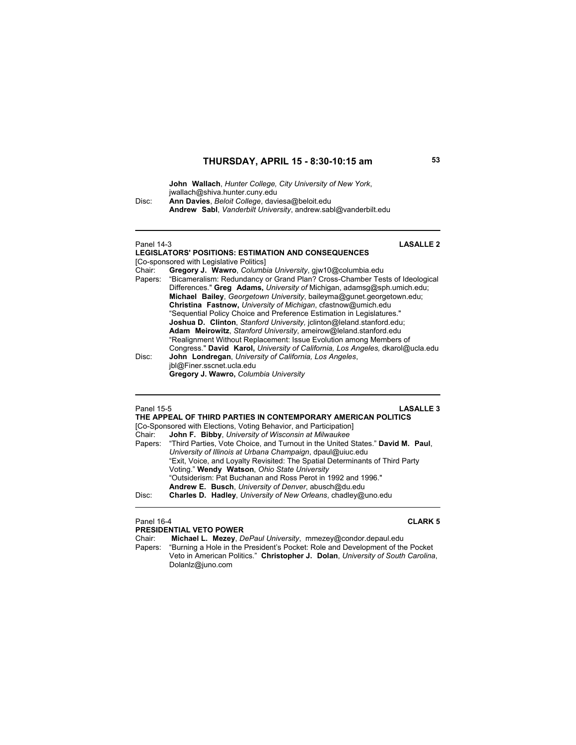**John Wallach**, *Hunter College, City University of New York*, jwallach@shiva.hunter.cuny.edu Disc: **Ann Davies**, *Beloit College*, daviesa@beloit.edu **Andrew Sabl**, *Vanderbilt University*, andrew.sabl@vanderbilt.edu

### Panel 14-3 **LASALLE 2 LEGISLATORS' POSITIONS: ESTIMATION AND CONSEQUENCES**  [Co-sponsored with Legislative Politics] Chair: **Gregory J. Wawro**, *Columbia University*, gjw10@columbia.edu "Bicameralism: Redundancy or Grand Plan? Cross-Chamber Tests of Ideological Differences." **Greg Adams,** *University of* Michigan, adamsg@sph.umich.edu; **Michael Bailey**, *Georgetown University*, baileyma@gunet.georgetown.edu; **Christina Fastnow,** *University of Michigan*, cfastnow@umich.edu "Sequential Policy Choice and Preference Estimation in Legislatures."

 **Joshua D. Clinton**, *Stanford University,* jclinton@leland.stanford.edu; **Adam Meirowitz**, *Stanford University*, ameirow@leland.stanford.edu "Realignment Without Replacement: Issue Evolution among Members of Congress." **David Karol,** *University of California, Los Angeles,* dkarol@ucla.edu Disc: **John Londregan**, *University of California, Los Angeles*, jbl@Finer.sscnet.ucla.edu

 **Gregory J. Wawro,** *Columbia University*

Panel 15-5 **LASALLE 3**

| THE APPEAL OF THIRD PARTIES IN CONTEMPORARY AMERICAN POLITICS     |                                                                                        |  |  |
|-------------------------------------------------------------------|----------------------------------------------------------------------------------------|--|--|
| [Co-Sponsored with Elections, Voting Behavior, and Participation] |                                                                                        |  |  |
| Chair:                                                            | John F. Bibby, University of Wisconsin at Milwaukee                                    |  |  |
|                                                                   | Papers: "Third Parties, Vote Choice, and Turnout in the United States." David M. Paul, |  |  |
|                                                                   | University of Illinois at Urbana Champaign, dpaul@uiuc.edu                             |  |  |
|                                                                   | "Exit, Voice, and Loyalty Revisited: The Spatial Determinants of Third Party           |  |  |
|                                                                   | Voting." Wendy Watson, Ohio State University                                           |  |  |
|                                                                   | "Outsiderism: Pat Buchanan and Ross Perot in 1992 and 1996."                           |  |  |
|                                                                   | Andrew E. Busch, University of Denver, abusch@du.edu                                   |  |  |
| Disc:                                                             | Charles D. Hadley, University of New Orleans, chadley@uno.edu                          |  |  |
|                                                                   |                                                                                        |  |  |

### Panel 16-4 **CLARK 5**

**PRESIDENTIAL VETO POWER** Chair: **Michael L. Mezey**, *DePaul University*, mmezey@condor.depaul.edu "Burning a Hole in the President's Pocket: Role and Development of the Pocket

Veto in American Politics." **Christopher J. Dolan**, *University of South Carolina*, Dolanlz@juno.com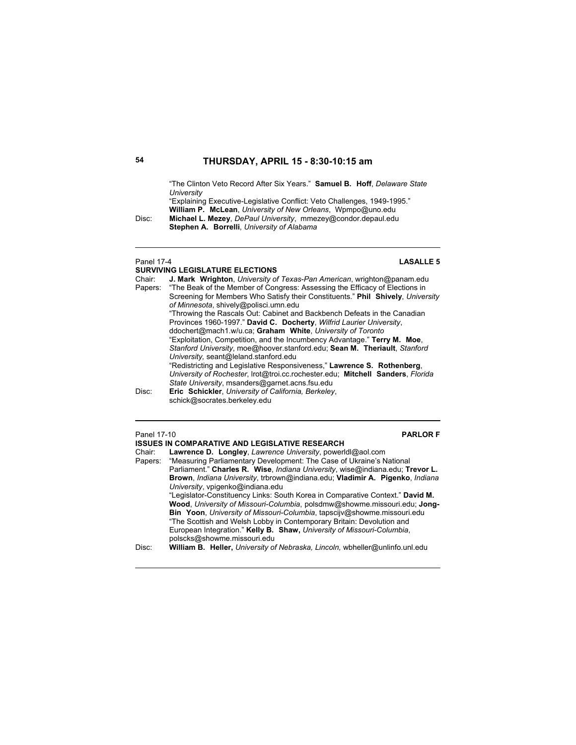"The Clinton Veto Record After Six Years." **Samuel B. Hoff**, *Delaware State University*

"Explaining Executive-Legislative Conflict: Veto Challenges, 1949-1995." **William P. McLean**, *University of New Orleans*, Wpmpo@uno.edu Disc: **Michael L. Mezey**, *DePaul University*, mmezey@condor.depaul.edu

**Stephen A. Borrelli**, *University of Alabama*

### Panel 17-4 **LASALLE 5**

**SURVIVING LEGISLATURE ELECTIONS**<br>Chair: **J. Mark Wrighton** University of Chair: **J. Mark Wrighton**, *University of Texas-Pan American*, wrighton@panam.edu Papers: "The Beak of the Member of Congress: Assessing the Efficacy of Elections in Screening for Members Who Satisfy their Constituents." **Phil Shively**, *University of Minnesota*, shively@polisci.umn.edu "Throwing the Rascals Out: Cabinet and Backbench Defeats in the Canadian Provinces 1960-1997." **David C. Docherty**, *Wilfrid Laurier University*, ddochert@mach1.w/u.ca; **Graham White**, *University of Toronto* "Exploitation, Competition, and the Incumbency Advantage." **Terry M. Moe**, *Stanford University*, moe@hoover.stanford.edu; **Sean M. Theriault**, *Stanford University,* seant@leland.stanford.edu "Redistricting and Legislative Responsiveness," **Lawrence S. Rothenberg**, *University of Rochester*, lrot@troi.cc.rochester.edu; **Mitchell Sanders**, *Florida State University*, msanders@garnet.acns.fsu.edu Disc: **Eric Schickler**, *University of California, Berkeley*, schick@socrates.berkeley.edu

Panel 17-10 **PARLOR F ISSUES IN COMPARATIVE AND LEGISLATIVE RESEARCH**  Chair: **Lawrence D. Longley**, *Lawrence University*, powerldl@aol.com Papers: "Measuring Parliamentary Development: The Case of Ukraine's National Parliament." **Charles R. Wise**, *Indiana University*, wise@indiana.edu; **Trevor L. Brown**, *Indiana University*, trbrown@indiana.edu; **Vladimir A. Pigenko**, *Indiana University*, vpigenko@indiana.edu "Legislator-Constituency Links: South Korea in Comparative Context." **David M. Wood**, *University of Missouri-Columbia*, polsdmw@showme.missouri.edu; **Jong-Bin Yoon**, *University of Missouri-Columbia*, tapscijv@showme.missouri.edu "The Scottish and Welsh Lobby in Contemporary Britain: Devolution and European Integration." **Kelly B. Shaw,** *University of Missouri-Columbia*, polscks@showme.missouri.edu Disc: **William B. Heller,** *University of Nebraska, Lincoln,* wbheller@unlinfo.unl.edu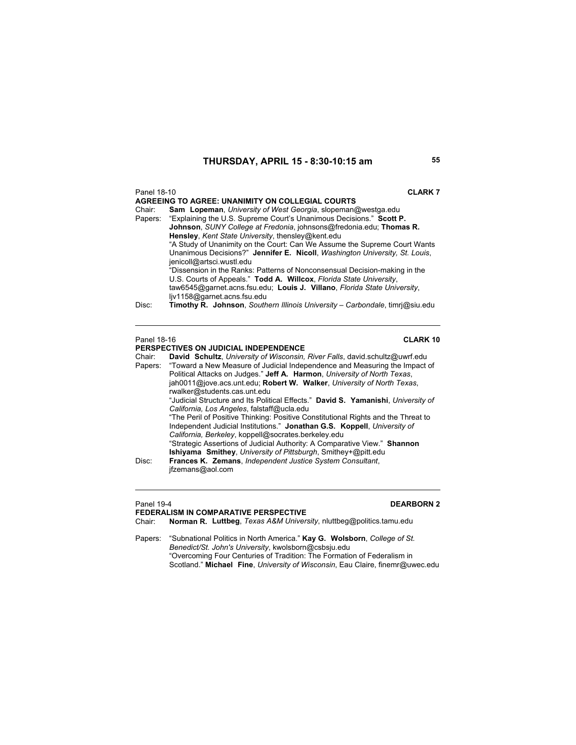| Panel 18-10                                                                                                                                                                                                                   | <b>CLARK7</b>                                                               |  |       |                                                                              |
|-------------------------------------------------------------------------------------------------------------------------------------------------------------------------------------------------------------------------------|-----------------------------------------------------------------------------|--|-------|------------------------------------------------------------------------------|
|                                                                                                                                                                                                                               | <b>AGREEING TO AGREE: UNANIMITY ON COLLEGIAL COURTS</b>                     |  |       |                                                                              |
| Chair:                                                                                                                                                                                                                        | <b>Sam Lopeman</b> , University of West Georgia, slopeman@westga.edu        |  |       |                                                                              |
|                                                                                                                                                                                                                               | Papers: "Explaining the U.S. Supreme Court's Unanimous Decisions." Scott P. |  |       |                                                                              |
|                                                                                                                                                                                                                               | Johnson, SUNY College at Fredonia, johnsons@fredonia.edu; Thomas R.         |  |       |                                                                              |
|                                                                                                                                                                                                                               | Hensley, Kent State University, thensley@kent.edu                           |  |       |                                                                              |
|                                                                                                                                                                                                                               | "A Study of Unanimity on the Court: Can We Assume the Supreme Court Wants   |  |       |                                                                              |
|                                                                                                                                                                                                                               | Unanimous Decisions?" Jennifer E. Nicoll, Washington University, St. Louis, |  |       |                                                                              |
|                                                                                                                                                                                                                               | jenicoll@artsci.wustl.edu                                                   |  |       |                                                                              |
| "Dissension in the Ranks: Patterns of Nonconsensual Decision-making in the<br>U.S. Courts of Appeals." Todd A. Willcox, Florida State University.<br>taw6545@garnet.acns.fsu.edu; Louis J. Villano, Florida State University, |                                                                             |  |       |                                                                              |
|                                                                                                                                                                                                                               |                                                                             |  |       | ljv1158@garnet.acns.fsu.edu                                                  |
|                                                                                                                                                                                                                               |                                                                             |  | Disc: | Timothy R. Johnson, Southern Illinois University - Carbondale, timri@siu.edu |
|                                                                                                                                                                                                                               |                                                                             |  |       |                                                                              |
|                                                                                                                                                                                                                               |                                                                             |  |       |                                                                              |

### Panel 18-16 **CLARK 10**

|         | <b>PERSPECTIVES ON JUDICIAL INDEPENDENCE</b>                                      |
|---------|-----------------------------------------------------------------------------------|
| Chair:  | David Schultz, University of Wisconsin, River Falls, david.schultz@uwrf.edu       |
| Papers: | "Toward a New Measure of Judicial Independence and Measuring the Impact of        |
|         | Political Attacks on Judges." Jeff A. Harmon, University of North Texas,          |
|         | jah0011@jove.acs.unt.edu; Robert W. Walker, University of North Texas.            |
|         | rwalker@students.cas.unt.edu                                                      |
|         | "Judicial Structure and Its Political Effects." David S. Yamanishi, University of |
|         | California. Los Angeles, falstaff@ucla.edu                                        |
|         | "The Peril of Positive Thinking: Positive Constitutional Rights and the Threat to |
|         | Independent Judicial Institutions." Jonathan G.S. Koppell, University of          |
|         | California, Berkeley, koppell@socrates.berkeley.edu                               |
|         | "Strategic Assertions of Judicial Authority: A Comparative View." Shannon         |
|         | <b>Ishiyama Smithey, University of Pittsburgh, Smithey+@pitt.edu</b>              |
| Disc:   | Frances K. Zemans, Independent Justice System Consultant,                         |
|         | jfzemans@aol.com                                                                  |
|         |                                                                                   |

### **Panel 19-4 DEARBORN 2**

- **FEDERALISM IN COMPARATIVE PERSPECTIVE**<br>Chair: **Norman R. Luttbeg**, Texas A&M Univers Chair: **Norman R. Luttbeg**, *Texas A&M University*, nluttbeg@politics.tamu.edu
- Papers: "Subnational Politics in North America." **Kay G. Wolsborn**, *College of St. Benedict/St. John's University*, kwolsborn@csbsju.edu "Overcoming Four Centuries of Tradition: The Formation of Federalism in Scotland." **Michael Fine**, *University of Wisconsin*, Eau Claire, finemr@uwec.edu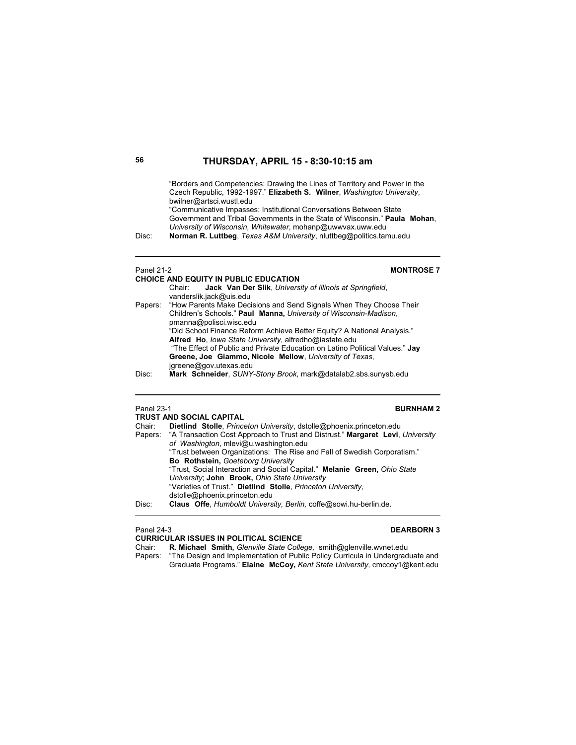"Borders and Competencies: Drawing the Lines of Territory and Power in the Czech Republic, 1992-1997." **Elizabeth S. Wilner**, *Washington University*, bwilner@artsci.wustl.edu

"Communicative Impasses: Institutional Conversations Between State Government and Tribal Governments in the State of Wisconsin." **Paula Mohan**, *University of Wisconsin, Whitewater*, mohanp@uwwvax.uww.edu Disc: **Norman R. Luttbeg**, *Texas A&M University*, nluttbeg@politics.tamu.edu

# **CHOICE AND EQUITY IN PUBLIC EDUCATION**

### Panel 21-2 **MONTROSE 7**

|         | Jack Van Der Slik, University of Illinois at Springfield,<br>Chair:          |
|---------|------------------------------------------------------------------------------|
|         | vanderslik.jack@uis.edu                                                      |
| Papers: | "How Parents Make Decisions and Send Signals When They Choose Their          |
|         | Children's Schools." Paul Manna, University of Wisconsin-Madison,            |
|         | pmanna@polisci.wisc.edu                                                      |
|         | "Did School Finance Reform Achieve Better Equity? A National Analysis."      |
|         | Alfred Ho, lowa State University, alfredho@iastate.edu                       |
|         | "The Effect of Public and Private Education on Latino Political Values." Jay |
|         | Greene, Joe Giammo, Nicole Mellow, University of Texas,                      |
|         | jgreene@gov.utexas.edu                                                       |
| Disc:   | Mark Schneider, SUNY-Stony Brook, mark@datalab2.sbs.sunysb.edu               |

## Panel 23-1 **BURNHAM 2**

|                                                                            | <b>TRUST AND SOCIAL CAPITAL</b>                                                        |  |  |
|----------------------------------------------------------------------------|----------------------------------------------------------------------------------------|--|--|
| Chair:                                                                     | Dietlind Stolle, Princeton University, dstolle@phoenix.princeton.edu                   |  |  |
|                                                                            | Papers: "A Transaction Cost Approach to Trust and Distrust." Margaret Levi, University |  |  |
|                                                                            | of Washington, mlevi@u.washington.edu                                                  |  |  |
|                                                                            | "Trust between Organizations: The Rise and Fall of Swedish Corporatism."               |  |  |
| Bo Rothstein, Goeteborg University                                         |                                                                                        |  |  |
|                                                                            | "Trust, Social Interaction and Social Capital." Melanie Green, Ohio State              |  |  |
| University; John Brook, Ohio State University                              |                                                                                        |  |  |
|                                                                            | "Varieties of Trust." Dietlind Stolle, Princeton University,                           |  |  |
|                                                                            | dstolle@phoenix.princeton.edu                                                          |  |  |
| Claus Offe, Humboldt University, Berlin, coffe@sowi.hu-berlin.de.<br>Disc: |                                                                                        |  |  |
|                                                                            |                                                                                        |  |  |

### Panel 24-3 **DEARBORN 3**

**CURRICULAR ISSUES IN POLITICAL SCIENCE** Chair: **R. Michael Smith,** *Glenville State College,* smith@glenville.wvnet.edu

Papers: "The Design and Implementation of Public Policy Curricula in Undergraduate and Graduate Programs." **Elaine McCoy,** *Kent State University,* cmccoy1@kent.edu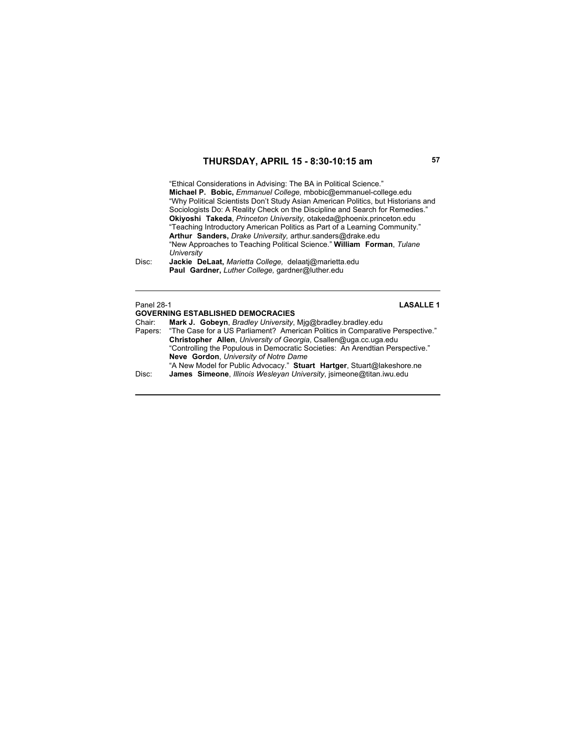"Ethical Considerations in Advising: The BA in Political Science." **Michael P. Bobic,** *Emmanuel College,* mbobic@emmanuel-college.edu "Why Political Scientists Don't Study Asian American Politics, but Historians and Sociologists Do: A Reality Check on the Discipline and Search for Remedies." **Okiyoshi Takeda**, *Princeton University,* otakeda@phoenix.princeton.edu "Teaching Introductory American Politics as Part of a Learning Community." **Arthur Sanders,** *Drake University,* arthur.sanders@drake.edu "New Approaches to Teaching Political Science." **William Forman**, *Tulane University*

Disc: **Jackie DeLaat,** *Marietta College,* delaatj@marietta.edu  **Paul Gardner,** *Luther College,* gardner@luther.edu

### Panel 28-1 **LASALLE 1**

**GOVERNING ESTABLISHED DEMOCRACIES**  Chair: **Mark J. Gobeyn**, *Bradley University*, Mjg@bradley.bradley.edu "The Case for a US Parliament? American Politics in Comparative Perspective." **Christopher Allen**, *University of Georgia*, Csallen@uga.cc.uga.edu "Controlling the Populous in Democratic Societies: An Arendtian Perspective." **Neve Gordon**, *University of Notre Dame* "A New Model for Public Advocacy." **Stuart Hartger**, Stuart@lakeshore.ne Disc: **James Simeone**, *Illinois Wesleyan University*, jsimeone@titan.iwu.edu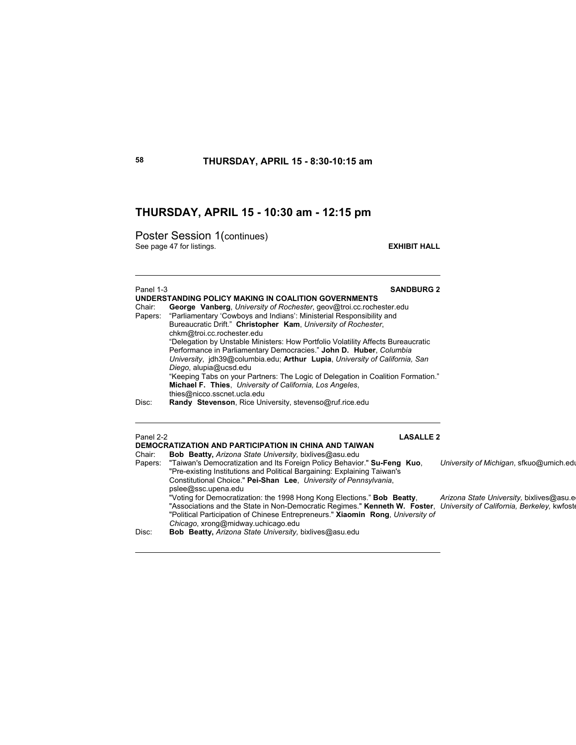## **THURSDAY, APRIL 15 - 10:30 am - 12:15 pm**

Poster Session 1(continues) See page 47 for listings. **EXHIBIT HALL** 

pslee@ssc.upena.edu

*Chicago*, xrong@midway.uchicago.edu Disc: **Bob Beatty,** *Arizona State University,* bixlives@asu.edu

## Panel 1-3 **SANDBURG 2 UNDERSTANDING POLICY MAKING IN COALITION GOVERNMENTS** Chair: **George Vanberg**, *University of Rochester*, geov@troi.cc.rochester.edu Papers: "Parliamentary 'Cowboys and Indians': Ministerial Responsibility and Bureaucratic Drift." **Christopher Kam**, *University of Rochester*, chkm@troi.cc.rochester.edu "Delegation by Unstable Ministers: How Portfolio Volatility Affects Bureaucratic Performance in Parliamentary Democracies." **John D. Huber**, *Columbia University*, jdh39@columbia.edu; **Arthur Lupia**, *University of California, San Diego*, alupia@ucsd.edu "Keeping Tabs on your Partners: The Logic of Delegation in Coalition Formation." **Michael F. Thies**, *University of California, Los Angeles*, thies@nicco.sscnet.ucla.edu Disc: **Randy Stevenson**, Rice University, stevenso@ruf.rice.edu Panel 2-2 **LASALLE 2 DEMOCRATIZATION AND PARTICIPATION IN CHINA AND TAIWAN**  Chair: **Bob Beatty,** *Arizona State University,* bixlives@asu.edu Papers: "Taiwan's Democratization and Its Foreign Policy Behavior." **Su-Feng Kuo**, *University of Michigan*, sfkuo@umich.edu "Pre-existing Institutions and Political Bargaining: Explaining Taiwan's Constitutional Choice." **Pei-Shan Lee**, *University of Pennsylvania*,

 "Voting for Democratization: the 1998 Hong Kong Elections." **Bob Beatty**, *Arizona State University,* bixlives@asu.ed "Associations and the State in Non-Democratic Regimes." **Kenneth W. Foster**, *University of California, Berkeley,* kwfoste "Political Participation of Chinese Entrepreneurs." **Xiaomin Rong**, *University of*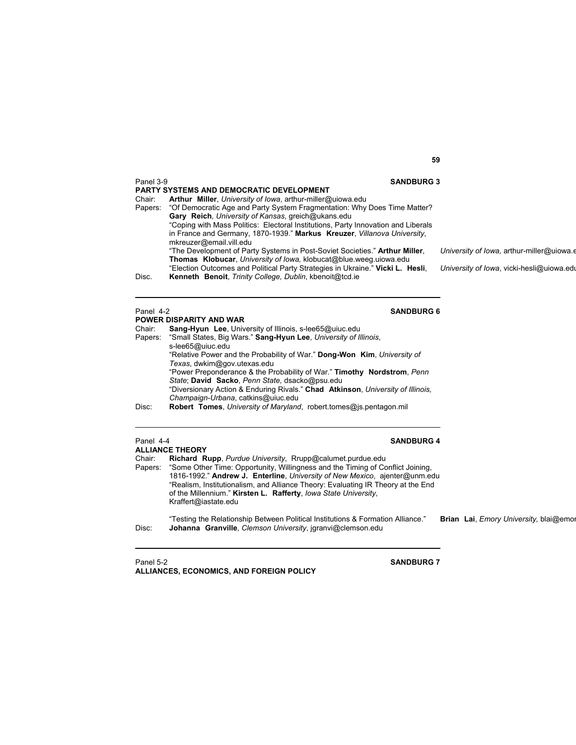| Panel 3-9 | <b>SANDBURG 3</b><br><b>PARTY SYSTEMS AND DEMOCRATIC DEVELOPMENT</b>              |                                           |
|-----------|-----------------------------------------------------------------------------------|-------------------------------------------|
| Chair:    | Arthur Miller, University of Iowa, arthur-miller@uiowa.edu                        |                                           |
| Papers:   | "Of Democratic Age and Party System Fragmentation: Why Does Time Matter?"         |                                           |
|           | Gary Reich, University of Kansas, greich@ukans.edu                                |                                           |
|           | "Coping with Mass Politics: Electoral Institutions, Party Innovation and Liberals |                                           |
|           | in France and Germany, 1870-1939." Markus Kreuzer, Villanova University,          |                                           |
|           | mkreuzer@email.vill.edu                                                           |                                           |
|           | "The Development of Party Systems in Post-Soviet Societies." Arthur Miller,       | University of Jowa, arthur-miller@ujowa.e |
|           | <b>Thomas Klobucar, University of lowa, klobucat@blue.weeg.uiowa.edu</b>          |                                           |
|           | "Election Outcomes and Political Party Strategies in Ukraine." Vicki L. Hesli,    | University of Iowa, vicki-hesli@uiowa.edu |
| Disc.     | Kenneth Benoit, Trinity College, Dublin, kbenoit@tcd.ie                           |                                           |
|           |                                                                                   |                                           |
|           |                                                                                   |                                           |

## Panel 4-2<br>
SANDBURG 6

|        | <b>POWER DISPARITY AND WAR</b>                                                  |
|--------|---------------------------------------------------------------------------------|
| Chair: | Sang-Hyun Lee, University of Illinois, s-lee65@uiuc.edu                         |
|        | Papers: "Small States, Big Wars." Sang-Hyun Lee, University of Illinois,        |
|        | s-lee65@uiuc.edu                                                                |
|        | "Relative Power and the Probability of War." Dong-Won Kim, University of        |
|        | Texas, dwkim@gov.utexas.edu                                                     |
|        | "Power Preponderance & the Probability of War." Timothy Nordstrom, Penn         |
|        | State: David Sacko, Penn State, dsacko@psu.edu                                  |
|        | "Diversionary Action & Enduring Rivals." Chad Atkinson, University of Illinois, |
|        | Champaign-Urbana, catkins@uiuc.edu                                              |
| Disc:  | <b>Robert Tomes.</b> University of Maryland, robert tomes@is.pentagon.mil       |
|        |                                                                                 |

## Panel 4-4 **SANDBURG 4**

**ALLIANCE THEORY**

Chair: **Richard Rupp**, *Purdue University*, Rrupp@calumet.purdue.edu Papers: "Some Other Time: Opportunity, Willingness and the Timing of Conflict Joining, 1816-1992." **Andrew J. Enterline**, *University of New Mexico*, ajenter@unm.edu "Realism, Institutionalism, and Alliance Theory: Evaluating IR Theory at the End of the Millennium." **Kirsten L. Rafferty**, *Iowa State University*, Kraffert@iastate.edu

 "Testing the Relationship Between Political Institutions & Formation Alliance." **Brian Lai**, *Emory University,* blai@emor Disc: **Johanna Granville**, *Clemson University*, jgranvi@clemson.edu

Panel 5-2 **SANDBURG 7 ALLIANCES, ECONOMICS, AND FOREIGN POLICY**

**59**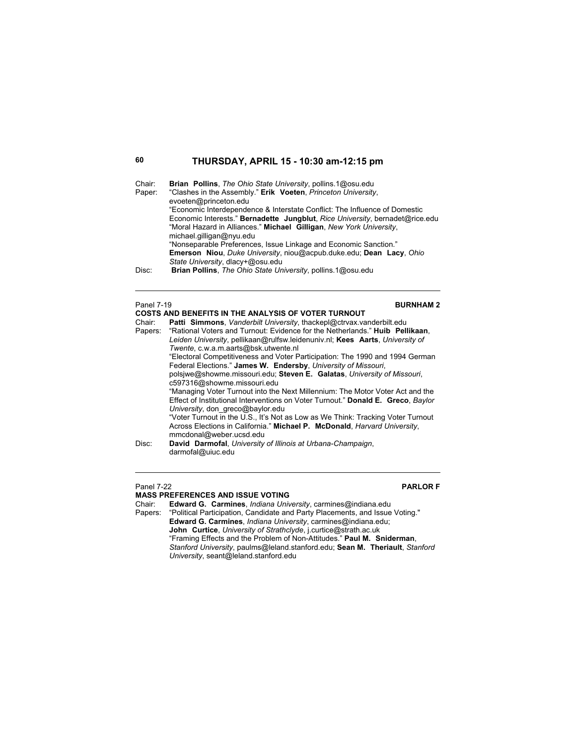| Chair:<br>Paper:<br>Disc: | <b>Brian Pollins.</b> The Ohio State University, pollins.1@osu.edu<br>"Clashes in the Assembly." Erik Voeten, Princeton University,<br>evoeten@princeton.edu<br>"Economic Interdependence & Interstate Conflict: The Influence of Domestic<br>Economic Interests." Bernadette Jungblut, Rice University, bernadet@rice.edu<br>"Moral Hazard in Alliances." Michael Gilligan, New York University,<br>michael.gilligan@nyu.edu<br>"Nonseparable Preferences, Issue Linkage and Economic Sanction."<br><b>Emerson Niou, Duke University, niou@acpub.duke.edu; Dean Lacy, Ohio</b><br>State University, dlacy+@osu.edu<br><b>Brian Pollins.</b> The Ohio State University, pollins.1@osu.edu |
|---------------------------|-------------------------------------------------------------------------------------------------------------------------------------------------------------------------------------------------------------------------------------------------------------------------------------------------------------------------------------------------------------------------------------------------------------------------------------------------------------------------------------------------------------------------------------------------------------------------------------------------------------------------------------------------------------------------------------------|
| Panel 7-19<br>Chair:      | <b>BURNHAM2</b><br><b>COSTS AND BENEFITS IN THE ANALYSIS OF VOTER TURNOUT</b><br><b>Patti Simmons.</b> Vanderbilt University, thackepl@ctrvax.vanderbilt.edu<br>.                                                                                                                                                                                                                                                                                                                                                                                                                                                                                                                         |

| Chair: | <b>Patti Simmons.</b> Vanderbilt University, thackepl@ctrvax.vanderbilt.edu          |  |  |  |
|--------|--------------------------------------------------------------------------------------|--|--|--|
|        | Papers: "Rational Voters and Turnout: Evidence for the Netherlands." Huib Pellikaan, |  |  |  |
|        | Leiden University, pellikaan@rulfsw.leidenuniv.nl; Kees Aarts, University of         |  |  |  |
|        | Twente, c.w.a.m.aarts@bsk.utwente.nl                                                 |  |  |  |
|        | "Electoral Competitiveness and Voter Participation: The 1990 and 1994 German         |  |  |  |
|        | Federal Elections." James W. Endersby, University of Missouri,                       |  |  |  |
|        | polsjwe@showme.missouri.edu; Steven E. Galatas, University of Missouri,              |  |  |  |
|        | c597316@showme.missouri.edu                                                          |  |  |  |
|        | "Managing Voter Turnout into the Next Millennium: The Motor Voter Act and the        |  |  |  |
|        | Effect of Institutional Interventions on Voter Turnout." Donald E. Greco, Baylor     |  |  |  |
|        | University, don greco@baylor.edu                                                     |  |  |  |
|        | "Voter Turnout in the U.S., It's Not as Low as We Think: Tracking Voter Turnout      |  |  |  |
|        | Across Elections in California." Michael P. McDonald, Harvard University,            |  |  |  |
|        | mmcdonal@weber.ucsd.edu                                                              |  |  |  |
| Disc:  | David Darmofal, University of Illinois at Urbana-Champaign,                          |  |  |  |
|        | darmofal@uiuc.edu                                                                    |  |  |  |

### Panel 7-22 **PARLOR F**

## **MASS PREFERENCES AND ISSUE VOTING**

Chair: **Edward G. Carmines**, *Indiana University*, carmines@indiana.edu

Papers: "Political Participation, Candidate and Party Placements, and Issue Voting." **Edward G. Carmines**, *Indiana University*, carmines@indiana.edu;  **John Curtice**, *University of Strathclyde*, j.curtice@strath.ac.uk "Framing Effects and the Problem of Non-Attitudes." **Paul M. Sniderman**, *Stanford University*, paulms@leland.stanford.edu; **Sean M. Theriault**, *Stanford University*, seant@leland.stanford.edu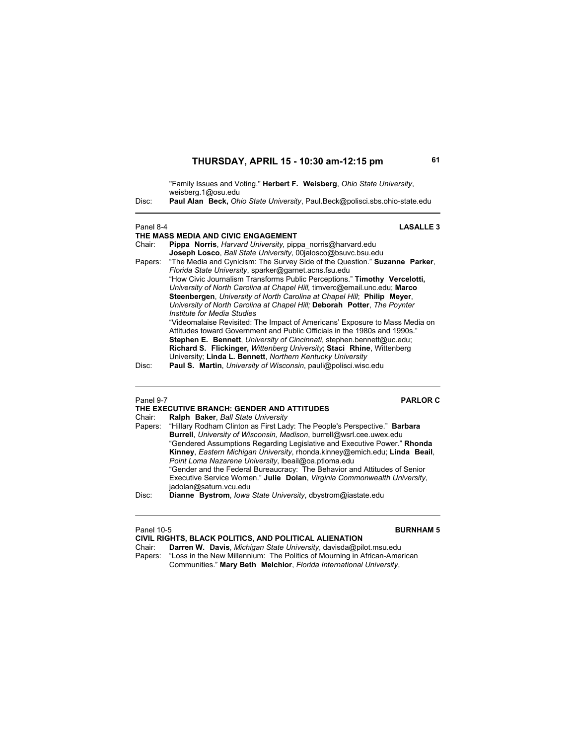|           | "Family Issues and Voting." <b>Herbert F. Weisberg</b> , Ohio State University,<br>weisberg.1@osu.edu                                                                                                                                                                                                                                                                                                                                                                               |  |  |
|-----------|-------------------------------------------------------------------------------------------------------------------------------------------------------------------------------------------------------------------------------------------------------------------------------------------------------------------------------------------------------------------------------------------------------------------------------------------------------------------------------------|--|--|
| Disc:     | <b>Paul Alan Beck, Ohio State University, Paul Beck@polisci.sbs.ohio-state.edu</b>                                                                                                                                                                                                                                                                                                                                                                                                  |  |  |
| Panel 8-4 | <b>LASALLE 3</b>                                                                                                                                                                                                                                                                                                                                                                                                                                                                    |  |  |
|           | THE MASS MEDIA AND CIVIC ENGAGEMENT                                                                                                                                                                                                                                                                                                                                                                                                                                                 |  |  |
| Chair:    | Pippa Norris, Harvard University, pippa norris@harvard.edu                                                                                                                                                                                                                                                                                                                                                                                                                          |  |  |
|           | Joseph Losco, Ball State University, 00jalosco@bsuvc.bsu.edu                                                                                                                                                                                                                                                                                                                                                                                                                        |  |  |
| Papers:   | "The Media and Cynicism: The Survey Side of the Question." Suzanne Parker,<br>Florida State University, sparker@garnet.acns.fsu.edu<br>"How Civic Journalism Transforms Public Perceptions." Timothy Vercelotti,<br>University of North Carolina at Chapel Hill, timverc@email.unc.edu; Marco<br>Steenbergen, University of North Carolina at Chapel Hill: Philip Meyer,<br>University of North Carolina at Chapel Hill: Deborah Potter, The Poynter<br>Institute for Media Studies |  |  |
| Disc:     | "Videomalaise Revisited: The Impact of Americans' Exposure to Mass Media on<br>Attitudes toward Government and Public Officials in the 1980s and 1990s."<br><b>Stephen E. Bennett.</b> University of Cincinnati, stephen.bennett@uc.edu;<br><b>Richard S. Flickinger, Wittenberg University: Staci Rhine, Wittenberg</b><br>University: Linda L. Bennett, Northern Kentucky University<br><b>Paul S. Martin.</b> University of Wisconsin, pauli@polisci.wisc.edu                    |  |  |
|           |                                                                                                                                                                                                                                                                                                                                                                                                                                                                                     |  |  |

Panel 9-7 **PARLOR C**

|        | THE EXECUTIVE BRANCH: GENDER AND ATTITUDES                                        |
|--------|-----------------------------------------------------------------------------------|
| Chair: | Ralph Baker, Ball State University                                                |
|        | Papers: "Hillary Rodham Clinton as First Lady: The People's Perspective." Barbara |
|        | Burrell, University of Wisconsin, Madison, burrell@wsrl.cee.uwex.edu              |
|        | "Gendered Assumptions Regarding Legislative and Executive Power." Rhonda          |
|        | Kinney, Eastern Michigan University, rhonda.kinney@emich.edu; Linda Beail,        |
|        | Point Loma Nazarene University, Ibeail@oa.ptloma.edu                              |
|        | "Gender and the Federal Bureaucracy: The Behavior and Attitudes of Senior         |
|        | Executive Service Women." Julie Dolan, Virginia Commonwealth University,          |
|        | jadolan@saturn.vcu.edu                                                            |
| Disc:  | Dianne Bystrom, Iowa State University, dbystrom@iastate.edu                       |

| Panel 10-5 | <b>BURNHAM 5</b>                                                          |
|------------|---------------------------------------------------------------------------|
|            | CIVIL RIGHTS, BLACK POLITICS, AND POLITICAL ALIENATION                    |
| Chair:     | Darren W. Davis, Michigan State University, davisda@pilot.msu.edu         |
| Papers:    | "Loss in the New Millennium: The Politics of Mourning in African-American |
|            | Communities." Mary Beth Melchior, Florida International University,       |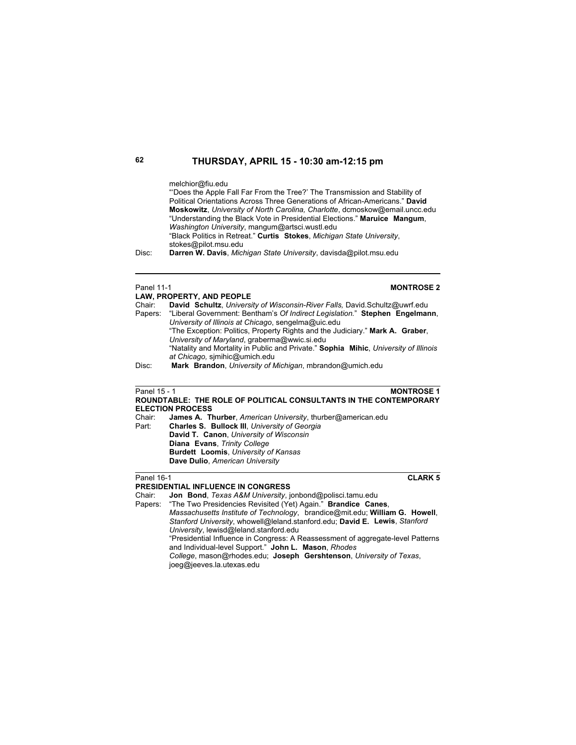### melchior@fiu.edu

"'Does the Apple Fall Far From the Tree?' The Transmission and Stability of Political Orientations Across Three Generations of African-Americans." **David Moskowitz**, *University of North Carolina, Charlotte*, dcmoskow@email.uncc.edu "Understanding the Black Vote in Presidential Elections." **Maruice Mangum**, *Washington University*, mangum@artsci.wustl.edu "Black Politics in Retreat." **Curtis Stokes**, *Michigan State University*, stokes@pilot.msu.edu

Disc: **Darren W. Davis**, *Michigan State University*, davisda@pilot.msu.edu

### **Panel 11-1 MONTROSE 2**

|        | LAW, PROPERTY, AND PEOPLE                                                            |
|--------|--------------------------------------------------------------------------------------|
| Chair: | David Schultz, University of Wisconsin-River Falls, David Schultz@uwrf.edu           |
|        | Papers: "Liberal Government: Bentham's Of Indirect Legislation." Stephen Engelmann,  |
|        | University of Illinois at Chicago, sengelma@uic.edu                                  |
|        | "The Exception: Politics, Property Rights and the Judiciary." Mark A. Graber,        |
|        | University of Maryland, graberma@wwic.si.edu                                         |
|        | "Natality and Mortality in Public and Private." Sophia Mihic, University of Illinois |
|        | at Chicago, simihic@umich.edu                                                        |
| Disc:  | Mark Brandon, University of Michigan, mbrandon@umich.edu                             |
|        |                                                                                      |

### **Panel 15 - 1 MONTROSE 1 ROUNDTABLE: THE ROLE OF POLITICAL CONSULTANTS IN THE CONTEMPORARY**

**ELECTION PROCESS**  James A. Thurber, American University, thurber@american.edu Part: **Charles S. Bullock III**, *University of Georgia*  **David T. Canon**, *University of Wisconsin*  **Diana Evans**, *Trinity College*  **Burdett Loomis**, *University of Kansas*  **Dave Dulio**, *American University*

### Panel 16-1 **CLARK 5**

### **PRESIDENTIAL INFLUENCE IN CONGRESS**

Chair: **Jon Bond**, *Texas A&M University*, jonbond@polisci.tamu.edu

Papers: "The Two Presidencies Revisited (Yet) Again." **Brandice Canes**,

*Massachusetts Institute of Technology*, brandice@mit.edu; **William G. Howell**, *Stanford University*, whowell@leland.stanford.edu; **David E. Lewis**, *Stanford University*, lewisd@leland.stanford.edu "Presidential Influence in Congress: A Reassessment of aggregate-level Patterns

and Individual-level Support." **John L. Mason**, *Rhodes College*, mason@rhodes.edu; **Joseph Gershtenson**, *University of Texas*,

joeg@jeeves.la.utexas.edu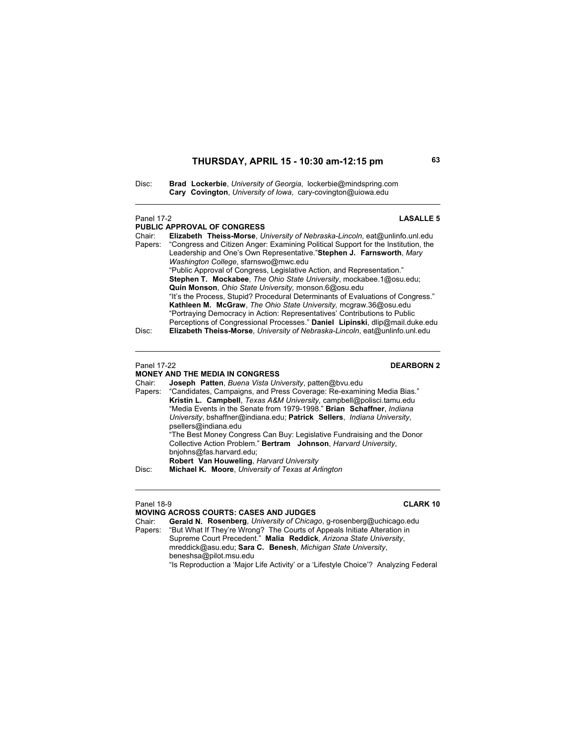Disc: **Brad Lockerbie**, *University of Georgia*, lockerbie@mindspring.com **Cary Covington**, *University of Iowa*, cary-covington@uiowa.edu

### Panel 17-2 **LASALLE 5**

**PUBLIC APPROVAL OF CONGRESS** Chair: **Elizabeth Theiss-Morse**, *University of Nebraska-Lincoln*, eat@unlinfo.unl.edu "Congress and Citizen Anger: Examining Political Support for the Institution, the Leadership and One's Own Representative."**Stephen J. Farnsworth**, *Mary Washington College*, sfarnswo@mwc.edu "Public Approval of Congress, Legislative Action, and Representation." **Stephen T. Mockabee**, *The Ohio State University*, mockabee.1@osu.edu; **Quin Monson**, *Ohio State University,* monson.6@osu.edu "It's the Process, Stupid? Procedural Determinants of Evaluations of Congress." **Kathleen M. McGraw**, *The Ohio State University,* mcgraw.36@osu.edu "Portraying Democracy in Action: Representatives' Contributions to Public Perceptions of Congressional Processes." **Daniel Lipinski**, dlip@mail.duke.edu Disc: **Elizabeth Theiss-Morse**, *University of Nebraska-Lincoln*, eat@unlinfo.unl.edu

### **Panel 17-22** DEARBORN 2

# **MONEY AND THE MEDIA IN CONGRESS**

Chair: **Joseph Patten**, *Buena Vista University*, patten@bvu.edu Papers: "Candidates, Campaigns, and Press Coverage: Re-examining Media Bias." **Kristin L. Campbell**, *Texas A&M University,* campbell@polisci.tamu.edu "Media Events in the Senate from 1979-1998." **Brian Schaffner**, *Indiana University*, bshaffner@indiana.edu; **Patrick Sellers**, *Indiana University*, psellers@indiana.edu "The Best Money Congress Can Buy: Legislative Fundraising and the Donor Collective Action Problem." **Bertram Johnson**, *Harvard University*, bnjohns@fas.harvard.edu; **Robert Van Houweling**, *Harvard University* Disc: **Michael K. Moore**, *University of Texas at Arlington*

 $\overline{a}$ 

### Panel 18-9 **CLARK 10**

**MOVING ACROSS COURTS: CASES AND JUDGES** Gerald N. Rosenberg, *University of Chicago*, g-rosenberg@uchicago.edu Papers: "But What If They're Wrong? The Courts of Appeals Initiate Alteration in Supreme Court Precedent." **Malia Reddick**, *Arizona State University*, mreddick@asu.edu; **Sara C. Benesh**, *Michigan State University*, beneshsa@pilot.msu.edu "Is Reproduction a 'Major Life Activity' or a 'Lifestyle Choice'? Analyzing Federal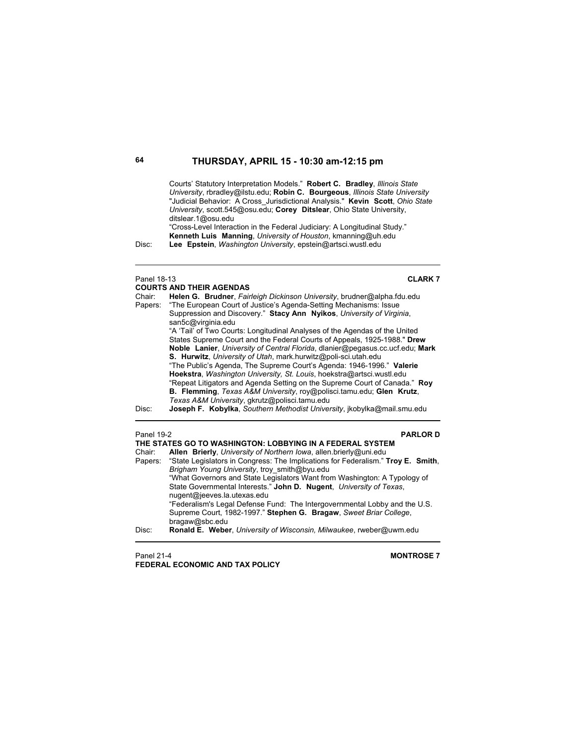Courts' Statutory Interpretation Models." **Robert C. Bradley**, *Illinois State University*, rbradley@ilstu.edu; **Robin C. Bourgeous**, *Illinois State University* "Judicial Behavior: A Cross\_Jurisdictional Analysis." **Kevin Scott**, *Ohio State University*, scott.545@osu.edu; **Corey Ditslear**, Ohio State University, ditslear.1@osu.edu

"Cross-Level Interaction in the Federal Judiciary: A Longitudinal Study." **Kenneth Luis Manning**, *University of Houston*, kmanning@uh.edu Disc: **Lee Epstein**, *Washington University*, epstein@artsci.wustl.edu

Panel 18-13 **CLARK 7**

|         | <b>COURTS AND THEIR AGENDAS</b>                                               |
|---------|-------------------------------------------------------------------------------|
| Chair:  | Helen G. Brudner, Fairleigh Dickinson University, brudner@alpha.fdu.edu       |
| Papers: | "The European Court of Justice's Agenda-Setting Mechanisms: Issue             |
|         | Suppression and Discovery." Stacy Ann Nyikos, University of Virginia,         |
|         | san5c@virginia.edu                                                            |
|         | "A 'Tail' of Two Courts: Longitudinal Analyses of the Agendas of the United   |
|         | States Supreme Court and the Federal Courts of Appeals, 1925-1988." Drew      |
|         | Noble Lanier, University of Central Florida, dlanier@pegasus.cc.ucf.edu; Mark |
|         | <b>S. Hurwitz</b> , University of Utah, mark.hurwitz@poli-sci.utah.edu        |
|         | "The Public's Agenda, The Supreme Court's Agenda: 1946-1996." Valerie         |
|         | Hoekstra, Washington University, St. Louis, hoekstra@artsci.wustl.edu         |
|         | "Repeat Litigators and Agenda Setting on the Supreme Court of Canada." Roy    |
|         | B. Flemming, Texas A&M University, roy@polisci.tamu.edu; Glen Krutz,          |
|         | Texas A&M University, gkrutz@polisci.tamu.edu                                 |
| Disc:   | Joseph F. Kobylka, Southern Methodist University, jkobylka@mail.smu.edu       |
|         |                                                                               |

| Panel 19-2<br><b>PARLORD</b> |                                                                                          |
|------------------------------|------------------------------------------------------------------------------------------|
|                              | THE STATES GO TO WASHINGTON: LOBBYING IN A FEDERAL SYSTEM                                |
| Chair:                       | Allen Brierly, University of Northern Iowa, allen brierly@uni.edu                        |
|                              | Papers: "State Legislators in Congress: The Implications for Federalism." Troy E. Smith, |
|                              | Brigham Young University, troy smith@byu.edu                                             |
|                              | "What Governors and State Legislators Want from Washington: A Typology of                |
|                              | State Governmental Interests." John D. Nugent, University of Texas,                      |
|                              | nugent@jeeves.la.utexas.edu                                                              |
|                              | "Federalism's Legal Defense Fund: The Intergovernmental Lobby and the U.S.               |
|                              | Supreme Court, 1982-1997." Stephen G. Bragaw, Sweet Briar College,                       |
|                              | bragaw@sbc.edu                                                                           |
| Disc:                        | Ronald E. Weber, University of Wisconsin, Milwaukee, rweber@uwm.edu                      |
|                              |                                                                                          |

Panel 21-4 **MONTROSE 7 FEDERAL ECONOMIC AND TAX POLICY**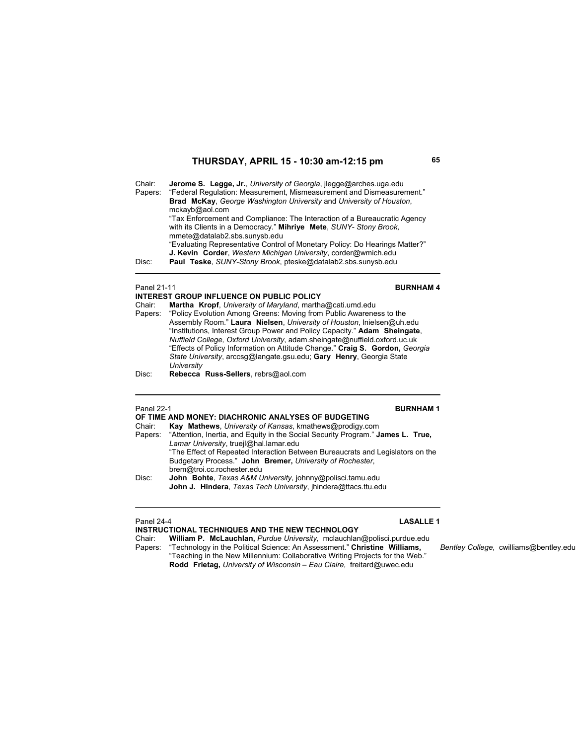Chair: **Jerome S. Legge, Jr.**, *University of Georgia*, jlegge@arches.uga.edu Papers: "Federal Regulation: Measurement, Mismeasurement and Dismeasurement." **Brad McKay**, *George Washington University* and *University of Houston*, mckayb@aol.com "Tax Enforcement and Compliance: The Interaction of a Bureaucratic Agency with its Clients in a Democracy." **Mihriye Mete**, *SUNY- Stony Brook,* mmete@datalab2.sbs.sunysb.edu "Evaluating Representative Control of Monetary Policy: Do Hearings Matter?" **J. Kevin Corder**, *Western Michigan University*, corder@wmich.edu<br>Disc: Paul Teske SUNY-Stony Brook pteske@datalab2 sbs sunysb edu Paul Teske, SUNY-Stony Brook, pteske@datalab2.sbs.sunysb.edu  $\overline{\phantom{a}}$ 

### **Panel 21-11 BURNHAM 4**

**INTEREST GROUP INFLUENCE ON PUBLIC POLICY** Chair: **Martha Kropf**, *University of Maryland*, martha@cati.umd.edu "Policy Evolution Among Greens: Moving from Public Awareness to the Assembly Room." **Laura Nielsen**, *University of Houston*, lnielsen@uh.edu "Institutions, Interest Group Power and Policy Capacity." **Adam Sheingate**, *Nuffield College, Oxford University*, adam.sheingate@nuffield.oxford.uc.uk "Effects of Policy Information on Attitude Change." **Craig S. Gordon,** *Georgia State University*, arccsg@langate.gsu.edu; **Gary Henry**, Georgia State *University* Disc: **Rebecca Russ-Sellers**, rebrs@aol.com

## Panel 22-1 **BURNHAM 1**

|        | OF TIME AND MONEY: DIACHRONIC ANALYSES OF BUDGETING                                     |
|--------|-----------------------------------------------------------------------------------------|
| Chair: | Kay Mathews, University of Kansas, kmathews@prodigy.com                                 |
|        | Papers: "Attention, Inertia, and Equity in the Social Security Program." James L. True, |
|        | Lamar University, truejl@hal.lamar.edu                                                  |
|        | "The Effect of Repeated Interaction Between Bureaucrats and Legislators on the          |
|        | Budgetary Process." John Bremer, University of Rochester,                               |
|        | brem@troi.cc.rochester.edu                                                              |
| Disc:  | John Bohte, Texas A&M University, johnny@polisci.tamu.edu                               |
|        | John J. Hindera, Texas Tech University, jhindera@ttacs.ttu.edu                          |
|        |                                                                                         |

### Panel 24-4 **LASALLE 1**

**INSTRUCTIONAL TECHNIQUES AND THE NEW TECHNOLOGY** Chair: **William P. McLauchlan,** *Purdue University,* mclauchlan@polisci.purdue.edu Papers: "Technology in the Political Science: An Assessment." **Christine Williams,** *Bentley College,* cwilliams@bentley.edu

"Teaching in the New Millennium: Collaborative Writing Projects for the Web." **Rodd Frietag,** *University of Wisconsin – Eau Claire,* freitard@uwec.edu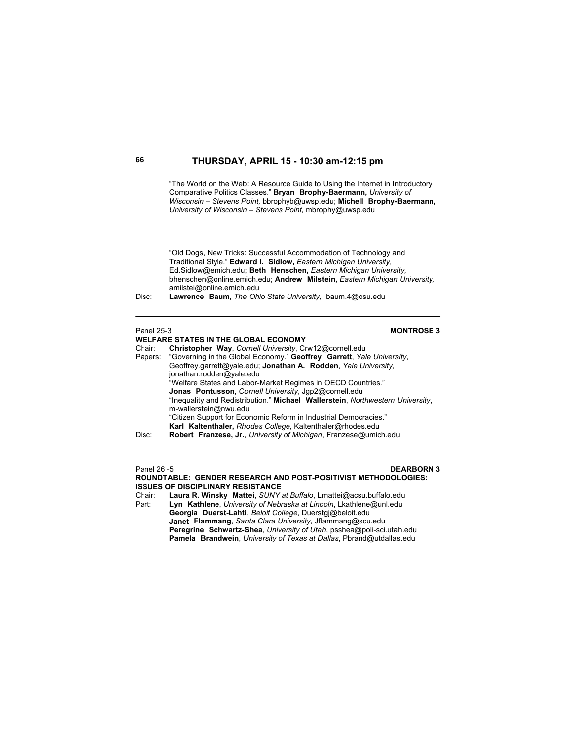"The World on the Web: A Resource Guide to Using the Internet in Introductory Comparative Politics Classes." **Bryan Brophy-Baermann,** *University of Wisconsin – Stevens Point,* bbrophyb@uwsp.edu; **Michell Brophy-Baermann,**  *University of Wisconsin – Stevens Point,* mbrophy@uwsp.edu

"Old Dogs, New Tricks: Successful Accommodation of Technology and Traditional Style." **Edward I. Sidlow,** *Eastern Michigan University,*  Ed.Sidlow@emich.edu; **Beth Henschen,** *Eastern Michigan University,*  bhenschen@online.emich.edu; **Andrew Milstein,** *Eastern Michigan University,*  amilstei@online.emich.edu

Disc: **Lawrence Baum,** *The Ohio State University,* baum.4@osu.edu

### Panel 25-3 **MONTROSE 3 WELFARE STATES IN THE GLOBAL ECONOMY**<br>Chair: **Christopher Way**, Cornell University, Cr Chair: **Christopher Way**, *Cornell University*, Crw12@cornell.edu Papers: "Governing in the Global Economy." **Geoffrey Garrett**, *Yale University*, Geoffrey.garrett@yale.edu; **Jonathan A. Rodden**, *Yale University,* jonathan.rodden@yale.edu "Welfare States and Labor-Market Regimes in OECD Countries."  **Jonas Pontusson**, *Cornell University*, Jgp2@cornell.edu "Inequality and Redistribution." **Michael Wallerstein**, *Northwestern University*, m-wallerstein@nwu.edu "Citizen Support for Economic Reform in Industrial Democracies." **Karl Kaltenthaler,** *Rhodes College,* Kaltenthaler@rhodes.edu Disc: **Robert Franzese, Jr.**, *University of Michigan*, Franzese@umich.edu

# Panel 26 -5 **DEARBORN 3**

**ROUNDTABLE: GENDER RESEARCH AND POST-POSITIVIST METHODOLOGIES: ISSUES OF DISCIPLINARY RESISTANCE** Chair: **Laura R. Winsky Mattei**, *SUNY at Buffalo*, Lmattei@acsu.buffalo.edu Part: **Lyn Kathlene**, *University of Nebraska at Lincoln*, Lkathlene@unl.edu **Georgia Duerst-Lahti**, *Beloit College*, Duerstgj@beloit.edu

**Janet Flammang**, *Santa Clara University*, Jflammang@scu.edu **Peregrine Schwartz-Shea**, *University of Utah*, psshea@poli-sci.utah.edu **Pamela Brandwein**, *University of Texas at Dallas*, Pbrand@utdallas.edu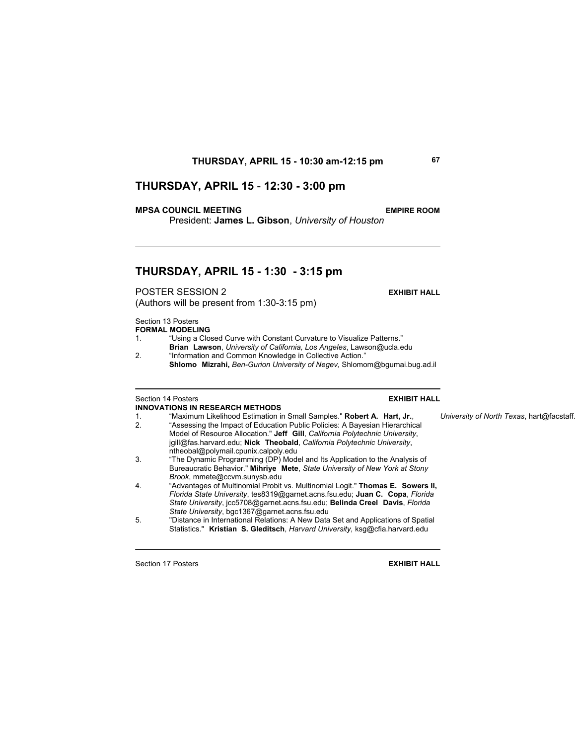## **THURSDAY, APRIL 15** - **12:30 - 3:00 pm**

### **MPSA COUNCIL MEETING EMPIRE ROOM**

President: **James L. Gibson**, *University of Houston*

## **THURSDAY, APRIL 15 - 1:30 - 3:15 pm**

POSTER SESSION 2 **EXHIBIT HALL**

(Authors will be present from 1:30-3:15 pm)

Section 13 Posters **FORMAL MODELING**

1. "Using a Closed Curve with Constant Curvature to Visualize Patterns."

**Brian Lawson**, *University of California, Los Angeles*, Lawson@ucla.edu 2. "Information and Common Knowledge in Collective Action."

**Shlomo Mizrahi,** *Ben-Gurion University of Negev,* Shlomom@bgumai.bug.ad.il

## Section 14 Posters **EXHIBIT HALL INNOVATIONS IN RESEARCH METHODS**

- 1. "Maximum Likelihood Estimation in Small Samples." **Robert A. Hart, Jr.**, *University of North Texas*, hart@facstaff.
- 2. "Assessing the Impact of Education Public Policies: A Bayesian Hierarchical Model of Resource Allocation." **Jeff Gill**, *California Polytechnic University*, jgill@fas.harvard.edu; **Nick Theobald**, *California Polytechnic University*, ntheobal@polymail.cpunix.calpoly.edu<br>3. The Dynamic Programming (DP) Mode
- 3. "The Dynamic Programming (DP) Model and Its Application to the Analysis of Bureaucratic Behavior." **Mihriye Mete**, *State University of New York at Stony Brook*, mmete@ccvm.sunysb.edu
- 4. "Advantages of Multinomial Probit vs. Multinomial Logit." **Thomas E. Sowers II,**  *Florida State University*, tes8319@garnet.acns.fsu.edu; **Juan C. Copa**, *Florida State University*, jcc5708@garnet.acns.fsu.edu; **Belinda Creel Davis**, *Florida State University*, bgc1367@garnet.acns.fsu.edu
- 5. "Distance in International Relations: A New Data Set and Applications of Spatial Statistics." **Kristian S. Gleditsch**, *Harvard University,* ksg@cfia.harvard.edu

Section 17 Posters **EXHIBIT HALL**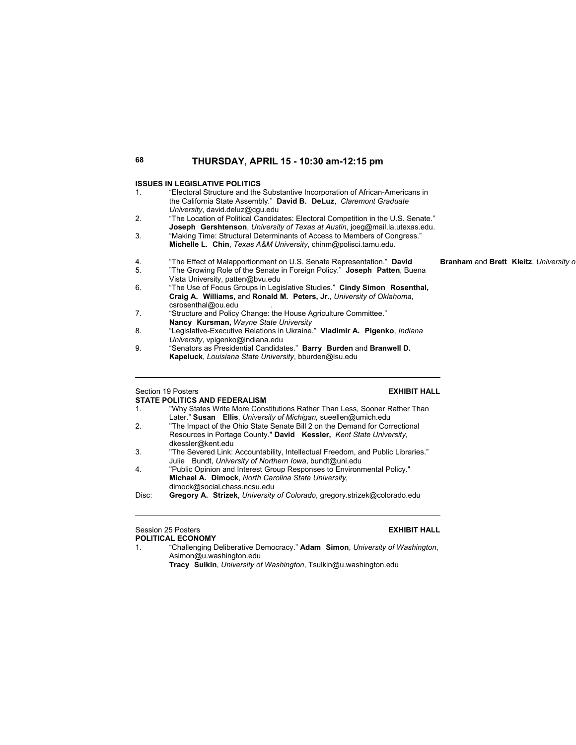### **ISSUES IN LEGISLATIVE POLITICS**

1. "Electoral Structure and the Substantive Incorporation of African-Americans in the California State Assembly." **David B. DeLuz**, *Claremont Graduate University*, david.deluz@cgu.edu 2. "The Location of Political Candidates: Electoral Competition in the U.S. Senate." **Joseph Gershtenson**, *University of Texas at Austin*, joeg@mail.la.utexas.edu. 3. "Making Time: Structural Determinants of Access to Members of Congress." **Michelle L. Chin**, *Texas A&M University*, chinm@polisci.tamu.edu. 4. "The Effect of Malapportionment on U.S. Senate Representation." **David Branham** and **Brett Kleitz**, *University o* 5. "The Growing Role of the Senate in Foreign Policy." **Joseph Patten**, Buena Vista University, patten@bvu.edu 6. "The Use of Focus Groups in Legislative Studies." **Cindy Simon Rosenthal, Craig A. Williams,** and **Ronald M. Peters, Jr.**, *University of Oklahoma*, csrosenthal@ou.edu 7. "Structure and Policy Change: the House Agriculture Committee." **Nancy Kursman,** *Wayne State University* 8. "Legislative-Executive Relations in Ukraine." **Vladimir A. Pigenko**, *Indiana University*, vpigenko@indiana.edu 9. "Senators as Presidential Candidates." **Barry Burden** and **Branwell D. Kapeluck**, *Louisiana State University*, bburden@lsu.edu

### Section 19 Posters **EXHIBIT HALL**

 $\overline{a}$ 

### **STATE POLITICS AND FEDERALISM**

- 1. "Why States Write More Constitutions Rather Than Less, Sooner Rather Than Later." **Susan Ellis**, *University of Michigan,* sueellen@umich.edu
- 2. "The Impact of the Ohio State Senate Bill 2 on the Demand for Correctional Resources in Portage County." **David Kessler,** *Kent State University,* dkessler@kent.edu
- 3. "The Severed Link: Accountability, Intellectual Freedom, and Public Libraries." Julie Bundt, *University of Northern Iowa*, bundt@uni.edu
- 4. "Public Opinion and Interest Group Responses to Environmental Policy." **Michael A. Dimock**, *North Carolina State University,* dimock@social.chass.ncsu.edu
- Disc: **Gregory A. Strizek**, *University of Colorado*, gregory.strizek@colorado.edu

### Session 25 Posters **EXHIBIT HALL POLITICAL ECONOMY**

1. "Challenging Deliberative Democracy." **Adam Simon**, *University of Washington*, Asimon@u.washington.edu

**Tracy Sulkin**, *University of Washington*, Tsulkin@u.washington.edu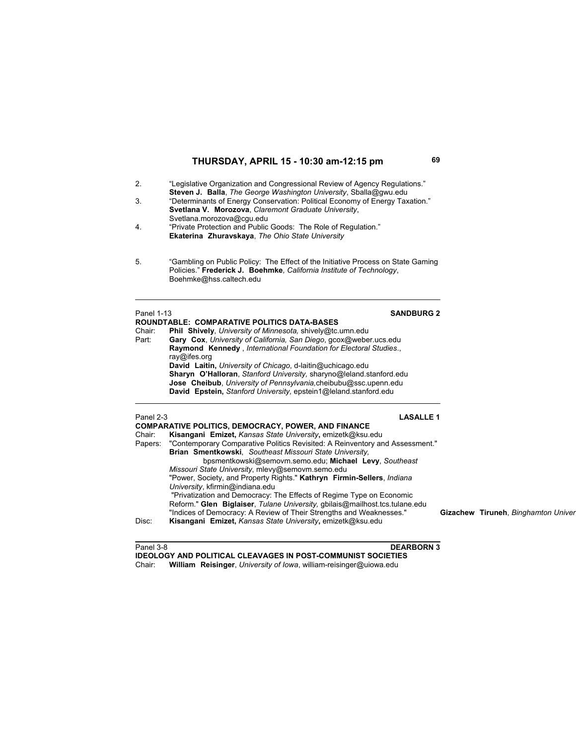| 2.<br>3.<br>4.                          | "Legislative Organization and Congressional Review of Agency Regulations."<br>Steven J. Balla, The George Washington University, Sballa@gwu.edu<br>"Determinants of Energy Conservation: Political Economy of Energy Taxation."<br>Svetlana V. Morozova, Claremont Graduate University,<br>Svetlana.morozova@cqu.edu<br>"Private Protection and Public Goods: The Role of Regulation."<br>Ekaterina Zhuravskaya, The Ohio State University                                                                                                                                                                                                                                                                                                                                                                     |  |                                     |  |
|-----------------------------------------|----------------------------------------------------------------------------------------------------------------------------------------------------------------------------------------------------------------------------------------------------------------------------------------------------------------------------------------------------------------------------------------------------------------------------------------------------------------------------------------------------------------------------------------------------------------------------------------------------------------------------------------------------------------------------------------------------------------------------------------------------------------------------------------------------------------|--|-------------------------------------|--|
| 5.                                      | "Gambling on Public Policy: The Effect of the Initiative Process on State Gaming<br>Policies." Frederick J. Boehmke, California Institute of Technology,<br>Boehmke@hss.caltech.edu                                                                                                                                                                                                                                                                                                                                                                                                                                                                                                                                                                                                                            |  |                                     |  |
| <b>Panel 1-13</b><br>Chair:<br>Part:    | <b>SANDBURG 2</b><br><b>ROUNDTABLE: COMPARATIVE POLITICS DATA-BASES</b><br>Phil Shively, University of Minnesota, shively@tc.umn.edu<br>Gary Cox, University of California, San Diego, gcox@weber.ucs.edu<br>Raymond Kennedy, International Foundation for Electoral Studies.,<br>ray@ifes.org<br>David Laitin, University of Chicago, d-laitin@uchicago.edu<br>Sharyn O'Halloran, Stanford University, sharyno@leland.stanford.edu<br>Jose Cheibub, University of Pennsylvania, cheibubu@ssc.upenn.edu<br>David Epstein, Stanford University, epstein1@leland.stanford.edu                                                                                                                                                                                                                                    |  |                                     |  |
| Panel 2-3<br>Chair:<br>Papers:<br>Disc: | <b>LASALLE 1</b><br><b>COMPARATIVE POLITICS, DEMOCRACY, POWER, AND FINANCE</b><br>Kisangani Emizet, Kansas State University, emizetk@ksu.edu<br>"Contemporary Comparative Politics Revisited: A Reinventory and Assessment."<br>Brian Smentkowski, Southeast Missouri State University,<br>bpsmentkowski@semovm.semo.edu; Michael Levy, Southeast<br>Missouri State University, mlevy@semovm.semo.edu<br>"Power, Society, and Property Rights." Kathryn Firmin-Sellers, Indiana<br>University, kfirmin@indiana.edu<br>"Privatization and Democracy: The Effects of Regime Type on Economic<br>Reform." Glen Biglaiser, Tulane University, gbilais@mailhost.tcs.tulane.edu<br>"Indices of Democracy: A Review of Their Strengths and Weaknesses."<br>Kisangani Emizet, Kansas State University, emizetk@ksu.edu |  | Gizachew Tiruneh, Binghamton Univer |  |

Panel 3-8 **DEARBORN 3**

**IDEOLOGY AND POLITICAL CLEAVAGES IN POST-COMMUNIST SOCIETIES** Chair: **William Reisinger**, *University of Iowa*, william-reisinger@uiowa.edu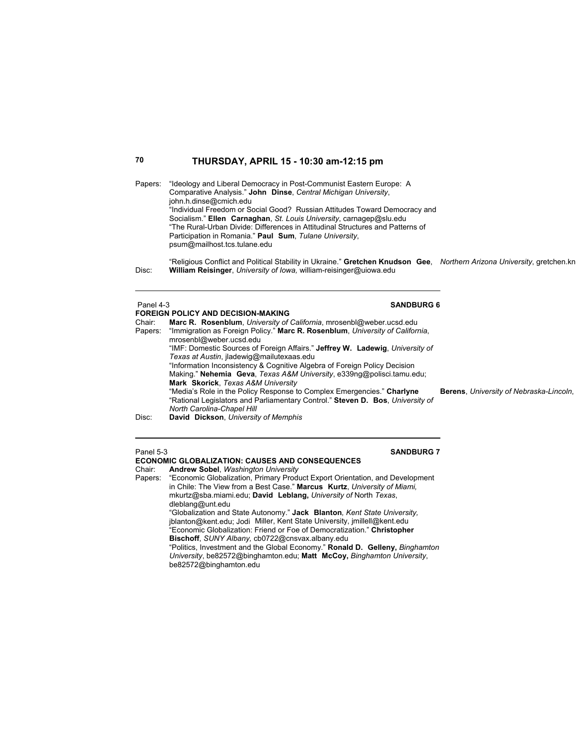Papers: "Ideology and Liberal Democracy in Post-Communist Eastern Europe: A Comparative Analysis." **John Dinse**, *Central Michigan University*, john.h.dinse@cmich.edu "Individual Freedom or Social Good? Russian Attitudes Toward Democracy and Socialism." **Ellen Carnaghan**, *St. Louis University*, carnagep@slu.edu "The Rural-Urban Divide: Differences in Attitudinal Structures and Patterns of Participation in Romania." **Paul Sum**, *Tulane University*, psum@mailhost.tcs.tulane.edu

 "Religious Conflict and Political Stability in Ukraine." **Gretchen Knudson Gee**, *Northern Arizona University*, gretchen.kn Disc: **William Reisinger**, *University of Iowa,* william-reisinger@uiowa.edu

### Panel 4-3 **SANDBURG 6**

### **FOREIGN POLICY AND DECISION-MAKING**

| Chair:  | Marc R. Rosenblum, University of California, mrosenbl@weber.ucsd.edu           |  |  |  |
|---------|--------------------------------------------------------------------------------|--|--|--|
| Papers: | "Immigration as Foreign Policy." Marc R. Rosenblum, University of California.  |  |  |  |
|         | mrosenbl@weber.ucsd.edu                                                        |  |  |  |
|         | "IMF: Domestic Sources of Foreign Affairs." Jeffrey W. Ladewig, University of  |  |  |  |
|         | Texas at Austin, iladewig@mailutexaas.edu                                      |  |  |  |
|         | "Information Inconsistency & Cognitive Algebra of Foreign Policy Decision      |  |  |  |
|         | Making." Nehemia Geva, Texas A&M University, e339ng@polisci.tamu.edu;          |  |  |  |
|         | Mark Skorick, Texas A&M University                                             |  |  |  |
|         | "Media's Role in the Policy Response to Complex Emergencies." Charlyne         |  |  |  |
|         | "Rational Legislators and Parliamentary Control." Steven D. Bos, University of |  |  |  |
|         | North Carolina-Chapel Hill                                                     |  |  |  |
| Disc:   | David Dickson, University of Memphis                                           |  |  |  |

 $B$ erens, University of Nebraska-Lincoln,

### **Panel 5-3** SANDBURG 7

## **ECONOMIC GLOBALIZATION: CAUSES AND CONSEQUENCES**

Chair: **Andrew Sobel**, *Washington University* "Economic Globalization, Primary Product Export Orientation, and Development in Chile: The View from a Best Case." **Marcus Kurtz**, *University of Miami,*  mkurtz@sba.miami.edu; **David Leblang,** *University of* North *Texas*, dleblang@unt.edu "Globalization and State Autonomy." **Jack Blanton***, Kent State University,* jblanton@kent.edu; Jodi Miller, Kent State University, jmillell@kent.edu "Economic Globalization: Friend or Foe of Democratization." **Christopher Bischoff**, *SUNY Albany,* cb0722@cnsvax.albany.edu

"Politics, Investment and the Global Economy." **Ronald D. Gelleny,** *Binghamton University*, be82572@binghamton.edu; **Matt McCoy,** *Binghamton University*, be82572@binghamton.edu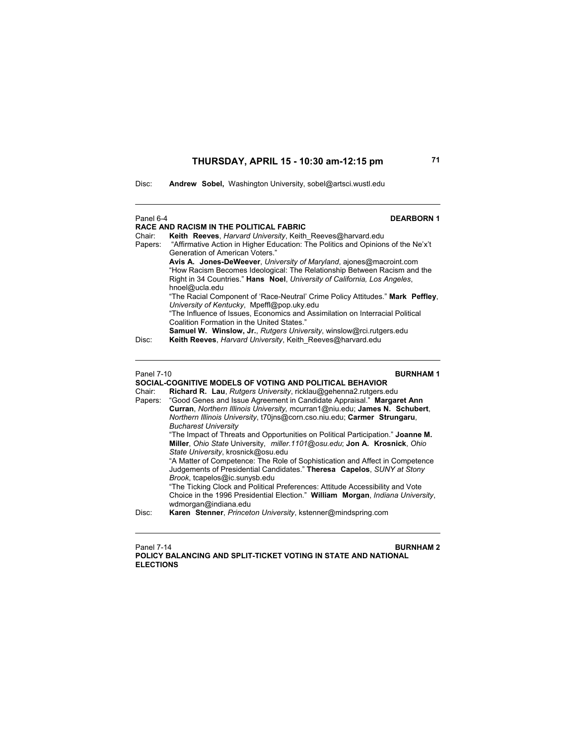Disc: **Andrew Sobel,** Washington University, sobel@artsci.wustl.edu

| Panel 6-4                                                                                                                              | <b>DEARBORN1</b>                                                                                                                                                                                                                               |
|----------------------------------------------------------------------------------------------------------------------------------------|------------------------------------------------------------------------------------------------------------------------------------------------------------------------------------------------------------------------------------------------|
|                                                                                                                                        | <b>RACE AND RACISM IN THE POLITICAL FABRIC</b>                                                                                                                                                                                                 |
| Chair:<br>Papers:                                                                                                                      | Keith Reeves, Harvard University, Keith Reeves@harvard.edu<br>"Affirmative Action in Higher Education: The Politics and Opinions of the Ne'x't<br><b>Generation of American Voters</b> "                                                       |
|                                                                                                                                        | Avis A. Jones-DeWeever, University of Maryland, ajones@macroint.com<br>"How Racism Becomes Ideological: The Relationship Between Racism and the<br>Right in 34 Countries." Hans Noel, University of California, Los Angeles,<br>hnoel@ucla.edu |
|                                                                                                                                        | "The Racial Component of 'Race-Neutral' Crime Policy Attitudes." Mark Peffley,<br>University of Kentucky, Mpeffl@pop.uky.edu                                                                                                                   |
|                                                                                                                                        | "The Influence of Issues, Economics and Assimilation on Interracial Political<br>Coalition Formation in the United States."                                                                                                                    |
| Disc:                                                                                                                                  | Samuel W. Winslow, Jr., Rutgers University, winslow@rci.rutgers.edu<br>Keith Reeves, Harvard University, Keith Reeves@harvard.edu                                                                                                              |
| <b>Panel 7-10</b>                                                                                                                      | <b>BURNHAM1</b>                                                                                                                                                                                                                                |
| SOCIAL-COGNITIVE MODELS OF VOTING AND POLITICAL BEHAVIOR<br>Chair:<br>Richard R. Lau, Rutgers University, ricklau@gehenna2.rutgers.edu |                                                                                                                                                                                                                                                |
| Papers:                                                                                                                                | "Good Genes and Issue Agreement in Candidate Appraisal." Margaret Ann<br>Curran, Northern Illinois University, mcurran1@niu.edu; James N. Schubert,<br>Northern Illinois University, t70jns@corn.cso.niu.edu; Carmer Strungaru,                |
|                                                                                                                                        | <b>Bucharest University</b><br>"The Impact of Threats and Opportunities on Political Participation." Joanne M.<br>Miller, Ohio State University, miller 1101@osu.edu; Jon A. Krosnick, Ohio                                                    |
|                                                                                                                                        | State University, krosnick@osu.edu                                                                                                                                                                                                             |
|                                                                                                                                        | "A Matter of Competence: The Role of Sophistication and Affect in Competence<br>Judgements of Presidential Candidates." Theresa Capelos, SUNY at Stony<br>Brook, tcapelos@ic.sunysb.edu                                                        |
|                                                                                                                                        | "The Ticking Clock and Political Preferences: Attitude Accessibility and Vote<br>Choice in the 1996 Presidential Election." William Morgan, Indiana University,<br>wdmorgan@indiana.edu                                                        |
| Disc:                                                                                                                                  | Karen Stenner, Princeton University, kstenner@mindspring.com                                                                                                                                                                                   |

Panel 7-14 **BURNHAM 2 POLICY BALANCING AND SPLIT-TICKET VOTING IN STATE AND NATIONAL ELECTIONS**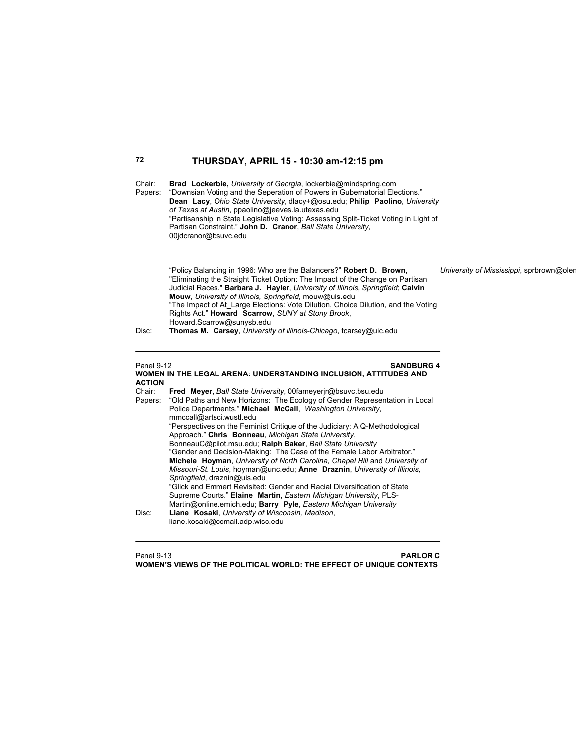| 72                                 | THURSDAY, APRIL 15 - 10:30 am-12:15 pm                                                                                                                                                                                                                                                                                                                                                                                                                                                                                                                                                                                                                                                                                                                                                                                                                                                                                               |                                          |
|------------------------------------|--------------------------------------------------------------------------------------------------------------------------------------------------------------------------------------------------------------------------------------------------------------------------------------------------------------------------------------------------------------------------------------------------------------------------------------------------------------------------------------------------------------------------------------------------------------------------------------------------------------------------------------------------------------------------------------------------------------------------------------------------------------------------------------------------------------------------------------------------------------------------------------------------------------------------------------|------------------------------------------|
| Chair:<br>Papers:                  | Brad Lockerbie, University of Georgia, lockerbie@mindspring.com<br>"Downsian Voting and the Seperation of Powers in Gubernatorial Elections."<br>Dean Lacy, Ohio State University, dlacy+@osu.edu; Philip Paolino, University<br>of Texas at Austin, ppaolino@jeeves.la.utexas.edu<br>"Partisanship in State Legislative Voting: Assessing Split-Ticket Voting in Light of<br>Partisan Constraint." John D. Cranor, Ball State University,<br>00jdcranor@bsuvc.edu                                                                                                                                                                                                                                                                                                                                                                                                                                                                   |                                          |
| Disc:                              | "Policy Balancing in 1996: Who are the Balancers?" Robert D. Brown,<br>"Eliminating the Straight Ticket Option: The Impact of the Change on Partisan<br>Judicial Races." Barbara J. Hayler, University of Illinois, Springfield; Calvin<br>Mouw, University of Illinois, Springfield, mouw@uis.edu<br>"The Impact of At Large Elections: Vote Dilution, Choice Dilution, and the Voting<br>Rights Act." Howard Scarrow, SUNY at Stony Brook,<br>Howard.Scarrow@sunysb.edu<br>Thomas M. Carsey, University of Illinois-Chicago, tcarsey@uic.edu                                                                                                                                                                                                                                                                                                                                                                                       | University of Mississippi, sprbrown@olen |
| <b>Panel 9-12</b><br><b>ACTION</b> | <b>SANDBURG 4</b><br>WOMEN IN THE LEGAL ARENA: UNDERSTANDING INCLUSION, ATTITUDES AND                                                                                                                                                                                                                                                                                                                                                                                                                                                                                                                                                                                                                                                                                                                                                                                                                                                |                                          |
| Chair:<br>Papers:                  | Fred Meyer, Ball State University, 00fameyerjr@bsuvc.bsu.edu<br>"Old Paths and New Horizons: The Ecology of Gender Representation in Local<br>Police Departments." Michael McCall, Washington University,<br>mmccall@artsci.wustl.edu<br>"Perspectives on the Feminist Critique of the Judiciary: A Q-Methodological<br>Approach." Chris Bonneau, Michigan State University,<br>BonneauC@pilot.msu.edu; Ralph Baker, Ball State University<br>"Gender and Decision-Making: The Case of the Female Labor Arbitrator."<br>Michele Hoyman, University of North Carolina, Chapel Hill and University of<br>Missouri-St. Louis, hoyman@unc.edu; Anne Draznin, University of Illinois,<br>Springfield, draznin@uis.edu<br>"Glick and Emmert Revisited: Gender and Racial Diversification of State<br>Supreme Courts." Elaine Martin, Eastern Michigan University, PLS-<br>Martin@online.emich.edu; Barry Pyle, Eastern Michigan University |                                          |
| Disc:                              | Liane Kosaki, University of Wisconsin, Madison,<br>liane.kosaki@ccmail.adp.wisc.edu                                                                                                                                                                                                                                                                                                                                                                                                                                                                                                                                                                                                                                                                                                                                                                                                                                                  |                                          |

### Panel 9-13 **PARLOR C WOMEN'S VIEWS OF THE POLITICAL WORLD: THE EFFECT OF UNIQUE CONTEXTS**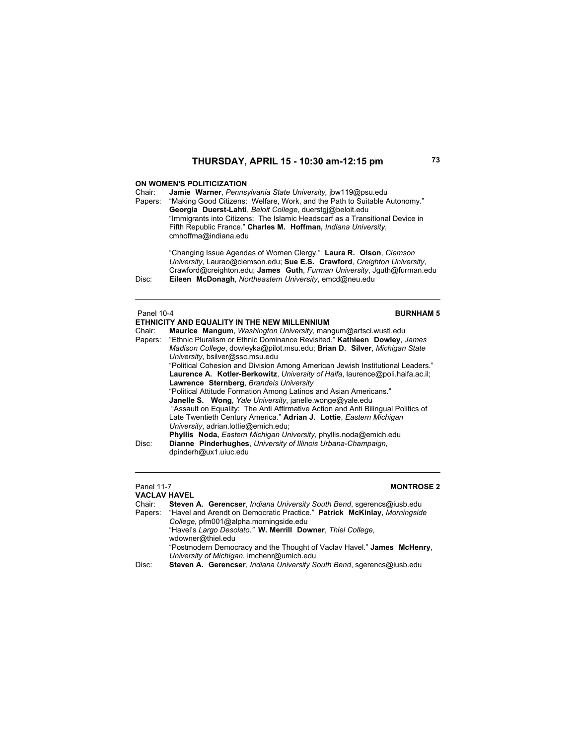### **ON WOMEN'S POLITICIZATION**

Chair: **Jamie Warner**, *Pennsylvania State University,* jbw119@psu.edu Papers: "Making Good Citizens: Welfare, Work, and the Path to Suitable Autonomy." **Georgia Duerst-Lahti**, *Beloit College*, duerstgj@beloit.edu "Immigrants into Citizens: The Islamic Headscarf as a Transitional Device in Fifth Republic France." **Charles M. Hoffman,** *Indiana University*, cmhoffma@indiana.edu

"Changing Issue Agendas of Women Clergy." **Laura R. Olson**, *Clemson University*, Laurao@clemson.edu; **Sue E.S. Crawford**, *Creighton University*, Crawford@creighton.edu; **James Guth**, *Furman University*, Jguth@furman.edu Disc: **Eileen McDonagh**, *Northeastern University*, emcd@neu.edu

### **Panel 10-4 BURNHAM 5 ETHNICITY AND EQUALITY IN THE NEW MILLENNIUM** Chair: **Maurice Mangum**, *Washington University,* mangum@artsci.wustl.edu Papers: "Ethnic Pluralism or Ethnic Dominance Revisited." **Kathleen Dowley**, *James Madison College*, dowleyka@pilot.msu.edu; **Brian D. Silver**, *Michigan State University*, bsilver@ssc.msu.edu "Political Cohesion and Division Among American Jewish Institutional Leaders." **Laurence A. Kotler-Berkowitz**, *University of Haifa*, laurence@poli.haifa.ac.il; **Lawrence Sternberg**, *Brandeis University* "Political Attitude Formation Among Latinos and Asian Americans."  **Janelle S. Wong**, *Yale University*, janelle.wonge@yale.edu "Assault on Equality: The Anti Affirmative Action and Anti Bilingual Politics of Late Twentieth Century America." **Adrian J. Lottie**, *Eastern Michigan University*, adrian.lottie@emich.edu; **Phyllis Noda,** *Eastern Michigan University,* phyllis.noda@emich.edu Disc: **Dianne Pinderhughes**, *University of Illinois Urbana-Champaign*, dpinderh@ux1.uiuc.edu

## Panel 11-7 **MONTROSE 2**

**VACLAV HAVEL** Chair: **Steven A. Gerencser**, *Indiana University South Bend*, sgerencs@iusb.edu "Havel and Arendt on Democratic Practice." Patrick McKinlay, Morningside *College,* pfm001@alpha.morningside.edu "Havel's *Largo Desolato."* **W. Merrill Downer**, *Thiel College*, wdowner@thiel.edu "Postmodern Democracy and the Thought of Vaclav Havel." **James McHenry**, *University of Michigan*, imchenr@umich.edu Disc: **Steven A. Gerencser**, *Indiana University South Bend*, sgerencs@iusb.edu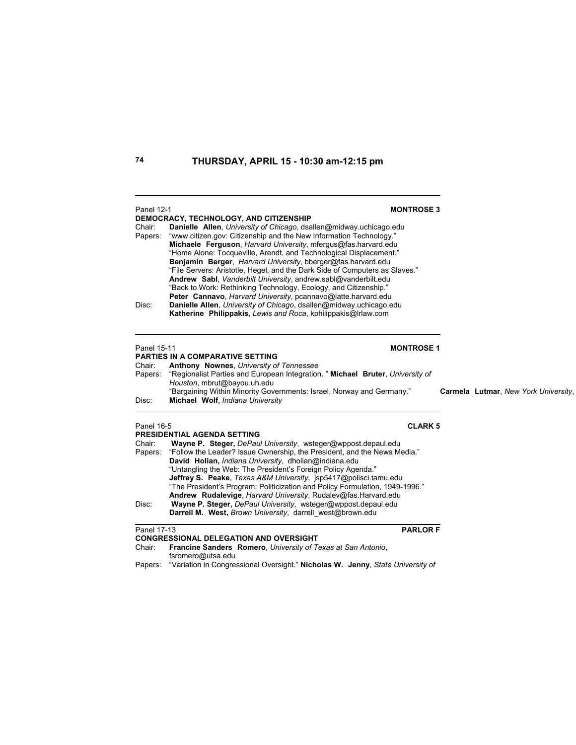| <b>Panel 12-1</b> | <b>MONTROSE 3</b>                                                                                                                                                                                                                                                                                                                                                                                                                                                                                                                                                                                               |                                      |
|-------------------|-----------------------------------------------------------------------------------------------------------------------------------------------------------------------------------------------------------------------------------------------------------------------------------------------------------------------------------------------------------------------------------------------------------------------------------------------------------------------------------------------------------------------------------------------------------------------------------------------------------------|--------------------------------------|
| Chair:<br>Papers: | DEMOCRACY, TECHNOLOGY, AND CITIZENSHIP<br>Danielle Allen, University of Chicago, dsallen@midway.uchicago.edu<br>"www.citizen.gov: Citizenship and the New Information Technology."<br>Michaele Ferguson, Harvard University, mfergus@fas.harvard.edu<br>"Home Alone: Tocqueville, Arendt, and Technological Displacement."<br>Benjamin Berger, Harvard University, bberger@fas.harvard.edu<br>"File Servers: Aristotle, Hegel, and the Dark Side of Computers as Slaves."<br>Andrew Sabl, Vanderbilt University, andrew.sabl@vanderbilt.edu<br>"Back to Work: Rethinking Technology, Ecology, and Citizenship." |                                      |
| Disc:             | Peter Cannavo, Harvard University, pcannavo@latte.harvard.edu<br>Danielle Allen, University of Chicago, dsallen@midway.uchicago.edu<br>Katherine Philippakis, Lewis and Roca, kphilippakis@Irlaw.com                                                                                                                                                                                                                                                                                                                                                                                                            |                                      |
| Panel 15-11       | <b>MONTROSE 1</b>                                                                                                                                                                                                                                                                                                                                                                                                                                                                                                                                                                                               |                                      |
| Chair:            | <b>PARTIES IN A COMPARATIVE SETTING</b><br>Anthony Nownes, University of Tennessee                                                                                                                                                                                                                                                                                                                                                                                                                                                                                                                              |                                      |
| Papers:           | "Regionalist Parties and European Integration. " Michael Bruter, University of                                                                                                                                                                                                                                                                                                                                                                                                                                                                                                                                  |                                      |
|                   | Houston, mbrut@bayou.uh.edu<br>"Bargaining Within Minority Governments: Israel, Norway and Germany."                                                                                                                                                                                                                                                                                                                                                                                                                                                                                                            |                                      |
| Disc:             | Michael Wolf, Indiana University                                                                                                                                                                                                                                                                                                                                                                                                                                                                                                                                                                                | Carmela Lutmar, New York University, |
| <b>Panel 16-5</b> | <b>CLARK 5</b>                                                                                                                                                                                                                                                                                                                                                                                                                                                                                                                                                                                                  |                                      |
| Chair:            | PRESIDENTIAL AGENDA SETTING<br>Wayne P. Steger, DePaul University, wsteger@wppost.depaul.edu                                                                                                                                                                                                                                                                                                                                                                                                                                                                                                                    |                                      |
| Papers:           | "Follow the Leader? Issue Ownership, the President, and the News Media."                                                                                                                                                                                                                                                                                                                                                                                                                                                                                                                                        |                                      |
|                   | David Holian, Indiana University, dholian@indiana.edu                                                                                                                                                                                                                                                                                                                                                                                                                                                                                                                                                           |                                      |
|                   | "Untangling the Web: The President's Foreign Policy Agenda."<br>Jeffrey S. Peake, Texas A&M University, jsp5417@polisci.tamu.edu                                                                                                                                                                                                                                                                                                                                                                                                                                                                                |                                      |
|                   | "The President's Program: Politicization and Policy Formulation, 1949-1996."                                                                                                                                                                                                                                                                                                                                                                                                                                                                                                                                    |                                      |
|                   | Andrew Rudalevige, Harvard University, Rudalev@fas.Harvard.edu                                                                                                                                                                                                                                                                                                                                                                                                                                                                                                                                                  |                                      |
| Disc:             | Wayne P. Steger, DePaul University, wsteger@wppost.depaul.edu                                                                                                                                                                                                                                                                                                                                                                                                                                                                                                                                                   |                                      |
|                   | Darrell M. West, Brown University, darrell west@brown.edu                                                                                                                                                                                                                                                                                                                                                                                                                                                                                                                                                       |                                      |
| Panel 17-13       | <b>PARLOR F</b>                                                                                                                                                                                                                                                                                                                                                                                                                                                                                                                                                                                                 |                                      |
|                   | <b>CONGRESSIONAL DELEGATION AND OVERSIGHT</b>                                                                                                                                                                                                                                                                                                                                                                                                                                                                                                                                                                   |                                      |
| Chair:            | Francine Sanders Romero, University of Texas at San Antonio,<br>fsromero@utsa.edu                                                                                                                                                                                                                                                                                                                                                                                                                                                                                                                               |                                      |
| Papers:           | "Variation in Congressional Oversight." Nicholas W. Jenny, State University of                                                                                                                                                                                                                                                                                                                                                                                                                                                                                                                                  |                                      |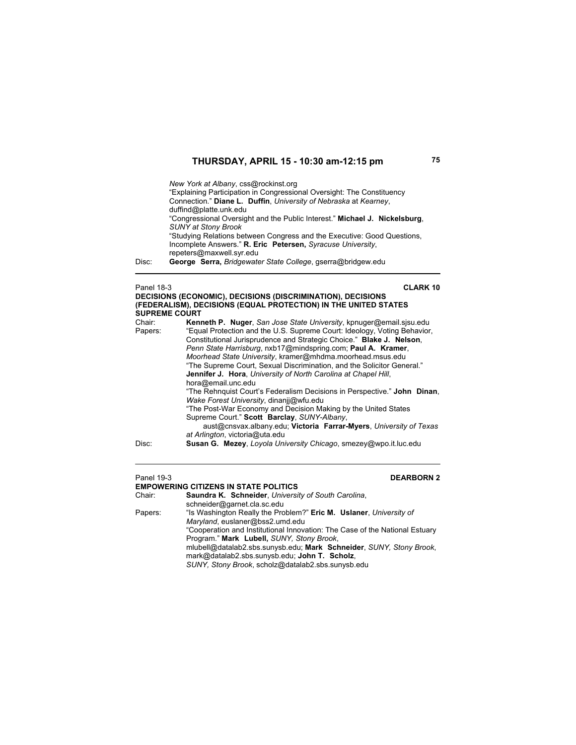*New York at Albany*, css@rockinst.org "Explaining Participation in Congressional Oversight: The Constituency Connection." **Diane L. Duffin**, *University of Nebraska* at *Kearney*, duffind@platte.unk.edu "Congressional Oversight and the Public Interest." **Michael J. Nickelsburg**, *SUNY at Stony Brook* "Studying Relations between Congress and the Executive: Good Questions, Incomplete Answers." **R. Eric Petersen,** *Syracuse University*, repeters@maxwell.syr.edu

Disc: **George Serra,** *Bridgewater State College*, gserra@bridgew.edu

### Panel 18-3 **CLARK 10 DECISIONS (ECONOMIC), DECISIONS (DISCRIMINATION), DECISIONS (FEDERALISM), DECISIONS (EQUAL PROTECTION) IN THE UNITED STATES SUPREME COURT**

| Chair:  | Kenneth P. Nuger, San Jose State University, kpnuger@email.sjsu.edu      |
|---------|--------------------------------------------------------------------------|
| Papers: | "Equal Protection and the U.S. Supreme Court: Ideology, Voting Behavior, |
|         | Constitutional Jurisprudence and Strategic Choice." Blake J. Nelson,     |
|         | Penn State Harrisburg, nxb17@mindspring.com; Paul A. Kramer,             |
|         | Moorhead State University, kramer@mhdma.moorhead.msus.edu                |
|         | "The Supreme Court, Sexual Discrimination, and the Solicitor General."   |
|         | <b>Jennifer J. Hora, University of North Carolina at Chapel Hill,</b>    |
|         | hora@email.unc.edu                                                       |
|         | "The Rehnguist Court's Federalism Decisions in Perspective." John Dinan, |
|         | Wake Forest University, dinanjj@wfu.edu                                  |
|         | "The Post-War Economy and Decision Making by the United States           |
|         | Supreme Court." Scott Barclay, SUNY-Albany,                              |
|         | aust@cnsvax.albany.edu; Victoria Farrar-Myers, University of Texas       |
|         | at Arlington, victoria@uta.edu                                           |
| Disc:   | <b>Susan G. Mezey, Loyola University Chicago, smezey@wpo.it.luc.edu</b>  |

 $\overline{\phantom{a}}$ 

### Panel 19-3 **DEARBORN 2**

**EMPOWERING CITIZENS IN STATE POLITICS**<br>Chair: **Saundra K. Schneider**. Universit Saundra K. Schneider, *University of South Carolina*, schneider@garnet.cla.sc.edu Papers: "Is Washington Really the Problem?" **Eric M. Uslaner**, *University of Maryland*, euslaner@bss2.umd.edu "Cooperation and Institutional Innovation: The Case of the National Estuary Program." **Mark Lubell,** *SUNY, Stony Brook*, mlubell@datalab2.sbs.sunysb.edu; **Mark Schneider**, *SUNY, Stony Brook*, mark@datalab2.sbs.sunysb.edu; **John T. Scholz**, *SUNY, Stony Brook*, scholz@datalab2.sbs.sunysb.edu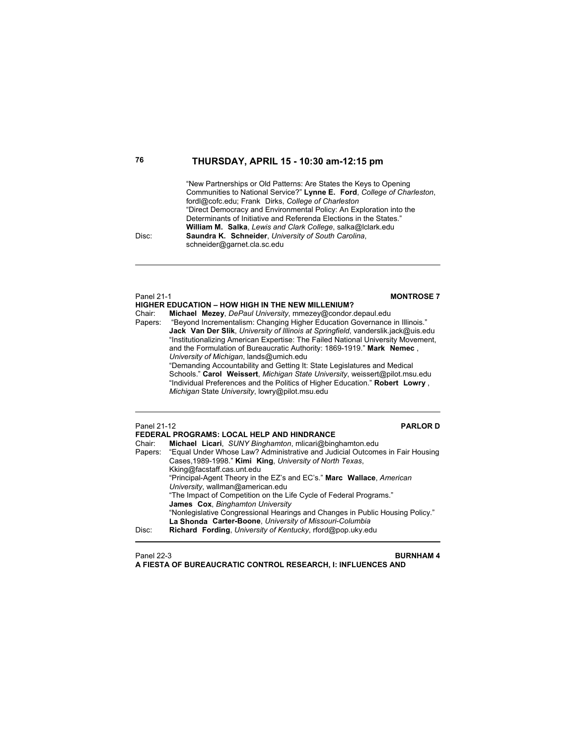"New Partnerships or Old Patterns: Are States the Keys to Opening Communities to National Service?" **Lynne E. Ford**, *College of Charleston*, fordl@cofc.edu; Frank Dirks, *College of Charleston* "Direct Democracy and Environmental Policy: An Exploration into the Determinants of Initiative and Referenda Elections in the States."  **William M. Salka**, *Lewis and Clark College*, salka@lclark.edu Disc: **Saundra K. Schneider**, *University of South Carolina*, schneider@garnet.cla.sc.edu

## **HIGHER EDUCATION – HOW HIGH IN THE NEW MILLENIUM?**<br>Chair: **Michael Mezey**, DePaul University, mmezey@condor. Michael Mezey, *DePaul University*, mmezey@condor.depaul.edu Papers: "Beyond Incrementalism: Changing Higher Education Governance in Illinois." **Jack Van Der Slik**, *University of Illinois at Springfield*, vanderslik.jack@uis.edu "Institutionalizing American Expertise: The Failed National University Movement, and the Formulation of Bureaucratic Authority: 1869-1919." **Mark Nemec** , *University of Michigan*, lands@umich.edu "Demanding Accountability and Getting It: State Legislatures and Medical Schools." **Carol Weissert**, *Michigan State University*, weissert@pilot.msu.edu "Individual Preferences and the Politics of Higher Education." **Robert Lowry** , *Michigan* State *University*, lowry@pilot.msu.edu Panel 21-12 **PARLOR D FEDERAL PROGRAMS: LOCAL HELP AND HINDRANCE**<br>Chair: Michael Licari SUNY Binghamton mlicari@bing Chair: **Michael Licari**, *SUNY Binghamton*, mlicari@binghamton.edu Papers: "Equal Under Whose Law? Administrative and Judicial Outcomes in Fair Housing Cases,1989-1998." **Kimi King**, *University of North Texas*, Kking@facstaff.cas.unt.edu "Principal-Agent Theory in the EZ's and EC's." **Marc Wallace**, *American University*, wallman@american.edu "The Impact of Competition on the Life Cycle of Federal Programs."

Panel 21-1 **MONTROSE 7** 

**James Cox**, *Binghamton University* "Nonlegislative Congressional Hearings and Changes in Public Housing Policy." **La Shonda Carter-Boone**, *University of Missouri-Columbia* Disc: **Richard Fording**, *University of Kentucky*, rford@pop.uky.edu

Panel 22-3 **BURNHAM 4**

**A FIESTA OF BUREAUCRATIC CONTROL RESEARCH, I: INFLUENCES AND**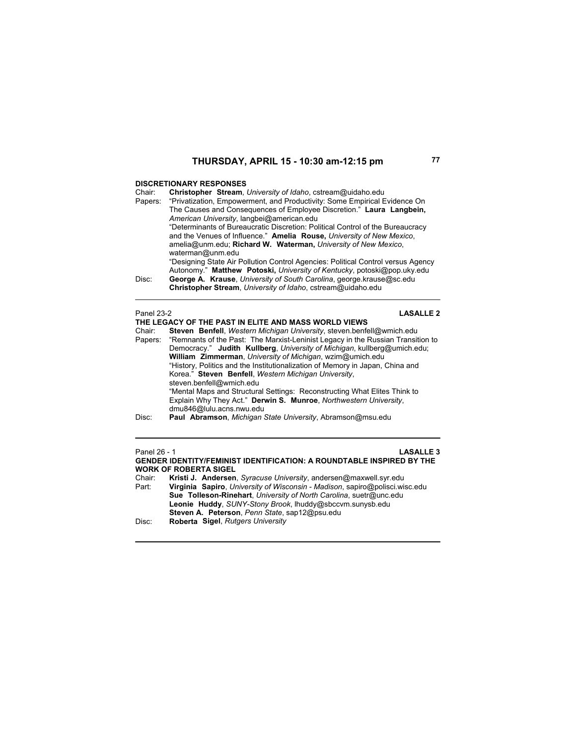## **DISCRETIONARY RESPONSES**

| Chair:  | Christopher Stream, University of Idaho, cstream@uidaho.edu                      |
|---------|----------------------------------------------------------------------------------|
| Papers: | "Privatization, Empowerment, and Productivity: Some Empirical Evidence On        |
|         | The Causes and Consequences of Employee Discretion." Laura Langbein,             |
|         | American University, langbei@american.edu                                        |
|         | "Determinants of Bureaucratic Discretion: Political Control of the Bureaucracy   |
|         | and the Venues of Influence." Amelia Rouse, University of New Mexico.            |
|         | amelia@unm.edu; Richard W. Waterman, University of New Mexico,                   |
|         | waterman@unm.edu                                                                 |
|         | "Designing State Air Pollution Control Agencies: Political Control versus Agency |
|         | Autonomy." Matthew Potoski, University of Kentucky, potoski@pop.uky.edu          |
| Disc:   | George A. Krause, University of South Carolina, george krause@sc.edu             |
|         | Christopher Stream, University of Idaho, cstream@uidaho.edu                      |
|         |                                                                                  |
|         |                                                                                  |

| Panel 23-2        | <b>LASALLE 2</b>                                                                                                                                                                                                                                                                                          |
|-------------------|-----------------------------------------------------------------------------------------------------------------------------------------------------------------------------------------------------------------------------------------------------------------------------------------------------------|
|                   | THE LEGACY OF THE PAST IN ELITE AND MASS WORLD VIEWS                                                                                                                                                                                                                                                      |
| Chair:            | Steven Benfell, Western Michigan University, steven benfell@wmich.edu<br>Papers: "Remnants of the Past: The Marxist-Leninist Legacy in the Russian Transition to<br>Democracy." Judith Kullberg, University of Michigan, kullberg@umich.edu;<br>William Zimmerman, University of Michigan, wzim@umich.edu |
|                   | "History, Politics and the Institutionalization of Memory in Japan, China and<br>Korea." Steven Benfell, Western Michigan University,<br>steven.benfell@wmich.edu                                                                                                                                         |
|                   | "Mental Maps and Structural Settings: Reconstructing What Elites Think to<br>Explain Why They Act." Derwin S. Munroe, Northwestern University,<br>dmu846@lulu.acns.nwu.edu                                                                                                                                |
| Dier <sup>.</sup> | <b>Paul Ahramson</b> Michigan State University Ahramson@msu.edu                                                                                                                                                                                                                                           |

## Disc: **Paul Abramson**, *Michigan State University*, Abramson@msu.edu

### Panel 26 - 1 **LASALLE 3 GENDER IDENTITY/FEMINIST IDENTIFICATION: A ROUNDTABLE INSPIRED BY THE WORK OF ROBERTA SIGEL**

| Kristi J. Andersen, Syracuse University, andersen@maxwell.syr.edu           |
|-----------------------------------------------------------------------------|
| Virginia Sapiro, University of Wisconsin - Madison, sapiro@polisci.wisc.edu |
| Sue Tolleson-Rinehart, University of North Carolina, suetr@unc.edu          |
| Leonie Huddy, SUNY-Stony Brook, Ihuddy@sbccvm.sunysb.edu                    |
| <b>Steven A. Peterson</b> , Penn State, sap12@psu.edu                       |
| Roberta Sigel, Rutgers University                                           |
|                                                                             |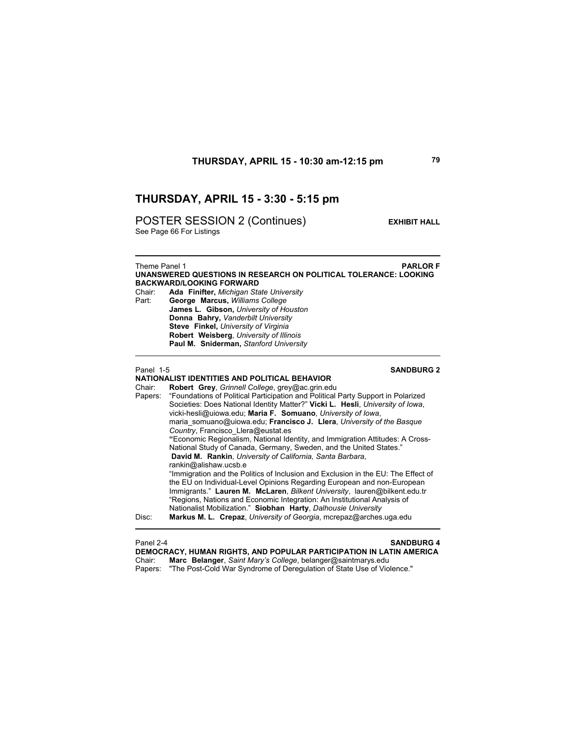## **THURSDAY, APRIL 15 - 3:30 - 5:15 pm**

POSTER SESSION 2 (Continues) **EXHIBIT HALL** 

See Page 66 For Listings

Theme Panel 1 **PARLOR F UNANSWERED QUESTIONS IN RESEARCH ON POLITICAL TOLERANCE: LOOKING BACKWARD/LOOKING FORWARD**  Chair: **Ada Finifter,** *Michigan State University* Part: **George Marcus,** *Williams College*  **James L. Gibson,** *University of Houston*  **Donna Bahry,** *Vanderbilt University*  **Steve Finkel,** *University of Virginia*  **Robert Weisberg**, *University of Illinois*  **Paul M. Sniderman,** *Stanford University*

### Panel 1-5 **SANDBURG 2**

 $\overline{a}$ 

## **NATIONALIST IDENTITIES AND POLITICAL BEHAVIOR**

Chair: **Robert Grey**, *Grinnell College*, grey@ac.grin.edu Papers: "Foundations of Political Participation and Political Party Support in Polarized Societies: Does National Identity Matter?" **Vicki L. Hesli**, *University of Iowa*, vicki-hesli@uiowa.edu; **Maria F. Somuano**, *University of Iowa*, maria\_somuano@uiowa.edu; **Francisco J. Llera**, *University of the Basque Country*, Francisco\_Llera@eustat.es **"**Economic Regionalism, National Identity, and Immigration Attitudes: A Cross-National Study of Canada, Germany, Sweden, and the United States." **David M. Rankin**, *University of California, Santa Barbara*, rankin@alishaw.ucsb.e "Immigration and the Politics of Inclusion and Exclusion in the EU: The Effect of the EU on Individual-Level Opinions Regarding European and non-European Immigrants." **Lauren M. McLaren**, *Bilkent University*, lauren@bilkent.edu.tr "Regions, Nations and Economic Integration: An Institutional Analysis of Nationalist Mobilization." **Siobhan Harty**, *Dalhousie University* Disc: **Markus M. L. Crepaz**, *University of Georgia*, mcrepaz@arches.uga.edu

Panel 2-4 **SANDBURG 4 DEMOCRACY, HUMAN RIGHTS, AND POPULAR PARTICIPATION IN LATIN AMERICA** Chair: **Marc Belanger**, *Saint Mary's College*, belanger@saintmarys.edu Papers: "The Post-Cold War Syndrome of Deregulation of State Use of Violence."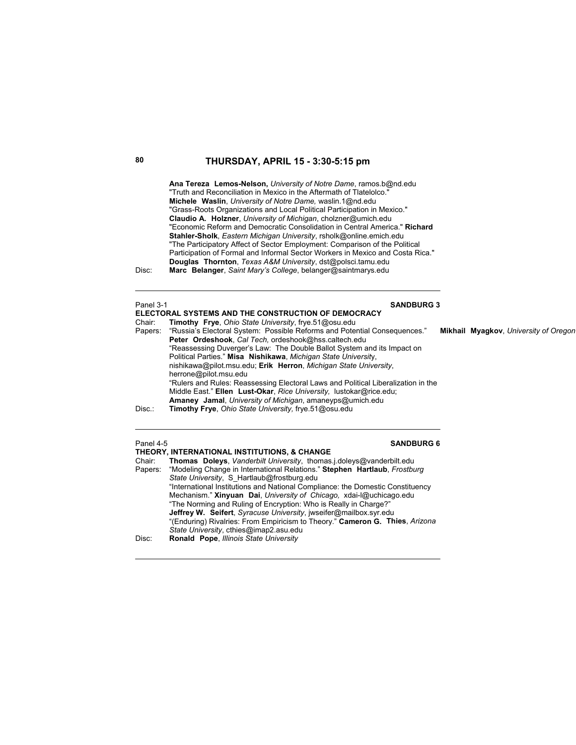## **80 THURSDAY, APRIL 15 - 3:30-5:15 pm**

**Ana Tereza Lemos-Nelson,** *University of Notre Dame*, ramos.b@nd.edu "Truth and Reconciliation in Mexico in the Aftermath of Tlatelolco." **Michele Waslin**, *University of Notre Dame,* waslin.1@nd.edu "Grass-Roots Organizations and Local Political Participation in Mexico." **Claudio A. Holzner**, *University of Michigan*, cholzner@umich.edu "Economic Reform and Democratic Consolidation in Central America." **Richard Stahler-Sholk**, *Eastern Michigan University*, rsholk@online.emich.edu "The Participatory Affect of Sector Employment: Comparison of the Political Participation of Formal and Informal Sector Workers in Mexico and Costa Rica." **Douglas Thornton**, *Texas A&M University*, dst@polsci.tamu.edu Disc: **Marc Belanger**, *Saint Mary's College*, belanger@saintmarys.edu

### **Panel 3-1 SANDBURG 3**

**ELECTORAL SYSTEMS AND THE CONSTRUCTION OF DEMOCRACY** Chair: **Timothy Frye**, *Ohio State University*, frye.51@osu.edu Papers: "Russia's Electoral System: Possible Reforms and Potential Consequences." **Mikhail Myagkov**, *University of Oregon* **Peter Ordeshook**, *Cal Tech,* ordeshook@hss.caltech.edu "Reassessing Duverger's Law: The Double Ballot System and its Impact on Political Parties." **Misa Nishikawa**, *Michigan State Universit*y, nishikawa@pilot.msu.edu; **Erik Herron**, *Michigan State University*, herrone@pilot.msu.edu "Rulers and Rules: Reassessing Electoral Laws and Political Liberalization in the Middle East." **Ellen Lust-Okar**, *Rice University,* lustokar@rice.edu; **Amaney Jamal**, *University of Michigan*, amaneyps@umich.edu Disc.: **Timothy Frye**, *Ohio State University,* frye.51@osu.edu

### Panel 4-5 **SANDBURG 6**

|         | THEORY, INTERNATIONAL INSTITUTIONS, & CHANGE                                                   |
|---------|------------------------------------------------------------------------------------------------|
| Chair:  | Thomas Doleys, Vanderbilt University, thomas i doleys@vanderbilt.edu                           |
| Papers: | "Modeling Change in International Relations." Stephen Hartlaub, Frostburg                      |
|         | State University, S Hartlaub@frostburg.edu                                                     |
|         | "International Institutions and National Compliance: the Domestic Constituency                 |
|         | Mechanism." Xinyuan Dai, University of Chicago, xdai-l@uchicago.edu                            |
|         | "The Norming and Ruling of Encryption: Who is Really in Charge?"                               |
|         | <b>Jeffrey W. Seifert</b> , <i>Syracuse University</i> , <i>jwseifer@mailbox.syr.edu</i>       |
|         | $\theta$ /Eadward Divelsion From Frontician to Thomas $\theta$ Octobres O. This Asian $\theta$ |

"(Enduring) Rivalries: From Empiricism to Theory." **Cameron G. Thies**, *Arizona State University*, cthies@imap2.asu.edu

Disc: **Ronald Pope**, *Illinois State University*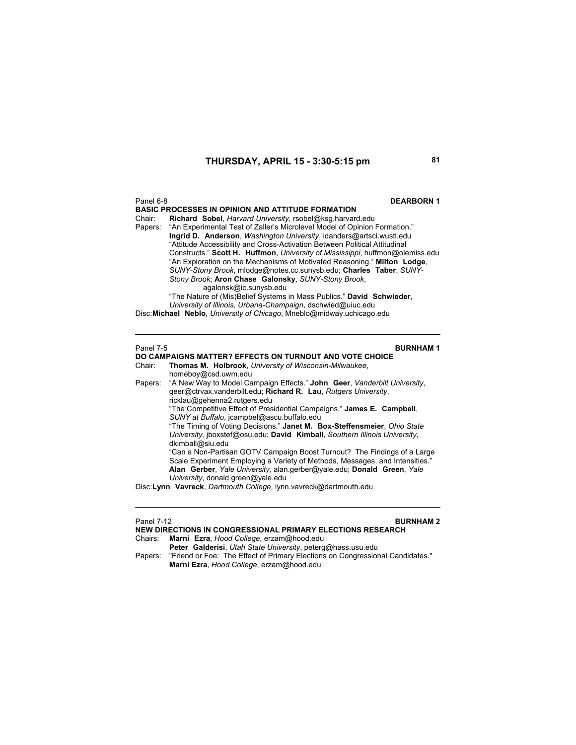### **THURSDAY, APRIL 15 - 3:30-5:15 pm 81**

### Panel 6-8 **DEARBORN 1**

**BASIC PROCESSES IN OPINION AND ATTITUDE FORMATION**<br>Chair: **Richard Sobel Harvard University rsobel@ksg harvard** Richard Sobel, *Harvard University*, rsobel@ksg.harvard.edu Papers: "An Experimental Test of Zaller's Microlevel Model of Opinion Formation." **Ingrid D. Anderson**, *Washington University*, idanders@artsci.wustl.edu "Attitude Accessibility and Cross-Activation Between Political Attitudinal Constructs." **Scott H. Huffmon**, *University of Mississippi*, huffmon@olemiss.edu "An Exploration on the Mechanisms of Motivated Reasoning." **Milton Lodge**, *SUNY-Stony Brook*, mlodge@notes.cc.sunysb.edu; **Charles Taber**, *SUNY-Stony Brook*; **Aron Chase Galonsky**, *SUNY-Stony Brook*, agalonsk@ic.sunysb.edu

"The Nature of (Mis)Belief Systems in Mass Publics." **David Schwieder**, *University of Illinois, Urbana-Champaign*, dschwied@uiuc.edu Disc: **Michael Neblo**, *University of Chicago*, Mneblo@midway.uchicago.edu

**Panel 7-5 BURNHAM 1** 

### **DO CAMPAIGNS MATTER? EFFECTS ON TURNOUT AND VOTE CHOICE** Chair: **Thomas M. Holbrook**, *University of Wisconsin-Milwaukee*,

homeboy@csd.uwm.edu

Papers: "A New Way to Model Campaign Effects." **John Geer**, *Vanderbilt University*, geer@ctrvax.vanderbilt.edu; **Richard R. Lau**, *Rutgers University*, ricklau@gehenna2.rutgers.edu "The Competitive Effect of Presidential Campaigns." **James E. Campbell**, *SUNY at Buffalo*, jcampbel@ascu.buffalo.edu "The Timing of Voting Decisions." **Janet M. Box-Steffensmeier**, *Ohio State University,* jboxstef@osu.edu; **David Kimball**, *Southern Illinois University*, dkimball@siu.edu "Can a Non-Partisan GOTV Campaign Boost Turnout? The Findings of a Large Scale Experiment Employing a Variety of Methods, Messages, and Intensities." **Alan Gerber**, *Yale University,* alan.gerber@yale.edu; **Donald Green**, *Yale University*, donald.green@yale.edu

Disc: **Lynn Vavreck**, *Dartmouth College*, lynn.vavreck@dartmouth.edu

## Panel 7-12 **BURNHAM 2**

**NEW DIRECTIONS IN CONGRESSIONAL PRIMARY ELECTIONS RESEARCH**  Chairs: **Marni Ezra**, *Hood College*, erzam@hood.edu **Peter Galderisi**, *Utah State University*, peterg@hass.usu.edu Papers: "Friend or Foe: The Effect of Primary Elections on Congressional Candidates."

**Marni Ezra**, *Hood College*, erzam@hood.edu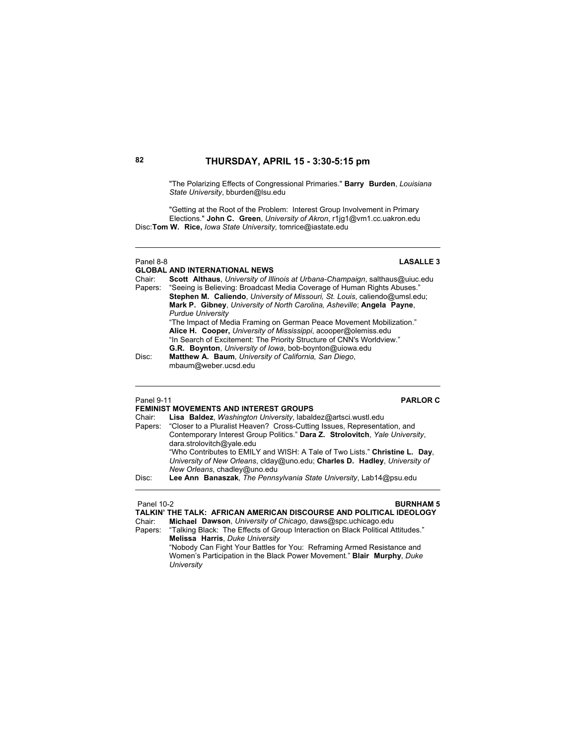## **82 THURSDAY, APRIL 15 - 3:30-5:15 pm**

"The Polarizing Effects of Congressional Primaries." **Barry Burden**, *Louisiana State University*, bburden@lsu.edu

"Getting at the Root of the Problem: Interest Group Involvement in Primary Elections." **John C. Green**, *University of Akron*, r1jg1@vm1.cc.uakron.edu Disc: **Tom W. Rice,** *Iowa State University,* tomrice@iastate.edu

## Panel 8-8 **LASALLE 3**

**GLOBAL AND INTERNATIONAL NEWS**<br>Chair: **Scott Althaus** University of Illi Scott Althaus, *University of Illinois at Urbana-Champaign*, salthaus@uiuc.edu Papers: "Seeing is Believing: Broadcast Media Coverage of Human Rights Abuses." **Stephen M. Caliendo**, *University of Missouri, St. Louis*, caliendo@umsl.edu; **Mark P. Gibney**, *University of North Carolina, Asheville*; **Angela Payne**, *Purdue University* "The Impact of Media Framing on German Peace Movement Mobilization."  **Alice H. Cooper,** *University of Mississippi*, acooper@olemiss.edu "In Search of Excitement: The Priority Structure of CNN's Worldview." **G.R. Boynton**, *University of Iowa*, bob-boynton@uiowa.edu<br>Disc: **Matthew A. Baum**, *University of California*, *San Diego*, Matthew A. Baum, *University of California, San Diego*, mbaum@weber.ucsd.edu

### Panel 9-11 **PARLOR C**

## **FEMINIST MOVEMENTS AND INTEREST GROUPS**

| Chair:  | Lisa Baldez, Washington University, labaldez@artsci.wustl.edu                |
|---------|------------------------------------------------------------------------------|
| Papers: | "Closer to a Pluralist Heaven? Cross-Cutting Issues, Representation, and     |
|         | Contemporary Interest Group Politics." Dara Z. Strolovitch, Yale University, |
|         | dara.strolovitch@yale.edu                                                    |
|         | "Who Contributes to EMILY and WISH: A Tale of Two Lists." Christine L. Day,  |
|         | University of New Orleans, clday@uno.edu; Charles D. Hadley, University of   |
|         | New Orleans, chadley@uno.edu                                                 |
| Disc:   | Lee Ann Banaszak, The Pennsylvania State University, Lab14@psu.edu           |
|         |                                                                              |

### Panel 10-2 **BURNHAM 5**

**TALKIN' THE TALK: AFRICAN AMERICAN DISCOURSE AND POLITICAL IDEOLOGY**

Chair: **Michael Dawson**, *University of Chicago*, daws@spc.uchicago.edu Papers: "Talking Black: The Effects of Group Interaction on Black Political Attitudes." **Melissa Harris**, *Duke University* "Nobody Can Fight Your Battles for You: Reframing Armed Resistance and

Women's Participation in the Black Power Movement." **Blair Murphy**, *Duke University*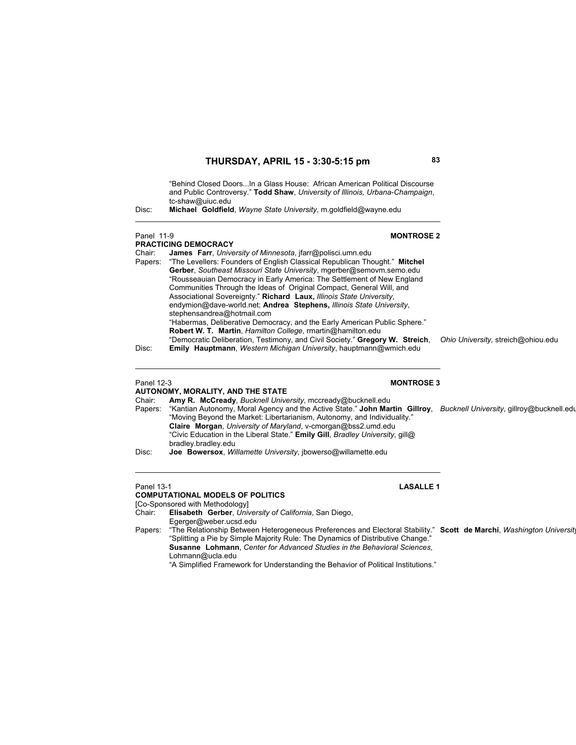"Behind Closed Doors...In a Glass House: African American Political Discourse and Public Controversy." **Todd Shaw**, *University of Illinois, Urbana-Champaign*, tc-shaw@uiuc.edu

Disc: **Michael Goldfield**, *Wayne State University*, m.goldfield@wayne.edu

# Panel 11-9 **MONTROSE 2 PRACTICING DEMOCRACY**<br>Chair: **James Farr**, Unive James Farr, *University of Minnesota*, jfarr@polisci.umn.edu Papers: "The Levellers: Founders of English Classical Republican Thought." **Mitchel Gerber**, *Southeast Missouri State University*, mgerber@semovm.semo.edu "Rousseauian Democracy in Early America: The Settlement of New England Communities Through the Ideas of Original Compact, General Will, and Associational Sovereignty." **Richard Laux,** *Illinois State University*, endymion@dave-world.net; **Andrea Stephens,** *Illinois State University*, stephensandrea@hotmail.com "Habermas, Deliberative Democracy, and the Early American Public Sphere." **Robert W. T. Martin**, *Hamilton College*, rmartin@hamilton.edu "Democratic Deliberation, Testimony, and Civil Society." **Gregory W. Streich**, *Ohio University,* streich@ohiou.edu **Emily Hauptmann**, *Western Michigan University*, hauptmann@wmich.edu

# Panel 12-3 **MONTROSE 3**

# **AUTONOMY, MORALITY, AND THE STATE**

Chair: **Amy R. McCready**, *Bucknell University*, mccready@bucknell.edu Papers: "Kantian Autonomy, Moral Agency and the Active State." **John Martin Gillroy**, *Bucknell University*, gillroy@bucknell.edu "Moving Beyond the Market: Libertarianism, Autonomy, and Individuality." **Claire Morgan**, *University of Maryland*, v-cmorgan@bss2.umd.edu "Civic Education in the Liberal State." **Emily Gill**, *Bradley University*, gill@ bradley.bradley.edu Disc: **Joe Bowersox**, *Willamette University*, jbowerso@willamette.edu

# **COMPUTATIONAL MODELS OF POLITICS**

[Co-Sponsored with Methodology]<br>Chair: Elisabeth Gerber, Univ

Chair: **Elisabeth Gerber**, *University of California*, San Diego,

- Egerger@weber.ucsd.edu
- Papers: "The Relationship Between Heterogeneous Preferences and Electoral Stability." **Scott de Marchi**, *Washington University* "Splitting a Pie by Simple Majority Rule: The Dynamics of Distributive Change." **Susanne Lohmann**, *Center for Advanced Studies in the Behavioral Sciences*, Lohmann@ucla.edu

"A Simplified Framework for Understanding the Behavior of Political Institutions."

# Panel 13-1 **LASALLE 1**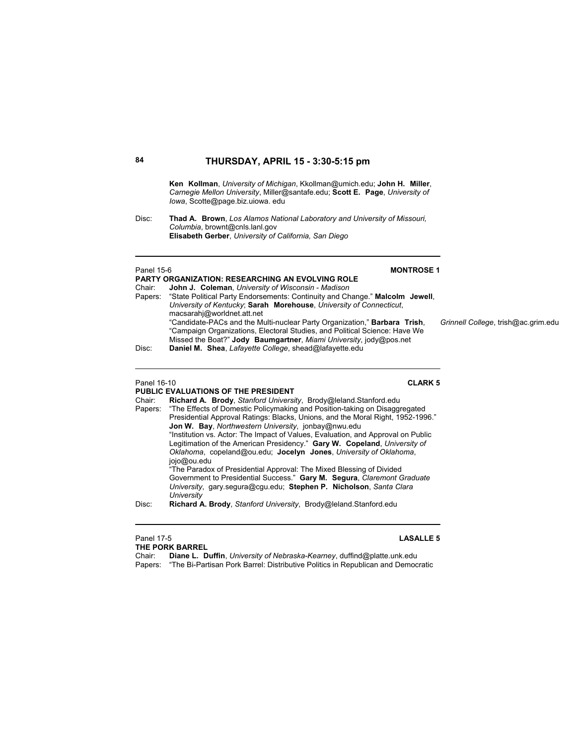**Ken Kollman**, *University of Michigan*, Kkollman@umich.edu; **John H. Miller**, *Carnegie Mellon University*, Miller@santafe.edu; **Scott E. Page**, *University of Iowa*, Scotte@page.biz.uiowa. edu

Disc: **Thad A. Brown**, *Los Alamos National Laboratory and University of Missouri, Columbia*, brownt@cnls.lanl.gov **Elisabeth Gerber**, *University of California, San Diego* 

### Panel 15-6 **MONTROSE 1 PARTY ORGANIZATION: RESEARCHING AN EVOLVING ROLE** Chair: **John J. Coleman**, *University of Wisconsin - Madison* Papers: "State Political Party Endorsements: Continuity and Change." **Malcolm Jewell**, *University of Kentucky*; **Sarah Morehouse**, *University of Connecticut*, macsarahj@worldnet.att.net "Candidate-PACs and the Multi-nuclear Party Organization," **Barbara Trish**, *Grinnell College*, trish@ac.grim.edu "Campaign Organizations, Electoral Studies, and Political Science: Have We Missed the Boat?" **Jody Baumgartner**, *Miami University*, jody@pos.net Disc: **Daniel M. Shea**, *Lafayette College*, shead@lafayette.edu

### Panel 16-10 **CLARK 5**

### **PUBLIC EVALUATIONS OF THE PRESIDENT**

Chair: **Richard A. Brody**, *Stanford University*, Brody@leland.Stanford.edu "The Effects of Domestic Policymaking and Position-taking on Disaggregated Presidential Approval Ratings: Blacks, Unions, and the Moral Right, 1952-1996." **Jon W. Bay**, *Northwestern University*, jonbay@nwu.edu "Institution vs. Actor: The Impact of Values, Evaluation, and Approval on Public Legitimation of the American Presidency." **Gary W. Copeland**, *University of Oklahoma*, copeland@ou.edu; **Jocelyn Jones**, *University of Oklahoma*, jojo@ou.edu "The Paradox of Presidential Approval: The Mixed Blessing of Divided Government to Presidential Success." **Gary M. Segura**, *Claremont Graduate University*, gary.segura@cgu.edu; **Stephen P. Nicholson**, *Santa Clara University*

Disc: **Richard A. Brody**, *Stanford University*, Brody@leland.Stanford.edu

### Panel 17-5 **LASALLE 5 THE PORK BARREL**

Chair: **Diane L. Duffin**, *University of Nebraska-Kearney*, duffind@platte.unk.edu Papers: "The Bi-Partisan Pork Barrel: Distributive Politics in Republican and Democratic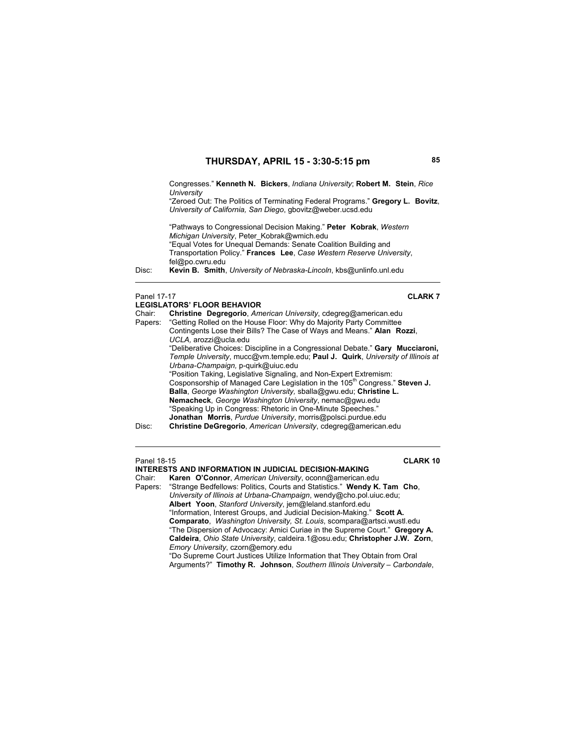Congresses." **Kenneth N. Bickers**, *Indiana University*; **Robert M. Stein**, *Rice University*

"Zeroed Out: The Politics of Terminating Federal Programs." **Gregory L. Bovitz**, *University of California, San Diego*, gbovitz@weber.ucsd.edu

"Pathways to Congressional Decision Making." **Peter Kobrak**, *Western Michigan University*, Peter\_Kobrak@wmich.edu "Equal Votes for Unequal Demands: Senate Coalition Building and Transportation Policy." **Frances Lee**, *Case Western Reserve University*, fel@po.cwru.edu

Disc: **Kevin B. Smith**, *University of Nebraska-Lincoln*, kbs@unlinfo.unl.edu

 $\mathbf{L}$   $\mathbf{L}$   $\mathbf{L}$   $\mathbf{L}$   $\mathbf{L}$   $\mathbf{L}$   $\mathbf{L}$   $\mathbf{L}$   $\mathbf{L}$   $\mathbf{L}$   $\mathbf{L}$   $\mathbf{L}$   $\mathbf{L}$   $\mathbf{L}$   $\mathbf{L}$   $\mathbf{L}$   $\mathbf{L}$   $\mathbf{L}$   $\mathbf{L}$   $\mathbf{L}$   $\mathbf{L}$   $\mathbf{L}$   $\mathbf{L}$   $\mathbf{L}$   $\mathbf{$ 

### Panel 17-17 **CLARK 7**

|        | LEGISLATORS' FLOOR BEHAVIOR                                                             |
|--------|-----------------------------------------------------------------------------------------|
| Chair: | Christine Degregorio, American University, cdegreg@american.edu                         |
|        | Papers: "Getting Rolled on the House Floor: Why do Majority Party Committee             |
|        | Contingents Lose their Bills? The Case of Ways and Means." Alan Rozzi,                  |
|        | UCLA, arozzi@ucla.edu                                                                   |
|        | "Deliberative Choices: Discipline in a Congressional Debate." Gary Mucciaroni,          |
|        | Temple University, mucc@vm.temple.edu; Paul J. Quirk, University of Illinois at         |
|        | Urbana-Champaign, p-quirk@uiuc.edu                                                      |
|        | "Position Taking, Legislative Signaling, and Non-Expert Extremism:                      |
|        | Cosponsorship of Managed Care Legislation in the 105 <sup>th</sup> Congress." Steven J. |
|        | Balla, George Washington University, sballa@gwu.edu; Christine L.                       |
|        | Nemacheck, George Washington University, nemac@gwu.edu                                  |
|        | "Speaking Up in Congress: Rhetoric in One-Minute Speeches."                             |
|        | <b>Jonathan Morris</b> , <i>Purdue University</i> , morris@polsci.purdue.edu            |
| Disc:  | Christine DeGregorio, American University, cdegreg@american.edu                         |

Panel 18-15 **CLARK 10**

**INTERESTS AND INFORMATION IN JUDICIAL DECISION-MAKING** Chair: **Karen O'Connor**, *American University*, oconn@american.edu Papers: "Strange Bedfellows: Politics, Courts and Statistics." **Wendy K. Tam Cho**, *University of Illinois at Urbana-Champaign*, wendy@cho.pol.uiuc.edu; **Albert Yoon**, *Stanford University*, jem@leland.stanford.edu "Information, Interest Groups, and Judicial Decision-Making." **Scott A. Comparato**, *Washington University, St. Louis*, scompara@artsci.wustl.edu "The Dispersion of Advocacy: Amici Curiae in the Supreme Court." **Gregory A. Caldeira**, *Ohio State University*, caldeira.1@osu.edu; **Christopher J.W. Zorn**, *Emory University*, czorn@emory.edu "Do Supreme Court Justices Utilize Information that They Obtain from Oral Arguments?" **Timothy R. Johnson**, *Southern Illinois University – Carbondale*,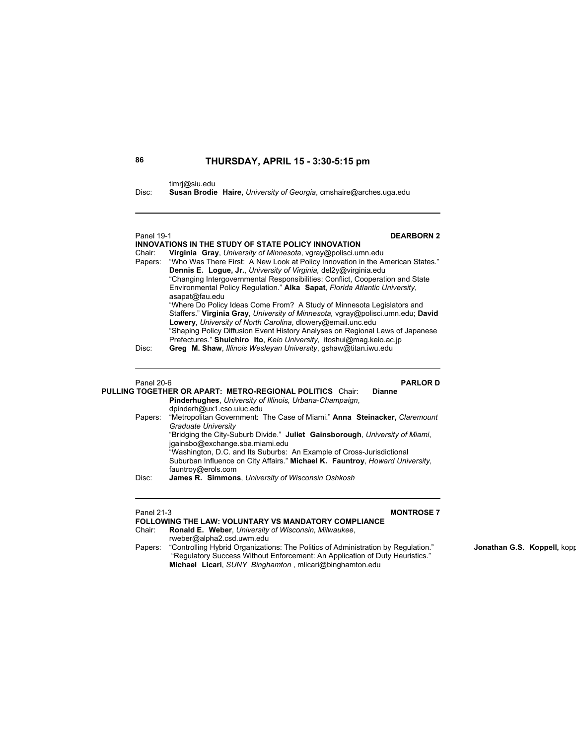timrj@siu.edu

Disc: **Susan Brodie Haire**, *University of Georgia*, cmshaire@arches.uga.edu

| <b>DEARBORN 2</b><br>Panel 19-1 |                                                                                                                                                    |
|---------------------------------|----------------------------------------------------------------------------------------------------------------------------------------------------|
|                                 | INNOVATIONS IN THE STUDY OF STATE POLICY INNOVATION                                                                                                |
| Chair:                          | Virginia Gray, University of Minnesota, vgray@polisci.umn.edu                                                                                      |
| Papers:                         | "Who Was There First: A New Look at Policy Innovation in the American States."<br>Dennis E. Logue, Jr., University of Virginia, del2y@virginia.edu |
|                                 | "Changing Intergovernmental Responsibilities: Conflict, Cooperation and State                                                                      |
|                                 | Environmental Policy Regulation." Alka Sapat, Florida Atlantic University,<br>asapat@fau.edu                                                       |
|                                 | "Where Do Policy Ideas Come From? A Study of Minnesota Legislators and                                                                             |
|                                 | Staffers." Virginia Gray, University of Minnesota, vgray@polisci.umn.edu; David                                                                    |
|                                 | Lowery, University of North Carolina, dlowery@email.unc.edu                                                                                        |
|                                 | "Shaping Policy Diffusion Event History Analyses on Regional Laws of Japanese                                                                      |
|                                 | Prefectures." Shuichiro Ito, Keio University, itoshui@mag.keio.ac.jp                                                                               |
| Disc:                           | Greg M. Shaw, Illinois Wesleyan University, gshaw@titan.iwu.edu                                                                                    |
|                                 |                                                                                                                                                    |
| Panel 20-6                      | <b>PARLOR D</b>                                                                                                                                    |

|         | <b>PULLING TOGETHER OR APART: METRO-REGIONAL POLITICS</b> Chair:<br><b>Dianne</b> |
|---------|-----------------------------------------------------------------------------------|
|         | Pinderhughes, University of Illinois, Urbana-Champaign,                           |
|         | dpinderh@ux1.cso.uiuc.edu                                                         |
| Papers: | "Metropolitan Government: The Case of Miami." Anna Steinacker, Claremount         |
|         | Graduate University                                                               |
|         | "Bridging the City-Suburb Divide." Juliet Gainsborough, University of Miami,      |
|         | jgainsbo@exchange.sba.miami.edu                                                   |
|         | "Washington, D.C. and Its Suburbs: An Example of Cross-Jurisdictional             |
|         | Suburban Influence on City Affairs." Michael K. Fauntroy, Howard University,      |
|         | fauntroy@erols.com                                                                |
| Disc:   | James R. Simmons, University of Wisconsin Oshkosh                                 |
|         |                                                                                   |

Panel 21-3<br> **MONTROSE 7** 

|        | <b>FOLLOWING THE LAW: VOLUNTARY VS MANDATORY COMPLIANCE</b>                               |
|--------|-------------------------------------------------------------------------------------------|
| Chair: | <b>Ronald E. Weber, University of Wisconsin, Milwaukee,</b>                               |
|        | rweber@alpha2.csd.uwm.edu                                                                 |
|        | Papers: "Controlling Hybrid Organizations: The Politics of Administration by Regulation." |
|        | "Regulatory Success Without Enforcement: An Application of Duty Heuristics."              |
|        | Michael Licari, SUNY Binghamton, mlicari@binghamton.edu                                   |

Jonathan G.S. Koppell, kopp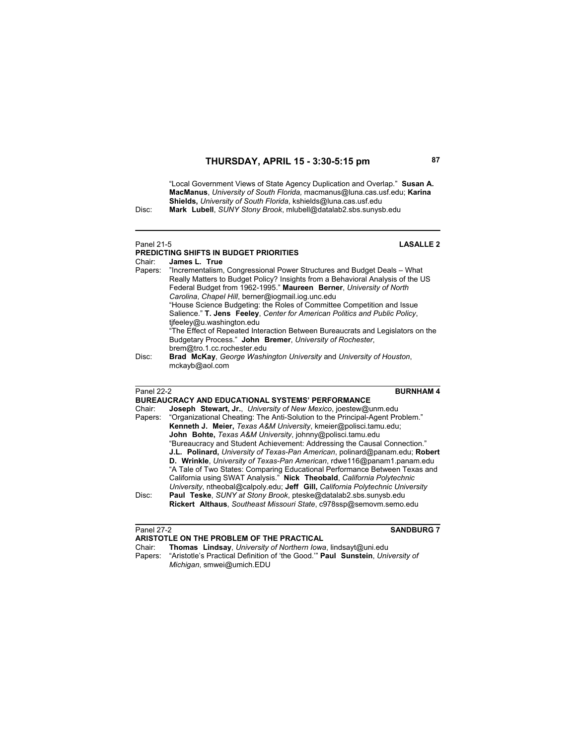"Local Government Views of State Agency Duplication and Overlap." **Susan A. MacManus**, *University of South Florida,* macmanus@luna.cas.usf.edu; **Karina** 

**Shields,** *University of South Florida*, kshields@luna.cas.usf.edu<br>Disc: **Mark Lubell**, *SUNY Stony Brook*, mlubell@datalab2.sbs.sunyst Disc: **Mark Lubell**, *SUNY Stony Brook*, mlubell@datalab2.sbs.sunysb.edu

### Panel 21-5 **LASALLE 2**

|        | PREDICTING SHIFTS IN BUDGET PRIORITIES                                          |
|--------|---------------------------------------------------------------------------------|
| Chair: | James L. True                                                                   |
|        | Papers: "Incrementalism, Congressional Power Structures and Budget Deals – What |
|        | Really Matters to Budget Policy? Insights from a Behavioral Analysis of the US  |
|        | Federal Budget from 1962-1995." Maureen Berner, University of North             |
|        | Carolina, Chapel Hill, berner@iogmail.iog.unc.edu                               |
|        | "House Science Budgeting: the Roles of Committee Competition and Issue          |
|        | Salience." T. Jens Feeley, Center for American Politics and Public Policy,      |
|        | tifeeley@u.washington.edu                                                       |
|        | "The Effect of Repeated Interaction Between Bureaucrats and Legislators on the  |
|        | Budgetary Process." John Bremer, University of Rochester,                       |
|        | brem@tro.1.cc.rochester.edu                                                     |
| Disc:  | <b>Brad McKay, George Washington University and University of Houston,</b>      |
|        | mckayb@aol.com                                                                  |
|        |                                                                                 |

Panel 22-2 **BURNHAM 4**

|        | BUREAUCRACY AND EDUCATIONAL SYSTEMS' PERFORMANCE                                     |
|--------|--------------------------------------------------------------------------------------|
| Chair: | <b>Joseph Stewart, Jr., University of New Mexico, joestew@unm.edu</b>                |
|        | Papers: "Organizational Cheating: The Anti-Solution to the Principal-Agent Problem." |
|        | Kenneth J. Meier, Texas A&M University, kmeier@polisci.tamu.edu;                     |
|        | John Bohte, Texas A&M University, johnny@polisci.tamu.edu                            |
|        | "Bureaucracy and Student Achievement: Addressing the Causal Connection."             |
|        | J.L. Polinard, University of Texas-Pan American, polinard@panam.edu; Robert          |
|        | D. Wrinkle, University of Texas-Pan American, rdwe116@panam1.panam.edu               |
|        | "A Tale of Two States: Comparing Educational Performance Between Texas and           |
|        | California using SWAT Analysis." Nick Theobald, California Polytechnic               |
|        | University, ntheobal@calpoly.edu; Jeff Gill, California Polytechnic University       |
| Disc:  | Paul Teske, SUNY at Stony Brook, pteske@datalab2.sbs.sunysb.edu                      |
|        | Rickert Althaus, Southeast Missouri State, c978ssp@semovm.semo.edu                   |
|        |                                                                                      |

**Panel 27-2 SANDBURG 7** 

- **ARISTOTLE ON THE PROBLEM OF THE PRACTICAL**<br>Chair: **Thomas Lindsay**, University of Northern lows Chair: **Thomas Lindsay**, *University of Northern Iowa*, lindsayt@uni.edu Papers: "Aristotle's Practical Definition of 'the Good.'" **Paul Sunstein**, *University of* 
	- *Michigan*, smwei@umich.EDU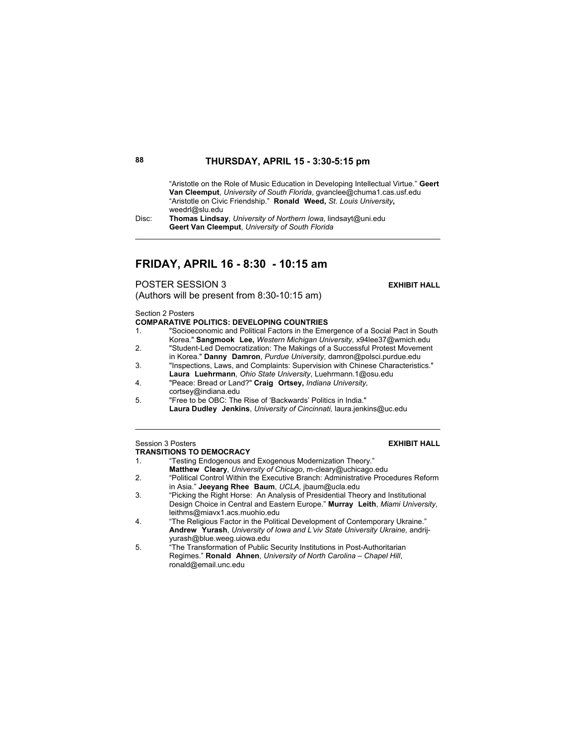"Aristotle on the Role of Music Education in Developing Intellectual Virtue." **Geert Van Cleemput**, *University of South Florida*, gvanclee@chuma1.cas.usf.edu "Aristotle on Civic Friendship." **Ronald Weed,** *St. Louis University***,**  weedrl@slu.edu

Disc: **Thomas Lindsay**, *University of Northern Iowa*, lindsayt@uni.edu **Geert Van Cleemput**, *University of South Florida*

# **FRIDAY, APRIL 16 - 8:30 - 10:15 am**

**POSTER SESSION 3** EXHIBIT HALL

(Authors will be present from 8:30-10:15 am)

Section 2 Posters

### **COMPARATIVE POLITICS: DEVELOPING COUNTRIES**

- 1. "Socioeconomic and Political Factors in the Emergence of a Social Pact in South Korea." **Sangmook Lee,** *Western Michigan University,* x94lee37@wmich.edu
- 2. "Student-Led Democratization: The Makings of a Successful Protest Movement in Korea." **Danny Damron**, *Purdue University,* damron@polsci.purdue.edu
- 3. "Inspections, Laws, and Complaints: Supervision with Chinese Characteristics." **Laura Luehrmann**, *Ohio State University*, Luehrmann.1@osu.edu
- 4. "Peace: Bread or Land?" **Craig Ortsey,** *Indiana University,*
- cortsey@indiana.edu
- 5. "Free to be OBC: The Rise of 'Backwards' Politics in India." **Laura Dudley Jenkins**, *University of Cincinnati,* laura.jenkins@uc.edu

### **Session 3 Posters EXHIBIT HALL TRANSITIONS TO DEMOCRACY**

- 1. "Testing Endogenous and Exogenous Modernization Theory." **Matthew Cleary**, *University of Chicago*, m-cleary@uchicago.edu
- 2. "Political Control Within the Executive Branch: Administrative Procedures Reform in Asia." **Jeeyang Rhee Baum**, *UCLA,* jbaum@ucla.edu
- 3. "Picking the Right Horse: An Analysis of Presidential Theory and Institutional Design Choice in Central and Eastern Europe." **Murray Leith**, *Miami University*, leithms@miavx1.acs.muohio.edu
- 4. "The Religious Factor in the Political Development of Contemporary Ukraine." **Andrew Yurash**, *University of Iowa and L'viv State University Ukraine,* andrijyurash@blue.weeg.uiowa.edu
- 5. "The Transformation of Public Security Institutions in Post-Authoritarian Regimes." **Ronald Ahnen**, *University of North Carolina – Chapel Hill*, ronald@email.unc.edu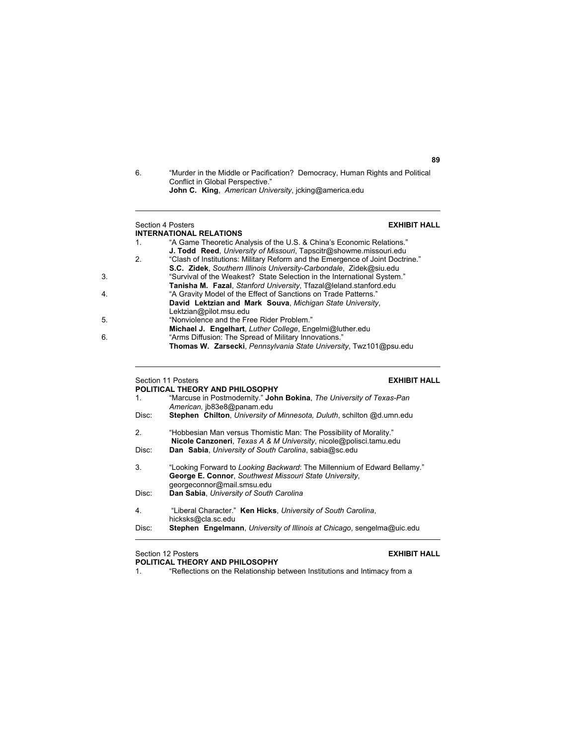| 6. | "Murder in the Middle or Pacification? Democracy, Human Rights and Political |
|----|------------------------------------------------------------------------------|
|    | Conflict in Global Perspective."                                             |
|    | <b>John C. King.</b> American University, jcking@america.edu                 |

### Section 4 Posters **EXHIBIT HALL INTERNATIONAL RELATIONS**  1. "A Game Theoretic Analysis of the U.S. & China's Economic Relations." **J. Todd Reed**, *University of Missouri*, Tapscitr@showme.missouri.edu 2. "Clash of Institutions: Military Reform and the Emergence of Joint Doctrine." **S.C. Zidek**, *Southern Illinois University-Carbondale*, Zidek@siu.edu 3. "Survival of the Weakest? State Selection in the International System." **Tanisha M. Fazal**, *Stanford University*, Tfazal@leland.stanford.edu 4. "A Gravity Model of the Effect of Sanctions on Trade Patterns." **David Lektzian and Mark Souva**, *Michigan State University*, Lektzian@pilot.msu.edu 5. "Nonviolence and the Free Rider Problem." **Michael J. Engelhart**, *Luther College*, Engelmi@luther.edu 6. "Arms Diffusion: The Spread of Military Innovations." **Thomas W. Zarsecki**, *Pennsylvania State University*, Twz101@psu.edu

# Section 11 Posters **EXHIBIT HALL**

| POLITICAL THEORY AND PHILOSOPHY |                                                                                                                                                                  |  |
|---------------------------------|------------------------------------------------------------------------------------------------------------------------------------------------------------------|--|
| 1.                              | "Marcuse in Postmodernity." John Bokina, The University of Texas-Pan<br>American, ib83e8@panam.edu                                                               |  |
| Disc:                           | Stephen Chilton, University of Minnesota, Duluth, schilton @d.umn.edu                                                                                            |  |
| 2.                              | "Hobbesian Man versus Thomistic Man: The Possibility of Morality."<br><b>Nicole Canzoneri</b> , Texas A & M University, nicole@polisci.tamu.edu                  |  |
| Disc:                           | Dan Sabia, University of South Carolina, sabia@sc.edu                                                                                                            |  |
| 3.                              | "Looking Forward to Looking Backward: The Millennium of Edward Bellamy."<br>George E. Connor, Southwest Missouri State University,<br>georgeconnor@mail.smsu.edu |  |
| Disc:                           | Dan Sabia, University of South Carolina                                                                                                                          |  |
| 4.                              | "Liberal Character." Ken Hicks, University of South Carolina,<br>hicksks@cla.sc.edu                                                                              |  |
| Disc:                           | <b>Stephen</b> Engelmann, University of Illinois at Chicago, sengelma@uic.edu                                                                                    |  |

Section 12 Posters **EXHIBIT HALL POLITICAL THEORY AND PHILOSOPHY**

- 
- 1. "Reflections on the Relationship between Institutions and Intimacy from a

**89**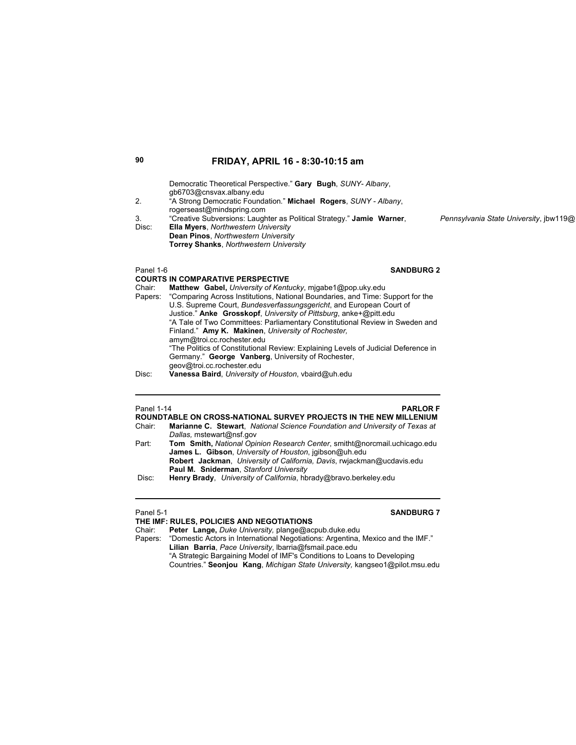| 2.<br>3.<br>Disc: | Democratic Theoretical Perspective." Gary Bugh, SUNY- Albany,<br>qb6703@cnsvax.albany.edu<br>"A Strong Democratic Foundation." Michael Rogers, SUNY - Albany,<br>rogerseast@mindspring.com<br>"Creative Subversions: Laughter as Political Strategy." Jamie Warner,<br><b>Ella Myers, Northwestern University</b><br>Dean Pinos, Northwestern University<br><b>Torrey Shanks, Northwestern University</b> | Pennsylvania State University, jbw119@ |
|-------------------|-----------------------------------------------------------------------------------------------------------------------------------------------------------------------------------------------------------------------------------------------------------------------------------------------------------------------------------------------------------------------------------------------------------|----------------------------------------|
| Panel 1-6         | <b>SANDBURG 2</b>                                                                                                                                                                                                                                                                                                                                                                                         |                                        |
|                   | <b>COURTS IN COMPARATIVE PERSPECTIVE</b>                                                                                                                                                                                                                                                                                                                                                                  |                                        |
| Chair:            | Matthew Gabel, University of Kentucky, migabe1@pop.uky.edu                                                                                                                                                                                                                                                                                                                                                |                                        |
| Papers:           | "Comparing Across Institutions, National Boundaries, and Time: Support for the                                                                                                                                                                                                                                                                                                                            |                                        |
|                   | U.S. Supreme Court, Bundesverfassungsgericht, and European Court of                                                                                                                                                                                                                                                                                                                                       |                                        |
|                   | Justice." Anke Grosskopf, University of Pittsburg, anke+@pitt.edu                                                                                                                                                                                                                                                                                                                                         |                                        |
|                   | "A Tale of Two Committees: Parliamentary Constitutional Review in Sweden and                                                                                                                                                                                                                                                                                                                              |                                        |
|                   | Finland." Amy K. Makinen, University of Rochester,                                                                                                                                                                                                                                                                                                                                                        |                                        |
|                   | amym@troi.cc.rochester.edu                                                                                                                                                                                                                                                                                                                                                                                |                                        |
|                   | "The Politics of Constitutional Review: Explaining Levels of Judicial Deference in                                                                                                                                                                                                                                                                                                                        |                                        |
|                   | Germany." George Vanberg, University of Rochester,                                                                                                                                                                                                                                                                                                                                                        |                                        |
|                   | geov@troi.cc.rochester.edu                                                                                                                                                                                                                                                                                                                                                                                |                                        |

Disc: **Vanessa Baird**, *University of Houston*, vbaird@uh.edu

| Panel 1-14 | <b>PARLOR F</b><br>ROUNDTABLE ON CROSS-NATIONAL SURVEY PROJECTS IN THE NEW MILLENIUM                                                                                                                                                                                      |
|------------|---------------------------------------------------------------------------------------------------------------------------------------------------------------------------------------------------------------------------------------------------------------------------|
| Chair:     | Marianne C. Stewart, National Science Foundation and University of Texas at                                                                                                                                                                                               |
|            | Dallas, mstewart@nsf.gov                                                                                                                                                                                                                                                  |
| Part:      | Tom Smith, National Opinion Research Center, smitht@norcmail.uchicago.edu                                                                                                                                                                                                 |
|            | James L. Gibson, University of Houston, jaibson@uh.edu                                                                                                                                                                                                                    |
|            | Robert Jackman, University of California, Davis, rwjackman@ucdavis.edu                                                                                                                                                                                                    |
|            | Paul M. Sniderman, Stanford University                                                                                                                                                                                                                                    |
| n:         | If $\mathbf{I}$ is a set of $\mathbf{I}$ . If $\mathbf{I}$ is a set of $\mathbf{I}$ is a set of the set of $\mathbf{I}$ . The set of $\mathbf{I}$ is a set of $\mathbf{I}$ is a set of $\mathbf{I}$ is a set of $\mathbf{I}$ is a set of $\mathbf{I}$ is a set of $\math$ |

Disc: **Henry Brady**, *University of California*, hbrady@bravo.berkeley.edu

# Panel 5-1 **SANDBURG 7** SANDBURG 7

| THE IMF: RULES. POLICIES AND NEGOTIATIONS                                       |
|---------------------------------------------------------------------------------|
| Peter Lange, Duke University, plange@acpub.duke.edu                             |
| "Domestic Actors in International Negotiations: Argentina, Mexico and the IMF." |
| Lilian Barria, Pace University, Ibarria@fsmail.pace.edu                         |
| "A Strategic Bargaining Model of IMF's Conditions to Loans to Developing        |
| Countries." Seonjou Kang, Michigan State University, kangseo1@pilot.msu.edu     |
|                                                                                 |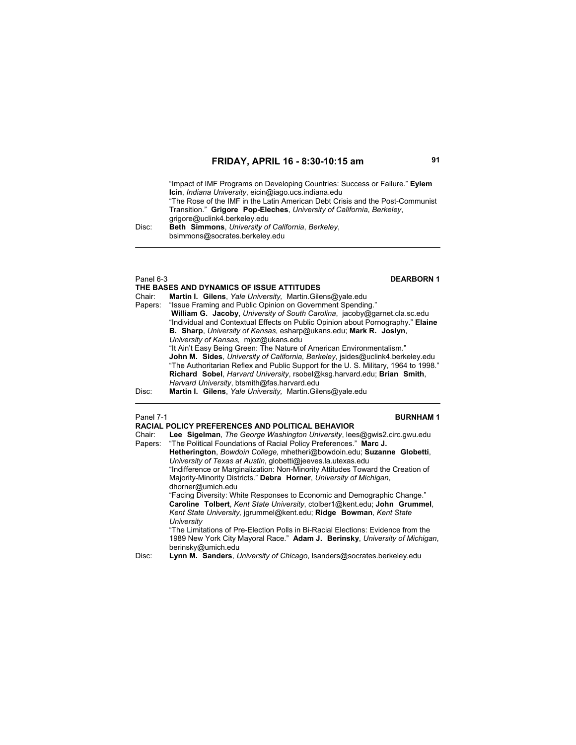"Impact of IMF Programs on Developing Countries: Success or Failure." **Eylem Icin**, *Indiana University*, eicin@iago.ucs.indiana.edu "The Rose of the IMF in the Latin American Debt Crisis and the Post-Communist Transition." **Grigore Pop-Eleches**, *University of California*, *Berkeley*, grigore@uclink4.berkeley.edu Disc: **Beth Simmons**, *University of California*, *Berkeley*, bsimmons@socrates.berkeley.edu

# Panel 6-3<br> **DEARBORN 1**

### **THE BASES AND DYNAMICS OF ISSUE ATTITUDES** Martin I. Gilens, *Yale University, Martin.Gilens@yale.edu* Papers: "Issue Framing and Public Opinion on Government Spending."  **William G. Jacoby**, *University of South Carolina*, jacoby@garnet.cla.sc.edu "Individual and Contextual Effects on Public Opinion about Pornography." **Elaine B. Sharp**, *University of Kansas*, esharp@ukans.edu; **Mark R. Joslyn**, *University of Kansas,* mjoz@ukans.edu "It Ain't Easy Being Green: The Nature of American Environmentalism." **John M. Sides**, *University of California, Berkeley*, jsides@uclink4.berkeley.edu "The Authoritarian Reflex and Public Support for the U. S. Military, 1964 to 1998." **Richard Sobel**, *Harvard University*, rsobel@ksg.harvard.edu; **Brian Smith**, *Harvard University*, btsmith@fas.harvard.edu Disc: **Martin I. Gilens**, *Yale University,* Martin.Gilens@yale.edu

### Panel 7-1 **BURNHAM 1**

|         | <b>RACIAL POLICY PREFERENCES AND POLITICAL BEHAVIOR</b>                          |
|---------|----------------------------------------------------------------------------------|
| Chair:  | Lee Sigelman, The George Washington University, lees@gwis2.circ.gwu.edu          |
| Papers: | "The Political Foundations of Racial Policy Preferences." Marc J.                |
|         | Hetherington, Bowdoin College, mhetheri@bowdoin.edu; Suzanne Globetti,           |
|         | University of Texas at Austin, globetti@jeeves.la.utexas.edu                     |
|         | "Indifference or Marginalization: Non-Minority Attitudes Toward the Creation of  |
|         | Majority-Minority Districts." Debra Horner, University of Michigan,              |
|         | dhorner@umich.edu                                                                |
|         | "Facing Diversity: White Responses to Economic and Demographic Change."          |
|         | Caroline Tolbert, Kent State University, ctolber1@kent.edu; John Grummel,        |
|         | Kent State University, jgrummel@kent.edu; Ridge Bowman, Kent State               |
|         | University                                                                       |
|         | "The Limitations of Pre-Election Polls in Bi-Racial Elections: Evidence from the |
|         | 1989 New York City Mayoral Race." Adam J. Berinsky, University of Michigan,      |
|         | berinsky@umich.edu                                                               |
| Disc:   | Lynn M. Sanders, University of Chicago, Isanders@socrates.berkeley.edu           |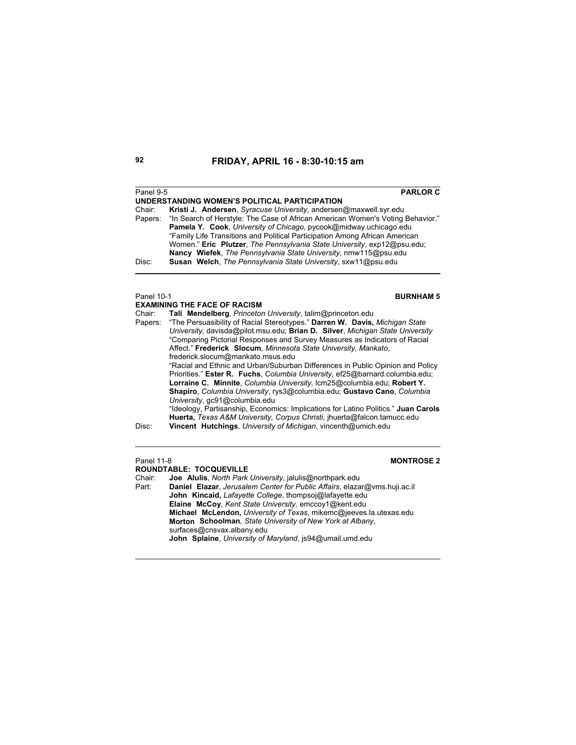| Panel 9-5  | <b>PARLOR C</b>                                                                |
|------------|--------------------------------------------------------------------------------|
|            | UNDERSTANDING WOMEN'S POLITICAL PARTICIPATION                                  |
| Chair:     | Kristi J. Andersen, Syracuse University, andersen@maxwell.syr.edu              |
| Papers:    | "In Search of Herstyle: The Case of African American Women's Voting Behavior." |
|            | <b>Pamela Y. Cook, University of Chicago, pycook@midway.uchicago.edu</b>       |
|            | "Family Life Transitions and Political Participation Among African American    |
|            | Women." Eric Plutzer, The Pennsylvania State University, exp12@psu.edu;        |
|            | Nancy Wiefek, The Pennsylvania State University, nmw115@psu.edu                |
| Disc:      | Susan Welch, The Pennsylvania State University, sxw11@psu.edu                  |
|            |                                                                                |
|            |                                                                                |
| Panel 10-1 | <b>BURNHAM 5</b>                                                               |
|            | <b>EXAMINING THE FACE OF RACISM</b>                                            |
| Chair:     | Tali Mendelberg, Princeton University, talim@princeton.edu                     |
| Papers:    | "The Persuasibility of Racial Stereotypes." Darren W. Davis, Michigan State    |
|            | University, davisda@pilot.msu.edu; Brian D. Silver, Michigan State University  |
|            | "Comparing Pictorial Responses and Survey Measures as Indicators of Racial     |
|            | Affect." Frederick Slocum, Minnesota State University, Mankato,                |
|            | frederick.slocum@mankato.msus.edu                                              |
|            | "Racial and Ethnic and Urban/Suburban Differences in Public Opinion and Policy |
|            | Priorities." Ester R. Fuchs, Columbia University, ef25@barnard.columbia.edu;   |
|            | Lorraine C. Minnite, Columbia University, Icm25@columbia.edu; Robert Y.        |
|            | Shapiro, Columbia University, rys3@columbia.edu: Gustavo Cano, Columbia        |
|            | University, gc91@columbia.edu<br>.                                             |

"Ideology, Partisanship, Economics: Implications for Latino Politics." **Juan Carols Huerta,** *Texas A&M University, Corpus Christi,* jhuerta@falcon.tamucc.edu Disc: **Vincent Hutchings**, *University of Michigan*, vincenth@umich.edu

# Panel 11-8 **MONTROSE 2**

**ROUNDTABLE: TOCQUEVILLE**<br>Chair: **Joe Alulis**, North Park Chair: **Joe Alulis**, *North Park University*, jalulis@northpark.edu Part: **Daniel Elazar**, *Jerusalem Center for Public Affairs*, elazar@vms.huji.ac.il **John Kincaid,** *Lafayette College*, thompsoj@lafayette.edu **Elaine McCoy**, *Kent State University,* emccoy1@kent.edu **Michael McLendon,** *University of Texas*, mikemc@jeeves.la.utexas.edu **Morton Schoolman**, *State University of New York at Albany*, surfaces@cnsvax.albany.edu **John Splaine**, *University of Maryland*, js94@umail.umd.edu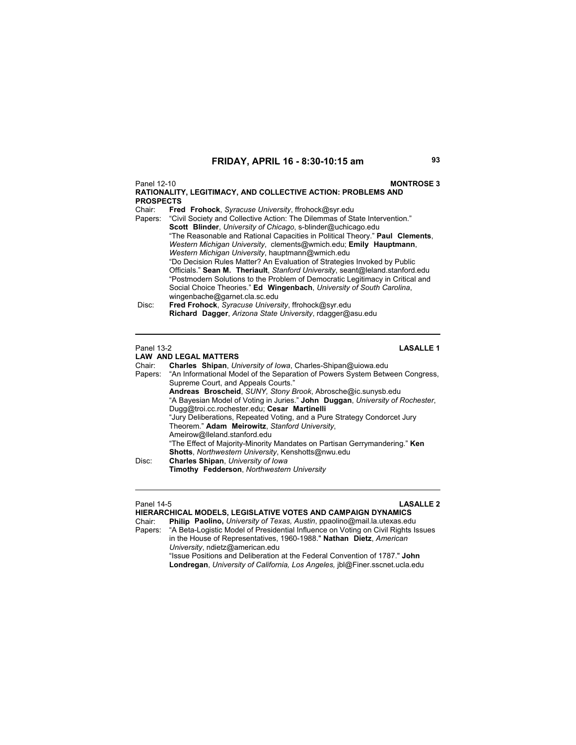Panel 12-10 **MONTROSE 3 RATIONALITY, LEGITIMACY, AND COLLECTIVE ACTION: PROBLEMS AND PROSPECTS** Chair: **Fred Frohock**, *Syracuse University*, ffrohock@syr.edu "Civil Society and Collective Action: The Dilemmas of State Intervention."  **Scott Blinder**, *University of Chicago*, s-blinder@uchicago.edu "The Reasonable and Rational Capacities in Political Theory." **Paul Clements**, *Western Michigan University*, clements@wmich.edu; **Emily Hauptmann**, *Western Michigan University*, hauptmann@wmich.edu "Do Decision Rules Matter? An Evaluation of Strategies Invoked by Public Officials." **Sean M. Theriault**, *Stanford University*, seant@leland.stanford.edu "Postmodern Solutions to the Problem of Democratic Legitimacy in Critical and Social Choice Theories." **Ed Wingenbach**, *University of South Carolina*, wingenbache@garnet.cla.sc.edu Disc: **Fred Frohock**, *Syracuse University*, ffrohock@syr.edu **Richard Dagger**, *Arizona State University*, rdagger@asu.edu

**LAW AND LEGAL MATTERS**

Panel 13-2 **LASALLE 1**

Chair: **Charles Shipan**, *University of Iowa*, Charles-Shipan@uiowa.edu Papers: "An Informational Model of the Separation of Powers System Between Congress, Supreme Court, and Appeals Courts." **Andreas Broscheid**, *SUNY, Stony Brook*, Abrosche@ic.sunysb.edu "A Bayesian Model of Voting in Juries." **John Duggan**, *University of Rochester*, Dugg@troi.cc.rochester.edu; **Cesar Martinelli** "Jury Deliberations, Repeated Voting, and a Pure Strategy Condorcet Jury Theorem." **Adam Meirowitz**, *Stanford University*, Ameirow@lleland.stanford.edu "The Effect of Majority-Minority Mandates on Partisan Gerrymandering." **Ken Shotts**, *Northwestern University*, Kenshotts@nwu.edu Disc: **Charles Shipan**, *University of Iowa* **Timothy Fedderson**, *Northwestern University*

### Panel 14-5 **LASALLE 2**

**HIERARCHICAL MODELS, LEGISLATIVE VOTES AND CAMPAIGN DYNAMICS**<br>Chair: Philip Paolino, University of Texas, Austin, ppaolino@mail.la.utexas.edu Chair: **Philip Paolino,** *University of Texas, Austin*, ppaolino@mail.la.utexas.edu Papers: "A Beta-Logistic Model of Presidential Influence on Voting on Civil Rights Issues in the House of Representatives, 1960-1988." **Nathan Dietz**, *American University*, ndietz@american.edu "Issue Positions and Deliberation at the Federal Convention of 1787." **John Londregan**, *University of California, Los Angeles,* jbl@Finer.sscnet.ucla.edu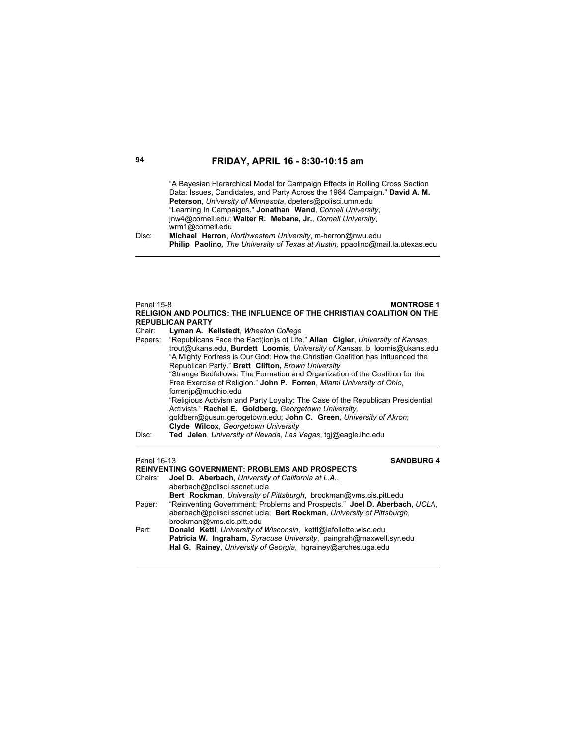"A Bayesian Hierarchical Model for Campaign Effects in Rolling Cross Section Data: Issues, Candidates, and Party Across the 1984 Campaign." **David A. M. Peterson**, *University of Minnesota*, dpeters@polisci.umn.edu "Learning In Campaigns." **Jonathan Wand**, *Cornell University*, jnw4@cornell.edu; **Walter R. Mebane, Jr.**, *Cornell University*, wrm1@cornell.edu Disc: **Michael Herron**, *Northwestern University*, m-herron@nwu.edu **Philip Paolino***, The University of Texas at Austin,* ppaolino@mail.la.utexas.edu

### Panel 15-8 **MONTROSE 1 RELIGION AND POLITICS: THE INFLUENCE OF THE CHRISTIAN COALITION ON THE REPUBLICAN PARTY**

Chair: **Lyman A. Kellstedt**, *Wheaton College* Papers: "Republicans Face the Fact(ion)s of Life." **Allan Cigler**, *University of Kansas*, trout@ukans.edu, **Burdett Loomis**, *University of Kansas*, b\_loomis@ukans.edu "A Mighty Fortress is Our God: How the Christian Coalition has Influenced the Republican Party." **Brett Clifton,** *Brown University* "Strange Bedfellows: The Formation and Organization of the Coalition for the Free Exercise of Religion." **John P. Forren**, *Miami University of Ohio*, forrenjp@muohio.edu "Religious Activism and Party Loyalty: The Case of the Republican Presidential Activists." **Rachel E. Goldberg,** *Georgetown University,* goldberr@gusun.gerogetown.edu; **John C. Green***, University of Akron*; **Clyde Wilcox**, *Georgetown University* Disc: **Ted Jelen**, *University of Nevada, Las Vegas*, tgj@eagle.ihc.edu

# Panel 16-13 **SANDBURG 4**

| <b>REINVENTING GOVERNMENT: PROBLEMS AND PROSPECTS</b> |                                                                           |
|-------------------------------------------------------|---------------------------------------------------------------------------|
|                                                       | Chairs: <b>Joel D. Aberbach</b> , University of California at L.A.,       |
|                                                       | aberbach@polisci.sscnet.ucla                                              |
|                                                       | <b>Bert Rockman, University of Pittsburgh, brockman@yms.cis.pitt.edu</b>  |
| Paper:                                                | "Reinventing Government: Problems and Prospects." Joel D. Aberbach, UCLA, |
|                                                       | aberbach@polisci.sscnet.ucla: Bert Rockman, University of Pittsburgh,     |
|                                                       | brockman@vms.cis.pitt.edu                                                 |
| Part:                                                 | Donald Kettl, University of Wisconsin, kettl@lafollette.wisc.edu          |
|                                                       | Patricia W. Ingraham, Syracuse University, paingrah@maxwell.syr.edu       |
|                                                       | Hal G. Rainey, University of Georgia, hgrainey@arches.uga.edu             |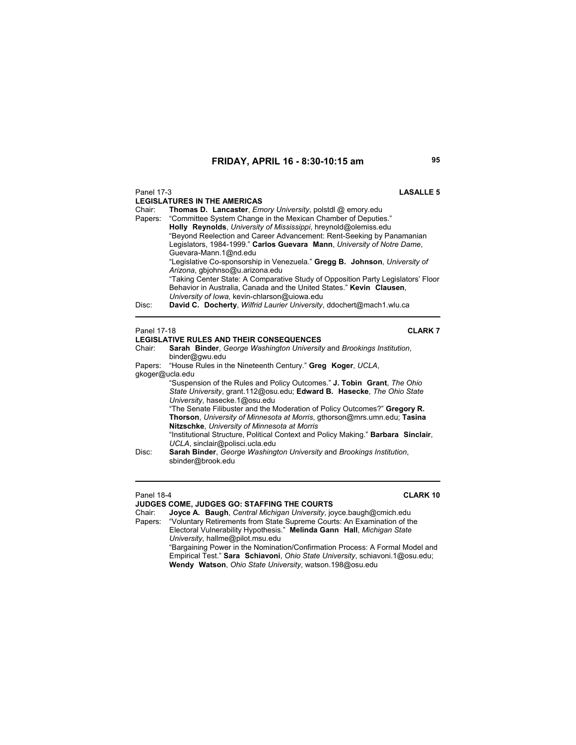# Panel 17-3 **LASALLE 5 LEGISLATURES IN THE AMERICAS** Chair: **Thomas D. Lancaster**, *Emory University*, polstdl @ emory.edu "Committee System Change in the Mexican Chamber of Deputies." **Holly Reynolds**, *University of Mississippi*, hreynold@olemiss.edu "Beyond Reelection and Career Advancement: Rent-Seeking by Panamanian Legislators, 1984-1999." **Carlos Guevara Mann**, *University of Notre Dame*, Guevara-Mann.1@nd.edu "Legislative Co-sponsorship in Venezuela." **Gregg B. Johnson**, *University of Arizona*, gbjohnso@u.arizona.edu "Taking Center State: A Comparative Study of Opposition Party Legislators' Floor Behavior in Australia, Canada and the United States." **Kevin Clausen**, *University of Iowa*, kevin-chlarson@uiowa.edu Disc: **David C. Docherty**, *Wilfrid Laurier University*, ddochert@mach1.wlu.ca Panel 17-18 **CLARK 7**

**LEGISLATIVE RULES AND THEIR CONSEQUENCES** 

**Sarah Binder**, *George Washington University* and *Brookings Institution*, binder@gwu.edu Papers: "House Rules in the Nineteenth Century." **Greg Koger**, *UCLA*,

gkoger@ucla.edu

"Suspension of the Rules and Policy Outcomes." **J. Tobin Grant**, *The Ohio State University*, grant.112@osu.edu; **Edward B. Hasecke**, *The Ohio State University*, hasecke.1@osu.edu

"The Senate Filibuster and the Moderation of Policy Outcomes?" **Gregory R. Thorson**, *University of Minnesota at Morris*, gthorson@mrs.umn.edu; **Tasina Nitzschke**, *University of Minnesota at Morris*

"Institutional Structure, Political Context and Policy Making." **Barbara Sinclair**, *UCLA*, sinclair@polisci.ucla.edu

# **JUDGES COME, JUDGES GO: STAFFING THE COURTS**

Panel 18-4 **CLARK 10**

Joyce A. Baugh, *Central Michigan University*, joyce.baugh@cmich.edu Papers: "Voluntary Retirements from State Supreme Courts: An Examination of the Electoral Vulnerability Hypothesis." **Melinda Gann Hall**, *Michigan State* 

*University*, hallme@pilot.msu.edu

"Bargaining Power in the Nomination/Confirmation Process: A Formal Model and Empirical Test." **Sara Schiavoni**, *Ohio State University*, schiavoni.1@osu.edu; **Wendy Watson**, *Ohio State University*, watson.198@osu.edu

Disc: **Sarah Binder**, *George Washington University* and *Brookings Institution*, sbinder@brook.edu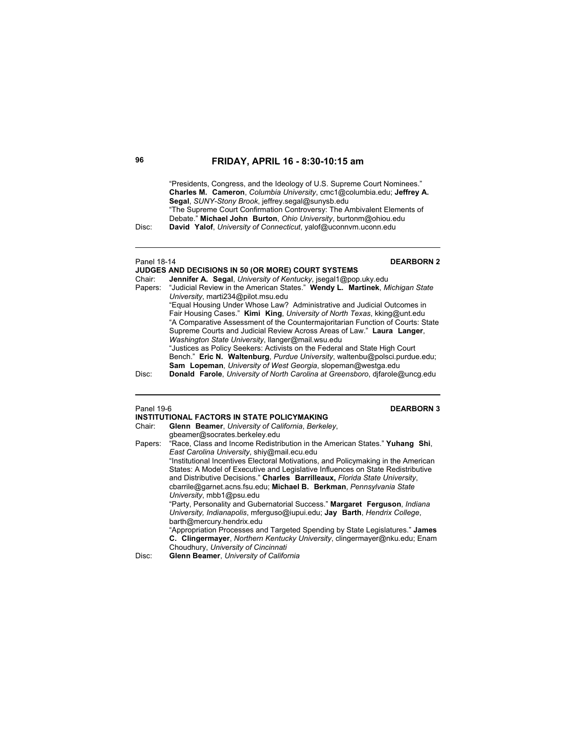"Presidents, Congress, and the Ideology of U.S. Supreme Court Nominees." **Charles M. Cameron**, *Columbia University*, cmc1@columbia.edu; **Jeffrey A. Segal**, *SUNY-Stony Brook*, jeffrey.segal@sunysb.edu "The Supreme Court Confirmation Controversy: The Ambivalent Elements of Debate." **Michael John Burton**, *Ohio University*, burtonm@ohiou.edu

Disc: **David Yalof**, *University of Connecticut*, yalof@uconnvm.uconn.edu

| Panel 18-14 | <b>DEARBORN 2</b><br><b>JUDGES AND DECISIONS IN 50 (OR MORE) COURT SYSTEMS</b>      |
|-------------|-------------------------------------------------------------------------------------|
| Chair:      | Jennifer A. Segal, University of Kentucky, jsegal1@pop.uky.edu                      |
|             | Papers: "Judicial Review in the American States." Wendy L. Martinek, Michigan State |
|             | University, marti234@pilot.msu.edu                                                  |
|             | "Equal Housing Under Whose Law? Administrative and Judicial Outcomes in             |
|             | Fair Housing Cases." Kimi King, University of North Texas, kking@unt.edu            |
|             | "A Comparative Assessment of the Countermajoritarian Function of Courts: State      |
|             | Supreme Courts and Judicial Review Across Areas of Law." Laura Langer,              |
|             | Washington State University, Ilanger@mail.wsu.edu                                   |
|             | "Justices as Policy Seekers: Activists on the Federal and State High Court          |
|             | Bench." Eric N. Waltenburg, Purdue University, waltenbu@polsci.purdue.edu;          |
|             | Sam Lopeman, University of West Georgia, slopeman@westga.edu                        |
| Disc:       | Donald Farole, University of North Carolina at Greensboro, difarole@uncq.edu        |

# Panel 19-6 **DEARBORN 3**

|         | INSTITUTIONAL FACTORS IN STATE POLICYMAKING                                       |
|---------|-----------------------------------------------------------------------------------|
| Chair:  | Glenn Beamer, University of California, Berkeley,                                 |
|         | gbeamer@socrates.berkeley.edu                                                     |
| Papers: | "Race, Class and Income Redistribution in the American States." Yuhang Shi,       |
|         | East Carolina University, shiy@mail.ecu.edu                                       |
|         | "Institutional Incentives Electoral Motivations, and Policymaking in the American |
|         | States: A Model of Executive and Legislative Influences on State Redistributive   |
|         | and Distributive Decisions." Charles Barrilleaux, Florida State University,       |
|         | cbarrile@garnet.acns.fsu.edu; Michael B. Berkman, Pennsylvania State              |
|         | University, mbb1@psu.edu                                                          |
|         | "Party, Personality and Gubernatorial Success." Margaret Ferguson, Indiana        |
|         | University, Indianapolis, mferguso@iupui.edu; Jay Barth, Hendrix College,         |
|         | barth@mercury.hendrix.edu                                                         |
|         | "Appropriation Processes and Targeted Spending by State Legislatures." James      |
|         | C. Clingermayer, Northern Kentucky University, clingermayer@nku.edu; Enam         |
|         | Choudhury, University of Cincinnati                                               |
| Disc:   | Glenn Beamer, University of California                                            |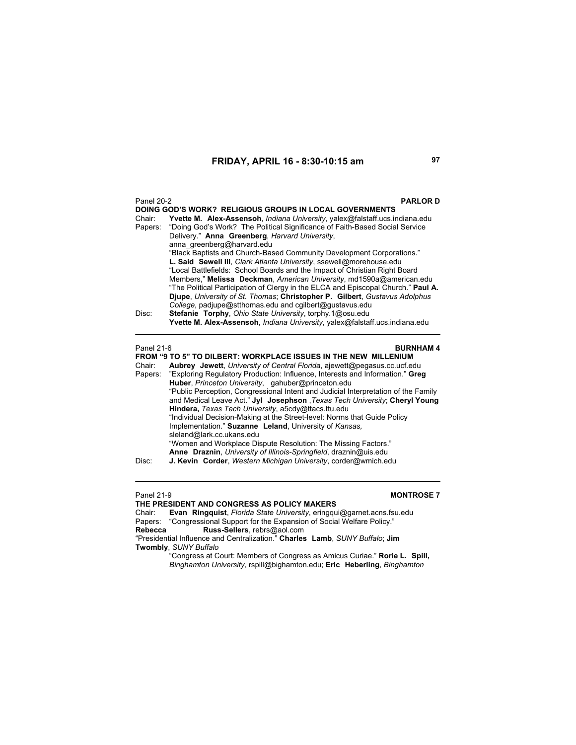| <b>Panel 20-2</b> | <b>PARLOR D</b>                                                                                                                                                                                                                                                                                                                                                                                                                                       |
|-------------------|-------------------------------------------------------------------------------------------------------------------------------------------------------------------------------------------------------------------------------------------------------------------------------------------------------------------------------------------------------------------------------------------------------------------------------------------------------|
| Chair:<br>Papers: | DOING GOD'S WORK? RELIGIOUS GROUPS IN LOCAL GOVERNMENTS<br>Yvette M. Alex-Assensoh, Indiana University, yalex@falstaff.ucs.indiana.edu<br>"Doing God's Work? The Political Significance of Faith-Based Social Service<br>Delivery." Anna Greenberg, Harvard University,<br>anna greenberg@harvard.edu<br>"Black Baptists and Church-Based Community Development Corporations."<br>L. Said Sewell III, Clark Atlanta University, ssewell@morehouse.edu |
|                   | "Local Battlefields: School Boards and the Impact of Christian Right Board<br>Members," Melissa Deckman, American University, md1590a@american.edu<br>"The Political Participation of Clergy in the ELCA and Episcopal Church." Paul A.<br>Diupe, University of St. Thomas: Christopher P. Gilbert, Gustavus Adolphus<br>College, padjupe@stthomas.edu and cgilbert@gustavus.edu                                                                      |
| Disc:             | Stefanie Torphy, Ohio State University, torphy.1@osu.edu<br>Yvette M. Alex-Assensoh, Indiana University, yalex@falstaff.ucs.indiana.edu                                                                                                                                                                                                                                                                                                               |
| Panel 21-6        | <b>BURNHAM4</b><br><b>FROM "9 TO 5" TO DILBERT: WORKPLACE ISSUES IN THE NEW MILLENIUM</b>                                                                                                                                                                                                                                                                                                                                                             |
| Chair:<br>Papers: | Aubrey Jewett, University of Central Florida, ajewett@pegasus.cc.ucf.edu<br>"Exploring Regulatory Production: Influence, Interests and Information." Greg<br>Huber, Princeton University, gahuber@princeton.edu                                                                                                                                                                                                                                       |
|                   | "Public Perception, Congressional Intent and Judicial Interpretation of the Family<br>and Medical Leave Act." Jyl Josephson, Texas Tech University; Cheryl Young<br>Hindera, Texas Tech University, a5cdy@ttacs.ttu.edu<br>"Individual Decision-Making at the Street-level: Norms that Guide Policy<br>Implementation." Suzanne Leland, University of Kansas,                                                                                         |
|                   | sleland@lark.cc.ukans.edu<br>"Women and Workplace Dispute Resolution: The Missing Factors."<br>Anne Draznin, University of Illinois-Springfield, draznin@uis.edu                                                                                                                                                                                                                                                                                      |
| Disc:             | J. Kevin Corder, Western Michigan University, corder@wmich.edu                                                                                                                                                                                                                                                                                                                                                                                        |

Panel 21-9 **MONTROSE 7 THE PRESIDENT AND CONGRESS AS POLICY MAKERS** Chair: **Evan Ringquist**, *Florida State University*, eringqui@garnet.acns.fsu.edu Papers: "Congressional Support for the Expansion of Social Welfare Policy." **Rebecca Russ-Sellers**, rebrs@aol.com "Presidential Influence and Centralization." **Charles Lamb**, *SUNY Buffalo*; **Jim Twombly**, *SUNY Buffalo* "Congress at Court: Members of Congress as Amicus Curiae." **Rorie L. Spill,**  *Binghamton University*, rspill@bighamton.edu; **Eric Heberling**, *Binghamton*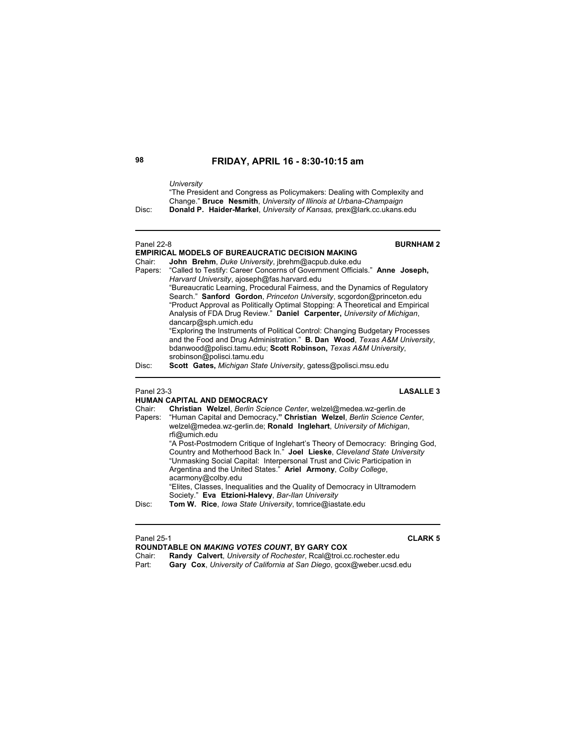### *University*

"The President and Congress as Policymakers: Dealing with Complexity and Change." **Bruce Nesmith**, *University of Illinois at Urbana-Champaign*

Disc: **Donald P. Haider-Markel**, *University of Kansas,* prex@lark.cc.ukans.edu

# Panel 22-8 **BURNHAM 2**

# **EMPIRICAL MODELS OF BUREAUCRATIC DECISION MAKING**

Chair: **John Brehm**, *Duke University*, jbrehm@acpub.duke.edu

|       | Papers: "Called to Testify: Career Concerns of Government Officials." Anne Joseph, |
|-------|------------------------------------------------------------------------------------|
|       | Harvard University, ajoseph@fas.harvard.edu                                        |
|       | "Bureaucratic Learning, Procedural Fairness, and the Dynamics of Regulatory        |
|       | Search." Sanford Gordon, Princeton University, scgordon@princeton.edu              |
|       | "Product Approval as Politically Optimal Stopping: A Theoretical and Empirical     |
|       | Analysis of FDA Drug Review." Daniel Carpenter, University of Michigan,            |
|       | dancarp@sph.umich.edu                                                              |
|       | "Exploring the Instruments of Political Control: Changing Budgetary Processes      |
|       | and the Food and Drug Administration." <b>B. Dan Wood</b> , Texas A&M University,  |
|       | bdanwood@polisci.tamu.edu; Scott Robinson, Texas A&M University,                   |
|       | srobinson@polisci.tamu.edu                                                         |
| Disc: | Scott Gates, Michigan State University, gatess@polisci.msu.edu                     |

# Panel 23-3 **LASALLE 3**

**HUMAN CAPITAL AND DEMOCRACY** Chair: **Christian Welzel**, *Berlin Science Center*, welzel@medea.wz-gerlin.de Papers: "Human Capital and Democracy**." Christian Welzel**, *Berlin Science Center*, welzel@medea.wz-gerlin.de; **Ronald Inglehart**, *University of Michigan*, rfi@umich.edu "A Post-Postmodern Critique of Inglehart's Theory of Democracy: Bringing God, Country and Motherhood Back In." **Joel Lieske**, *Cleveland State University* "Unmasking Social Capital: Interpersonal Trust and Civic Participation in Argentina and the United States." **Ariel Armony**, *Colby College*, acarmony@colby.edu "Elites, Classes, Inequalities and the Quality of Democracy in Ultramodern Society." **Eva Etzioni-Halevy**, *Bar-Ilan University* Disc: **Tom W. Rice**, *Iowa State University*, tomrice@iastate.edu

Panel 25-1 **CLARK 5**

**ROUNDTABLE ON** *MAKING VOTES COUNT***, BY GARY COX**

Chair: **Randy Calvert**, *University of Rochester*, Rcal@troi.cc.rochester.edu

Part: **Gary Cox**, *University of California at San Diego*, gcox@weber.ucsd.edu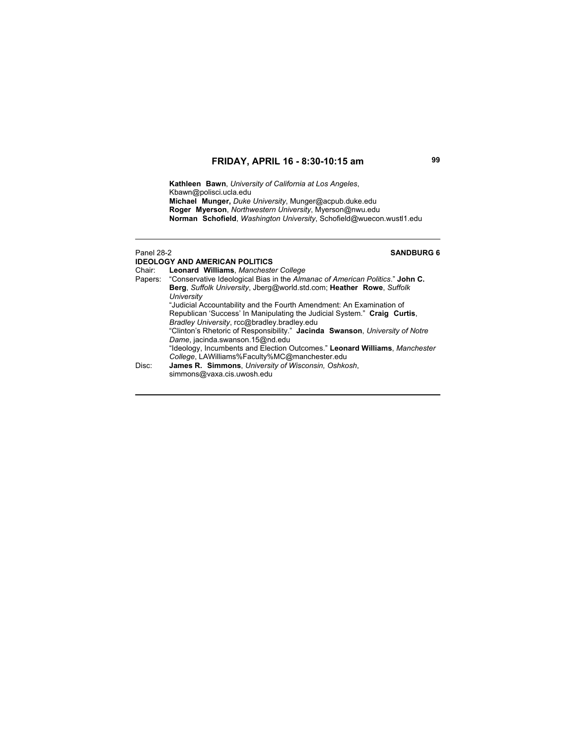**Kathleen Bawn**, *University of California at Los Angeles*, Kbawn@polisci.ucla.edu  **Michael Munger,** *Duke University*, Munger@acpub.duke.edu  **Roger Myerson**, *Northwestern University*, Myerson@nwu.edu  **Norman Schofield**, *Washington University*, Schofield@wuecon.wustl1.edu

# Panel 28-2 **SANDBURG 6**

**IDEOLOGY AND AMERICAN POLITICS** Chair: **Leonard Williams**, *Manchester College* "Conservative Ideological Bias in the *Almanac of American Politics*." John C. **Berg**, *Suffolk University*, Jberg@world.std.com; **Heather Rowe**, *Suffolk University* "Judicial Accountability and the Fourth Amendment: An Examination of Republican 'Success' In Manipulating the Judicial System." **Craig Curtis**, *Bradley University*, rcc@bradley.bradley.edu "Clinton's Rhetoric of Responsibility." **Jacinda Swanson**, *University of Notre Dame*, jacinda.swanson.15@nd.edu "Ideology, Incumbents and Election Outcomes." **Leonard Williams**, *Manchester College*, LAWilliams%Faculty%MC@manchester.edu Disc: **James R. Simmons**, *University of Wisconsin, Oshkosh*, simmons@vaxa.cis.uwosh.edu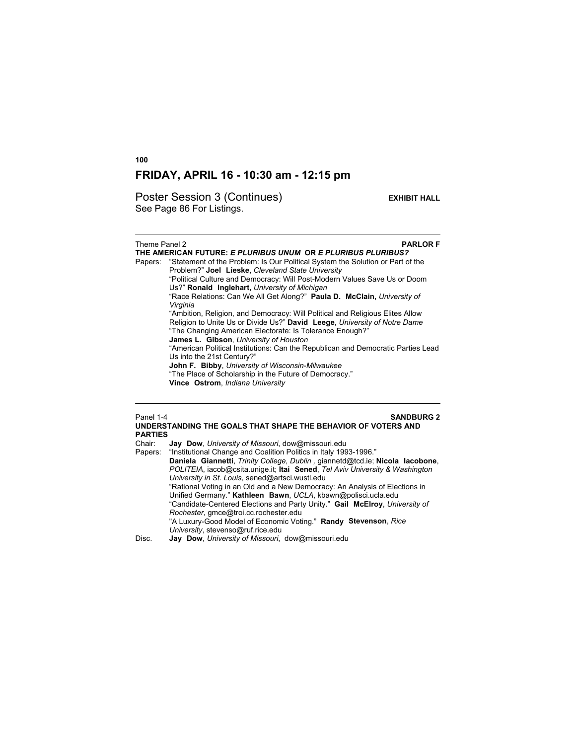Poster Session 3 (Continues) **EXHIBIT HALL** See Page 86 For Listings.

# **Theme Panel 2 PARLOR F THE AMERICAN FUTURE:** *E PLURIBUS UNUM* **OR** *E PLURIBUS PLURIBUS?* Papers: "Statement of the Problem: Is Our Political System the Solution or Part of the Problem?" **Joel Lieske**, *Cleveland State University* "Political Culture and Democracy: Will Post-Modern Values Save Us or Doom Us?" **Ronald Inglehart,** *University of Michigan* "Race Relations: Can We All Get Along?" **Paula D. McClain,** *University of Virginia* "Ambition, Religion, and Democracy: Will Political and Religious Elites Allow Religion to Unite Us or Divide Us?" **David Leege**, *University of Notre Dame* "The Changing American Electorate: Is Tolerance Enough?"  **James L. Gibson**, *University of Houston* "American Political Institutions: Can the Republican and Democratic Parties Lead Us into the 21st Century?" **John F. Bibby**, *University of Wisconsin-Milwaukee* "The Place of Scholarship in the Future of Democracy." **Vince Ostrom**, *Indiana University* Panel 1-4 **SANDBURG 2**

### **UNDERSTANDING THE GOALS THAT SHAPE THE BEHAVIOR OF VOTERS AND PARTIES** Jay Dow, University of Missouri, dow@missouri.edu Papers: "Institutional Change and Coalition Politics in Italy 1993-1996." **Daniela Giannetti**, *Trinity College, Dublin ,* giannetd@tcd.ie; **Nicola Iacobone**, *POLITEIA*, iacob@csita.unige.it; **Itai Sened**, *Tel Aviv University & Washington University in St. Louis*, sened@artsci.wustl.edu "Rational Voting in an Old and a New Democracy: An Analysis of Elections in Unified Germany." **Kathleen Bawn**, *UCLA*, kbawn@polisci.ucla.edu "Candidate-Centered Elections and Party Unity." **Gail McElroy**, *University of Rochester*, gmce@troi.cc.rochester.edu "A Luxury-Good Model of Economic Voting." **Randy Stevenson**, *Rice University*, stevenso@ruf.rice.edu Disc. **Jay Dow**, *University of Missouri*, dow@missouri.edu

**100**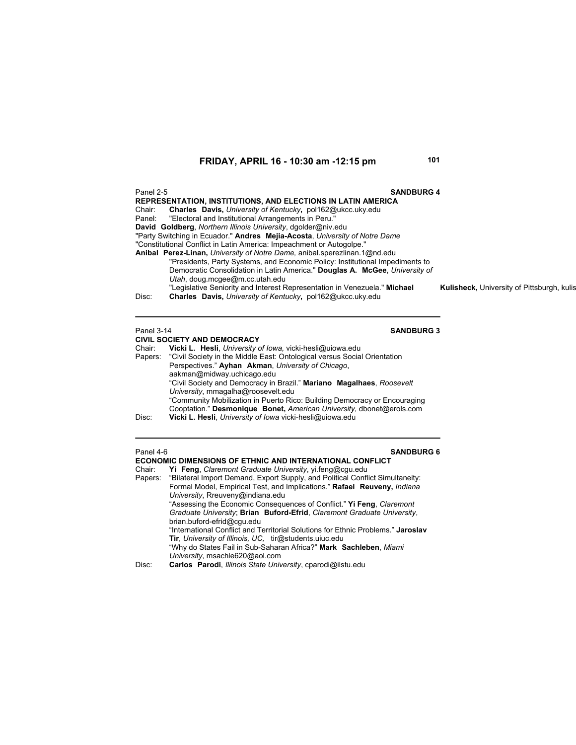| Panel 2-5<br><b>SANDBURG 4</b>                                                |                                                   |
|-------------------------------------------------------------------------------|---------------------------------------------------|
| <b>REPRESENTATION, INSTITUTIONS, AND ELECTIONS IN LATIN AMERICA</b>           |                                                   |
| Charles Davis, University of Kentucky, pol162@ukcc.uky.edu<br>Chair:          |                                                   |
| Panel: "Electoral and Institutional Arrangements in Peru."                    |                                                   |
| David Goldberg, Northern Illinois University, dgolder@niv.edu                 |                                                   |
| "Party Switching in Ecuador." Andres Mejia-Acosta, University of Notre Dame   |                                                   |
| "Constitutional Conflict in Latin America: Impeachment or Autogolpe."         |                                                   |
| Anibal Perez-Linan, University of Notre Dame, anibal sperezlinan.1@nd.edu     |                                                   |
| "Presidents, Party Systems, and Economic Policy: Institutional Impediments to |                                                   |
| Democratic Consolidation in Latin America." Douglas A. McGee. University of   |                                                   |
| Utah, doug.mcgee@m.cc.utah.edu                                                |                                                   |
| "Legislative Seniority and Interest Representation in Venezuela." Michael     | <b>Kulisheck, University of Pittsburgh, kulis</b> |
| Charles Davis, University of Kentucky, pol162@ukcc.uky.edu<br>Disc:           |                                                   |
|                                                                               |                                                   |

# Panel 3-14 **SANDBURG 3**

| <b>CIVIL SOCIETY AND DEMOCRACY</b>                                        |
|---------------------------------------------------------------------------|
| Vicki L. Hesli, University of Iowa, vicki-hesli@uiowa.edu                 |
| "Civil Society in the Middle East: Ontological versus Social Orientation  |
| Perspectives." Ayhan Akman, University of Chicago,                        |
| aakman@midway.uchicago.edu                                                |
| "Civil Society and Democracy in Brazil." Mariano Magalhaes, Roosevelt     |
| University, mmagalha@roosevelt.edu                                        |
| "Community Mobilization in Puerto Rico: Building Democracy or Encouraging |
| Cooptation." Desmonique Bonet, American University, dbonet@erols.com      |
| Vicki L. Hesli, University of Iowa vicki-hesli@uiowa.edu                  |
|                                                                           |

| Panel 4-6<br><b>SANDBURG 6</b><br><b>ECONOMIC DIMENSIONS OF ETHNIC AND INTERNATIONAL CONFLICT</b> |                                                                                       |
|---------------------------------------------------------------------------------------------------|---------------------------------------------------------------------------------------|
| Chair:                                                                                            | Yi Feng, Claremont Graduate University, yi feng@cgu.edu                               |
|                                                                                                   | Papers: "Bilateral Import Demand, Export Supply, and Political Conflict Simultaneity: |
|                                                                                                   | Formal Model, Empirical Test, and Implications." Rafael Reuveny, Indiana              |
|                                                                                                   | University, Rreuveny@indiana.edu                                                      |
|                                                                                                   | "Assessing the Economic Consequences of Conflict." Yi Feng, Claremont                 |
|                                                                                                   | Graduate University; Brian Buford-Efrid, Claremont Graduate University,               |
|                                                                                                   | brian.buford-efrid@cqu.edu                                                            |
|                                                                                                   | "International Conflict and Territorial Solutions for Ethnic Problems." Jaroslav      |
|                                                                                                   | Tir, University of Illinois, UC, tir@students.uiuc.edu                                |
|                                                                                                   | "Why do States Fail in Sub-Saharan Africa?" Mark Sachleben, Miami                     |
|                                                                                                   | University, msachle620@aol.com                                                        |
| Disc:                                                                                             | Carlos Parodi, Illinois State University, cparodi@ilstu.edu                           |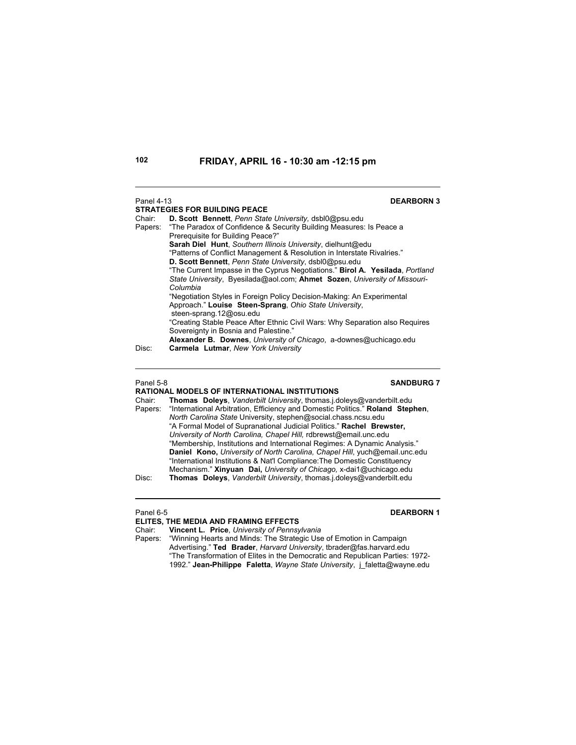| Panel 4-13        | <b>DEARBORN 3</b><br><b>STRATEGIES FOR BUILDING PEACE</b>                                                                                                                                                                                                                                                                                                                                                                                                                                                                                                       |
|-------------------|-----------------------------------------------------------------------------------------------------------------------------------------------------------------------------------------------------------------------------------------------------------------------------------------------------------------------------------------------------------------------------------------------------------------------------------------------------------------------------------------------------------------------------------------------------------------|
| Chair:<br>Papers: | D. Scott Bennett, Penn State University, dsbl0@psu.edu<br>"The Paradox of Confidence & Security Building Measures: Is Peace a<br>Prerequisite for Building Peace?"<br>Sarah Diel Hunt, Southern Illinois University, dielhunt@edu<br>"Patterns of Conflict Management & Resolution in Interstate Rivalries."<br>D. Scott Bennett, Penn State University, dsbl0@psu.edu<br>"The Current Impasse in the Cyprus Negotiations." <b>Birol A. Yesilada</b> , <i>Portland</i><br>State University, Byesilada@aol.com; Ahmet Sozen, University of Missouri-<br>Columbia |
|                   | "Negotiation Styles in Foreign Policy Decision-Making: An Experimental<br>Approach." Louise Steen-Sprang, Ohio State University,<br>steen-sprang.12@osu.edu<br>"Creating Stable Peace After Ethnic Civil Wars: Why Separation also Requires<br>Sovereignty in Bosnia and Palestine."<br>Alexander B. Downes, University of Chicago, a-downes@uchicago.edu                                                                                                                                                                                                       |
| Disc:             | Carmela Lutmar, New York University                                                                                                                                                                                                                                                                                                                                                                                                                                                                                                                             |

### Panel 5-8 **SANDBURG 7**

### **RATIONAL MODELS OF INTERNATIONAL INSTITUTIONS**

| Chair:  | <b>Thomas Doleys.</b> Vanderbilt University, thomas i doleys@vanderbilt.edu    |
|---------|--------------------------------------------------------------------------------|
| Papers: | "International Arbitration, Efficiency and Domestic Politics." Roland Stephen, |
|         | North Carolina State University, stephen@social.chass.ncsu.edu                 |
|         | "A Formal Model of Supranational Judicial Politics." Rachel Brewster,          |
|         | University of North Carolina, Chapel Hill, rdbrewst@email.unc.edu              |
|         | "Membership, Institutions and International Regimes: A Dynamic Analysis."      |
|         | Daniel Kono, University of North Carolina, Chapel Hill, yuch@email.unc.edu     |
|         | "International Institutions & Nat'l Compliance: The Domestic Constituency      |
|         | Mechanism." Xinyuan Dai, University of Chicago, x-dai1@uchicago.edu            |
| Disc:   | Thomas Doleys, Vanderbilt University, thomas i doleys@vanderbilt.edu           |
|         |                                                                                |

# Panel 6-5 **DEARBORN 1**

|         | ELITES. THE MEDIA AND FRAMING EFFECTS                                         |
|---------|-------------------------------------------------------------------------------|
| Chair:  | Vincent L. Price, University of Pennsylvania                                  |
| Papers: | "Winning Hearts and Minds: The Strategic Use of Emotion in Campaign           |
|         | Advertising." Ted Brader, Harvard University, thrader@fas.harvard.edu         |
|         | "The Transformation of Elites in the Democratic and Republican Parties: 1972- |
|         | 1992." Jean-Philippe Faletta, Wayne State University, j faletta@wayne.edu     |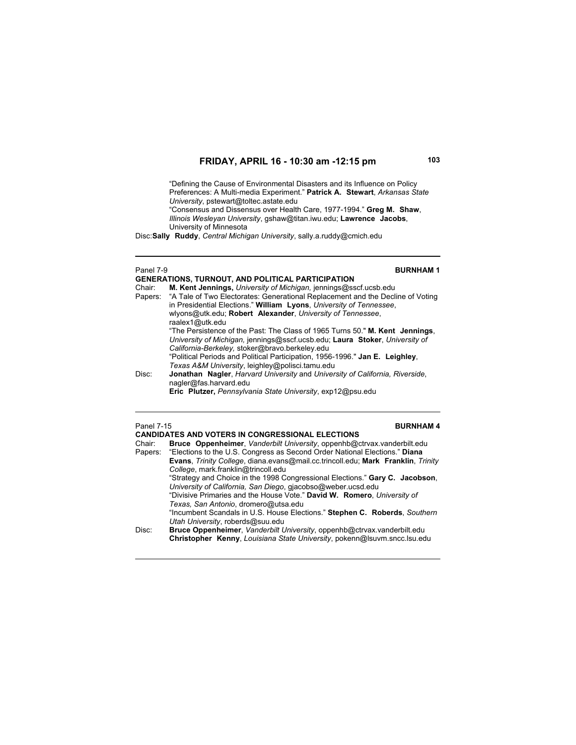"Defining the Cause of Environmental Disasters and its Influence on Policy Preferences: A Multi-media Experiment." **Patrick A. Stewart**, *Arkansas State University*, pstewart@toltec.astate.edu

"Consensus and Dissensus over Health Care, 1977-1994." **Greg M. Shaw**, *Illinois Wesleyan University*, gshaw@titan.iwu.edu; **Lawrence Jacobs**, University of Minnesota

Disc: **Sally Ruddy**, *Central Michigan University*, sally.a.ruddy@cmich.edu

### Panel 7-9 **BURNHAM 1**

|        | <b>GENERATIONS, TURNOUT, AND POLITICAL PARTICIPATION</b>                               |
|--------|----------------------------------------------------------------------------------------|
| Chair: | M. Kent Jennings, University of Michigan, jennings@sscf.ucsb.edu                       |
|        | Papers: "A Tale of Two Electorates: Generational Replacement and the Decline of Voting |
|        | in Presidential Elections." William Lyons, University of Tennessee,                    |
|        | wiyons@utk.edu; Robert Alexander, University of Tennessee,                             |
|        | raalex1@utk.edu                                                                        |
|        | "The Persistence of the Past: The Class of 1965 Turns 50." M. Kent Jennings,           |
|        | University of Michigan, jennings@sscf.ucsb.edu; Laura Stoker, University of            |
|        | California-Berkeley, stoker@bravo.berkeley.edu                                         |
|        | "Political Periods and Political Participation, 1956-1996." Jan E. Leighley,           |
|        | Texas A&M University, leighley@polisci.tamu.edu                                        |
| Disc:  | Jonathan Nagler, Harvard University and University of California, Riverside,           |
|        | nagler@fas.harvard.edu                                                                 |
|        | Eric Plutzer, Pennsylvania State University, exp12@psu.edu                             |

# Panel 7-15 **BURNHAM 4**

| <b>CANDIDATES AND VOTERS IN CONGRESSIONAL ELECTIONS</b> |                                                                                         |  |  |
|---------------------------------------------------------|-----------------------------------------------------------------------------------------|--|--|
| Chair:                                                  | <b>Bruce Oppenheimer.</b> Vanderbilt University, oppenhb@ctrvax.vanderbilt.edu          |  |  |
| Papers:                                                 | "Elections to the U.S. Congress as Second Order National Elections." Diana              |  |  |
|                                                         | <b>Evans, Trinity College, diana.evans@mail.cc.trincoll.edu; Mark Franklin, Trinity</b> |  |  |
|                                                         | College, mark.franklin@trincoll.edu                                                     |  |  |
|                                                         | "Strategy and Choice in the 1998 Congressional Elections." Gary C. Jacobson,            |  |  |
|                                                         | University of California, San Diego, gjacobso@weber.ucsd.edu                            |  |  |
|                                                         | "Divisive Primaries and the House Vote." David W. Romero, University of                 |  |  |
|                                                         | Texas, San Antonio, dromero@utsa.edu                                                    |  |  |
|                                                         | "Incumbent Scandals in U.S. House Elections." Stephen C. Roberds, Southern              |  |  |
|                                                         | Utah University, roberds@suu.edu                                                        |  |  |
| Disc:                                                   | <b>Bruce Oppenheimer</b> , Vanderbilt University, oppenhb@ctrvax.vanderbilt.edu         |  |  |
|                                                         | Christopher Kenny, Louisiana State University, pokenn@Isuvm.sncc.Isu.edu                |  |  |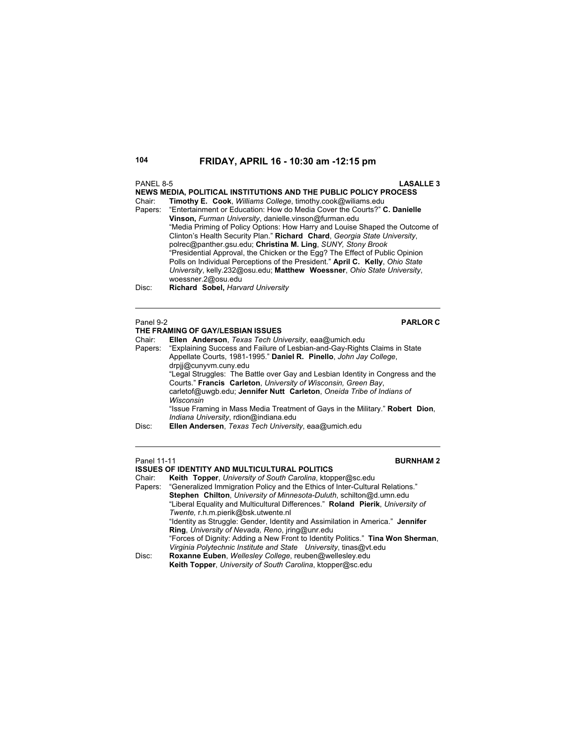# PANEL 8-5 **LASALLE 3 NEWS MEDIA, POLITICAL INSTITUTIONS AND THE PUBLIC POLICY PROCESS** Chair: **Timothy E. Cook**, *Williams College*, timothy.cook@wiliams.edu "Entertainment or Education: How do Media Cover the Courts?" C. Danielle **Vinson,** *Furman University*, danielle.vinson@furman.edu "Media Priming of Policy Options: How Harry and Louise Shaped the Outcome of Clinton's Health Security Plan." **Richard Chard**, *Georgia State University*, polrec@panther.gsu.edu; **Christina M. Ling**, *SUNY, Stony Brook* "Presidential Approval, the Chicken or the Egg? The Effect of Public Opinion Polls on Individual Perceptions of the President." **April C. Kelly**, *Ohio State University*, kelly.232@osu.edu; **Matthew Woessner**, *Ohio State University*, woessner.2@osu.edu Disc: **Richard Sobel,** *Harvard University* Panel 9-2 **PARLOR C THE FRAMING OF GAY/LESBIAN ISSUES**

| Chair:  | Ellen Anderson, Texas Tech University, eaa@umich.edu                           |
|---------|--------------------------------------------------------------------------------|
| Papers: | "Explaining Success and Failure of Lesbian-and-Gay-Rights Claims in State      |
|         | Appellate Courts, 1981-1995." Daniel R. Pinello, John Jay College,             |
|         | drpjj@cunyvm.cuny.edu                                                          |
|         | "Legal Struggles: The Battle over Gay and Lesbian Identity in Congress and the |
|         | Courts." Francis Carleton, University of Wisconsin, Green Bay,                 |
|         | carletof@uwqb.edu; Jennifer Nutt Carleton, Oneida Tribe of Indians of          |
|         | Wisconsin                                                                      |
|         | "Issue Framing in Mass Media Treatment of Gays in the Military." Robert Dion,  |
|         | Indiana University, rdion@indiana.edu                                          |
| Disc:   | Ellen Andersen, Texas Tech University, eaa@umich.edu                           |

### **Panel 11-11 BURNHAM 2**

**ISSUES OF IDENTITY AND MULTICULTURAL POLITICS**<br>Chair: **Keith Topper** University of South Carolina ktop Chair: **Keith Topper**, *University of South Carolina*, ktopper@sc.edu "Generalized Immigration Policy and the Ethics of Inter-Cultural Relations."  **Stephen Chilton**, *University of Minnesota-Duluth*, schilton@d.umn.edu "Liberal Equality and Multicultural Differences." **Roland Pierik**, *University of Twente,* r.h.m.pierik@bsk.utwente.nl "Identity as Struggle: Gender, Identity and Assimilation in America." **Jennifer Ring**, *University of Nevada, Reno*, jring@unr.edu "Forces of Dignity: Adding a New Front to Identity Politics." **Tina Won Sherman**, *Virginia Polytechnic Institute and State University*, tinas@vt.edu Disc: **Roxanne Euben**, *Wellesley College*, reuben@wellesley.edu **Keith Topper**, *University of South Carolina*, ktopper@sc.edu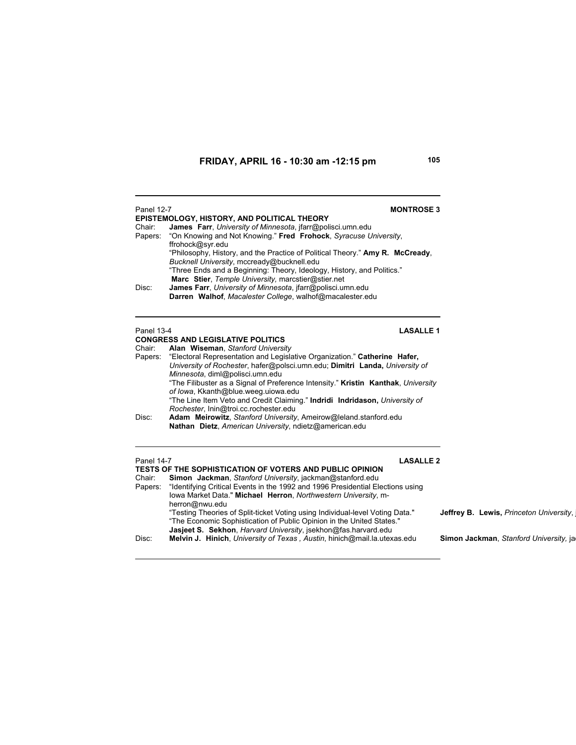| <b>Panel 12-7</b><br>Chair:<br>Papers:<br>Disc: | <b>MONTROSE 3</b><br>EPISTEMOLOGY, HISTORY, AND POLITICAL THEORY<br><b>James</b> Farr, University of Minnesota, jfarr@polisci.umn.edu<br>"On Knowing and Not Knowing." Fred Frohock, Syracuse University,<br>ffrohock@syr.edu<br>"Philosophy, History, and the Practice of Political Theory." Amy R. McCready,<br>Bucknell University, mccready@bucknell.edu<br>"Three Ends and a Beginning: Theory, Ideology, History, and Politics."<br>Marc Stier, Temple University, marcstier@stier.net<br>James Farr, University of Minnesota, jfarr@polisci.umn.edu<br>Darren Walhof, Macalester College, walhof@macalester.edu                                                             |                                         |
|-------------------------------------------------|------------------------------------------------------------------------------------------------------------------------------------------------------------------------------------------------------------------------------------------------------------------------------------------------------------------------------------------------------------------------------------------------------------------------------------------------------------------------------------------------------------------------------------------------------------------------------------------------------------------------------------------------------------------------------------|-----------------------------------------|
| <b>Panel 13-4</b><br>Chair:<br>Papers:<br>Disc: | <b>LASALLE 1</b><br><b>CONGRESS AND LEGISLATIVE POLITICS</b><br>Alan Wiseman, Stanford University<br>"Electoral Representation and Legislative Organization." Catherine Hafer,<br>University of Rochester, hafer@polsci.umn.edu; Dimitri Landa, University of<br>Minnesota, diml@polisci.umn.edu<br>"The Filibuster as a Signal of Preference Intensity." Kristin Kanthak, University<br>of Iowa, Kkanth@blue.weeg.uiowa.edu<br>"The Line Item Veto and Credit Claiming." Indridi Indridason, University of<br>Rochester, Inin@troi.cc.rochester.edu<br>Adam Meirowitz, Stanford University, Ameirow@leland.stanford.edu<br>Nathan Dietz, American University, ndietz@american.edu |                                         |
| <b>Panel 14-7</b><br>Chair:<br>Papers:          | <b>LASALLE 2</b><br>TESTS OF THE SOPHISTICATION OF VOTERS AND PUBLIC OPINION<br>Simon Jackman, Stanford University, jackman@stanford.edu<br>"Identifying Critical Events in the 1992 and 1996 Presidential Elections using<br>lowa Market Data." Michael Herron, Northwestern University, m-<br>herron@nwu.edu<br>"Testing Theories of Split-ticket Voting using Individual-level Voting Data."<br>"The Economic Sophistication of Public Opinion in the United States."                                                                                                                                                                                                           | Jeffrey B. Lewis, Princeton University, |

 **Jasjeet S. Sekhon**, *Harvard University*, jsekhon@fas.harvard.edu

Disc: **Melvin J. Hinich**, *University of Texas , Austin*, hinich@mail.la.utexas.edu **Simon Jackman**, *Stanford University,* jac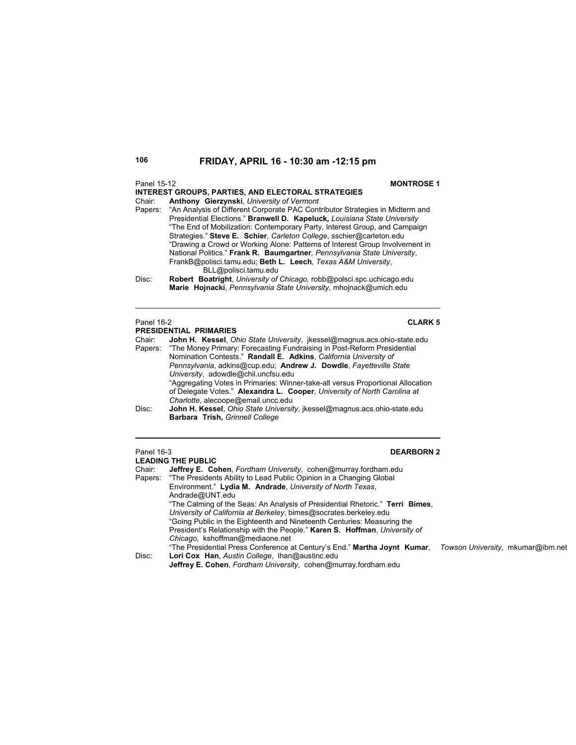### Panel 15-12 **MONTROSE 1**

### **INTEREST GROUPS, PARTIES, AND ELECTORAL STRATEGIES** Chair: **Anthony Gierzynski**, *University of Vermont* Papers: "An Analysis of Different Corporate PAC Contributor Strategies in Midterm and

- Presidential Elections." **Branwell D. Kapeluck***, Louisiana State University* "The End of Mobilization: Contemporary Party, Interest Group, and Campaign Strategies." **Steve E. Schier***, Carleton College*, sschier@carleton.edu "Drawing a Crowd or Working Alone: Patterns of Interest Group Involvement in National Politics." **Frank R. Baumgartner***, Pennsylvania State University*, FrankB@polisci.tamu.edu; **Beth L. Leech***, Texas A&M University*, BLL@polisci.tamu.edu
- Disc: **Robert Boatright**, *University of Chicago,* robb@polsci.spc.uchicago.edu **Marie Hojnacki**, *Pennsylvania State University*, mhojnack@umich.edu

### Panel 16-2 **CLARK 5**

### **PRESIDENTIAL PRIMARIES**

Chair: **John H. Kessel**, *Ohio State University*, jkessel@magnus.acs.ohio-state.edu "The Money Primary: Forecasting Fundraising in Post-Reform Presidential Nomination Contests." **Randall E. Adkins**, *California University of Pennsylvania*, adkins@cup.edu; **Andrew J. Dowdle**, *Fayetteville State University*, adowdle@chil.uncfsu.edu "Aggregating Votes in Primaries: Winner-take-all versus Proportional Allocation of Delegate Votes." **Alexandra L. Cooper**, *University of North Carolina at Charlotte*, alecoope@email.uncc.edu Disc: **John H. Kessel**, *Ohio State University*, jkessel@magnus.acs.ohio-state.edu

**Barbara Trish,** *Grinnell College*

### Panel 16-3 **DEARBORN 2**

### **LEADING THE PUBLIC**

Chair: **Jeffrey E. Cohen**, *Fordham University*, cohen@murray.fordham.edu "The Presidents Ability to Lead Public Opinion in a Changing Global Environment." **Lydia M. Andrade**, *University of North Texas*, Andrade@UNT.edu "The Calming of the Seas: An Analysis of Presidential Rhetoric." **Terri Bimes**, *University of California at Berkeley*, bimes@socrates.berkeley.edu "Going Public in the Eighteenth and Nineteenth Centuries: Measuring the President's Relationship with the People." **Karen S. Hoffman**, *University of Chicago*, kshoffman@mediaone.net "The Presidential Press Conference at Century's End." **Martha Joynt Kumar**, *Towson University*, mkumar@ibm.net Disc: **Lori Cox Han**, *Austin College*, lhan@austinc.edu

**Jeffrey E. Cohen**, *Fordham University*, cohen@murray.fordham.edu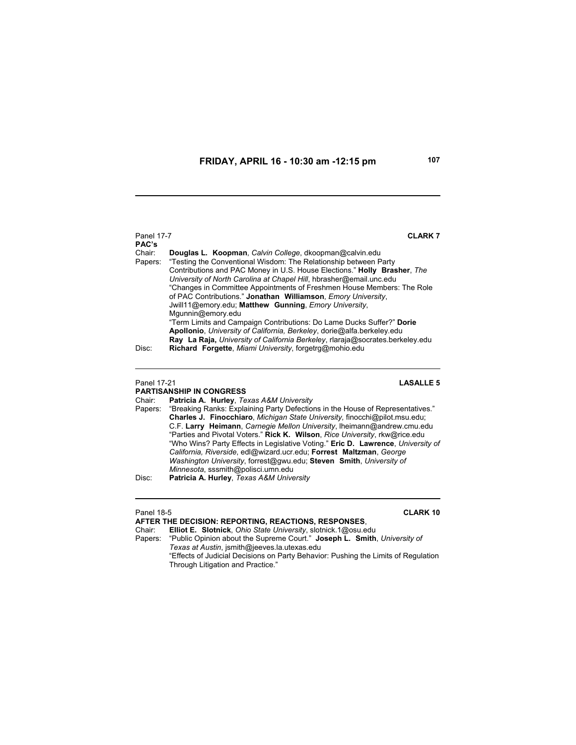Panel 17-7 **CLARK 7 PAC's** Chair: **Douglas L. Koopman**, *Calvin College*, dkoopman@calvin.edu Papers: "Testing the Conventional Wisdom: The Relationship between Party Contributions and PAC Money in U.S. House Elections." **Holly Brasher**, *The University of North Carolina at Chapel Hill*, hbrasher@email.unc.edu "Changes in Committee Appointments of Freshmen House Members: The Role of PAC Contributions." **Jonathan Williamson**, *Emory University*, Jwill11@emory.edu; **Matthew Gunning**, *Emory University*, Mgunnin@emory.edu "Term Limits and Campaign Contributions: Do Lame Ducks Suffer?" **Dorie Apollonio**, *University of California, Berkeley*, dorie@alfa.berkeley.edu **Ray La Raja,** *University of California Berkeley*, rlaraja@socrates.berkeley.edu Disc: **Richard Forgette**, *Miami University*, forgetrg@mohio.edu

### Panel 17-21 **LASALLE 5**

### **PARTISANSHIP IN CONGRESS**

Chair: **Patricia A. Hurley**, *Texas A&M University*

Papers: "Breaking Ranks: Explaining Party Defections in the House of Representatives." **Charles J. Finocchiaro**, *Michigan State University,* finocchi@pilot.msu.edu; C.F. **Larry Heimann**, *Carnegie Mellon University*, lheimann@andrew.cmu.edu "Parties and Pivotal Voters." **Rick K. Wilson**, *Rice University*, rkw@rice.edu "Who Wins? Party Effects in Legislative Voting." **Eric D. Lawrence**, *University of California, Riverside*, edl@wizard.ucr.edu; **Forrest Maltzman**, *George Washington University*, forrest@gwu.edu; **Steven Smith**, *University of Minnesota*, sssmith@polisci.umn.edu

Disc: **Patricia A. Hurley**, *Texas A&M University*

| Panel 18-5 | <b>CLARK 10</b>                                                                    |
|------------|------------------------------------------------------------------------------------|
|            | AFTER THE DECISION: REPORTING. REACTIONS. RESPONSES.                               |
| Chair:     | Elliot E. Slotnick, Ohio State University, slotnick.1@osu.edu                      |
|            | Papers: "Public Opinion about the Supreme Court." Joseph L. Smith, University of   |
|            | Texas at Austin, ismith@ieeves.la.utexas.edu                                       |
|            | "Effects of Judicial Decisions on Party Behavior: Pushing the Limits of Regulation |
|            | Through Litigation and Practice."                                                  |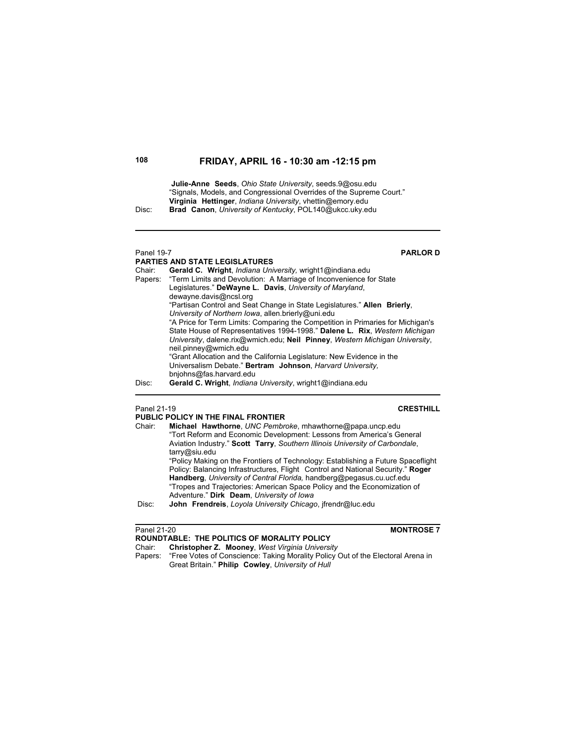**Julie-Anne Seeds**, *Ohio State University*, seeds.9@osu.edu "Signals, Models, and Congressional Overrides of the Supreme Court." **Virginia Hettinger**, *Indiana University*, vhettin@emory.edu Disc: **Brad Canon**, *University of Kentucky*, POL140@ukcc.uky.edu

# Panel 19-7 **PARLOR D**

**PARTIES AND STATE LEGISLATURES** Chair: **Gerald C. Wright**, *Indiana University,* wright1@indiana.edu "Term Limits and Devolution: A Marriage of Inconvenience for State Legislatures." **DeWayne L. Davis**, *University of Maryland*, dewayne.davis@ncsl.org "Partisan Control and Seat Change in State Legislatures." **Allen Brierly**, *University of Northern Iowa*, allen.brierly@uni.edu "A Price for Term Limits: Comparing the Competition in Primaries for Michigan's State House of Representatives 1994-1998." **Dalene L. Rix**, *Western Michigan University*, dalene.rix@wmich.edu; **Neil Pinney**, *Western Michigan University*, neil.pinney@wmich.edu "Grant Allocation and the California Legislature: New Evidence in the Universalism Debate." **Bertram Johnson**, *Harvard University,* bnjohns@fas.harvard.edu Disc: **Gerald C. Wright**, *Indiana University*, wright1@indiana.edu

 $\overline{a}$ 

# Panel 21-19 **CRESTHILL**

|        | PUBLIC POLICY IN THE FINAL FRONTIER                                                                                                                                 |
|--------|---------------------------------------------------------------------------------------------------------------------------------------------------------------------|
| Chair: | Michael Hawthorne, UNC Pembroke, mhawthorne@papa.uncp.edu<br>"Tort Reform and Economic Development: Lessons from America's General                                  |
|        | Aviation Industry." Scott Tarry, Southern Illinois University of Carbondale,<br>tarrow@siu.edu                                                                      |
|        | "Policy Making on the Frontiers of Technology: Establishing a Future Spaceflight<br>Policy: Balancing Infrastructures, Flight Control and National Security." Roger |
|        | Handberg, University of Central Florida, handberg@pegasus.cu.ucf.edu<br>"Tropes and Trajectories: American Space Policy and the Economization of                    |
| Disc:  | Adventure." Dirk Deam, University of Iowa<br>John Frendreis, Loyola University Chicago, ifrendr@luc.edu                                                             |

### Panel 21-20 **MONTROSE 7 ROUNDTABLE: THE POLITICS OF MORALITY POLICY** Chair: **Christopher Z. Mooney**, *West Virginia University* Papers: "Free Votes of Conscience: Taking Morality Policy Out of the Electoral Arena in Great Britain." **Philip Cowley**, *University of Hull*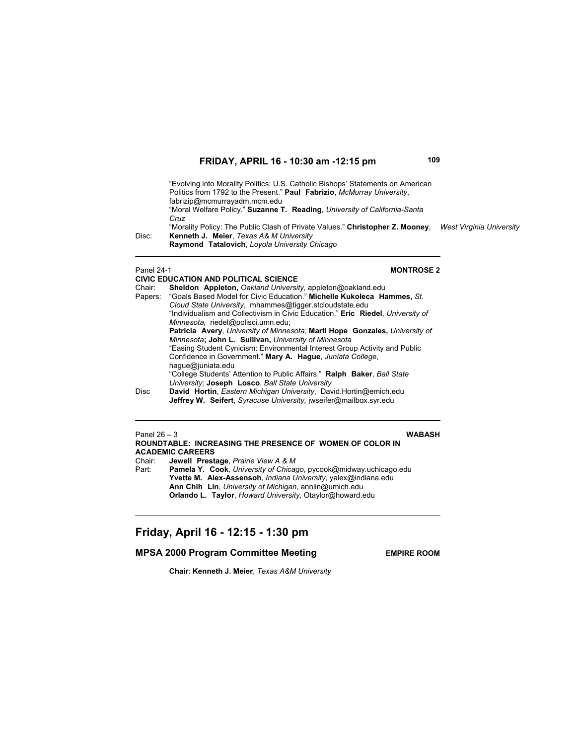"Evolving into Morality Politics: U.S. Catholic Bishops' Statements on American Politics from 1792 to the Present." **Paul Fabrizio**, *McMurray University*, fabrizip@mcmurrayadm.mcm.edu "Moral Welfare Policy." **Suzanne T. Reading***, University of California-Santa Cruz* "Morality Policy: The Public Clash of Private Values." **Christopher Z. Mooney**, *West Virginia University* Disc: **Kenneth J. Meier**, *Texas A& M University* **Raymond Tatalovich**, *Loyola University Chicago*

### **Panel 24-1 MONTROSE 2**

**CIVIC EDUCATION AND POLITICAL SCIENCE** Chair: **Sheldon Appleton,** *Oakland University,* appleton@oakland.edu Papers: "Goals Based Model for Civic Education." **Michelle Kukoleca Hammes,** *St. Cloud State University*, mhammes@tigger.stcloudstate.edu "Individualism and Collectivism in Civic Education." **Eric Riedel**, *University of Minnesota,* riedel@polisci.umn.edu; **Patricia Avery**, *University of Minnesota;* **Marti Hope Gonzales,** *University of Minnesota***; John L. Sullivan,** *University of Minnesota* "Easing Student Cynicism: Environmental Interest Group Activity and Public Confidence in Government." **Mary A. Hague**, *Juniata College*, hague@juniata.edu "College Students' Attention to Public Affairs." **Ralph Baker**, *Ball State University;* **Joseph Losco**, *Ball State University* Disc **David Hortin**, *Eastern Michigan University*, David.Hortin@emich.edu **Jeffrey W. Seifert**, *Syracuse University,* jwseifer@mailbox.syr.edu

| Panel $26 - 3$                                                 |                                                                          | <b>WABASH</b> |
|----------------------------------------------------------------|--------------------------------------------------------------------------|---------------|
|                                                                | ROUNDTABLE: INCREASING THE PRESENCE OF WOMEN OF COLOR IN                 |               |
| <b>ACADEMIC CAREERS</b>                                        |                                                                          |               |
|                                                                | Chair: Jewell Prestage, Prairie View A & M                               |               |
| Part:                                                          | <b>Pamela Y. Cook, University of Chicago, pycook@midway.uchicago.edu</b> |               |
| Yvette M. Alex-Assensoh, Indiana University, yalex@indiana.edu |                                                                          |               |
|                                                                | Ann Chih Lin, University of Michigan, annlin@umich.edu                   |               |
|                                                                | Orlando L. Taylor, Howard University, Otaylor@howard.edu                 |               |
|                                                                |                                                                          |               |

# **Friday, April 16 - 12:15 - 1:30 pm**

# **MPSA 2000 Program Committee Meeting FRAME ROOM**

**Chair**: **Kenneth J. Meier**, *Texas A&M University*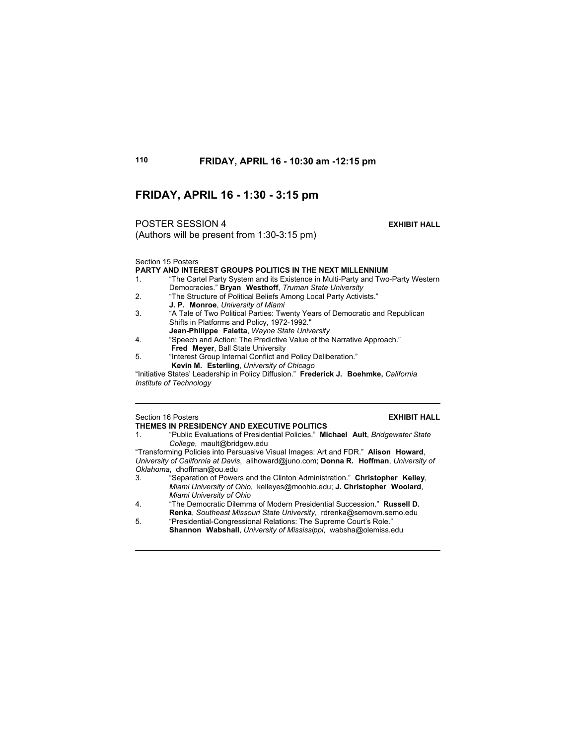# **FRIDAY, APRIL 16 - 1:30 - 3:15 pm**

(Authors will be present from 1:30-3:15 pm)

POSTER SESSION 4 **EXHIBIT HALL**

Section 15 Posters

**PARTY AND INTEREST GROUPS POLITICS IN THE NEXT MILLENNIUM**<br>1 "The Cartel Party System and its Existence in Multi-Party and Two

- "The Cartel Party System and its Existence in Multi-Party and Two-Party Western Democracies." **Bryan Westhoff**, *Truman State University*
- 2. "The Structure of Political Beliefs Among Local Party Activists." **J. P. Monroe**, *University of Miami*
- 3. "A Tale of Two Political Parties: Twenty Years of Democratic and Republican Shifts in Platforms and Policy, 1972-1992." **Jean-Philippe Faletta**, *Wayne State University*
- 4. "Speech and Action: The Predictive Value of the Narrative Approach." **Fred Meyer**, Ball State University
- 5. "Interest Group Internal Conflict and Policy Deliberation."
- **Kevin M. Esterling**, *University of Chicago*

"Initiative States' Leadership in Policy Diffusion." **Frederick J. Boehmke,** *California Institute of Technology*

### Section 16 Posters **EXHIBIT HALL THEMES IN PRESIDENCY AND EXECUTIVE POLITICS**

1. "Public Evaluations of Presidential Policies." **Michael Ault**, *Bridgewater State College*, mault@bridgew.edu

"Transforming Policies into Persuasive Visual Images: Art and FDR." **Alison Howard**, *University of California at Davis*, alihoward@juno.com; **Donna R. Hoffman**, *University of Oklahoma*, dhoffman@ou.edu

- 3. "Separation of Powers and the Clinton Administration." **Christopher Kelley**, *Miami University of Ohio*, kelleyes@moohio.edu; **J. Christopher Woolard**, *Miami University of Ohio*
- 4. "The Democratic Dilemma of Modern Presidential Succession." **Russell D. Renka**, *Southeast Missouri State University*, rdrenka@semovm.semo.edu
- 5. "Presidential-Congressional Relations: The Supreme Court's Role."  **Shannon Wabshall**, *University of Mississippi*, wabsha@olemiss.edu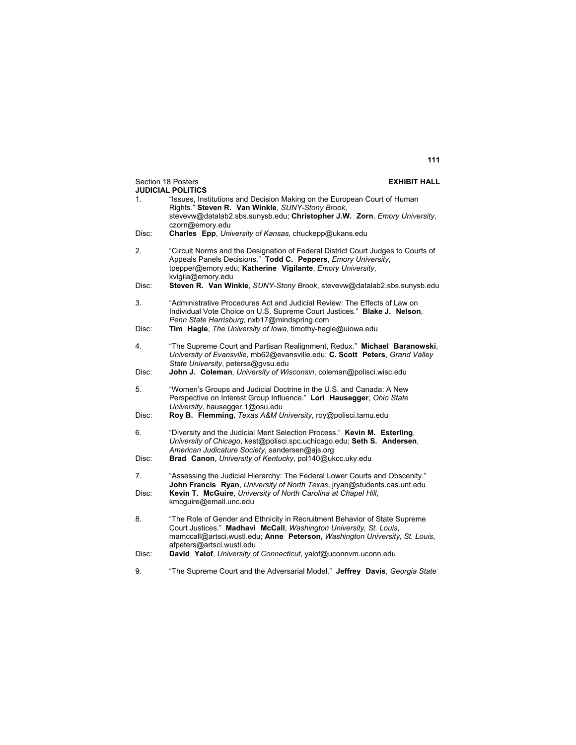|       | Section 18 Posters<br><b>EXHIBIT HALL</b><br><b>JUDICIAL POLITICS</b>                                                                                                                                                                                        |
|-------|--------------------------------------------------------------------------------------------------------------------------------------------------------------------------------------------------------------------------------------------------------------|
| 1.    | "Issues, Institutions and Decision Making on the European Court of Human<br>Rights." Steven R. Van Winkle, SUNY-Stony Brook,                                                                                                                                 |
|       | stevevw@datalab2.sbs.sunysb.edu; Christopher J.W. Zorn, Emory University,<br>czorn@emory.edu                                                                                                                                                                 |
| Disc: | <b>Charles</b> Epp. University of Kansas, chuckepp@ukans.edu                                                                                                                                                                                                 |
| 2.    | "Circuit Norms and the Designation of Federal District Court Judges to Courts of<br>Appeals Panels Decisions." Todd C. Peppers, Emory University,<br>tpepper@emory.edu; Katherine Vigilante, Emory University,<br>kvigila@emory.edu                          |
| Disc: | Steven R. Van Winkle, SUNY-Stony Brook, stevevw@datalab2.sbs.sunysb.edu                                                                                                                                                                                      |
| 3.    | "Administrative Procedures Act and Judicial Review: The Effects of Law on<br>Individual Vote Choice on U.S. Supreme Court Justices." Blake J. Nelson,<br>Penn State Harrisburg, nxb17@mindspring.com                                                         |
| Disc: | Tim Hagle, The University of Iowa, timothy-hagle@uiowa.edu                                                                                                                                                                                                   |
| 4.    | "The Supreme Court and Partisan Realignment, Redux." Michael Baranowski,<br>University of Evansville, mb62@evansville.edu; C. Scott Peters, Grand Valley<br>State University, peterss@gvsu.edu                                                               |
| Disc: | John J. Coleman, University of Wisconsin, coleman@polisci.wisc.edu                                                                                                                                                                                           |
| 5.    | "Women's Groups and Judicial Doctrine in the U.S. and Canada: A New<br>Perspective on Interest Group Influence." Lori Hausegger, Ohio State<br>University, hausegger.1@osu.edu                                                                               |
| Disc: | Roy B. Flemming, Texas A&M University, roy@polisci.tamu.edu                                                                                                                                                                                                  |
| 6.    | "Diversity and the Judicial Merit Selection Process." Kevin M. Esterling,<br>University of Chicago, kest@polisci.spc.uchicago.edu; Seth S. Andersen,<br>American Judicature Society, sandersen@ajs.org                                                       |
| Disc: | Brad Canon, University of Kentucky, pol140@ukcc.uky.edu                                                                                                                                                                                                      |
| 7.    | "Assessing the Judicial Hierarchy: The Federal Lower Courts and Obscenity."<br>John Francis Ryan, University of North Texas, iryan@students.cas.unt.edu                                                                                                      |
| Disc: | Kevin T. McGuire, University of North Carolina at Chapel Hill,<br>kmcguire@email.unc.edu                                                                                                                                                                     |
| 8.    | "The Role of Gender and Ethnicity in Recruitment Behavior of State Supreme<br>Court Justices." Madhavi McCall, Washington University, St. Louis,<br>mamccall@artsci.wustl.edu; Anne Peterson, Washington University, St. Louis,<br>afpeters@artsci.wustl.edu |
| Disc: | David Yalof, University of Connecticut, yalof@uconnym.uconn.edu                                                                                                                                                                                              |
| 9.    | "The Supreme Court and the Adversarial Model." Jeffrey Davis, Georgia State                                                                                                                                                                                  |

# **111**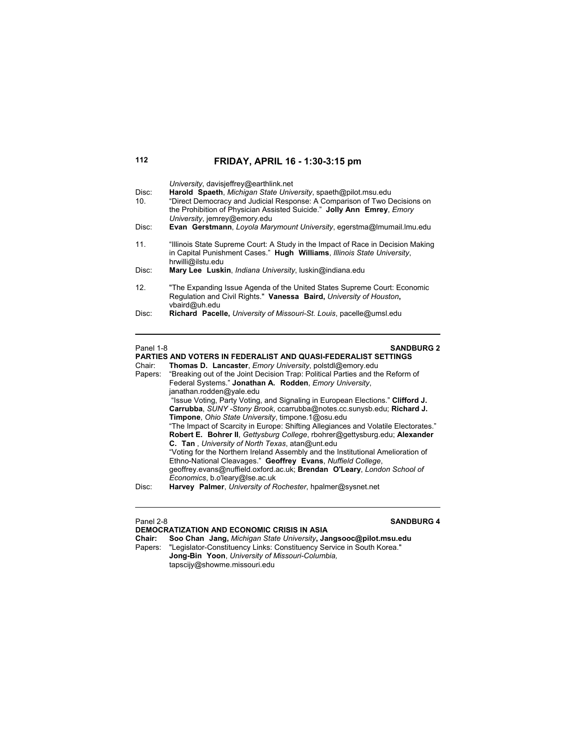| Disc:<br>10 <sub>1</sub><br>Disc: | University, davisjeffrey@earthlink.net<br>Harold Spaeth, Michigan State University, spaeth@pilot.msu.edu<br>"Direct Democracy and Judicial Response: A Comparison of Two Decisions on<br>the Prohibition of Physician Assisted Suicide." Jolly Ann Emrey, Emory<br>University, jemrey@emory.edu<br>Evan Gerstmann, Loyola Marymount University, egerstma@Imumail.Imu.edu |
|-----------------------------------|--------------------------------------------------------------------------------------------------------------------------------------------------------------------------------------------------------------------------------------------------------------------------------------------------------------------------------------------------------------------------|
| 11 <sub>1</sub><br>Disc:          | "Illinois State Supreme Court: A Study in the Impact of Race in Decision Making<br>in Capital Punishment Cases." Hugh Williams, Illinois State University,<br>hrwilli@ilstu.edu<br>Mary Lee Luskin, <i>Indiana University</i> , luskin@indiana.edu                                                                                                                       |
| 12 <sup>7</sup>                   | "The Expanding Issue Agenda of the United States Supreme Court: Economic<br>Regulation and Civil Rights." Vanessa Baird, University of Houston,<br>vbaird@uh.edu                                                                                                                                                                                                         |
| Disc:                             | Richard Pacelle, University of Missouri-St. Louis, pacelle@umsl.edu                                                                                                                                                                                                                                                                                                      |
| Panel 1-8                         | <b>SANDBURG 2</b>                                                                                                                                                                                                                                                                                                                                                        |

|         | <b>PARTIES AND VOTERS IN FEDERALIST AND QUASI-FEDERALIST SETTINGS</b>              |  |  |  |  |
|---------|------------------------------------------------------------------------------------|--|--|--|--|
| Chair:  | Thomas D. Lancaster, Emory University, polstdl@emory.edu                           |  |  |  |  |
| Papers: | "Breaking out of the Joint Decision Trap: Political Parties and the Reform of      |  |  |  |  |
|         | Federal Systems." Jonathan A. Rodden, Emory University,                            |  |  |  |  |
|         | janathan.rodden@yale.edu                                                           |  |  |  |  |
|         | "Issue Voting, Party Voting, and Signaling in European Elections." Clifford J.     |  |  |  |  |
|         | Carrubba, SUNY-Stony Brook, ccarrubba@notes.cc.sunysb.edu; Richard J.              |  |  |  |  |
|         | Timpone, Ohio State University, timpone.1@osu.edu                                  |  |  |  |  |
|         | "The Impact of Scarcity in Europe: Shifting Allegiances and Volatile Electorates." |  |  |  |  |
|         | Robert E. Bohrer II, Gettysburg College, rbohrer@gettysburg.edu; Alexander         |  |  |  |  |
|         | C. Tan, University of North Texas, atan@unt.edu                                    |  |  |  |  |
|         | "Voting for the Northern Ireland Assembly and the Institutional Amelioration of    |  |  |  |  |
|         | Ethno-National Cleavages." Geoffrey Evans, Nuffield College,                       |  |  |  |  |
|         | geoffrey.evans@nuffield.oxford.ac.uk; Brendan O'Leary, London School of            |  |  |  |  |
|         | Economics, b.o'leary@lse.ac.uk                                                     |  |  |  |  |
| Disc:   | Harvey Palmer, University of Rochester, hpalmer@sysnet.net                         |  |  |  |  |
|         |                                                                                    |  |  |  |  |

# Panel 2-8 **SANDBURG 4**

| <b>DEMOCRATIZATION AND ECONOMIC CRISIS IN ASIA</b> |                                                                       |  |  |
|----------------------------------------------------|-----------------------------------------------------------------------|--|--|
| Chair:                                             | Soo Chan Jang, Michigan State University, Jangsooc@pilot.msu.edu      |  |  |
| Papers:                                            | "Legislator-Constituency Links: Constituency Service in South Korea." |  |  |
|                                                    | Jong-Bin Yoon, University of Missouri-Columbia.                       |  |  |
|                                                    | tapscijy@showme.missouri.edu                                          |  |  |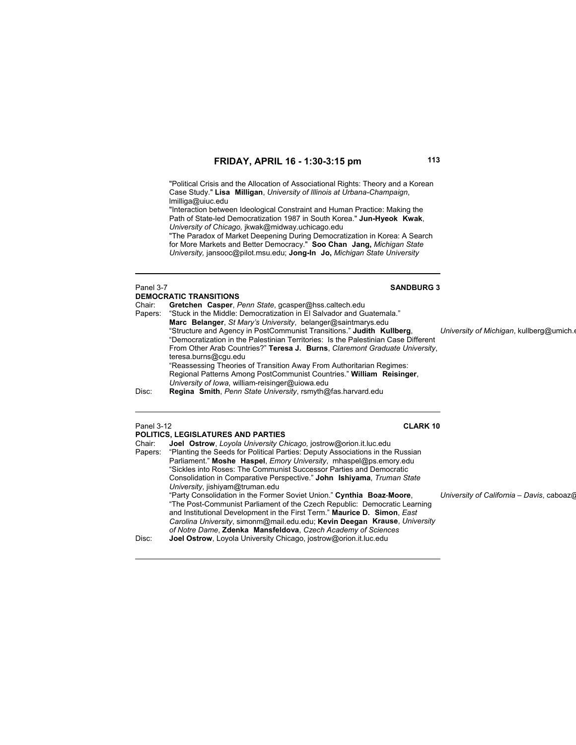"Political Crisis and the Allocation of Associational Rights: Theory and a Korean Case Study." **Lisa Milligan**, *University of Illinois at Urbana-Champaign*, lmilliga@uiuc.edu

"Interaction between Ideological Constraint and Human Practice: Making the Path of State-led Democratization 1987 in South Korea." **Jun-Hyeok Kwak**, *University of Chicago,* jkwak@midway.uchicago.edu

"The Paradox of Market Deepening During Democratization in Korea: A Search for More Markets and Better Democracy." **Soo Chan Jang,** *Michigan State University,* jansooc@pilot.msu.edu; **Jong-In Jo,** *Michigan State University*

### **DEMOCRATIC TRANSITIONS**

Chair: **Gretchen Casper**, *Penn State*, gcasper@hss.caltech.edu "Stuck in the Middle: Democratization in El Salvador and Guatemala." **Marc Belanger**, *St Mary's University*, belanger@saintmarys.edu "Structure and Agency in PostCommunist Transitions." **Judith Kullberg**, *University of Michigan*, kullberg@umich.e "Democratization in the Palestinian Territories: Is the Palestinian Case Different From Other Arab Countries?" **Teresa J. Burns**, *Claremont Graduate University*, teresa.burns@cgu.edu "Reassessing Theories of Transition Away From Authoritarian Regimes: Regional Patterns Among PostCommunist Countries." **William Reisinger**, *University of Iowa*, william-reisinger@uiowa.edu Disc: **Regina Smith**, *Penn State University*, rsmyth@fas.harvard.edu

### Panel 3-12 **CLARK 10**

# **POLITICS, LEGISLATURES AND PARTIES**<br>Chair: Joel Ostrow *Lovola University Chair*

Joel Ostrow, Loyola University Chicago, jostrow@orion.it.luc.edu Papers: "Planting the Seeds for Political Parties: Deputy Associations in the Russian Parliament." **Moshe Haspel**, *Emory University*, mhaspel@ps.emory.edu "Sickles into Roses: The Communist Successor Parties and Democratic Consolidation in Comparative Perspective." **John Ishiyama**, *Truman State University*, jishiyam@truman.edu "Party Consolidation in the Former Soviet Union." **Cynthia Boaz**-**Moore**, *University of California – Davis*, caboaz@ "The Post-Communist Parliament of the Czech Republic: Democratic Learning and Institutional Development in the First Term." **Maurice D. Simon**, *East Carolina University*, simonm@mail.edu.edu; **Kevin Deegan Krause**, *University of Notre Dame*, **Zdenka Mansfeldova**, *Czech Academy of Sciences* Disc: **Joel Ostrow**, Loyola University Chicago, jostrow@orion.it.luc.edu

### Panel 3-7 **SANDBURG 3**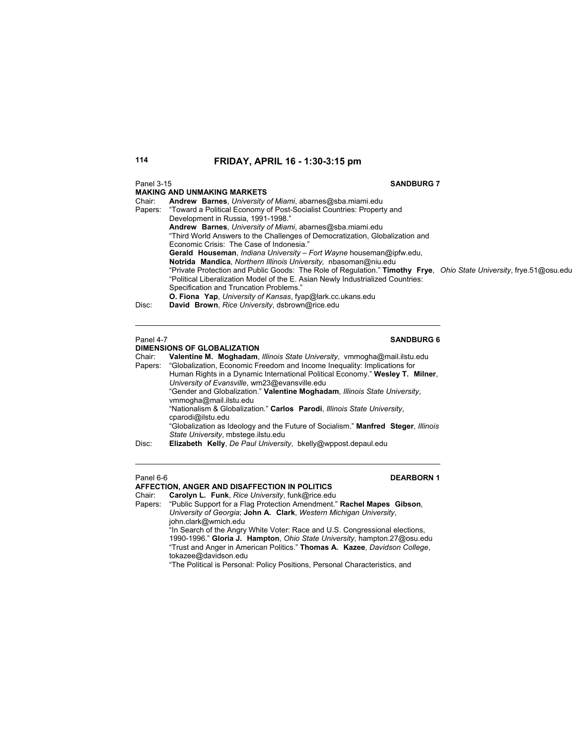### **MAKING AND UNMAKING MARKETS**

### Panel 3-15 **SANDBURG 7**

| Chair:  | Andrew Barnes, University of Miami, abarnes@sba.miami.edu                                                           |  |
|---------|---------------------------------------------------------------------------------------------------------------------|--|
| Papers: | "Toward a Political Economy of Post-Socialist Countries: Property and                                               |  |
|         | Development in Russia, 1991-1998."                                                                                  |  |
|         | Andrew Barnes, University of Miami, abarnes@sba.miami.edu                                                           |  |
|         | "Third World Answers to the Challenges of Democratization, Globalization and                                        |  |
|         | Economic Crisis: The Case of Indonesia."                                                                            |  |
|         | Gerald Houseman, Indiana University - Fort Wayne houseman@ipfw.edu,                                                 |  |
|         | Notrida Mandica, Northern Illinois University, nbasoman@niu.edu                                                     |  |
|         | "Private Protection and Public Goods: The Role of Regulation." Timothy Frye, Ohio State University, frye.51@osu.edu |  |
|         | "Political Liberalization Model of the E. Asian Newly Industrialized Countries:                                     |  |
|         | Specification and Truncation Problems."                                                                             |  |
|         | <b>O. Fiona Yap.</b> University of Kansas, fyap@lark.cc.ukans.edu                                                   |  |
| Disc:   | David Brown, Rice University, dsbrown@rice.edu                                                                      |  |
|         |                                                                                                                     |  |

# **Panel 4-7** SANDBURG 6

### **DIMENSIONS OF GLOBALIZATION**

Chair: **Valentine M. Moghadam**, *Illinois State University*, vmmogha@mail.ilstu.edu Papers: "Globalization, Economic Freedom and Income Inequality: Implications for Human Rights in a Dynamic International Political Economy." **Wesley T. Milner**, *University of Evansville*, wm23@evansville.edu "Gender and Globalization." **Valentine Moghadam**, *Illinois State University*, vmmogha@mail.ilstu.edu "Nationalism & Globalization." **Carlos Parodi**, *Illinois State University*, cparodi@ilstu.edu "Globalization as Ideology and the Future of Socialism." **Manfred Steger**, *Illinois State University*, mbstege.ilstu.edu Disc: **Elizabeth Kelly**, *De Paul University*, bkelly@wppost.depaul.edu

# Panel 6-6 **DEARBORN 1**

### **AFFECTION, ANGER AND DISAFFECTION IN POLITICS**

Chair: **Carolyn L. Funk**, *Rice University*, funk@rice.edu

Papers: "Public Support for a Flag Protection Amendment." **Rachel Mapes Gibson**, *University of Georgia*; **John A. Clark**, *Western Michigan University*, john.clark@wmich.edu "In Search of the Angry White Voter: Race and U.S. Congressional elections,

1990-1996." **Gloria J. Hampton**, *Ohio State University*, hampton.27@osu.edu "Trust and Anger in American Politics." **Thomas A. Kazee**, *Davidson College*, tokazee@davidson.edu

"The Political is Personal: Policy Positions, Personal Characteristics, and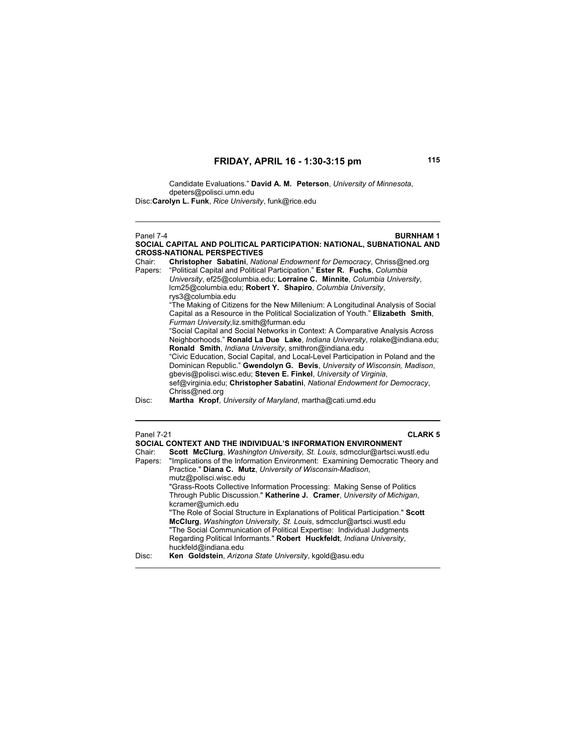Candidate Evaluations." **David A. M. Peterson**, *University of Minnesota*, dpeters@polisci.umn.edu Disc: **Carolyn L. Funk**, *Rice University*, funk@rice.edu

Panel 7-4 **BURNHAM 1 SOCIAL CAPITAL AND POLITICAL PARTICIPATION: NATIONAL, SUBNATIONAL AND CROSS-NATIONAL PERSPECTIVES** Chair: **Christopher Sabatini**, *National Endowment for Democracy*, Chriss@ned.org Papers: "Political Capital and Political Participation." **Ester R. Fuchs**, *Columbia University*, ef25@columbia.edu; **Lorraine C. Minnite**, *Columbia University*, lcm25@columbia.edu; **Robert Y. Shapiro**, *Columbia University*, rys3@columbia.edu "The Making of Citizens for the New Millenium: A Longitudinal Analysis of Social Capital as a Resource in the Political Socialization of Youth." **Elizabeth Smith**, *Furman University,*liz.smith@furman.edu "Social Capital and Social Networks in Context: A Comparative Analysis Across Neighborhoods." **Ronald La Due Lake**, *Indiana University*, rolake@indiana.edu; **Ronald Smith**, *Indiana University*, smithron@indiana.edu "Civic Education, Social Capital, and Local-Level Participation in Poland and the Dominican Republic." **Gwendolyn G. Bevis**, *University of Wisconsin, Madison*, gbevis@polisci.wisc.edu; **Steven E. Finkel**, *University of Virginia*, sef@virginia.edu; **Christopher Sabatini**, *National Endowment for Democracy*, Chriss@ned.org Disc: **Martha Kropf**, *University of Maryland*, martha@cati.umd.edu Panel 7-21 **CLARK 5 SOCIAL CONTEXT AND THE INDIVIDUAL'S INFORMATION ENVIRONMENT** 

| SOCIAL CONTEXT AND THE INDIVIDUAL'S INFORMATION ENVIRONMENT |                                                                                  |  |
|-------------------------------------------------------------|----------------------------------------------------------------------------------|--|
| Chair:                                                      | Scott McClurg, Washington University, St. Louis, sdmcclur@artsci.wustl.edu       |  |
| Papers:                                                     | "Implications of the Information Environment: Examining Democratic Theory and    |  |
|                                                             | Practice." Diana C. Mutz, University of Wisconsin-Madison,                       |  |
|                                                             | mutz@polisci.wisc.edu                                                            |  |
|                                                             | "Grass-Roots Collective Information Processing: Making Sense of Politics         |  |
|                                                             | Through Public Discussion." Katherine J. Cramer, University of Michigan,         |  |
|                                                             | kcramer@umich.edu                                                                |  |
|                                                             | "The Role of Social Structure in Explanations of Political Participation." Scott |  |
|                                                             | McClurg, Washington University, St. Louis, sdmcclur@artsci.wustl.edu             |  |
|                                                             | "The Social Communication of Political Expertise: Individual Judgments           |  |
|                                                             | Regarding Political Informants." Robert Huckfeldt, Indiana University,           |  |
|                                                             | huckfeld@indiana.edu                                                             |  |
| Disc:                                                       | Ken Goldstein, Arizona State University, kgold@asu.edu                           |  |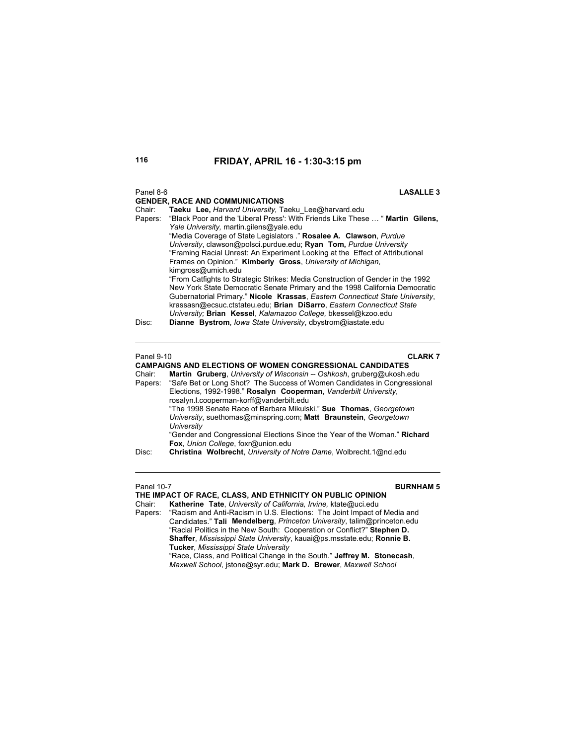| Panel 8-6         | <b>LASALLE 3</b><br><b>GENDER, RACE AND COMMUNICATIONS</b>                                                                                                                                                                                                                                                                                                                                                                                                                                         |
|-------------------|----------------------------------------------------------------------------------------------------------------------------------------------------------------------------------------------------------------------------------------------------------------------------------------------------------------------------------------------------------------------------------------------------------------------------------------------------------------------------------------------------|
| Chair:<br>Papers: | Taeku Lee, Harvard University, Taeku Lee@harvard.edu<br>"Black Poor and the 'Liberal Press': With Friends Like These  " Martin Gilens,<br>Yale University, martin.gilens@yale.edu<br>"Media Coverage of State Legislators ." Rosalee A. Clawson, Purdue<br>University, clawson@polsci.purdue.edu; Ryan Tom, Purdue University<br>"Framing Racial Unrest: An Experiment Looking at the Effect of Attributional<br>Frames on Opinion." Kimberly Gross, University of Michigan,<br>kimgross@umich.edu |
| Disc:             | "From Catfights to Strategic Strikes: Media Construction of Gender in the 1992<br>New York State Democratic Senate Primary and the 1998 California Democratic<br>Gubernatorial Primary." Nicole Krassas, Eastern Connecticut State University,<br>krassasn@ecsuc.ctstateu.edu; Brian DiSarro, Eastern Connecticut State<br>University; Brian Kessel, Kalamazoo College, bkessel@kzoo.edu<br>Dianne Bystrom, lowa State University, dbystrom@iastate.edu                                            |
| Panel 9-10        | <b>CLARK 7</b>                                                                                                                                                                                                                                                                                                                                                                                                                                                                                     |
|                   | <b>CAMPAIGNS AND ELECTIONS OF WOMEN CONGRESSIONAL CANDIDATES</b>                                                                                                                                                                                                                                                                                                                                                                                                                                   |
| Chair:            | Martin Gruberg, University of Wisconsin -- Oshkosh, gruberg@ukosh.edu                                                                                                                                                                                                                                                                                                                                                                                                                              |
| Papers:           | "Safe Bet or Long Shot? The Success of Women Candidates in Congressional<br>Elections, 1992-1998." Rosalyn Cooperman, Vanderbilt University,<br>rosalyn.l.cooperman-korff@vanderbilt.edu                                                                                                                                                                                                                                                                                                           |
|                   | "The 1998 Senate Race of Barbara Mikulski." Sue Thomas, Georgetown<br>University, suethomas@minspring.com; Matt Braunstein, Georgetown                                                                                                                                                                                                                                                                                                                                                             |

"Gender and Congressional Elections Since the Year of the Woman." **Richard Fox**, *Union College*, foxr@union.edu

*University*

### **Panel 10-7 BURNHAM 5**

**THE IMPACT OF RACE, CLASS, AND ETHNICITY ON PUBLIC OPINION** Chair: **Katherine Tate**, *University of California, Irvine,* ktate@uci.edu Papers: "Racism and Anti-Racism in U.S. Elections: The Joint Impact of Media and Candidates." **Tali Mendelberg**, *Princeton University*, talim@princeton.edu

"Racial Politics in the New South: Cooperation or Conflict?" **Stephen D. Shaffer**, *Mississippi State University*, kauai@ps.msstate.edu; **Ronnie B. Tucker**, *Mississippi State University* "Race, Class, and Political Change in the South." **Jeffrey M. Stonecash**,

Disc: **Christina Wolbrecht**, *University of Notre Dame*, Wolbrecht.1@nd.edu

*Maxwell School*, jstone@syr.edu; **Mark D. Brewer**, *Maxwell School*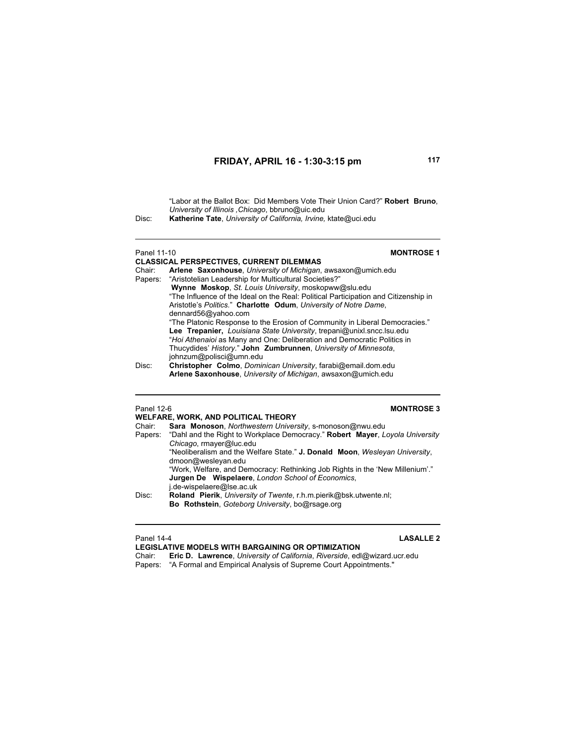"Labor at the Ballot Box: Did Members Vote Their Union Card?" **Robert Bruno**,  *University of Illinois ,Chicago*, bbruno@uic.edu

Disc: **Katherine Tate**, *University of California, Irvine,* ktate@uci.edu

# **CLASSICAL PERSPECTIVES, CURRENT DILEMMAS**

### Panel 11-10 **MONTROSE 1**

|        | VERVOIVRE I EINUI EVIITEV. VOINNEITI PIEEIMINRO                                     |
|--------|-------------------------------------------------------------------------------------|
| Chair: | Arlene Saxonhouse, University of Michigan, awsaxon@umich.edu                        |
|        | Papers: "Aristotelian Leadership for Multicultural Societies?"                      |
|        | Wynne Moskop, St. Louis University, moskopww@slu.edu                                |
|        | "The Influence of the Ideal on the Real: Political Participation and Citizenship in |
|        | Aristotle's Politics." Charlotte Odum, University of Notre Dame,                    |
|        | dennard56@yahoo.com                                                                 |
|        | "The Platonic Response to the Erosion of Community in Liberal Democracies."         |
|        | Lee Trepanier, Louisiana State University, trepani@unixl.sncc.lsu.edu               |
|        | "Hoi Athenaioi as Many and One: Deliberation and Democratic Politics in             |
|        | Thucydides' History." John Zumbrunnen, University of Minnesota,                     |
|        | johnzum@polisci@umn.edu                                                             |
| Disc:  | Christopher Colmo, Dominican University, farabi@email.dom.edu                       |
|        | Arlene Saxonhouse, University of Michigan, awsaxon@umich.edu                        |

# Panel 12-6 **MONTROSE 3**

| WELFARE, WORK, AND POLITICAL THEORY |                                                                                      |  |
|-------------------------------------|--------------------------------------------------------------------------------------|--|
| Chair:                              | Sara Monoson, Northwestern University, s-monoson@nwu.edu                             |  |
|                                     | Papers: "Dahl and the Right to Workplace Democracy." Robert Mayer, Loyola University |  |
|                                     | Chicago, rmayer@luc.edu                                                              |  |
|                                     | "Neoliberalism and the Welfare State." J. Donald Moon, Wesleyan University,          |  |
|                                     | dmoon@wesleyan.edu                                                                   |  |
|                                     | "Work, Welfare, and Democracy: Rethinking Job Rights in the 'New Millenium'."        |  |
|                                     | Jurgen De Wispelaere, London School of Economics,                                    |  |
|                                     | i.de-wispelaere@lse.ac.uk                                                            |  |
| Disc:                               | Roland Pierik, University of Twente, r.h.m.pierik@bsk.utwente.nl;                    |  |
|                                     | Bo Rothstein, Goteborg University, bo@rsage.org                                      |  |
|                                     |                                                                                      |  |

# Panel 14-4 **LASALLE 2**

**LEGISLATIVE MODELS WITH BARGAINING OR OPTIMIZATION** Chair: **Eric D. Lawrence**, *University of California*, *Riverside*, edl@wizard.ucr.edu Papers: "A Formal and Empirical Analysis of Supreme Court Appointments."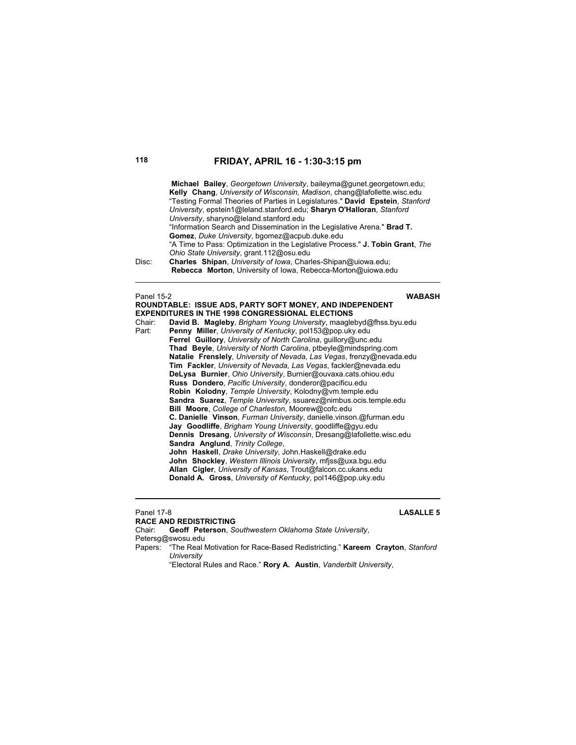|       | Michael Bailey, Georgetown University, baileyma@qunet.georgetown.edu;          |
|-------|--------------------------------------------------------------------------------|
|       | Kelly Chang, University of Wisconsin, Madison, chang@lafollette.wisc.edu       |
|       | "Testing Formal Theories of Parties in Legislatures." David Epstein, Stanford  |
|       | University, epstein1@leland.stanford.edu; Sharyn O'Halloran, Stanford          |
|       | University, sharyno@leland.stanford.edu                                        |
|       | "Information Search and Dissemination in the Legislative Arena." Brad T.       |
|       | Gomez, Duke University, bgomez@acpub.duke.edu                                  |
|       | "A Time to Pass: Optimization in the Legislative Process." J. Tobin Grant, The |
|       | Ohio State University, grant.112@osu.edu                                       |
| Disc: | Charles Shipan, University of Iowa, Charles-Shipan@uiowa.edu;                  |
|       | Rebecca Morton, University of Iowa, Rebecca-Morton@uiowa.edu                   |

### Panel 15-2 **WABASH**

 $\overline{a}$ 

|        | <b>EXPENDITURES IN THE 1998 CONGRESSIONAL ELECTIONS</b>               |
|--------|-----------------------------------------------------------------------|
| Chair: | David B. Magleby, Brigham Young University, maaglebyd@fhss.byu.edu    |
| Part:  | Penny Miller, University of Kentucky, pol153@pop.uky.edu              |
|        | Ferrel Guillory, University of North Carolina, quillory@unc.edu       |
|        | Thad Beyle, University of North Carolina, ptbeyle@mindspring.com      |
|        | Natalie Frenslely, University of Nevada, Las Vegas, frenzy@nevada.edu |
|        | Tim Fackler, University of Nevada, Las Vegas, fackler@nevada.edu      |
|        | DeLysa Burnier, Ohio University, Burnier@ouvaxa.cats.ohiou.edu        |
|        | Russ Dondero, Pacific University, donderor@pacificu.edu               |
|        | Robin Kolodny, Temple University, Kolodny@vm.temple.edu               |
|        | Sandra Suarez, Temple University, ssuarez@nimbus.ocis.temple.edu      |
|        | Bill Moore, College of Charleston, Moorew@cofc.edu                    |
|        | C. Danielle Vinson, Furman University, danielle vinson.@furman.edu    |
|        | Jay Goodliffe, Brigham Young University, goodliffe@gyu.edu            |
|        | Dennis Dresang, University of Wisconsin, Dresang@lafollette.wisc.edu  |
|        | Sandra Anglund, Trinity College,                                      |
|        | John Haskell, Drake University, John Haskell@drake.edu                |
|        | John Shockley, Western Illinois University, mfiss@uxa.bqu.edu         |
|        | Allan Cigler, University of Kansas, Trout@falcon.cc.ukans.edu         |
|        | Donald A. Gross, University of Kentucky, pol146@pop.uky.edu           |
|        |                                                                       |

**ROUNDTABLE: ISSUE ADS, PARTY SOFT MONEY, AND INDEPENDENT** 

Panel 17-8 **LASALLE 5**

**RACE AND REDISTRICTING**<br>Chair: **Geoff Peterson**, So Geoff Peterson, Southwestern Oklahoma State University, Petersg@swosu.edu Papers: "The Real Motivation for Race-Based Redistricting." **Kareem Crayton**, *Stanford University*

"Electoral Rules and Race." **Rory A. Austin**, *Vanderbilt University*,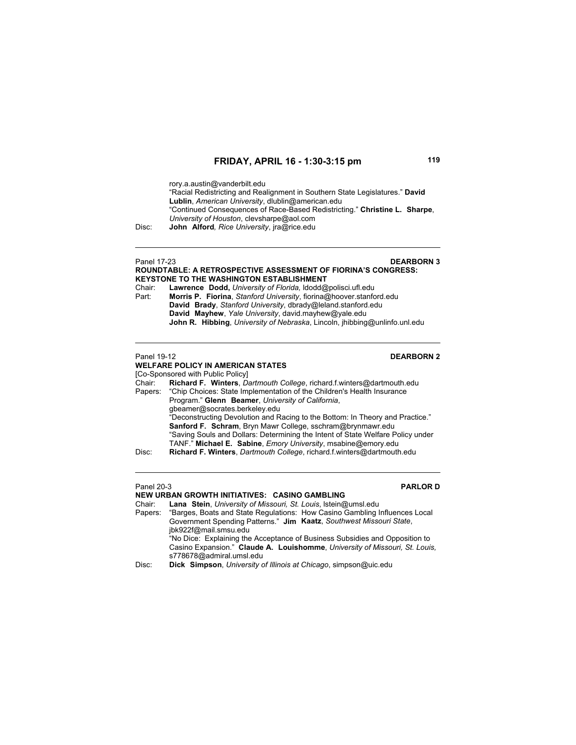rory.a.austin@vanderbilt.edu

"Racial Redistricting and Realignment in Southern State Legislatures." **David Lublin**, *American University*, dlublin@american.edu "Continued Consequences of Race-Based Redistricting." **Christine L. Sharpe**, *University of Houston*, clevsharpe@aol.com Disc: **John Alford***, Rice University*, jra@rice.edu

Panel 17-23 **DEARBORN 3 ROUNDTABLE: A RETROSPECTIVE ASSESSMENT OF FIORINA'S CONGRESS: KEYSTONE TO THE WASHINGTON ESTABLISHMENT** Chair: **Lawrence Dodd,** *University of Florida,* ldodd@polisci.ufl.edu Part: **Morris P. Fiorina**, *Stanford University*, fiorina@hoover.stanford.edu **David Brady**, *Stanford University*, dbrady@leland.stanford.edu **David Mayhew**, *Yale University*, david.mayhew@yale.edu **John R. Hibbing**, *University of Nebraska*, Lincoln, jhibbing@unlinfo.unl.edu **Panel 19-12 DEARBORN 2 WELFARE POLICY IN AMERICAN STATES** [Co-Sponsored with Public Policy]<br>Chair: Richard F. Winters, Da Richard F. Winters, *Dartmouth College*, richard.f.winters@dartmouth.edu Papers: "Chip Choices: State Implementation of the Children's Health Insurance Program." **Glenn Beamer**, *University of California*, gbeamer@socrates.berkeley.edu "Deconstructing Devolution and Racing to the Bottom: In Theory and Practice." **Sanford F. Schram**, Bryn Mawr College, sschram@brynmawr.edu "Saving Souls and Dollars: Determining the Intent of State Welfare Policy under TANF." **Michael E. Sabine**, *Emory University*, msabine@emory.edu Disc: **Richard F. Winters**, *Dartmouth College*, richard.f.winters@dartmouth.edu

 $\overline{a}$ 

### Panel 20-3 **PARLOR D**

**NEW URBAN GROWTH INITIATIVES: CASINO GAMBLING** Chair: **Lana Stein**, *University of Missouri, St. Louis*, lstein@umsl.edu "Barges, Boats and State Regulations: How Casino Gambling Influences Local Government Spending Patterns." **Jim Kaatz**, *Southwest Missouri State*, jbk922f@mail.smsu.edu "No Dice: Explaining the Acceptance of Business Subsidies and Opposition to Casino Expansion." **Claude A. Louishomme**, *University of Missouri, St. Louis,* s778678@admiral.umsl.edu Disc: **Dick Simpson**, *University of Illinois at Chicago*, simpson@uic.edu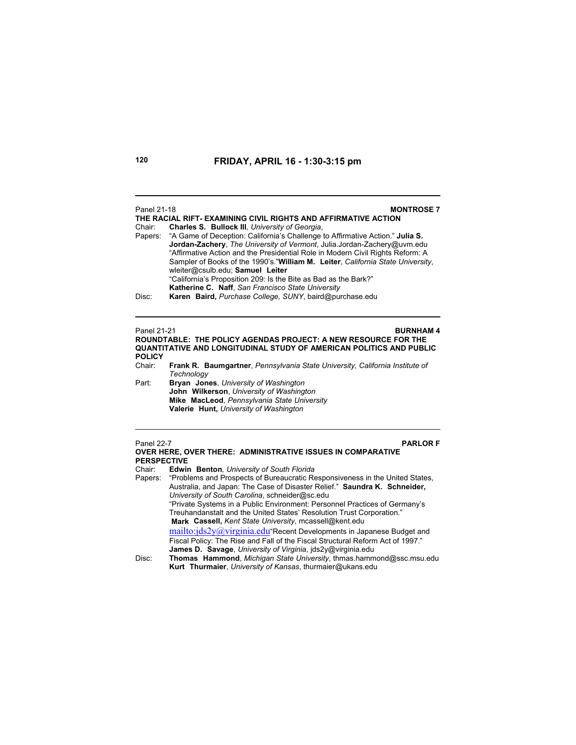### Panel 21-18 **MONTROSE 7 THE RACIAL RIFT- EXAMINING CIVIL RIGHTS AND AFFIRMATIVE ACTION** Chair: **Charles S. Bullock III***, University of Georgia*, Papers: "A Game of Deception: California's Challenge to Affirmative Action." **Julia S. Jordan-Zachery**, *The University of Vermont*, Julia.Jordan-Zachery@uvm.edu "Affirmative Action and the Presidential Role in Modern Civil Rights Reform: A Sampler of Books of the 1990's."**William M. Leiter**, *California State University*, wleiter@csulb.edu; **Samuel Leiter** "California's Proposition 209: Is the Bite as Bad as the Bark?" **Katherine C. Naff**, *San Francisco State University* Disc: **Karen Baird,** *Purchase College, SUNY*, baird@purchase.edu

Panel 21-21 **BURNHAM 4 ROUNDTABLE: THE POLICY AGENDAS PROJECT: A NEW RESOURCE FOR THE QUANTITATIVE AND LONGITUDINAL STUDY OF AMERICAN POLITICS AND PUBLIC POLICY**

- Frank R. Baumgartner, Pennsylvania State University, California Institute of *Technology*
- Part: **Bryan Jones**, *University of Washington* **John Wilkerson**, *University of Washington* **Mike MacLeod**, *Pennsylvania State University* **Valerie Hunt,** *University of Washington*

Panel 22-7 **PARLOR F**

|                    | <b>OVER HERE, OVER THERE: ADMINISTRATIVE ISSUES IN COMPARATIVE</b>                                                                                                                                                                                                                                                                                                                                                                   |
|--------------------|--------------------------------------------------------------------------------------------------------------------------------------------------------------------------------------------------------------------------------------------------------------------------------------------------------------------------------------------------------------------------------------------------------------------------------------|
| <b>PERSPECTIVE</b> |                                                                                                                                                                                                                                                                                                                                                                                                                                      |
| Chair:             | Edwin Benton, University of South Florida                                                                                                                                                                                                                                                                                                                                                                                            |
|                    | Papers: "Problems and Prospects of Bureaucratic Responsiveness in the United States,<br>Australia, and Japan: The Case of Disaster Relief." Saundra K. Schneider,<br>University of South Carolina, schneider@sc.edu<br>"Private Systems in a Public Environment: Personnel Practices of Germany's<br>Treuhandanstalt and the United States' Resolution Trust Corporation."<br>Mark Cassell, Kent State University, mcassell@kent.edu |
| Disc:              | mailto:jds2y@virginia.edu "Recent Developments in Japanese Budget and<br>Fiscal Policy: The Rise and Fall of the Fiscal Structural Reform Act of 1997."<br><b>James D. Savage</b> , University of Virginia, ids2y@virginia.edu<br>Thomas Hammond, Michigan State University, thmas.hammond@ssc.msu.edu<br>Kurt Thurmaier, University of Kansas, thurmaier@ukans.edu                                                                  |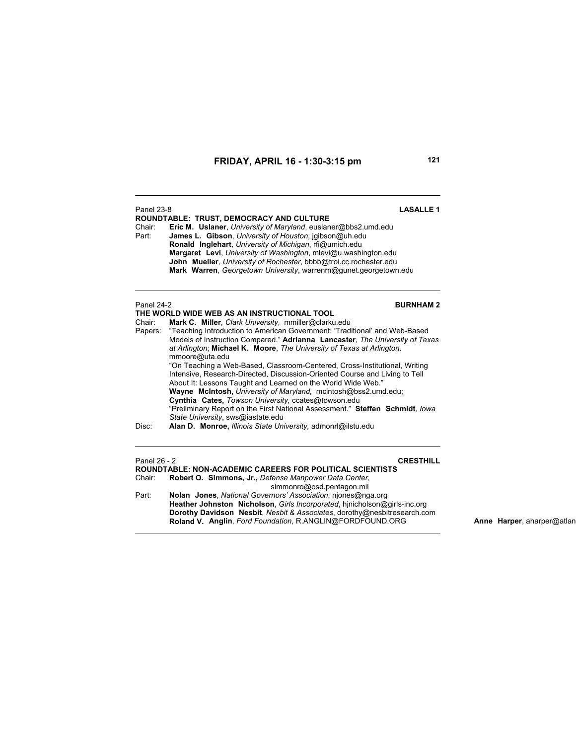| <b>Panel 23-8</b><br>Chair:<br>Part:                                                                                                                                                                                                                                                                                                                                                                                                                                                                                                                                                                                                                                                                                                                                                                                                                                                          | <b>LASALLE1</b><br>ROUNDTABLE: TRUST, DEMOCRACY AND CULTURE<br>Eric M. Uslaner, University of Maryland, euslaner@bbs2.umd.edu<br>James L. Gibson, University of Houston, jgibson@uh.edu<br>Ronald Inglehart, University of Michigan, rfi@umich.edu<br>Margaret Levi, University of Washington, mlevi@u.washington.edu<br>John Mueller, University of Rochester, bbbb@troi.cc.rochester.edu<br>Mark Warren, Georgetown University, warrenm@qunet.georgetown.edu |
|-----------------------------------------------------------------------------------------------------------------------------------------------------------------------------------------------------------------------------------------------------------------------------------------------------------------------------------------------------------------------------------------------------------------------------------------------------------------------------------------------------------------------------------------------------------------------------------------------------------------------------------------------------------------------------------------------------------------------------------------------------------------------------------------------------------------------------------------------------------------------------------------------|----------------------------------------------------------------------------------------------------------------------------------------------------------------------------------------------------------------------------------------------------------------------------------------------------------------------------------------------------------------------------------------------------------------------------------------------------------------|
| Panel 24-2<br><b>BURNHAM2</b><br>THE WORLD WIDE WEB AS AN INSTRUCTIONAL TOOL<br>Chair:<br>Mark C. Miller, Clark University, mmiller@clarku.edu<br>"Teaching Introduction to American Government: 'Traditional' and Web-Based<br>Papers:<br>Models of Instruction Compared." Adrianna Lancaster, The University of Texas<br>at Arlington; Michael K. Moore, The University of Texas at Arlington,<br>mmoore@uta.edu<br>"On Teaching a Web-Based, Classroom-Centered, Cross-Institutional, Writing<br>Intensive, Research-Directed, Discussion-Oriented Course and Living to Tell<br>About It: Lessons Taught and Learned on the World Wide Web."<br>Wayne McIntosh, University of Maryland, mcintosh@bss2.umd.edu;<br>Cynthia Cates, Towson University, ccates@towson.edu<br>"Preliminary Report on the First National Assessment." Steffen Schmidt, lowa<br>State University, sws@iastate.edu |                                                                                                                                                                                                                                                                                                                                                                                                                                                                |
| Disc:                                                                                                                                                                                                                                                                                                                                                                                                                                                                                                                                                                                                                                                                                                                                                                                                                                                                                         | Alan D. Monroe, Illinois State University, admonrl@ilstu.edu                                                                                                                                                                                                                                                                                                                                                                                                   |

| Panel 26 - 2 | <b>CRESTHILL</b>                                                          |
|--------------|---------------------------------------------------------------------------|
|              | <b>ROUNDTABLE: NON-ACADEMIC CAREERS FOR POLITICAL SCIENTISTS</b>          |
|              | Chair: Robert O. Simmons, Jr., Defense Manpower Data Center,              |
|              | simmonro@osd.pentagon.mil                                                 |
| Part:        | Nolan Jones, National Governors' Association, niones@nga.org              |
|              | Heather Johnston Nicholson, Girls Incorporated, hinicholson@qirls-inc.org |
|              | Dorothy Davidson Nesbit, Nesbit & Associates, dorothy@nesbitresearch.com  |
|              | <b>Roland V. Anglin, Ford Foundation, R.ANGLIN@FORDFOUND.ORG</b>          |
|              |                                                                           |

**Anne Harper**, aharper@atlan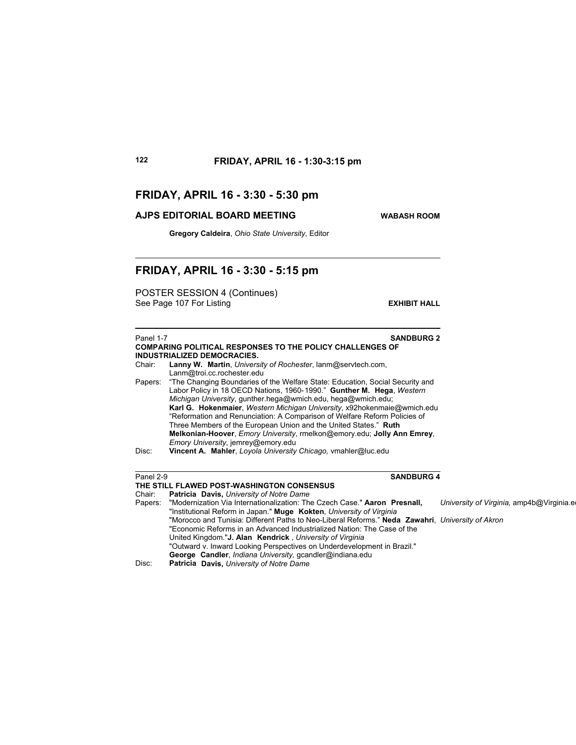# **FRIDAY, APRIL 16 - 3:30 - 5:30 pm**

## **AJPS EDITORIAL BOARD MEETING WABASH ROOM**

**Gregory Caldeira**, *Ohio State University*, Editor

# **FRIDAY, APRIL 16 - 3:30 - 5:15 pm**

POSTER SESSION 4 (Continues) See Page 107 For Listing **EXHIBIT HALL** 

| Panel 1-7 | <b>SANDBURG 2</b>                                                                                                                                                                                                                                                                                                                                                                                                                                                                                                                                                          |                                          |
|-----------|----------------------------------------------------------------------------------------------------------------------------------------------------------------------------------------------------------------------------------------------------------------------------------------------------------------------------------------------------------------------------------------------------------------------------------------------------------------------------------------------------------------------------------------------------------------------------|------------------------------------------|
|           | <b>COMPARING POLITICAL RESPONSES TO THE POLICY CHALLENGES OF</b>                                                                                                                                                                                                                                                                                                                                                                                                                                                                                                           |                                          |
| Chair:    | <b>INDUSTRIALIZED DEMOCRACIES.</b><br>Lanny W. Martin, University of Rochester, lanm@servtech.com,                                                                                                                                                                                                                                                                                                                                                                                                                                                                         |                                          |
|           | Lanm@troi.cc.rochester.edu                                                                                                                                                                                                                                                                                                                                                                                                                                                                                                                                                 |                                          |
| Papers:   | "The Changing Boundaries of the Welfare State: Education, Social Security and<br>Labor Policy in 18 OECD Nations, 1960-1990." Gunther M. Hega, Western<br>Michigan University, gunther hega@wmich.edu, hega@wmich.edu;<br>Karl G. Hokenmaier, Western Michigan University, x92hokenmaie@wmich.edu<br>"Reformation and Renunciation: A Comparison of Welfare Reform Policies of<br>Three Members of the European Union and the United States." Ruth<br>Melkonian-Hoover, <i>Emory University</i> , melkon@emory.edu; Jolly Ann Emrey,<br>Emory University, jemrey@emory.edu |                                          |
| Disc:     | Vincent A. Mahler, Loyola University Chicago, vmahler@luc.edu                                                                                                                                                                                                                                                                                                                                                                                                                                                                                                              |                                          |
|           |                                                                                                                                                                                                                                                                                                                                                                                                                                                                                                                                                                            |                                          |
| Panel 2-9 | <b>SANDBURG 4</b><br>THE STILL FLAWED POST-WASHINGTON CONSENSUS                                                                                                                                                                                                                                                                                                                                                                                                                                                                                                            |                                          |
| Chair:    | Patricia Davis, University of Notre Dame                                                                                                                                                                                                                                                                                                                                                                                                                                                                                                                                   |                                          |
| Papers:   | "Modernization Via Internationalization: The Czech Case." Aaron Presnall,<br>"Institutional Reform in Japan." Muge Kokten, University of Virginia                                                                                                                                                                                                                                                                                                                                                                                                                          | University of Virginia, amp4b@Virginia.e |
|           | "Morocco and Tunisia: Different Paths to Neo-Liberal Reforms." Neda Zawahri, University of Akron<br>"Economic Reforms in an Advanced Industrialized Nation: The Case of the                                                                                                                                                                                                                                                                                                                                                                                                |                                          |
|           | United Kingdom." <b>J. Alan Kendrick</b> , University of Virginia                                                                                                                                                                                                                                                                                                                                                                                                                                                                                                          |                                          |
|           | "Outward v. Inward Looking Perspectives on Underdevelopment in Brazil."                                                                                                                                                                                                                                                                                                                                                                                                                                                                                                    |                                          |
|           | George Candler, Indiana University, gcandler@indiana.edu                                                                                                                                                                                                                                                                                                                                                                                                                                                                                                                   |                                          |
| Disc:     | <b>Patricia Davis, University of Notre Dame</b>                                                                                                                                                                                                                                                                                                                                                                                                                                                                                                                            |                                          |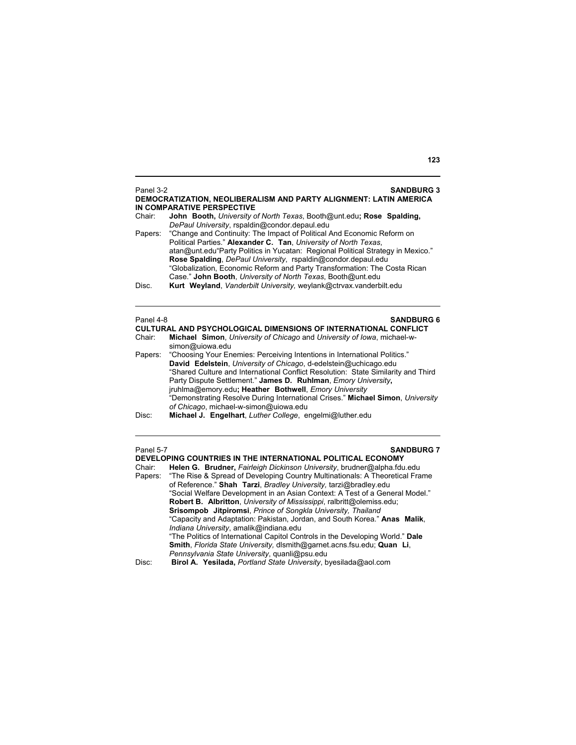| Chair:              | IN COMPARATIVE PERSPECTIVE<br>John Booth, University of North Texas, Booth@unt.edu; Rose Spalding,<br>DePaul University, rspaldin@condor.depaul.edu                                                                                                                                                                                                                                                                                       |
|---------------------|-------------------------------------------------------------------------------------------------------------------------------------------------------------------------------------------------------------------------------------------------------------------------------------------------------------------------------------------------------------------------------------------------------------------------------------------|
| Papers:             | "Change and Continuity: The Impact of Political And Economic Reform on<br>Political Parties." Alexander C. Tan, University of North Texas,<br>atan@unt.edu"Party Politics in Yucatan: Regional Political Strategy in Mexico."<br>Rose Spalding, DePaul University, rspaldin@condor.depaul.edu<br>"Globalization, Economic Reform and Party Transformation: The Costa Rican<br>Case." John Booth, University of North Texas, Booth@unt.edu |
| Disc.               | Kurt Weyland, Vanderbilt University, weylank@ctrvax.vanderbilt.edu                                                                                                                                                                                                                                                                                                                                                                        |
| Panel 4-8<br>Chair: | <b>SANDBURG 6</b><br><b>CULTURAL AND PSYCHOLOGICAL DIMENSIONS OF INTERNATIONAL CONFLICT</b><br><b>Michael Simon, University of Chicago and University of Iowa, michael-w-</b>                                                                                                                                                                                                                                                             |

- simon@uiowa.edu Papers: "Choosing Your Enemies: Perceiving Intentions in International Politics." **David Edelstein**, *University of Chicago*, d-edelstein@uchicago.edu "Shared Culture and International Conflict Resolution: State Similarity and Third Party Dispute Settlement." **James D. Ruhlman**, *Emory University***,**  jruhlma@emory.edu**; Heather Bothwell**, *Emory University* "Demonstrating Resolve During International Crises." **Michael Simon**, *University of Chicago*, michael-w-simon@uiowa.edu
- Disc: **Michael J. Engelhart**, *Luther College*, engelmi@luther.edu

| Panel 5-7 | <b>SANDBURG 7</b>                                                                    |
|-----------|--------------------------------------------------------------------------------------|
|           | DEVELOPING COUNTRIES IN THE INTERNATIONAL POLITICAL ECONOMY                          |
| Chair:    | Helen G. Brudner, Fairleigh Dickinson University, brudner@alpha.fdu.edu              |
|           | Papers: "The Rise & Spread of Developing Country Multinationals: A Theoretical Frame |
|           | of Reference." Shah Tarzi, Bradley University, tarzi@bradley.edu                     |
|           | "Social Welfare Development in an Asian Context: A Test of a General Model."         |
|           | Robert B. Albritton, University of Mississippi, ralbritt@olemiss.edu;                |
|           | Srisompob Jitpiromsi, Prince of Songkla University, Thailand                         |
|           | "Capacity and Adaptation: Pakistan, Jordan, and South Korea." Anas Malik,            |
|           | Indiana University, amalik@indiana.edu                                               |
|           | "The Politics of International Capitol Controls in the Developing World." Dale       |
|           | Smith, Florida State University, dismith@garnet.acns.fsu.edu; Quan Li,               |
|           | Pennsylvania State University, quanli@psu.edu                                        |
| Disc:     | Birol A. Yesilada, Portland State University, byesilada@aol.com                      |

## **123**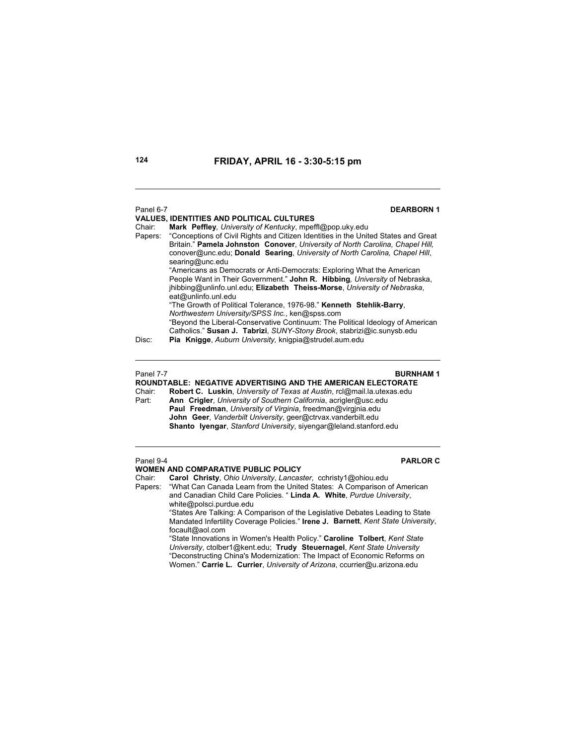## Panel 6-7 **DEARBORN 1**

**VALUES, IDENTITIES AND POLITICAL CULTURES** Chair: **Mark Peffley***, University of Kentucky*, mpeffl@pop.uky.edu Papers: "Conceptions of Civil Rights and Citizen Identities in the United States and Great Britain." **Pamela Johnston Conover**, *University of North Carolina, Chapel Hill,* conover@unc.edu; **Donald Searing**, *University of North Carolina, Chapel Hill*, searing@unc.edu "Americans as Democrats or Anti-Democrats: Exploring What the American People Want in Their Government." **John R. Hibbing***, University* of Nebraska, jhibbing@unlinfo.unl.edu; **Elizabeth Theiss-Morse**, *University of Nebraska*, eat@unlinfo.unl.edu "The Growth of Political Tolerance, 1976-98." **Kenneth Stehlik-Barry**, *Northwestern University/SPSS Inc.*, ken@spss.com "Beyond the Liberal-Conservative Continuum: The Political Ideology of American Catholics." **Susan J. Tabrizi**, *SUNY-Stony Brook*, stabrizi@ic.sunysb.edu Disc: **Pia Knigge**, *Auburn University,* knigpia@strudel.aum.edu

## Panel 7-7 **BURNHAM 1**

**ROUNDTABLE: NEGATIVE ADVERTISING AND THE AMERICAN ELECTORATE**  Chair: **Robert C. Luskin**, *University of Texas at Austin*, rcl@mail.la.utexas.edu Part: **Ann Crigler**, *University of Southern California*, acrigler@usc.edu **Paul Freedman**, *University of Virginia*, freedman@virgjnia.edu **John Geer**, *Vanderbilt University*, geer@ctrvax.vanderbilt.edu **Shanto Iyengar**, *Stanford University*, siyengar@leland.stanford.edu

# **WOMEN AND COMPARATIVE PUBLIC POLICY**<br>Chair: Carol Christy Ohio University Lancas

Carol Christy, Ohio University, Lancaster, cchristy1@ohiou.edu Papers: "What Can Canada Learn from the United States: A Comparison of American and Canadian Child Care Policies. " **Linda A. White**, *Purdue University*, white@polsci.purdue.edu

"States Are Talking: A Comparison of the Legislative Debates Leading to State Mandated Infertility Coverage Policies." **Irene J. Barnett**, *Kent State University*, focault@aol.com

"State Innovations in Women's Health Policy." **Caroline Tolbert**, *Kent State University*, ctolber1@kent.edu; **Trudy Steuernagel**, *Kent State University* "Deconstructing China's Modernization: The Impact of Economic Reforms on Women." **Carrie L. Currier**, *University of Arizona*, ccurrier@u.arizona.edu

Panel 9-4 **PARLOR C**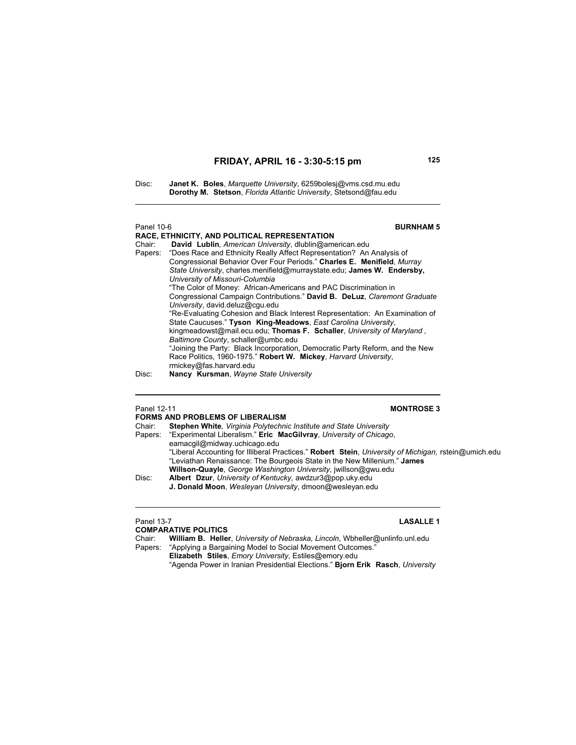Disc: **Janet K. Boles**, *Marquette University*, 6259bolesj@vms.csd.mu.edu **Dorothy M. Stetson**, *Florida Atlantic University*, Stetsond@fau.edu

## Panel 10-6 **BURNHAM 5**

**RACE, ETHNICITY, AND POLITICAL REPRESENTATION**

Chair: **David Lublin***, American University*, dlublin@american.edu "Does Race and Ethnicity Really Affect Representation? An Analysis of Congressional Behavior Over Four Periods." **Charles E. Menifield**, *Murray State University*, charles.menifield@murraystate.edu; **James W. Endersby,** *University of Missouri-Columbia* "The Color of Money: African-Americans and PAC Discrimination in Congressional Campaign Contributions." **David B. DeLuz**, *Claremont Graduate University*, david.deluz@cgu.edu "Re-Evaluating Cohesion and Black Interest Representation: An Examination of State Caucuses." **Tyson King-Meadows**, *East Carolina University*, kingmeadowst@mail.ecu.edu; **Thomas F. Schaller**, *University of Maryland , Baltimore County*, schaller@umbc.edu "Joining the Party: Black Incorporation, Democratic Party Reform, and the New Race Politics, 1960-1975." **Robert W. Mickey**, *Harvard University*, rmickey@fas.harvard.edu

Disc: **Nancy Kursman**, *Wayne State University*

## Panel 12-11 **MONTROSE 3**

| <b>FORMS AND PROBLEMS OF LIBERALISM</b>                                                              |
|------------------------------------------------------------------------------------------------------|
| Stephen White, Virginia Polytechnic Institute and State University                                   |
| "Experimental Liberalism." Eric MacGilvray, University of Chicago,                                   |
| eamacqil@midway.uchicago.edu                                                                         |
| "Liberal Accounting for Illiberal Practices." Robert Stein, University of Michigan, rstein@umich.edu |
| "Leviathan Renaissance: The Bourgeois State in the New Millenium." James                             |
| Willson-Quayle, George Washington University, jwillson@gwu.edu                                       |
| Albert Dzur, University of Kentucky, awdzur3@pop.uky.edu                                             |
| J. Donald Moon, Wesleyan University, dmoon@wesleyan.edu                                              |
|                                                                                                      |
|                                                                                                      |

# **COMPARATIVE POLITICS**

## Panel 13-7 **LASALLE 1**

Chair: **William B. Heller**, *University of Nebraska, Lincoln*, Wbheller@unlinfo.unl.edu "Applying a Bargaining Model to Social Movement Outcomes."  **Elizabeth Stiles**, *Emory University*, Estiles@emory.edu "Agenda Power in Iranian Presidential Elections." **Bjorn Erik Rasch**, *University*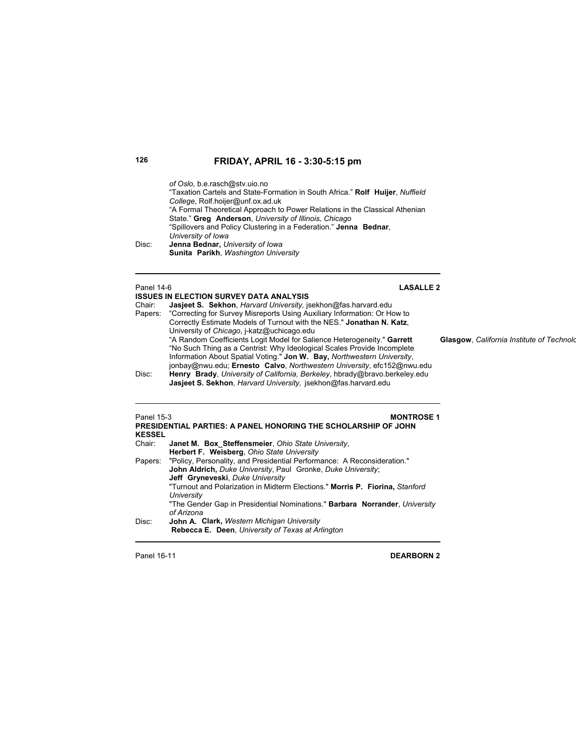*of Oslo,* b.e.rasch@stv.uio.no "Taxation Cartels and State-Formation in South Africa." **Rolf Huijer**, *Nuffield College*, Rolf.hoijer@unf.ox.ad.uk "A Formal Theoretical Approach to Power Relations in the Classical Athenian State." **Greg Anderson**, *University of Illinois, Chicago* "Spillovers and Policy Clustering in a Federation." **Jenna Bednar**, *<i> University of Iowa* Disc: **Jenna Bednar,** *University of Inner* Disc: **Jenna Bednar,** *University of Iowa* **Sunita Parikh**, *Washington University*

## Panel 14-6 **LASALLE 2**

## **ISSUES IN ELECTION SURVEY DATA ANALYSIS**

| Chair:  | <b>Jasjeet S. Sekhon</b> , Harvard University, jsekhon@fas.harvard.edu     |
|---------|----------------------------------------------------------------------------|
| Papers: | "Correcting for Survey Misreports Using Auxiliary Information: Or How to   |
|         | Correctly Estimate Models of Turnout with the NES." Jonathan N. Katz.      |
|         | University of Chicago, j-katz@uchicago.edu                                 |
|         | "A Random Coefficients Logit Model for Salience Heterogeneity." Garrett    |
|         | "No Such Thing as a Centrist: Why Ideological Scales Provide Incomplete    |
|         | Information About Spatial Voting." Jon W. Bay, Northwestern University,    |
|         | jonbay@nwu.edu; Ernesto Calvo, Northwestern University, efc152@nwu.edu     |
| Disc:   | Henry Brady, University of California, Berkeley, hbrady@bravo.berkeley.edu |
|         | Jasjeet S. Sekhon, Harvard University, jsekhon@fas.harvard.edu             |

 $G$ lasgow, California Institute of Technolo

| Panel 15-3<br><b>KESSEL</b> | <b>MONTROSE 1</b><br><b>PRESIDENTIAL PARTIES: A PANEL HONORING THE SCHOLARSHIP OF JOHN</b> |
|-----------------------------|--------------------------------------------------------------------------------------------|
| Chair:                      | Janet M. Box Steffensmeier, Ohio State University,                                         |
|                             | Herbert F. Weisberg, Ohio State University                                                 |
|                             | Papers: "Policy, Personality, and Presidential Performance: A Reconsideration."            |
|                             | John Aldrich, Duke University, Paul Gronke, Duke University;                               |
|                             | Jeff Gryneveski, Duke University                                                           |
|                             | "Turnout and Polarization in Midterm Elections." Morris P. Fiorina, Stanford               |
|                             | University                                                                                 |
|                             | "The Gender Gap in Presidential Nominations." Barbara Norrander, University<br>of Arizona  |
| Disc:                       | <b>John A. Clark, Western Michigan University</b>                                          |
|                             | Rebecca E. Deen, University of Texas at Arlington                                          |

**Panel 16-11 DEARBORN 2**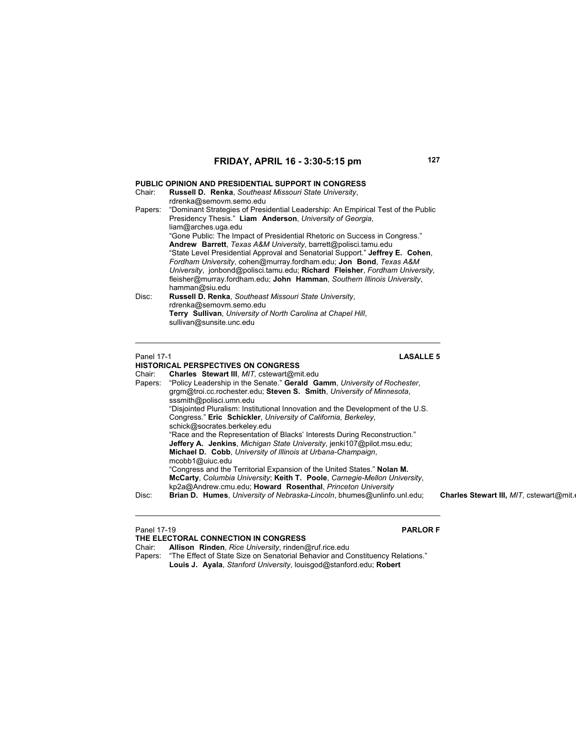### **PUBLIC OPINION AND PRESIDENTIAL SUPPORT IN CONGRESS**

| Chair:  | Russell D. Renka, Southeast Missouri State University,<br>rdrenka@semovm.semo.edu                                                                                                                                                                                                                                                                                                                |
|---------|--------------------------------------------------------------------------------------------------------------------------------------------------------------------------------------------------------------------------------------------------------------------------------------------------------------------------------------------------------------------------------------------------|
| Papers: | "Dominant Strategies of Presidential Leadership: An Empirical Test of the Public<br>Presidency Thesis." Liam Anderson, University of Georgia,<br>liam@arches.uga.edu<br>"Gone Public: The Impact of Presidential Rhetoric on Success in Congress."                                                                                                                                               |
|         | Andrew Barrett, Texas A&M University, barrett@polisci.tamu.edu<br>"State Level Presidential Approval and Senatorial Support." Jeffrey E. Cohen,<br>Fordham University, cohen@murray.fordham.edu; Jon Bond, Texas A&M<br>University, jonbond@polisci.tamu.edu: Richard Fleisher, Fordham University,<br>fleisher@murray.fordham.edu: John Hamman, Southern Illinois University,<br>hamman@siu.edu |
| Disc:   | Russell D. Renka, Southeast Missouri State University,<br>rdrenka@semovm.semo.edu<br>Terry Sullivan, University of North Carolina at Chapel Hill,<br>sullivan@sunsite.unc.edu                                                                                                                                                                                                                    |

### Panel 17-1 **LASALLE 5**

### **HISTORICAL PERSPECTIVES ON CONGRESS**

Chair: **Charles Stewart III**, *MIT,* cstewart@mit.edu Papers: "Policy Leadership in the Senate." **Gerald Gamm**, *University of Rochester*, grgm@troi.cc.rochester.edu; **Steven S. Smith**, *University of Minnesota*, sssmith@polisci.umn.edu "Disjointed Pluralism: Institutional Innovation and the Development of the U.S. Congress." **Eric Schickler**, *University of California, Berkeley*, schick@socrates.berkeley.edu "Race and the Representation of Blacks' Interests During Reconstruction." **Jeffery A. Jenkins**, *Michigan State University*, jenki107@pilot.msu.edu; **Michael D. Cobb**, *University of Illinois at Urbana-Champaign*, mcobb1@uiuc.edu "Congress and the Territorial Expansion of the United States." **Nolan M. McCarty**, *Columbia University*; **Keith T. Poole**, *Carnegie-Mellon University*, kp2a@Andrew.cmu.edu; **Howard Rosenthal**, *Princeton University* Disc: **Brian D. Humes**, *University of Nebraska-Lincoln*, bhumes@unlinfo.unl.edu; **Charles Stewart III,** *MIT*, cstewart@mit.

| Panel 17-19 |                                                                                       | <b>PARLOR F</b> |
|-------------|---------------------------------------------------------------------------------------|-----------------|
|             | THE ELECTORAL CONNECTION IN CONGRESS                                                  |                 |
| Chair:      | <b>Allison Rinden</b> , Rice University, rinden@ruf.rice.edu                          |                 |
|             | Papers: "The Effect of State Size on Senatorial Behavior and Constituency Relations." |                 |

**Louis J. Ayala**, *Stanford University*, louisgod@stanford.edu; **Robert**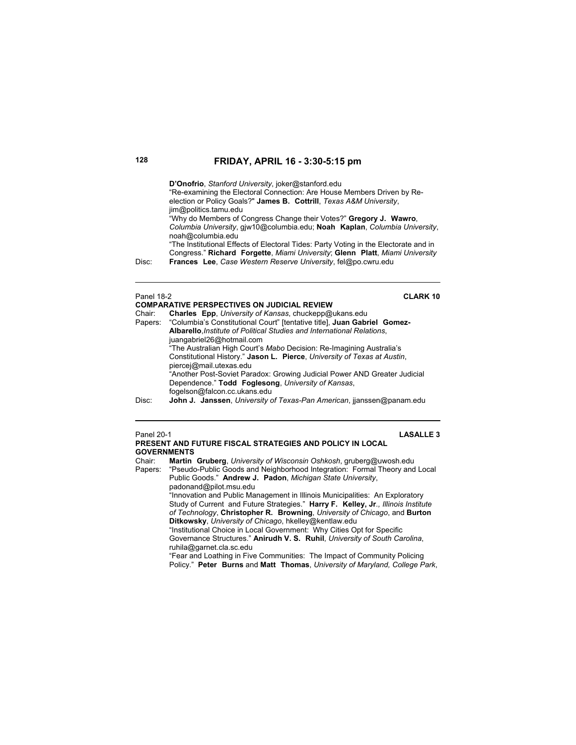|            | D'Onofrio, Stanford University, joker@stanford.edu<br>"Re-examining the Electoral Connection: Are House Members Driven by Re-<br>election or Policy Goals?" James B. Cottrill, Texas A&M University,<br>jim@politics.tamu.edu<br>"Why do Members of Congress Change their Votes?" Gregory J. Wawro.<br>Columbia University, gjw10@columbia.edu; Noah Kaplan, Columbia University,<br>noah@columbia.edu |
|------------|--------------------------------------------------------------------------------------------------------------------------------------------------------------------------------------------------------------------------------------------------------------------------------------------------------------------------------------------------------------------------------------------------------|
| Disc:      | "The Institutional Effects of Electoral Tides: Party Voting in the Electorate and in<br>Congress." Richard Forgette, Miami University; Glenn Platt, Miami University<br>Frances Lee, Case Western Reserve University, fel@po.cwru.edu                                                                                                                                                                  |
| Panel 18-2 | <b>CLARK 10</b><br><b>COMPARATIVE PERSPECTIVES ON JUDICIAL REVIEW</b><br>Obela → Obela → Euro Habrera (b. 1970) est de la Colega de la D                                                                                                                                                                                                                                                               |

| Chair: | Charles Epp, University of Kansas, chuckepp@ukans.edu                            |
|--------|----------------------------------------------------------------------------------|
|        | Papers: "Columbia's Constitutional Court" [tentative title], Juan Gabriel Gomez- |
|        | Albarello, Institute of Political Studies and International Relations,           |
|        | juangabriel26@hotmail.com                                                        |
|        | "The Australian High Court's Mabo Decision: Re-Imagining Australia's             |
|        | Constitutional History." Jason L. Pierce, University of Texas at Austin.         |
|        | piercej@mail.utexas.edu                                                          |
|        | "Another Post-Soviet Paradox: Growing Judicial Power AND Greater Judicial        |
|        | Dependence." Todd Foglesong, University of Kansas,                               |
|        | fogelson@falcon.cc.ukans.edu                                                     |
| Disc:  | John J. Janssen, University of Texas-Pan American, jjanssen@panam.edu            |
|        |                                                                                  |

### Panel 20-1 **LASALLE 3 PRESENT AND FUTURE FISCAL STRATEGIES AND POLICY IN LOCAL**

**GOVERNMENTS** Chair: **Martin Gruberg**, *University of Wisconsin Oshkosh*, gruberg@uwosh.edu Papers: "Pseudo-Public Goods and Neighborhood Integration: Formal Theory and Local Public Goods." **Andrew J. Padon**, *Michigan State University*, padonand@pilot.msu.edu "Innovation and Public Management in Illinois Municipalities: An Exploratory Study of Current and Future Strategies." **Harry F. Kelley, Jr***., Illinois Institute of Technology*, **Christopher R. Browning**, *University of Chicago*, and **Burton Ditkowsky**, *University of Chicago*, hkelley@kentlaw.edu "Institutional Choice in Local Government: Why Cities Opt for Specific Governance Structures." **Anirudh V. S. Ruhil**, *University of South Carolina*, ruhila@garnet.cla.sc.edu "Fear and Loathing in Five Communities: The Impact of Community Policing Policy." **Peter Burns** and **Matt Thomas**, *University of Maryland, College Park*,

<u>in</u>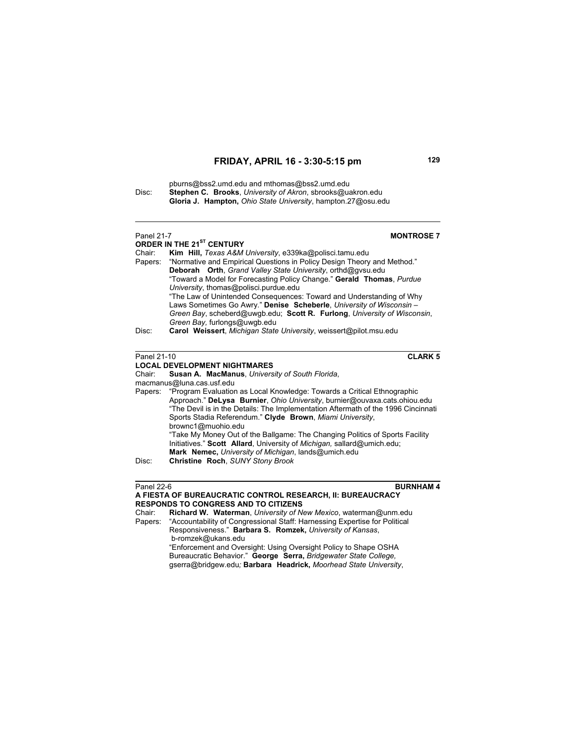pburns@bss2.umd.edu and mthomas@bss2.umd.edu Disc: **Stephen C. Brooks**, *University of Akron*, sbrooks@uakron.edu **Gloria J. Hampton,** *Ohio State University*, hampton.27@osu.edu

| <b>Panel 21-7</b> | <b>MONTROSE 7</b>                                                                                                                    |
|-------------------|--------------------------------------------------------------------------------------------------------------------------------------|
|                   | ORDER IN THE 21 <sup>ST</sup> CENTURY                                                                                                |
| Chair:            | Kim Hill, Texas A&M University, e339ka@polisci.tamu.edu                                                                              |
| Papers:           | "Normative and Empirical Questions in Policy Design Theory and Method."                                                              |
|                   | Deborah Orth, Grand Valley State University, orthd@gysu.edu<br>"Toward a Model for Forecasting Policy Change." Gerald Thomas, Purdue |
|                   | University, thomas@polisci.purdue.edu                                                                                                |
|                   | "The Law of Unintended Consequences: Toward and Understanding of Why                                                                 |
|                   | Laws Sometimes Go Awry." Denise Scheberle, University of Wisconsin -                                                                 |
|                   | Green Bay, scheberd@uwgb.edu; Scott R. Furlong, University of Wisconsin,                                                             |
|                   | Green Bay, furlongs@uwgb.edu                                                                                                         |
| Disc:             | Carol Weissert, Michigan State University, weissert@pilot.msu.edu                                                                    |
|                   |                                                                                                                                      |
|                   |                                                                                                                                      |
| Panel 21-10       | <b>CLARK 5</b>                                                                                                                       |
|                   | <b>LOCAL DEVELOPMENT NIGHTMARES</b>                                                                                                  |
| Chair:            | Susan A. MacManus, University of South Florida,<br>macmanus@luna.cas.usf.edu                                                         |
| Papers:           | "Program Evaluation as Local Knowledge: Towards a Critical Ethnographic                                                              |
|                   | Approach." DeLysa Burnier, Ohio University, burnier@ouvaxa.cats.ohiou.edu                                                            |
|                   | "The Devil is in the Details: The Implementation Aftermath of the 1996 Cincinnati                                                    |
|                   | Sports Stadia Referendum." Clyde Brown, Miami University,                                                                            |
|                   | brownc1@muohio.edu                                                                                                                   |
|                   | "Take My Money Out of the Ballgame: The Changing Politics of Sports Facility                                                         |
|                   | Initiatives." Scott Allard, University of Michigan, sallard@umich.edu;                                                               |
|                   | Mark Nemec, University of Michigan, lands@umich.edu                                                                                  |
| Disc:             | Christine Roch, SUNY Stony Brook                                                                                                     |
|                   |                                                                                                                                      |
|                   |                                                                                                                                      |

**Panel 22-6 BURNHAM 4** 

Chair: **Richard W. Waterman**, *University of New Mexico*, waterman@unm.edu "Accountability of Congressional Staff: Harnessing Expertise for Political Responsiveness." **Barbara S. Romzek,** *University of Kansas*, b-romzek@ukans.edu "Enforcement and Oversight: Using Oversight Policy to Shape OSHA Bureaucratic Behavior." **George Serra,** *Bridgewater State College,*  gserra@bridgew.edu*;* **Barbara Headrick,** *Moorhead State University*,

**A FIESTA OF BUREAUCRATIC CONTROL RESEARCH, II: BUREAUCRACY RESPONDS TO CONGRESS AND TO CITIZENS**<br>Chair: **Richard W. Waterman**, University of Ne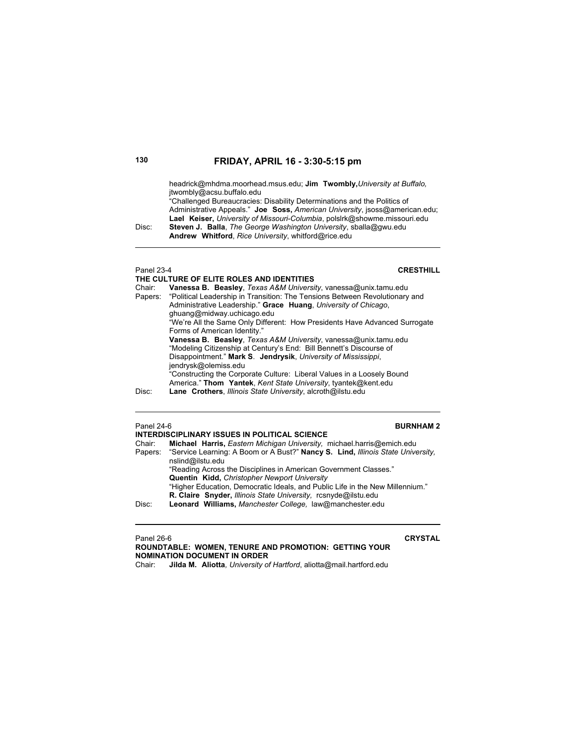headrick@mhdma.moorhead.msus.edu; **Jim Twombly,***University at Buffalo,* jtwombly@acsu.buffalo.edu

"Challenged Bureaucracies: Disability Determinations and the Politics of Administrative Appeals." **Joe Soss,** *American University*, jsoss@american.edu; **Lael Keiser,** *University of Missouri-Columbia*, polslrk@showme.missouri.edu Disc: **Steven J. Balla**, *The George Washington University*, sballa@gwu.edu

**Andrew Whitford**, *Rice University*, whitford@rice.edu

### Panel 23-4 **CRESTHILL**

**THE CULTURE OF ELITE ROLES AND IDENTITIES**  Chair: **Vanessa B. Beasley**, *Texas A&M University*, vanessa@unix.tamu.edu Papers: "Political Leadership in Transition: The Tensions Between Revolutionary and Administrative Leadership." **Grace Huang**, *University of Chicago*, ghuang@midway.uchicago.edu "We're All the Same Only Different: How Presidents Have Advanced Surrogate Forms of American Identity."  **Vanessa B. Beasley**, *Texas A&M University*, vanessa@unix.tamu.edu "Modeling Citizenship at Century's End: Bill Bennett's Discourse of Disappointment." **Mark S**. **Jendrysik**, *University of Mississippi*, jendrysk@olemiss.edu "Constructing the Corporate Culture: Liberal Values in a Loosely Bound America." **Thom Yantek**, *Kent State University*, tyantek@kent.edu Disc: **Lane Crothers**, *Illinois State University*, alcroth@ilstu.edu

### Panel 24-6 **BURNHAM 2**

| INTERDISCIPLINARY ISSUES IN POLITICAL SCIENCE |                                                                                                             |  |
|-----------------------------------------------|-------------------------------------------------------------------------------------------------------------|--|
| Chair:                                        | Michael Harris, Eastern Michigan University, michael.harris@emich.edu                                       |  |
|                                               | Papers: "Service Learning: A Boom or A Bust?" Nancy S. Lind, Illinois State University,<br>nslind@ilstu.edu |  |
|                                               | "Reading Across the Disciplines in American Government Classes."                                            |  |
|                                               | <b>Quentin Kidd, Christopher Newport University</b>                                                         |  |
|                                               | "Higher Education, Democratic Ideals, and Public Life in the New Millennium."                               |  |
|                                               | R. Claire Snyder, Illinois State University, rcsnyde@ilstu.edu                                              |  |
| Disc:                                         | Leonard Williams, Manchester College, law@manchester.edu                                                    |  |

Panel 26-6 **CRYSTAL**

**ROUNDTABLE: WOMEN, TENURE AND PROMOTION: GETTING YOUR NOMINATION DOCUMENT IN ORDER** Chair: **Jilda M. Aliotta***, University of Hartford*, aliotta@mail.hartford.edu

| × | ×<br>۰<br>×<br>. .<br>٦<br>$\sim$<br>$\sim$ |
|---|---------------------------------------------|
|   |                                             |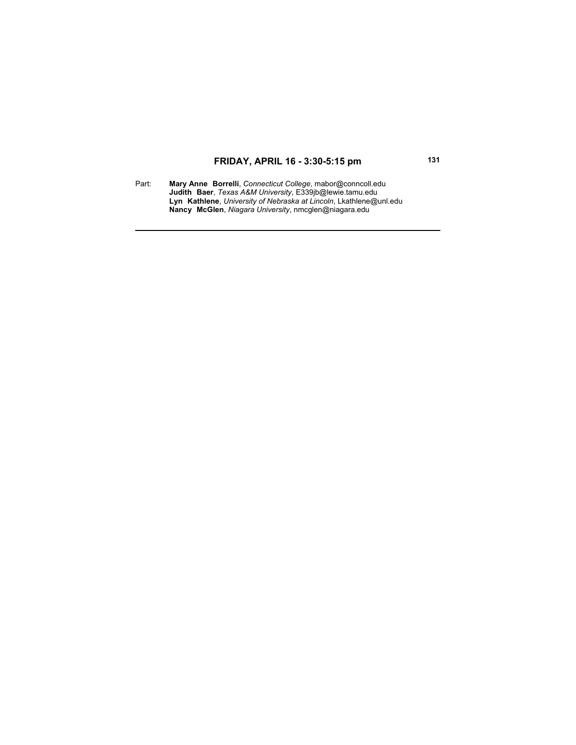Part: **Mary Anne Borrelli**, *Connecticut College*, mabor@conncoll.edu **Judith Baer**, *Texas A&M University*, E339jb@lewie.tamu.edu **Lyn Kathlene**, *University of Nebraska at Lincoln*, Lkathlene@unl.edu **Nancy McGlen**, *Niagara University*, nmcglen@niagara.edu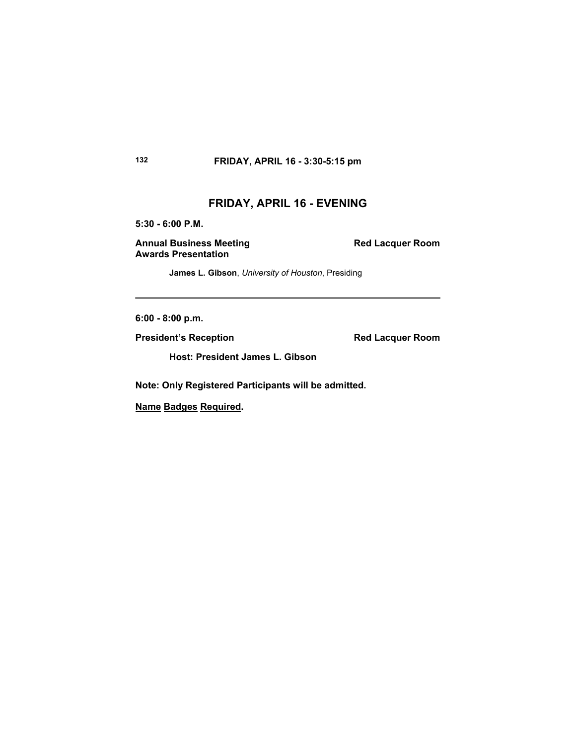# **FRIDAY, APRIL 16 - EVENING**

**5:30 - 6:00 P.M.**

Annual Business Meeting **Red Lacquer Room Awards Presentation**

**James L. Gibson**, *University of Houston*, Presiding

**6:00 - 8:00 p.m.**

**President's Reception Red Lacquer Room** 

**Host: President James L. Gibson**

**Note: Only Registered Participants will be admitted.** 

**Name Badges Required.**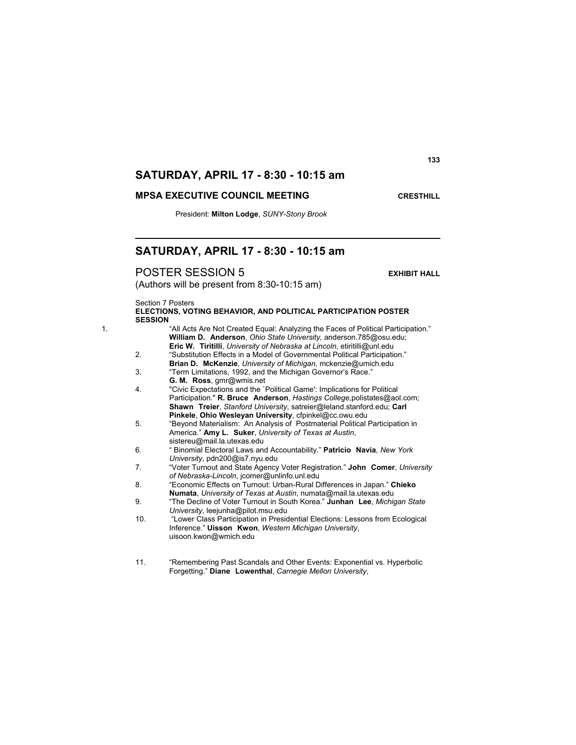## **MPSA EXECUTIVE COUNCIL MEETING <b>COUNCIL COUNCIL**

President: **Milton Lodge**, *SUNY-Stony Brook*

## **SATURDAY, APRIL 17 - 8:30 - 10:15 am**

POSTER SESSION 5 **EXHIBIT HALL**

(Authors will be present from 8:30-10:15 am)

Section 7 Posters

|                | ELECTIONS, VOTING BEHAVIOR, AND POLITICAL PARTICIPATION POSTER |
|----------------|----------------------------------------------------------------|
| <b>SESSION</b> |                                                                |

- 1. "All Acts Are Not Created Equal: Analyzing the Faces of Political Participation." **William D. Anderson**, *Ohio State University,* anderson.785@osu.edu; **Eric W. Tiritilli**, *University of Nebraska at Lincoln*, etiritilli@unl.edu 2. "Substitution Effects in a Model of Governmental Political Participation." **Brian D. McKenzie**, *University of Michigan,* mckenzie@umich.edu
	- 3. "Term Limitations, 1992, and the Michigan Governor's Race." **G. M. Ross**, gmr@wmis.net
	- 4. "Civic Expectations and the `Political Game': Implications for Political Participation." **R. Bruce Anderson**, *Hastings College,*polistates@aol.com; **Shawn Treier**, *Stanford University*, satreier@leland.stanford.edu; **Carl Pinkele**, **Ohio Wesleyan University**, cfpinkel@cc.owu.edu
	- 5. "Beyond Materialism: An Analysis of Postmaterial Political Participation in America." **Amy L. Suker**, *University of Texas at Austin*, sistereu@mail.la.utexas.edu
	- 6. " Binomial Electoral Laws and Accountability." **Patricio Navia**, *New York University*, pdn200@is7.nyu.edu
	- 7. "Voter Turnout and State Agency Voter Registration." **John Comer**, *University of Nebraska-Lincoln*, jcomer@unlinfo.unl.edu
	- 8. "Economic Effects on Turnout: Urban-Rural Differences in Japan." **Chieko Numata**, *University of Texas at Austin*, numata@mail.la.utexas.edu
	- 9. "The Decline of Voter Turnout in South Korea." **Junhan Lee**, *Michigan State University*, leejunha@pilot.msu.edu
	- 10. "Lower Class Participation in Presidential Elections: Lessons from Ecological Inference." **Uisson Kwon**, *Western Michigan University*, uisoon.kwon@wmich.edu
	- 11. "Remembering Past Scandals and Other Events: Exponential vs. Hyperbolic Forgetting." **Diane Lowenthal**, *Carnegie Mellon University*,

**133**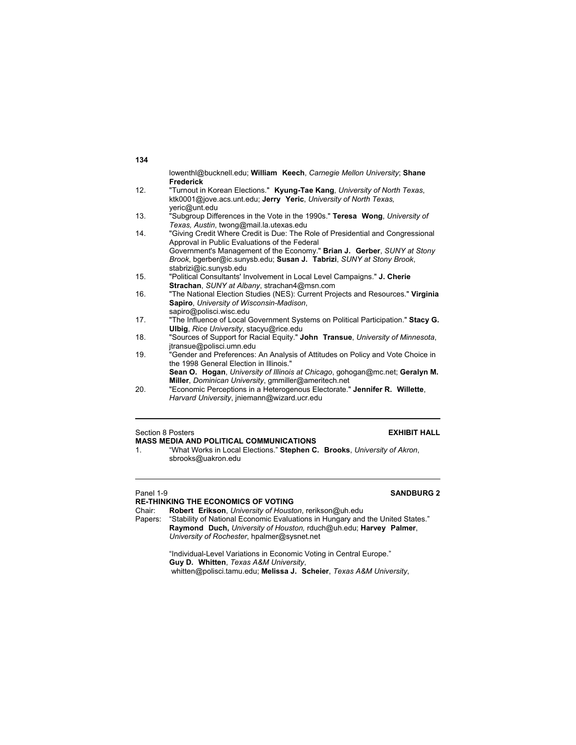| 134 |                                                                                  |
|-----|----------------------------------------------------------------------------------|
|     | lowenthl@bucknell.edu: William Keech, Carnegie Mellon University: Shane          |
|     | <b>Frederick</b>                                                                 |
| 12. | "Turnout in Korean Elections." Kyung-Tae Kang, University of North Texas,        |
|     | ktk0001@jove.acs.unt.edu; Jerry Yeric, University of North Texas,                |
|     | yeric@unt.edu                                                                    |
| 13. | "Subgroup Differences in the Vote in the 1990s." Teresa Wong, University of      |
|     | Texas, Austin, twong@mail.la.utexas.edu                                          |
| 14. | "Giving Credit Where Credit is Due: The Role of Presidential and Congressional   |
|     | Approval in Public Evaluations of the Federal                                    |
|     | Government's Management of the Economy." Brian J. Gerber, SUNY at Stony          |
|     | Brook, bgerber@ic.sunysb.edu; Susan J. Tabrizi, SUNY at Stony Brook,             |
|     | stabrizi@ic.sunysb.edu                                                           |
| 15. | "Political Consultants' Involvement in Local Level Campaigns." J. Cherie         |
|     | Strachan, SUNY at Albany, strachan4@msn.com                                      |
| 16. | "The National Election Studies (NES): Current Projects and Resources." Virginia  |
|     | Sapiro, University of Wisconsin-Madison,                                         |
|     | sapiro@polisci.wisc.edu                                                          |
| 17. | "The Influence of Local Government Systems on Political Participation." Stacy G. |
|     | <b>Ulbig, Rice University, stacyu@rice.edu</b>                                   |
| 18. | "Sources of Support for Racial Equity." John Transue, University of Minnesota,   |
|     | itransue@polisci.umn.edu                                                         |
| 19. | "Gender and Preferences: An Analysis of Attitudes on Policy and Vote Choice in   |
|     | the 1998 General Election in Illinois."                                          |
|     | Sean O. Hogan, University of Illinois at Chicago, gohogan@mc.net; Geralyn M.     |
|     | Miller, Dominican University, gmmiller@ameritech.net                             |
| 20. | "Economic Perceptions in a Heterogenous Electorate." Jennifer R. Willette,       |

*Harvard University*, jniemann@wizard.ucr.edu

# Section 8 Posters **EXHIBIT HALL MASS MEDIA AND POLITICAL COMMUNICATIONS**<br>1. "What Works in Local Elections." Stephen C.

### 1. "What Works in Local Elections." **Stephen C. Brooks**, *University of Akron*, sbrooks@uakron.edu

# **RE-THINKING THE ECONOMICS OF VOTING**<br>Chair: **Robert Erikson**, University of Houstd

Chair: **Robert Erikson**, *University of Houston*, rerikson@uh.edu

"Stability of National Economic Evaluations in Hungary and the United States." **Raymond Duch,** *University of Houston,* rduch@uh.edu; **Harvey Palmer**, *University of Rochester*, hpalmer@sysnet.net

 "Individual-Level Variations in Economic Voting in Central Europe."  **Guy D. Whitten**, *Texas A&M University*, whitten@polisci.tamu.edu; **Melissa J. Scheier**, *Texas A&M University*,

## Panel 1-9 **SANDBURG 2**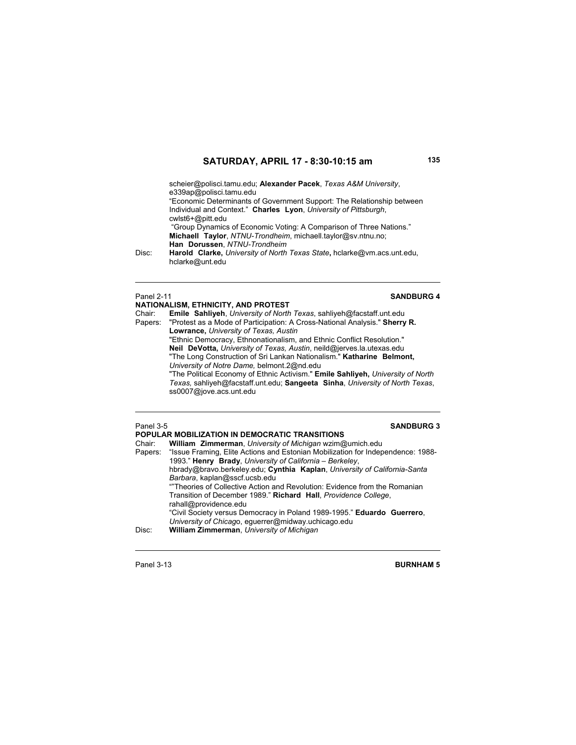scheier@polisci.tamu.edu; **Alexander Pacek**, *Texas A&M University*, e339ap@polisci.tamu.edu

"Economic Determinants of Government Support: The Relationship between Individual and Context." **Charles Lyon**, *University of Pittsburgh*, cwlst6+@pitt.edu

 "Group Dynamics of Economic Voting: A Comparison of Three Nations."  **Michaell Taylor**, *NTNU-Trondheim*, michaell.taylor@sv.ntnu.no; **Han Dorussen**, *NTNU-Trondheim*

Disc: **Harold Clarke,** *University of North Texas State***,** hclarke@vm.acs.unt.edu, hclarke@unt.edu

### **Panel 2-11 SANDBURG 4**

**NATIONALISM, ETHNICITY, AND PROTEST** Chair: **Emile Sahliyeh**, *University of North Texas*, sahliyeh@facstaff.unt.edu Papers: "Protest as a Mode of Participation: A Cross-National Analysis." **Sherry R. Lowrance,** *University of Texas, Austin* "Ethnic Democracy, Ethnonationalism, and Ethnic Conflict Resolution." **Neil DeVotta,** *University of Texas, Austin*, neild@jerves.la.utexas.edu "The Long Construction of Sri Lankan Nationalism." **Katharine Belmont,**  *University of Notre Dame,* belmont.2@nd.edu "The Political Economy of Ethnic Activism." **Emile Sahliyeh,** *University of North Texas,* sahliyeh@facstaff.unt.edu; **Sangeeta Sinha**, *University of North Texas*, ss0007@jove.acs.unt.edu

### Panel 3-5 **SANDBURG 3**

**POPULAR MOBILIZATION IN DEMOCRATIC TRANSITIONS**<br>Chair: William Zimmerman University of Michigan wzim@ Chair: **William Zimmerman**, *University of Michigan* wzim@umich.edu Papers: "Issue Framing, Elite Actions and Estonian Mobilization for Independence: 1988- 1993." **Henry Brady**, *University of California – Berkeley*, hbrady@bravo.berkeley.edu; **Cynthia Kaplan**, *University of California-Santa Barbara*, kaplan@sscf.ucsb.edu ""Theories of Collective Action and Revolution: Evidence from the Romanian Transition of December 1989." **Richard Hall**, *Providence College*, rahall@providence.edu "Civil Society versus Democracy in Poland 1989-1995." **Eduardo Guerrero**, *University of Chicag*o, eguerrer@midway.uchicago.edu Disc: **William Zimmerman**, *University of Michigan*

Panel 3-13 **BURNHAM 5**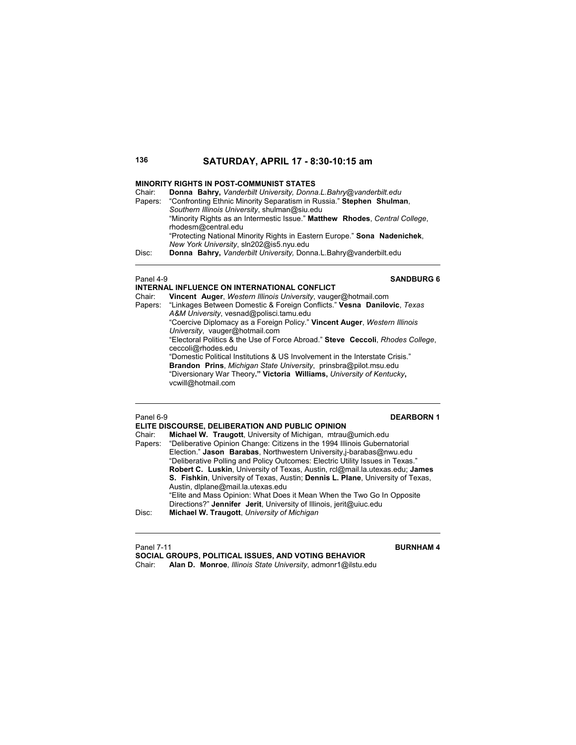### **MINORITY RIGHTS IN POST-COMMUNIST STATES**

| Chair:  | Donna Bahry, Vanderbilt University, Donna.L.Bahry@vanderbilt.edu            |
|---------|-----------------------------------------------------------------------------|
| Papers: | "Confronting Ethnic Minority Separatism in Russia." Stephen Shulman,        |
|         | Southern Illinois University, shulman@siu.edu                               |
|         | "Minority Rights as an Intermestic Issue." Matthew Rhodes, Central College, |
|         | rhodesm@central.edu                                                         |
|         | "Protecting National Minority Rights in Eastern Europe." Sona Nadenichek,   |
|         | New York University, sln202@is5.nyu.edu                                     |
| Disc:   | Donna Bahry, Vanderbilt University, Donna.L.Bahry@vanderbilt.edu            |

## Panel 4-9 **SANDBURG 6**

### **INTERNAL INFLUENCE ON INTERNATIONAL CONFLICT** Chair: **Vincent Auger**, *Western Illinois University*, vauger@hotmail.com Papers: "Linkages Between Domestic & Foreign Conflicts." **Vesna Danilovic**, *Texas A&M University*, vesnad@polisci.tamu.edu "Coercive Diplomacy as a Foreign Policy." **Vincent Auger**, *Western Illinois University*, vauger@hotmail.com "Electoral Politics & the Use of Force Abroad." **Steve Ceccoli**, *Rhodes College*, ceccoli@rhodes.edu "Domestic Political Institutions & US Involvement in the Interstate Crisis." **Brandon Prins**, *Michigan State University*, prinsbra@pilot.msu.edu "Diversionary War Theory**." Victoria Williams,** *University of Kentucky***,**  vcwill@hotmail.com

### Panel 6-9 **DEARBORN 1**

|        | ELITE DISCOURSE, DELIBERATION AND PUBLIC OPINION                                  |
|--------|-----------------------------------------------------------------------------------|
| Chair: | Michael W. Traugott, University of Michigan, mtrau@umich.edu                      |
|        | Papers: "Deliberative Opinion Change: Citizens in the 1994 Illinois Gubernatorial |
|        | Election." Jason Barabas, Northwestern University <i>i</i> -barabas@nwu.edu       |
|        | "Deliberative Polling and Policy Outcomes: Electric Utility Issues in Texas."     |
|        | Robert C. Luskin, University of Texas, Austin, rcl@mail.la.utexas.edu; James      |
|        | S. Fishkin, University of Texas, Austin; Dennis L. Plane, University of Texas,    |
|        | Austin, dlplane@mail.la.utexas.edu                                                |
|        | "Elite and Mass Opinion: What Does it Mean When the Two Go In Opposite            |
|        | Directions?" Jennifer Jerit, University of Illinois, jerit@uiuc.edu               |
| Disc:  | Michael W. Traugott, University of Michigan                                       |

## **Panel 7-11 BURNHAM 4**

**SOCIAL GROUPS, POLITICAL ISSUES, AND VOTING BEHAVIOR**  Chair: **Alan D. Monroe**, *Illinois State University*, admonr1@ilstu.edu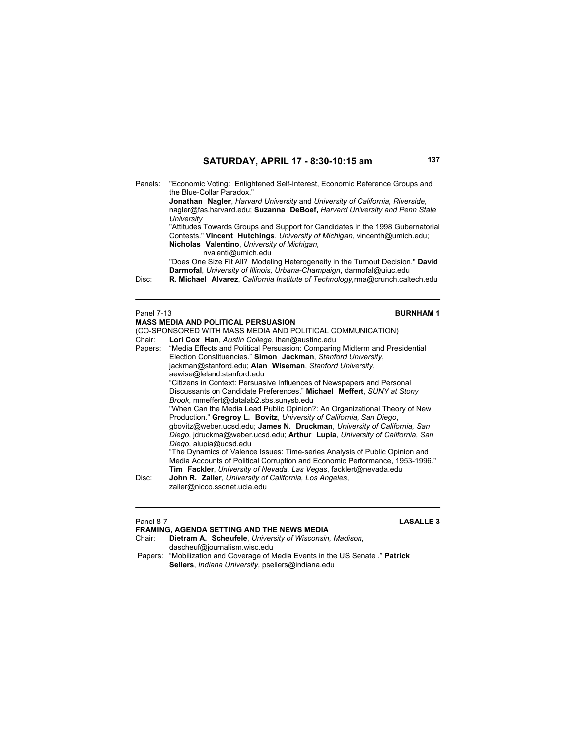Panels: "Economic Voting: Enlightened Self-Interest, Economic Reference Groups and the Blue-Collar Paradox." **Jonathan Nagler**, *Harvard University* and *University of California, Riverside*, nagler@fas.harvard.edu; **Suzanna DeBoef,** *Harvard University and Penn State University* "Attitudes Towards Groups and Support for Candidates in the 1998 Gubernatorial Contests." **Vincent Hutchings**, *University of Michigan*, vincenth@umich.edu; **Nicholas Valentino**, *University of Michigan,*  nvalenti@umich.edu "Does One Size Fit All? Modeling Heterogeneity in the Turnout Decision." **David Darmofal**, *University of Illinois, Urbana-Champaign*, darmofal@uiuc.edu Disc: **R. Michael Alvarez**, *California Institute of Technology,*rma@crunch.caltech.edu

### Panel 7-13 **BURNHAM 1 MASS MEDIA AND POLITICAL PERSUASION** (CO-SPONSORED WITH MASS MEDIA AND POLITICAL COMMUNICATION) Chair: **Lori Cox Han**, *Austin College*, lhan@austinc.edu "Media Effects and Political Persuasion: Comparing Midterm and Presidential Election Constituencies." **Simon Jackman**, *Stanford University*, jackman@stanford.edu; **Alan Wiseman**, *Stanford University*, aewise@leland.stanford.edu "Citizens in Context: Persuasive Influences of Newspapers and Personal Discussants on Candidate Preferences." **Michael Meffert**, *SUNY at Stony Brook*, mmeffert@datalab2.sbs.sunysb.edu "When Can the Media Lead Public Opinion?: An Organizational Theory of New Production." **Gregroy L. Bovitz**, *University of California, San Diego*, gbovitz@weber.ucsd.edu; **James N. Druckman**, *University of California, San Diego*, jdruckma@weber.ucsd.edu; **Arthur Lupia**, *University of California, San Diego*, alupia@ucsd.edu "The Dynamics of Valence Issues: Time-series Analysis of Public Opinion and Media Accounts of Political Corruption and Economic Performance, 1953-1996." **Tim Fackler**, *University of Nevada, Las Vegas*, facklert@nevada.edu Disc: **John R. Zaller**, *University of California, Los Angeles*, zaller@nicco.sscnet.ucla.edu

| Panel 8-7 | <b>LASALLE 3</b>                                                               |
|-----------|--------------------------------------------------------------------------------|
|           | <b>FRAMING, AGENDA SETTING AND THE NEWS MEDIA</b>                              |
| Chair:    | Dietram A. Scheufele, University of Wisconsin, Madison,                        |
|           | dascheuf@journalism.wisc.edu                                                   |
|           | Papers: "Mobilization and Coverage of Media Events in the US Senate ." Patrick |
|           | Sellers, <i>Indiana University</i> , psellers@indiana.edu                      |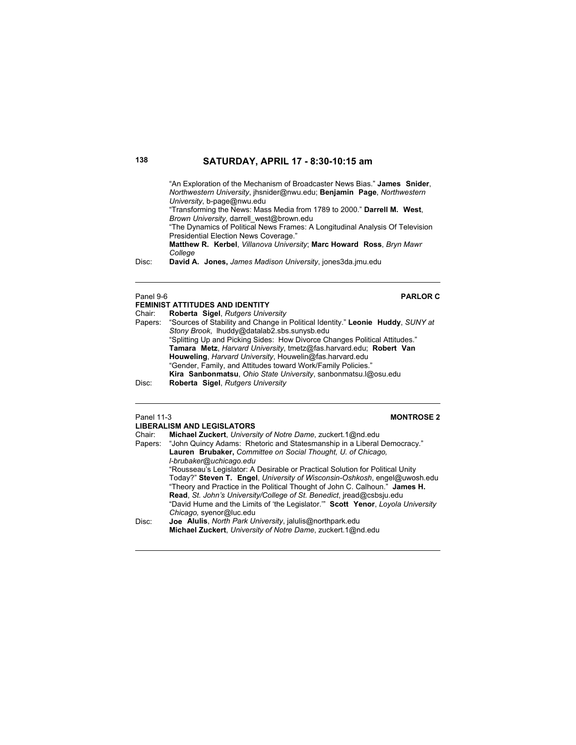"An Exploration of the Mechanism of Broadcaster News Bias." **James Snider**, *Northwestern University*, jhsnider@nwu.edu; **Benjamin Page**, *Northwestern University*, b-page@nwu.edu

 "Transforming the News: Mass Media from 1789 to 2000." **Darrell M. West**, *Brown University,* darrell\_west@brown.edu

 "The Dynamics of Political News Frames: A Longitudinal Analysis Of Television Presidential Election News Coverage."

**Matthew R. Kerbel**, *Villanova University*; **Marc Howard Ross**, *Bryn Mawr College*

Disc: **David A. Jones,** *James Madison University*, jones3da.jmu.edu

## Panel 9-6 **PARLOR C**

### **FEMINIST ATTITUDES AND IDENTITY**<br>Chair: **Roberta Sigel** Rutgers Unive Chair: **Roberta Sigel**, *Rutgers University* Papers: "Sources of Stability and Change in Political Identity." **Leonie Huddy**, *SUNY at Stony Brook*, lhuddy@datalab2.sbs.sunysb.edu "Splitting Up and Picking Sides: How Divorce Changes Political Attitudes." **Tamara Metz**, *Harvard University*, tmetz@fas.harvard.edu; **Robert Van Houweling**, *Harvard University*, Houwelin@fas.harvard.edu "Gender, Family, and Attitudes toward Work/Family Policies." **Kira Sanbonmatsu**, *Ohio State University*, sanbonmatsu.l@osu.edu Disc: **Roberta Sigel**, *Rutgers University*

## Panel 11-3 **MONTROSE 2**

| ганы тэ | <b>IVIUIVINUJEZ</b>                                                            |
|---------|--------------------------------------------------------------------------------|
|         | <b>LIBERALISM AND LEGISLATORS</b>                                              |
| Chair:  | Michael Zuckert, University of Notre Dame, zuckert.1@nd.edu                    |
| Papers: | "John Quincy Adams: Rhetoric and Statesmanship in a Liberal Democracy."        |
|         | Lauren Brubaker, Committee on Social Thought, U. of Chicago,                   |
|         | I-brubaker@uchicago.edu                                                        |
|         | "Rousseau's Legislator: A Desirable or Practical Solution for Political Unity  |
|         | Today?" Steven T. Engel, University of Wisconsin-Oshkosh, engel@uwosh.edu      |
|         | "Theory and Practice in the Political Thought of John C. Calhoun." James H.    |
|         | Read, St. John's University/College of St. Benedict, iread@csbsju.edu          |
|         | "David Hume and the Limits of 'the Legislator." Scott Yenor, Loyola University |
|         | Chicago, syenor@luc.edu                                                        |
| Disc:   | Joe Alulis, North Park University, jalulis@northpark.edu                       |
|         | Michael Zuckert, University of Notre Dame, zuckert. 1@nd.edu                   |
|         |                                                                                |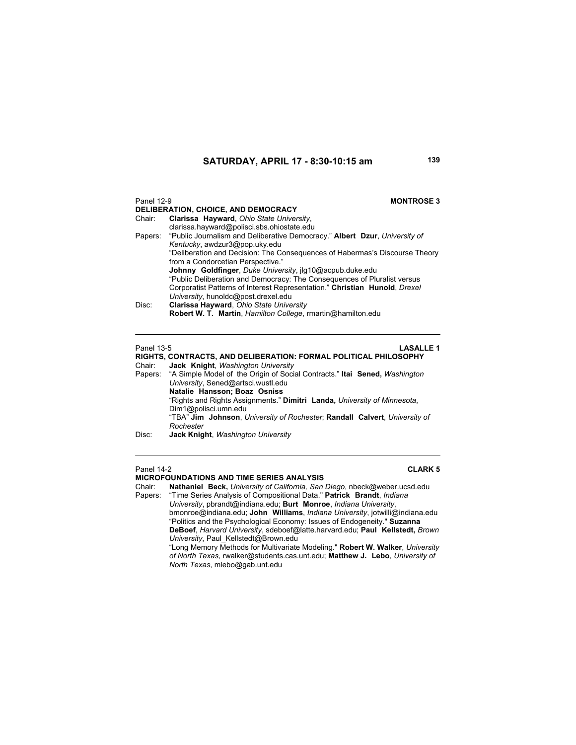| Panel 12-9 | <b>MONTROSE 3</b><br>DELIBERATION, CHOICE, AND DEMOCRACY                           |
|------------|------------------------------------------------------------------------------------|
| Chair:     | Clarissa Hayward, Ohio State University,                                           |
|            | clarissa.hayward@polisci.sbs.ohiostate.edu                                         |
|            | Papers: "Public Journalism and Deliberative Democracy." Albert Dzur, University of |
|            | Kentucky, awdzur3@pop.uky.edu                                                      |
|            | "Deliberation and Decision: The Consequences of Habermas's Discourse Theory        |
|            | from a Condorcetian Perspective."                                                  |
|            | Johnny Goldfinger, Duke University, ilg10@acpub.duke.edu                           |
|            | "Public Deliberation and Democracy: The Consequences of Pluralist versus           |
|            | Corporatist Patterns of Interest Representation." Christian Hunold, Drexel         |
|            | University, hunoldc@post.drexel.edu                                                |
| Disc:      |                                                                                    |
|            | Robert W. T. Martin, Hamilton College, rmartin@hamilton.edu                        |
|            |                                                                                    |
|            | Clarissa Hayward, Ohio State University                                            |

Panel 13-5 **LASALLE 1** 

| RIGHTS, CONTRACTS, AND DELIBERATION: FORMAL POLITICAL PHILOSOPHY |                                                                                    |
|------------------------------------------------------------------|------------------------------------------------------------------------------------|
| Chair:                                                           | Jack Knight, Washington University                                                 |
|                                                                  | Papers: "A Simple Model of the Origin of Social Contracts." Ital Sened, Washington |
|                                                                  | University, Sened@artsci.wustl.edu                                                 |
|                                                                  | Natalie Hansson; Boaz Osniss                                                       |
|                                                                  | "Rights and Rights Assignments." Dimitri Landa, University of Minnesota,           |
|                                                                  | Dim1@polisci.umn.edu                                                               |
|                                                                  | "TBA" Jim Johnson, University of Rochester, Randall Calvert, University of         |
|                                                                  | Rochester                                                                          |
|                                                                  |                                                                                    |

## Disc: **Jack Knight**, *Washington University*

### **MICROFOUNDATIONS AND TIME SERIES ANALYSIS**

Panel 14-2 **CLARK 5**

Chair: **Nathaniel Beck,** *University of California, San Diego*, nbeck@weber.ucsd.edu Papers: "Time Series Analysis of Compositional Data." **Patrick Brandt**, *Indiana University*, pbrandt@indiana.edu; **Burt Monroe**, *Indiana University*, bmonroe@indiana.edu; **John Williams**, *Indiana University*, jotwilli@indiana.edu "Politics and the Psychological Economy: Issues of Endogeneity." **Suzanna DeBoef**, *Harvard University*, sdeboef@latte.harvard.edu; **Paul Kellstedt,** *Brown University*, Paul\_Kellstedt@Brown.edu "Long Memory Methods for Multivariate Modeling." **Robert W. Walker**, *University* 

*of North Texas*, rwalker@students.cas.unt.edu; **Matthew J. Lebo**, *University of North Texas*, mlebo@gab.unt.edu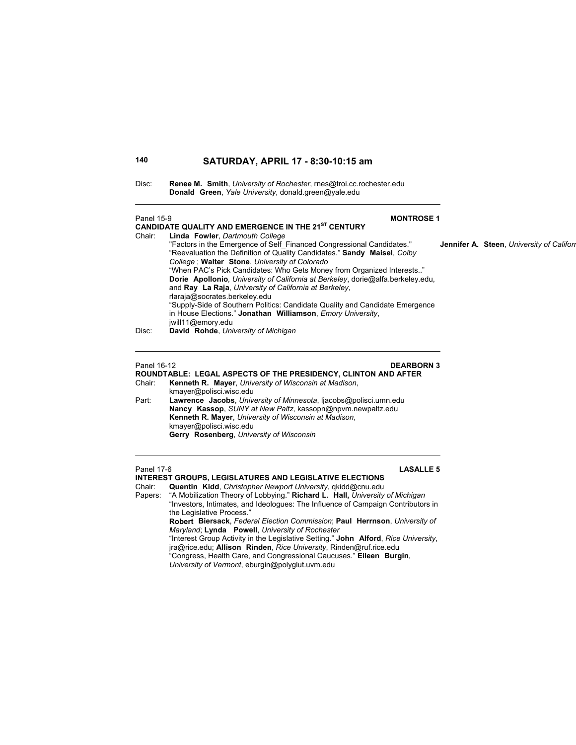| Disc: | <b>Renee M. Smith, University of Rochester, rnes@troi.cc.rochester.edu</b> |
|-------|----------------------------------------------------------------------------|
|       | <b>Donald Green, Yale University, donald.green@yale.edu</b>                |

### Panel 15-9 **MONTROSE 1 CANDIDATE QUALITY AND EMERGENCE IN THE 21ST CENTURY** Chair: **Linda Fowler**, *Dartmouth College* "Factors in the Emergence of Self\_Financed Congressional Candidates." **Jennifer A. Steen**, *University of Californ* "Reevaluation the Definition of Quality Candidates." **Sandy Maisel***, Colby College* ; **Walter Stone**, *University of Colorado* "When PAC's Pick Candidates: Who Gets Money from Organized Interests.." **Dorie Apollonio***, University of California at Berkeley*, dorie@alfa.berkeley.edu, and **Ray La Raja**, *University of California at Berkeley*, rlaraja@socrates.berkeley.edu "Supply-Side of Southern Politics: Candidate Quality and Candidate Emergence in House Elections." **Jonathan Williamson**, *Emory University*, jwill11@emory.edu Disc: **David Rohde**, *University of Michigan*

Panel 16-12 **DEARBORN 3**

- **ROUNDTABLE: LEGAL ASPECTS OF THE PRESIDENCY, CLINTON AND AFTER** Kenneth R. Mayer, *University of Wisconsin at Madison*, kmayer@polisci.wisc.edu
- Part: **Lawrence Jacobs**, *University of Minnesota*, ljacobs@polisci.umn.edu **Nancy Kassop**, *SUNY at New Paltz*, kassopn@npvm.newpaltz.edu **Kenneth R. Mayer**, *University of Wisconsin at Madison*, kmayer@polisci.wisc.edu **Gerry Rosenberg**, *University of Wisconsin*

### Panel 17-6 **LASALLE 5**

### **INTEREST GROUPS, LEGISLATURES AND LEGISLATIVE ELECTIONS** Chair: **Quentin Kidd**, *Christopher Newport University*, qkidd@cnu.edu

Papers: "A Mobilization Theory of Lobbying." **Richard L. Hall,** *University of Michigan* "Investors, Intimates, and Ideologues: The Influence of Campaign Contributors in

the Legislative Process." **Robert Biersack**, *Federal Election Commission*; **Paul Herrnson**, *University of Maryland*; **Lynda Powell**, *University of Rochester*

 "Interest Group Activity in the Legislative Setting." **John Alford**, *Rice University*, jra@rice.edu; **Allison Rinden**, *Rice University*, Rinden@ruf.rice.edu

"Congress, Health Care, and Congressional Caucuses." **Eileen Burgin**,

*University of Vermont*, eburgin@polyglut.uvm.edu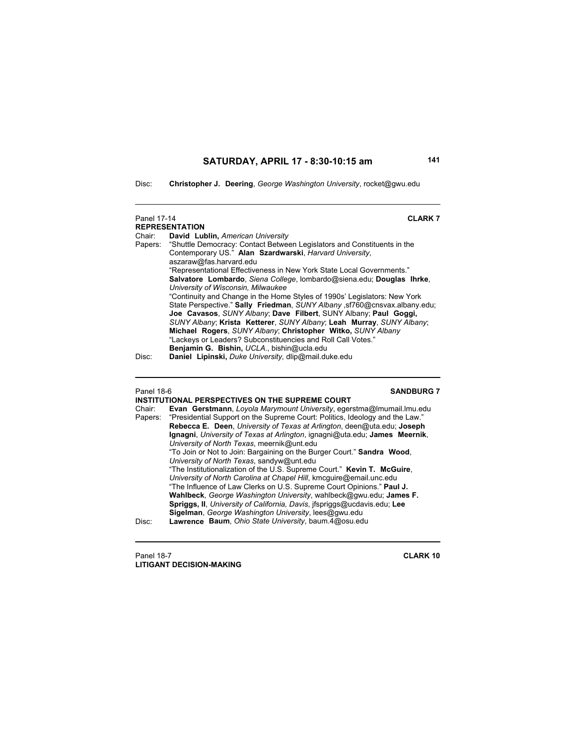Disc: **Christopher J. Deering**, *George Washington University*, rocket@gwu.edu

| Panel 17-14 | <b>CLARK7</b><br><b>REPRESENTATION</b>                                          |
|-------------|---------------------------------------------------------------------------------|
| Chair:      | David Lublin, American University                                               |
|             | Papers: "Shuttle Democracy: Contact Between Legislators and Constituents in the |
|             | Contemporary US." Alan Szardwarski, Harvard University,                         |
|             | aszaraw@fas.harvard.edu                                                         |
|             | "Representational Effectiveness in New York State Local Governments."           |
|             | Salvatore Lombardo, Siena College, Iombardo@siena.edu; Douglas Ihrke,           |
|             | University of Wisconsin, Milwaukee                                              |
|             | "Continuity and Change in the Home Styles of 1990s' Legislators: New York       |
|             | State Perspective." Sally Friedman, SUNY Albany, st760@cnsvax.albany.edu;       |
|             | Joe Cavasos, SUNY Albany; Dave Filbert, SUNY Albany; Paul Goggi,                |
|             | SUNY Albany; Krista Ketterer, SUNY Albany; Leah Murray, SUNY Albany;            |
|             | Michael Rogers, SUNY Albany; Christopher Witko, SUNY Albany                     |
|             | "Lackeys or Leaders? Subconstituencies and Roll Call Votes."                    |
|             | Benjamin G. Bishin, UCLA., bishin@ucla.edu                                      |
| Disc:       | Daniel Lipinski, Duke University, dlip@mail.duke.edu                            |

 $\overline{a}$ 

### Panel 18-6 **SANDBURG 7**

|         | INSTITUTIONAL PERSPECTIVES ON THE SUPREME COURT                              |
|---------|------------------------------------------------------------------------------|
| Chair:  | Evan Gerstmann, Loyola Marymount University, egerstma@Imumail.Imu.edu        |
| Papers: | "Presidential Support on the Supreme Court: Politics, Ideology and the Law." |
|         | Rebecca E. Deen, University of Texas at Arlington, deen@uta.edu; Joseph      |
|         | Ignagni, University of Texas at Arlington, ignagni@uta.edu; James Meernik,   |
|         | University of North Texas, meernik@unt.edu                                   |
|         | "To Join or Not to Join: Bargaining on the Burger Court." Sandra Wood,       |
|         | University of North Texas, sandyw@unt.edu                                    |
|         | "The Institutionalization of the U.S. Supreme Court." Kevin T. McGuire,      |
|         | University of North Carolina at Chapel Hill, kmcquire@email.unc.edu          |
|         | "The Influence of Law Clerks on U.S. Supreme Court Opinions." Paul J.        |
|         | Wahlbeck, George Washington University, wahlbeck@gwu.edu; James F.           |
|         | Spriggs, II, University of California, Davis, ifspriggs@ucdavis.edu; Lee     |
|         | Sigelman, George Washington University, lees@gwu.edu                         |
| Disc:   | Lawrence Baum, Ohio State University, baum.4@osu.edu                         |
|         |                                                                              |

Panel 18-7 **CLARK 10 LITIGANT DECISION-MAKING**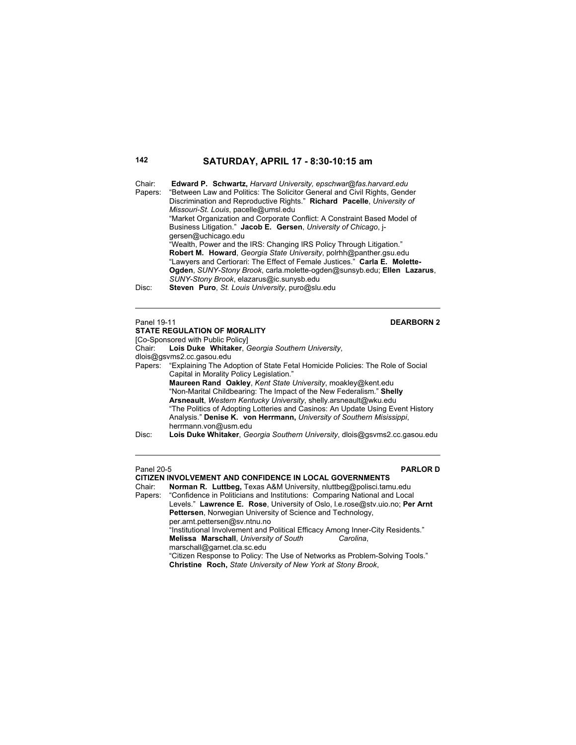| Chair:<br>Papers:<br>Missouri-St. Louis, pacelle@umsl.edu<br>gersen@uchicago.edu<br>SUNY-Stony Brook, elazarus@ic.sunysb.edu<br>Disc: | <b>Edward P. Schwartz, Harvard University, epschwar@fas.harvard.edu</b><br>"Between Law and Politics: The Solicitor General and Civil Rights, Gender<br>Discrimination and Reproductive Rights." Richard Pacelle, University of<br>"Market Organization and Corporate Conflict: A Constraint Based Model of<br>Business Litigation." Jacob E. Gersen, University of Chicago, i- |
|---------------------------------------------------------------------------------------------------------------------------------------|---------------------------------------------------------------------------------------------------------------------------------------------------------------------------------------------------------------------------------------------------------------------------------------------------------------------------------------------------------------------------------|
|                                                                                                                                       | "Wealth, Power and the IRS: Changing IRS Policy Through Litigation."<br>Robert M. Howard, Georgia State University, polrhh@panther.gsu.edu<br>"Lawyers and Certiorari: The Effect of Female Justices." Carla E. Molette-<br>Ogden, SUNY-Stony Brook, carla molette-ogden@sunsyb.edu; Ellen Lazarus,<br>Steven Puro, St. Louis University, puro@slu.edu                          |
| Panel 19-11                                                                                                                           | <b>DEARBORN 2</b>                                                                                                                                                                                                                                                                                                                                                               |

# **STATE REGULATION OF MORALITY**

[Co-Sponsored with Public Policy]<br>Chair: Lois Duke Whitaker, 0 Lois Duke Whitaker, *Georgia Southern University*, dlois@gsvms2.cc.gasou.edu Papers: "Explaining The Adoption of State Fetal Homicide Policies: The Role of Social Capital in Morality Policy Legislation." **Maureen Rand Oakley**, *Kent State University*, moakley@kent.edu "Non-Marital Childbearing: The Impact of the New Federalism." **Shelly Arsneault**, *Western Kentucky University*, shelly.arsneault@wku.edu "The Politics of Adopting Lotteries and Casinos: An Update Using Event History Analysis." **Denise K. von Herrmann,** *University of Southern Misissippi*, herrmann.von@usm.edu Disc: **Lois Duke Whitaker**, *Georgia Southern University*, dlois@gsvms2.cc.gasou.edu

### Panel 20-5 **PARLOR D**

**CITIZEN INVOLVEMENT AND CONFIDENCE IN LOCAL GOVERNMENTS**

Norman R. Luttbeg, Texas A&M University, nluttbeg@polisci.tamu.edu Papers: "Confidence in Politicians and Institutions: Comparing National and Local Levels." **Lawrence E. Rose**, University of Oslo, l.e.rose@stv.uio.no; **Per Arnt Pettersen**, Norwegian University of Science and Technology,

per.arnt.pettersen@sv.ntnu.no "Institutional Involvement and Political Efficacy Among Inner-City Residents." **Melissa Marschall**, *University of South Carolina*,

marschall@garnet.cla.sc.edu

"Citizen Response to Policy: The Use of Networks as Problem-Solving Tools." **Christine Roch,** *State University of New York at Stony Brook*,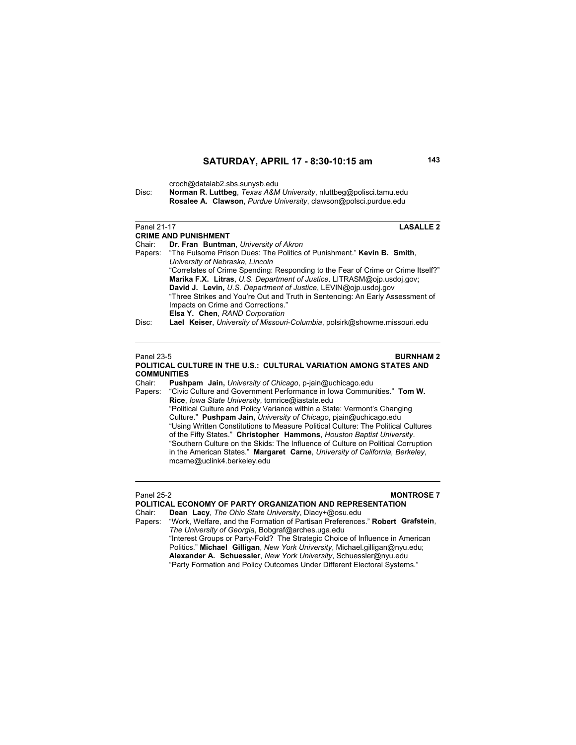croch@datalab2.sbs.sunysb.edu

mcarne@uclink4.berkeley.edu

Disc: **Norman R. Luttbeg**, *Texas A&M University*, nluttbeg@polisci.tamu.edu **Rosalee A. Clawson**, *Purdue University*, clawson@polsci.purdue.edu

| Panel 21-17        | <b>LASALLE 2</b>                                                                                            |
|--------------------|-------------------------------------------------------------------------------------------------------------|
|                    | <b>CRIME AND PUNISHMENT</b>                                                                                 |
| Chair:             | Dr. Fran Buntman, University of Akron                                                                       |
| Papers:            | "The Fulsome Prison Dues: The Politics of Punishment." Kevin B. Smith.                                      |
|                    | University of Nebraska, Lincoln                                                                             |
|                    | "Correlates of Crime Spending: Responding to the Fear of Crime or Crime Itself?"                            |
|                    | Marika F.X. Litras, U.S. Department of Justice, LITRASM@ojp.usdoj.gov;                                      |
|                    | David J. Levin, U.S. Department of Justice, LEVIN@ojp.usdoj.gov                                             |
|                    | "Three Strikes and You're Out and Truth in Sentencing: An Early Assessment of                               |
|                    | Impacts on Crime and Corrections."                                                                          |
| Disc:              | Elsa Y. Chen, RAND Corporation<br>Lael Keiser, University of Missouri-Columbia, polsirk@showme.missouri.edu |
|                    |                                                                                                             |
|                    |                                                                                                             |
|                    |                                                                                                             |
| Panel 23-5         | <b>BURNHAM2</b>                                                                                             |
|                    | POLITICAL CULTURE IN THE U.S.: CULTURAL VARIATION AMONG STATES AND                                          |
| <b>COMMUNITIES</b> |                                                                                                             |
| Chair:             | <b>Pushpam Jain, University of Chicago, p-jain@uchicago.edu</b>                                             |
|                    | Papers: "Civic Culture and Government Performance in Iowa Communities." Tom W.                              |
|                    | Rice, Iowa State University, tomrice@iastate.edu                                                            |
|                    | "Political Culture and Policy Variance within a State: Vermont's Changing                                   |
|                    | Culture." Pushpam Jain, University of Chicago, pjain@uchicago.edu                                           |
|                    | "Using Written Constitutions to Measure Political Culture: The Political Cultures                           |
|                    | of the Fifty States." Christopher Hammons, Houston Baptist University.                                      |
|                    | "Southern Culture on the Skids: The Influence of Culture on Political Corruption                            |
|                    | in the American States." Margaret Carne, University of California, Berkeley,                                |

Panel 25-2 **MONTROSE 7** 

"Work, Welfare, and the Formation of Partisan Preferences." Robert Grafstein,

"Interest Groups or Party-Fold? The Strategic Choice of Influence in American Politics." **Michael Gilligan**, *New York University*, Michael.gilligan@nyu.edu; **Alexander A. Schuessler**, *New York University*, Schuessler@nyu.edu "Party Formation and Policy Outcomes Under Different Electoral Systems."

**POLITICAL ECONOMY OF PARTY ORGANIZATION AND REPRESENTATION**<br>Chair: Dean Lacy, The Ohio State University, Dlacy+@osu.edu

Chair: **Dean Lacy**, *The Ohio State University*, Dlacy+@osu.edu

*The University of Georgia*, Bobgraf@arches.uga.edu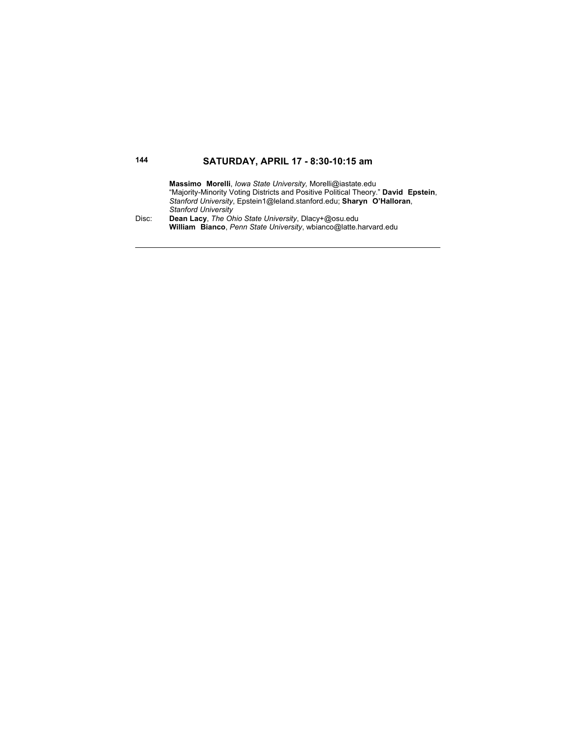**Massimo Morelli**, *Iowa State University,* Morelli@iastate.edu "Majority-Minority Voting Districts and Positive Political Theory." **David Epstein**, *Stanford University*, Epstein1@leland.stanford.edu; **Sharyn O'Halloran**, *Stanford University* Disc: **Dean Lacy**, *The Ohio State University*, Dlacy+@osu.edu

**William Bianco**, *Penn State University*, wbianco@latte.harvard.edu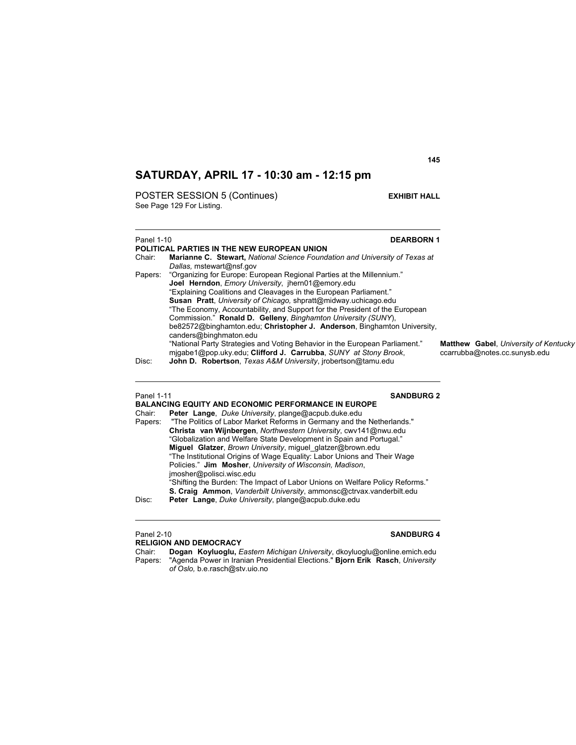POSTER SESSION 5 (Continues) **EXHIBIT HALL** See Page 129 For Listing.

### Panel 1-10 **DEARBORN 1 POLITICAL PARTIES IN THE NEW EUROPEAN UNION** Chair: **Marianne C. Stewart,** *National Science Foundation and University of Texas at Dallas,* mstewart@nsf.gov Papers: "Organizing for Europe: European Regional Parties at the Millennium." **Joel Herndon**, *Emory University*, jhern01@emory.edu "Explaining Coalitions and Cleavages in the European Parliament." **Susan Pratt**, *University of Chicago,* shpratt@midway.uchicago.edu "The Economy, Accountability, and Support for the President of the European Commission." **Ronald D. Gelleny**, *Binghamton University (SUNY*), be82572@binghamton.edu; **Christopher J. Anderson**, Binghamton University, canders@binghmaton.edu "National Party Strategies and Voting Behavior in the European Parliament." **Matthew Gabel**, *University of Kentucky* mjgabe1@pop.uky.edu; **Clifford J. Carrubba**, *SUNY at Stony Brook*, Disc: **John D. Robertson**. *Texas A&M University*. irobertson@tamu.edu John D. Robertson, *Texas A&M University*, jrobertson@tamu.edu

Panel 1-11 **SANDBURG 2**

|         | BALANCING EQUITY AND ECONOMIC PERFORMANCE IN EUROPE                          |
|---------|------------------------------------------------------------------------------|
| Chair:  | Peter Lange, Duke University, plange@acpub.duke.edu                          |
| Papers: | "The Politics of Labor Market Reforms in Germany and the Netherlands."       |
|         | Christa van Wijnbergen, Northwestern University, cwv141@nwu.edu              |
|         | "Globalization and Welfare State Development in Spain and Portugal."         |
|         | Miguel Glatzer, Brown University, miguel_glatzer@brown.edu                   |
|         | "The Institutional Origins of Wage Equality: Labor Unions and Their Wage     |
|         | Policies." Jim Mosher, University of Wisconsin, Madison,                     |
|         | imosher@polisci.wisc.edu                                                     |
|         | "Shifting the Burden: The Impact of Labor Unions on Welfare Policy Reforms." |
|         | S. Craig Ammon, Vanderbilt University, ammonsc@ctrvax.vanderbilt.edu         |
| Disc:   | Peter Lange, Duke University, plange@acpub.duke.edu                          |
|         |                                                                              |

### Panel 2-10 **SANDBURG 4 RELIGION AND DEMOCRACY**

Chair: **Dogan Koyluoglu,** *Eastern Michigan University*, dkoyluoglu@online.emich.edu Papers: "Agenda Power in Iranian Presidential Elections." **Bjorn Erik Rasch**, *University of Oslo,* b.e.rasch@stv.uio.no

**145**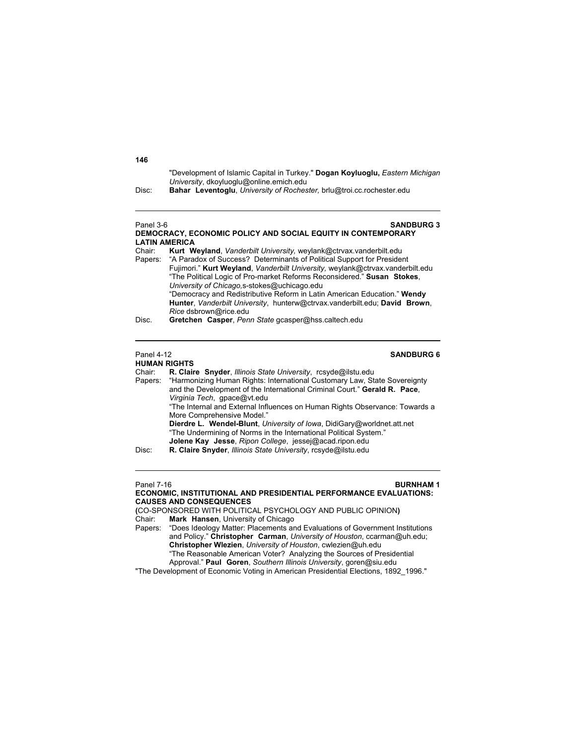"Development of Islamic Capital in Turkey." **Dogan Koyluoglu,** *Eastern Michigan University*, dkoyluoglu@online.emich.edu

Disc: **Bahar Leventoglu**, *University of Rochester,* brlu@troi.cc.rochester.edu

Panel 3-6 **SANDBURG 3 DEMOCRACY, ECONOMIC POLICY AND SOCIAL EQUITY IN CONTEMPORARY LATIN AMERICA** Chair: **Kurt Weyland**, *Vanderbilt University,* weylank@ctrvax.vanderbilt.edu Papers: "A Paradox of Success? Determinants of Political Support for President Fujimori." **Kurt Weyland**, *Vanderbilt University,* weylank@ctrvax.vanderbilt.edu "The Political Logic of Pro-market Reforms Reconsidered." **Susan Stokes**, *University of Chicago,*s-stokes@uchicago.edu "Democracy and Redistributive Reform in Latin American Education." **Wendy Hunter**, *Vanderbilt University*, hunterw@ctrvax.vanderbilt.edu; **David Brown**, *Rice* dsbrown@rice.edu

### **HUMAN RIGHTS**

## Panel 4-12 **SANDBURG 6**

Chair: **R. Claire Snyder**, *Illinois State University*, rcsyde@ilstu.edu Papers: "Harmonizing Human Rights: International Customary Law, State Sovereignty and the Development of the International Criminal Court." **Gerald R. Pace**, *Virginia Tech*, gpace@vt.edu "The Internal and External Influences on Human Rights Observance: Towards a More Comprehensive Model." **Dierdre L. Wendel-Blunt**, *University of Iowa*, DidiGary@worldnet.att.net "The Undermining of Norms in the International Political System." **Jolene Kay Jesse**, *Ripon College*, jessej@acad.ripon.edu<br>Disc: R. Claire Snyder, *Illinois State University*, rcsyde@ilstu.edu

Disc: **R. Claire Snyder**, *Illinois State University*, rcsyde@ilstu.edu

## **Panel 7-16 BURNHAM 1**

**ECONOMIC, INSTITUTIONAL AND PRESIDENTIAL PERFORMANCE EVALUATIONS: CAUSES AND CONSEQUENCES** 

**(**CO-SPONSORED WITH POLITICAL PSYCHOLOGY AND PUBLIC OPINION**)** Chair: **Mark Hansen**, University of Chicago

Papers: "Does Ideology Matter: Placements and Evaluations of Government Institutions and Policy." **Christopher Carman**, *University of Houston*, ccarman@uh.edu; **Christopher Wlezien**, *University of Houston*, cwlezien@uh.edu "The Reasonable American Voter? Analyzing the Sources of Presidential

Approval." **Paul Goren**, *Southern Illinois University*, goren@siu.edu

"The Development of Economic Voting in American Presidential Elections, 1892\_1996."

### **146**

Disc. **Gretchen Casper**, *Penn State* gcasper@hss.caltech.edu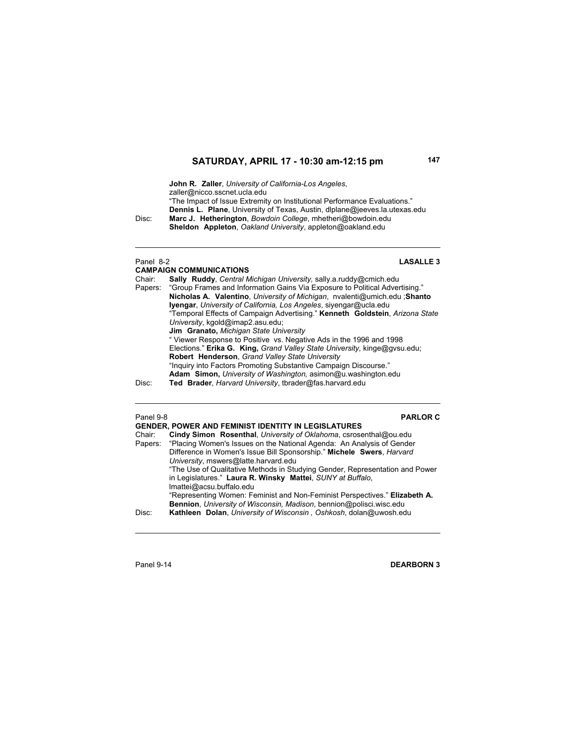**John R. Zaller**, *University of California-Los Angeles*, zaller@nicco.sscnet.ucla.edu "The Impact of Issue Extremity on Institutional Performance Evaluations."  **Dennis L. Plane**, University of Texas, Austin, dlplane@jeeves.la.utexas.edu Disc: **Marc J. Hetherington**, *Bowdoin College*, mhetheri@bowdoin.edu

**Sheldon Appleton**, *Oakland University*, appleton@oakland.edu

### Panel 8-2 **LASALLE 3**

|         | <b>CAMPAIGN COMMUNICATIONS</b>                                                    |
|---------|-----------------------------------------------------------------------------------|
| Chair:  | <b>Sally Ruddy, Central Michigan University, sally a ruddy@cmich.edu</b>          |
| Papers: | "Group Frames and Information Gains Via Exposure to Political Advertising."       |
|         | <b>Nicholas A. Valentino.</b> University of Michigan, nvalenti@umich.edu : Shanto |
|         | <b>Iyengar</b> , University of California, Los Angeles, siyengar@ucla.edu         |
|         | "Temporal Effects of Campaign Advertising." Kenneth Goldstein, Arizona State      |
|         | University, kgold@imap2.asu.edu;                                                  |
|         | <b>Jim Granato, Michigan State University</b>                                     |
|         | " Viewer Response to Positive vs. Negative Ads in the 1996 and 1998               |
|         | Elections." Erika G. King, Grand Valley State University, kinge@gysu.edu;         |
|         | Robert Henderson, Grand Valley State University                                   |
|         | "Inquiry into Factors Promoting Substantive Campaign Discourse."                  |
|         | Adam Simon, University of Washington, asimon@u.washington.edu                     |
| Disc:   | Ted Brader, Harvard University, tbrader@fas.harvard.edu                           |

## Panel 9-8 **PARLOR C**

|         | <b>GENDER, POWER AND FEMINIST IDENTITY IN LEGISLATURES</b>                   |
|---------|------------------------------------------------------------------------------|
| Chair:  | Cindy Simon Rosenthal, University of Oklahoma, csrosenthal@ou.edu            |
| Papers: | "Placing Women's Issues on the National Agenda: An Analysis of Gender        |
|         | Difference in Women's Issue Bill Sponsorship." Michele Swers, Harvard        |
|         | University, mswers@latte.harvard.edu                                         |
|         | "The Use of Qualitative Methods in Studying Gender, Representation and Power |
|         | in Legislatures." Laura R. Winsky Mattei, SUNY at Buffalo,                   |
|         | Imattei@acsu.buffalo.edu                                                     |
|         | "Representing Women: Feminist and Non-Feminist Perspectives." Elizabeth A.   |
|         | Bennion, University of Wisconsin, Madison, bennion@polisci.wisc.edu          |
| Disc:   | Kathleen Dolan, University of Wisconsin, Oshkosh, dolan@uwosh.edu            |
|         |                                                                              |

Panel 9-14 **DEARBORN 3**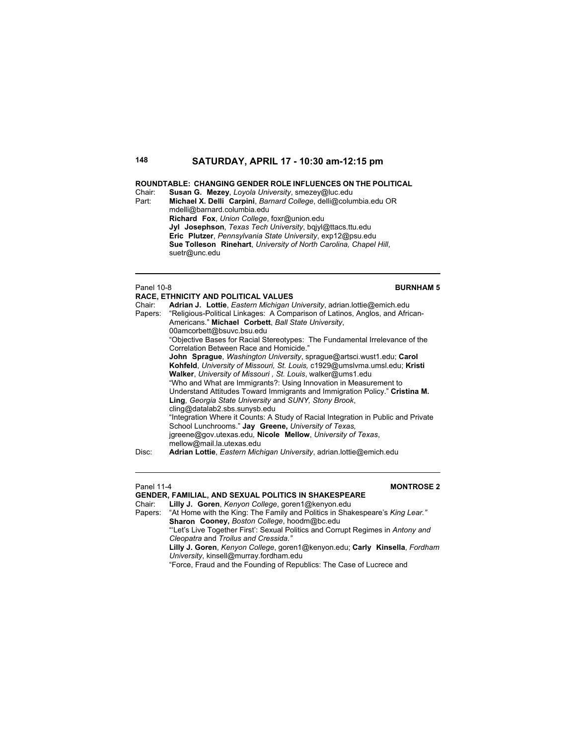### **ROUNDTABLE: CHANGING GENDER ROLE INFLUENCES ON THE POLITICAL**

Chair: **Susan G. Mezey**, *Loyola University*, smezey@luc.edu Part: **Michael X. Delli Carpini**, *Barnard College*, delli@columbia.edu OR mdelli@barnard.columbia.edu **Richard Fox**, *Union College*, foxr@union.edu **Jyl Josephson**, *Texas Tech University*, bqjyl@ttacs.ttu.edu **Eric Plutzer**, *Pennsylvania State University*, exp12@psu.edu **Sue Tolleson Rinehart**, *University of North Carolina, Chapel Hill*, suetr@unc.edu

### Panel 10-8 **BURNHAM 5**

|         | <b>RACE. ETHNICITY AND POLITICAL VALUES</b>                                       |
|---------|-----------------------------------------------------------------------------------|
| Chair:  | Adrian J. Lottie, <i>Eastern Michigan University</i> , adrian lottie@emich.edu    |
| Papers: | "Religious-Political Linkages: A Comparison of Latinos, Anglos, and African-      |
|         | Americans." Michael Corbett, Ball State University,                               |
|         | 00amcorbett@bsuvc.bsu.edu                                                         |
|         | "Objective Bases for Racial Stereotypes: The Fundamental Irrelevance of the       |
|         | Correlation Between Race and Homicide."                                           |
|         | John Sprague, Washington University, sprague@artsci.wust1.edu; Carol              |
|         | Kohfeld, University of Missouri, St. Louis, c1929@umslyma.umsl.edu; Kristi        |
|         | Walker, University of Missouri, St. Louis, walker@ums1.edu                        |
|         | "Who and What are Immigrants?: Using Innovation in Measurement to                 |
|         | Understand Attitudes Toward Immigrants and Immigration Policy." Cristina M.       |
|         | Ling, Georgia State University and SUNY, Stony Brook,                             |
|         | cling@datalab2.sbs.sunysb.edu                                                     |
|         | "Integration Where it Counts: A Study of Racial Integration in Public and Private |
|         | School Lunchrooms." Jay Greene, University of Texas.                              |
|         | igreene@gov.utexas.edu, Nicole Mellow, University of Texas,                       |
|         | mellow@mail.la.utexas.edu                                                         |
| Disc:   | Adrian Lottie, Eastern Michigan University, adrian.lottie@emich.edu               |

## Panel 11-4 **MONTROSE 2**

**GENDER, FAMILIAL, AND SEXUAL POLITICS IN SHAKESPEARE**

Chair: **Lilly J. Goren**, *Kenyon College*, goren1@kenyon.edu Papers: "At Home with the King: The Family and Politics in Shakespeare's *King Lear."* **Sharon Cooney,** *Boston College*, hoodm@bc.edu

 "'Let's Live Together First': Sexual Politics and Corrupt Regimes in *Antony and Cleopatra* and *Troilus and Cressida."*

 **Lilly J. Goren**, *Kenyon College*, goren1@kenyon.edu; **Carly Kinsella**, *Fordham University*, kinsell@murray.fordham.edu

"Force, Fraud and the Founding of Republics: The Case of Lucrece and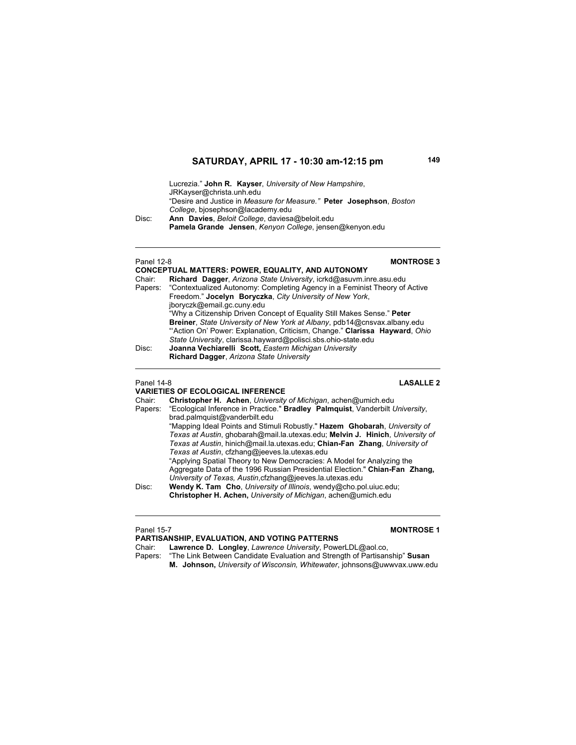Lucrezia." **John R. Kayser**, *University of New Hampshire*, JRKayser@christa.unh.edu "Desire and Justice in *Measure for Measure."* **Peter Josephson**, *Boston College*, bjosephson@lacademy.edu Disc: **Ann Davies**, *Beloit College*, daviesa@beloit.edu **Pamela Grande Jensen**, *Kenyon College*, jensen@kenyon.edu

### Panel 12-8 **MONTROSE 3 CONCEPTUAL MATTERS: POWER, EQUALITY, AND AUTONOMY**<br>Chair: **Richard Dagger** Arizona State University icrkd@asuym in Chair: **Richard Dagger**, *Arizona State University*, icrkd@asuvm.inre.asu.edu Papers: "Contextualized Autonomy: Completing Agency in a Feminist Theory of Active Freedom." **Jocelyn Boryczka**, *City University of New York*, jboryczk@email.gc.cuny.edu "Why a Citizenship Driven Concept of Equality Still Makes Sense." **Peter Breiner**, *State University of New York at Albany*, pdb14@cnsvax.albany.edu "'Action On' Power: Explanation, Criticism, Change." **Clarissa Hayward**, *Ohio State University*, clarissa.hayward@polisci.sbs.ohio-state.edu Disc: **Joanna Vechiarelli Scott,** *Eastern Michigan University* **Richard Dagger**, *Arizona State University*

### Panel 14-8 **LASALLE 2**

### **VARIETIES OF ECOLOGICAL INFERENCE** Chair: **Christopher H. Achen**, *University of Michigan*, achen@umich.edu Papers: "Ecological Inference in Practice." **Bradley Palmquist**, Vanderbilt *University*, brad.palmquist@vanderbilt.edu "Mapping Ideal Points and Stimuli Robustly." **Hazem Ghobarah**, *University of Texas at Austin*, ghobarah@mail.la.utexas.edu; **Melvin J. Hinich**, *University of Texas at Austin*, hinich@mail.la.utexas.edu; **Chian-Fan Zhang**, *University of Texas at Austin*, cfzhang@jeeves.la.utexas.edu "Applying Spatial Theory to New Democracies: A Model for Analyzing the Aggregate Data of the 1996 Russian Presidential Election." **Chian-Fan Zhang,**  *University of Texas, Austin*,cfzhang@jeeves.la.utexas.edu Disc: **Wendy K. Tam Cho**, *University of Illinois*, wendy@cho.pol.uiuc.edu; **Christopher H. Achen,** *University of Michigan*, achen@umich.edu

### Panel 15-7 **MONTROSE 1**

**PARTISANSHIP, EVALUATION, AND VOTING PATTERNS** Chair: **Lawrence D. Longley**, *Lawrence University*, PowerLDL@aol.co,

Papers: "The Link Between Candidate Evaluation and Strength of Partisanship" **Susan** 

**M. Johnson,** *University of Wisconsin, Whitewater*, johnsons@uwwvax.uww.edu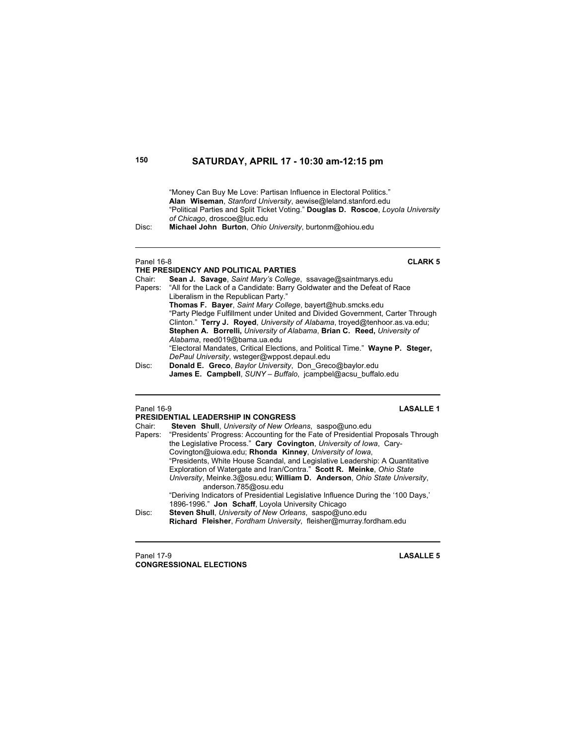"Money Can Buy Me Love: Partisan Influence in Electoral Politics." **Alan Wiseman**, *Stanford University*, aewise@leland.stanford.edu "Political Parties and Split Ticket Voting." **Douglas D. Roscoe**, *Loyola University of Chicago*, droscoe@luc.edu

Disc: **Michael John Burton**, *Ohio University*, burtonm@ohiou.edu

### Panel 16-8 **CLARK 5 THE PRESIDENCY AND POLITICAL PARTIES**<br>Chair: **Sean J. Savage** Saint Mary's College Sean J. Savage, Saint Mary's College, ssavage@saintmarys.edu Papers: "All for the Lack of a Candidate: Barry Goldwater and the Defeat of Race Liberalism in the Republican Party." **Thomas F. Bayer**, *Saint Mary College*, bayert@hub.smcks.edu "Party Pledge Fulfillment under United and Divided Government, Carter Through Clinton." **Terry J. Royed**, *University of Alabama*, troyed@tenhoor.as.va.edu; **Stephen A. Borrelli,** *University of Alabama*, **Brian C. Reed,** *University of Alabama*, reed019@bama.ua.edu "Electoral Mandates, Critical Elections, and Political Time." **Wayne P. Steger,** *DePaul University*, wsteger@wppost.depaul.edu Disc: **Donald E. Greco**, *Baylor University*, Don\_Greco@baylor.edu **James E. Campbell**, *SUNY – Buffalo*, jcampbel@acsu\_buffalo.edu

### Panel 16-9 **LASALLE 1**

|        | <b>PRESIDENTIAL LEADERSHIP IN CONGRESS</b>                                                                                  |
|--------|-----------------------------------------------------------------------------------------------------------------------------|
| Chair: | Steven Shull, University of New Orleans, saspo@uno.edu                                                                      |
|        | Papers: "Presidents' Progress: Accounting for the Fate of Presidential Proposals Through                                    |
|        | the Legislative Process." Cary Covington, University of Iowa, Cary-                                                         |
|        | Covington@uiowa.edu; Rhonda Kinney, University of Iowa,                                                                     |
|        | "Presidents, White House Scandal, and Legislative Leadership: A Quantitative                                                |
|        | Exploration of Watergate and Iran/Contra." Scott R. Meinke, Ohio State                                                      |
|        | University, Meinke 3@osu.edu; William D. Anderson, Ohio State University,<br>anderson.785@osu.edu                           |
|        | "Deriving Indicators of Presidential Legislative Influence During the '100 Days,"                                           |
|        | 1896-1996." Jon Schaff, Loyola University Chicago                                                                           |
| Disc:  | Steven Shull, University of New Orleans, saspo@uno.edu<br>Richard Fleisher, Fordham University, fleisher@murray.fordham.edu |
|        |                                                                                                                             |

Panel 17-9 **LASALLE 5 CONGRESSIONAL ELECTIONS**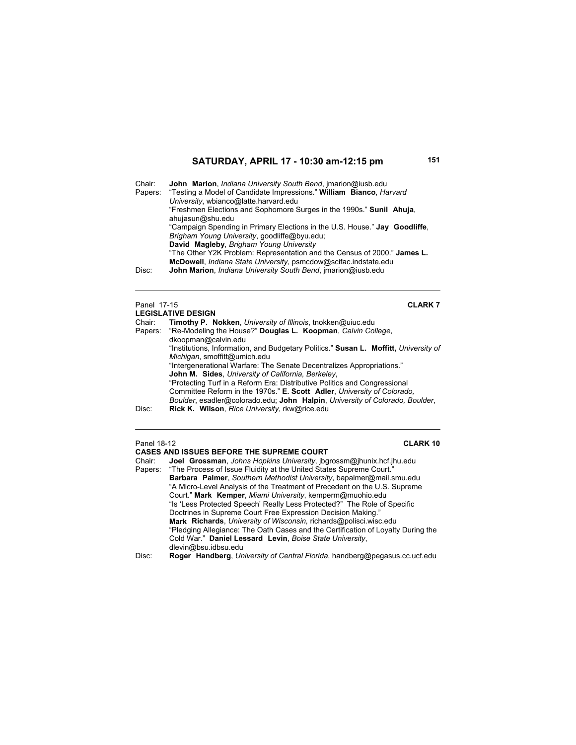Chair: **John Marion**, *Indiana University South Bend*, jmarion@iusb.edu Papers: "Testing a Model of Candidate Impressions." **William Bianco**, *Harvard University*, wbianco@latte.harvard.edu "Freshmen Elections and Sophomore Surges in the 1990s." **Sunil Ahuja**, ahujasun@shu.edu "Campaign Spending in Primary Elections in the U.S. House." **Jay Goodliffe**, *Brigham Young University*, goodliffe@byu.edu; **David Magleby**, *Brigham Young University* "The Other Y2K Problem: Representation and the Census of 2000." **James L. McDowell**, *Indiana State University*, psmcdow@scifac.indstate.edu Disc: **John Marion**, *Indiana University South Bend*, jmarion@iusb.edu

### Panel 17-15 **CLARK 7**

|        | <b>LEGISLATIVE DESIGN</b>                                                            |
|--------|--------------------------------------------------------------------------------------|
| Chair: | Timothy P. Nokken, University of Illinois, tnokken@uiuc.edu                          |
|        | Papers: "Re-Modeling the House?" Douglas L. Koopman, Calvin College,                 |
|        | dkoopman@calvin.edu                                                                  |
|        | "Institutions, Information, and Budgetary Politics." Susan L. Moffitt, University of |
|        | Michigan, smoffitt@umich.edu                                                         |
|        | "Intergenerational Warfare: The Senate Decentralizes Appropriations."                |
|        | John M. Sides, University of California, Berkeley,                                   |
|        | "Protecting Turf in a Reform Era: Distributive Politics and Congressional            |
|        | Committee Reform in the 1970s." E. Scott Adler, University of Colorado.              |
|        | Boulder, esadler@colorado.edu; John Halpin, University of Colorado, Boulder,         |
| Disc:  | Rick K. Wilson, Rice University, rkw@rice.edu                                        |

### Panel 18-12 **CLARK 10**

**CASES AND ISSUES BEFORE THE SUPREME COURT** Chair: **Joel Grossman**, *Johns Hopkins University*, jbgrossm@jhunix.hcf.jhu.edu Papers: "The Process of Issue Fluidity at the United States Supreme Court." **Barbara Palmer**, *Southern Methodist University*, bapalmer@mail.smu.edu "A Micro-Level Analysis of the Treatment of Precedent on the U.S. Supreme Court." **Mark Kemper**, *Miami University*, kemperm@muohio.edu "Is 'Less Protected Speech' Really Less Protected?" The Role of Specific Doctrines in Supreme Court Free Expression Decision Making." **Mark Richards**, *University of Wisconsin,* richards@polisci.wisc.edu "Pledging Allegiance: The Oath Cases and the Certification of Loyalty During the Cold War." **Daniel Lessard Levin**, *Boise State University*, dlevin@bsu.idbsu.edu

Disc: **Roger Handberg**, *University of Central Florida*, handberg@pegasus.cc.ucf.edu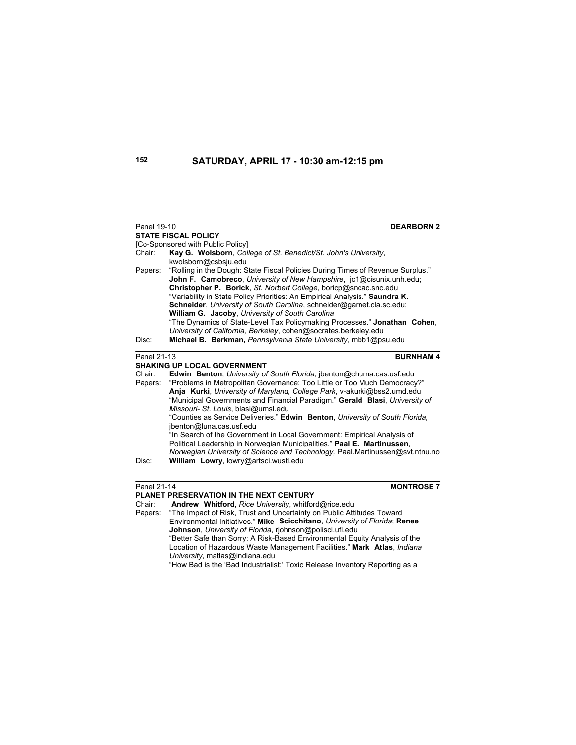| Panel 19-10                             | <b>DEARBORN2</b>                                                                                                                                                                                                                                                                                                                                                                                                                      |  |
|-----------------------------------------|---------------------------------------------------------------------------------------------------------------------------------------------------------------------------------------------------------------------------------------------------------------------------------------------------------------------------------------------------------------------------------------------------------------------------------------|--|
|                                         | <b>STATE FISCAL POLICY</b>                                                                                                                                                                                                                                                                                                                                                                                                            |  |
|                                         | [Co-Sponsored with Public Policy]                                                                                                                                                                                                                                                                                                                                                                                                     |  |
| Chair:                                  | Kay G. Wolsborn, College of St. Benedict/St. John's University,                                                                                                                                                                                                                                                                                                                                                                       |  |
|                                         | kwolsborn@csbsju.edu                                                                                                                                                                                                                                                                                                                                                                                                                  |  |
| Papers:                                 | "Rolling in the Dough: State Fiscal Policies During Times of Revenue Surplus."<br>John F. Camobreco, University of New Hampshire, jc1@cisunix.unh.edu;<br>Christopher P. Borick, St. Norbert College, boricp@sncac.snc.edu<br>"Variability in State Policy Priorities: An Empirical Analysis." Saundra K.<br>Schneider, University of South Carolina, schneider@garnet.cla.sc.edu;<br>William G. Jacoby, University of South Carolina |  |
|                                         | "The Dynamics of State-Level Tax Policymaking Processes." Jonathan Cohen,                                                                                                                                                                                                                                                                                                                                                             |  |
|                                         | University of California, Berkeley, cohen@socrates.berkeley.edu                                                                                                                                                                                                                                                                                                                                                                       |  |
| Disc:                                   | Michael B. Berkman, Pennsylvania State University, mbb1@psu.edu                                                                                                                                                                                                                                                                                                                                                                       |  |
|                                         |                                                                                                                                                                                                                                                                                                                                                                                                                                       |  |
| <b>BURNHAM4</b><br>Panel 21-13          |                                                                                                                                                                                                                                                                                                                                                                                                                                       |  |
|                                         | <b>SHAKING UP LOCAL GOVERNMENT</b>                                                                                                                                                                                                                                                                                                                                                                                                    |  |
| Chair:                                  | Edwin Benton, University of South Florida, ibenton@chuma.cas.usf.edu                                                                                                                                                                                                                                                                                                                                                                  |  |
| Papers:                                 | "Problems in Metropolitan Governance: Too Little or Too Much Democracy?"                                                                                                                                                                                                                                                                                                                                                              |  |
|                                         | Anja Kurki, University of Maryland, College Park, v-akurki@bss2.umd.edu                                                                                                                                                                                                                                                                                                                                                               |  |
|                                         | "Municipal Governments and Financial Paradigm." Gerald Blasi, University of                                                                                                                                                                                                                                                                                                                                                           |  |
|                                         | Missouri- St. Louis, blasi@umsl.edu<br>"Counties as Service Deliveries." Edwin Benton, University of South Florida,                                                                                                                                                                                                                                                                                                                   |  |
|                                         | jbenton@luna.cas.usf.edu                                                                                                                                                                                                                                                                                                                                                                                                              |  |
|                                         | "In Search of the Government in Local Government: Empirical Analysis of                                                                                                                                                                                                                                                                                                                                                               |  |
|                                         | Political Leadership in Norwegian Municipalities." Paal E. Martinussen,                                                                                                                                                                                                                                                                                                                                                               |  |
|                                         | Norwegian University of Science and Technology, Paal Martinussen@svt.ntnu.no                                                                                                                                                                                                                                                                                                                                                          |  |
| Disc:                                   | William Lowry, lowry@artsci.wustl.edu                                                                                                                                                                                                                                                                                                                                                                                                 |  |
|                                         |                                                                                                                                                                                                                                                                                                                                                                                                                                       |  |
| Panel 21-14                             | <b>MONTROSE 7</b>                                                                                                                                                                                                                                                                                                                                                                                                                     |  |
| PLANET PRESERVATION IN THE NEXT CENTURY |                                                                                                                                                                                                                                                                                                                                                                                                                                       |  |
|                                         |                                                                                                                                                                                                                                                                                                                                                                                                                                       |  |

Chair: **Andrew Whitford**, *Rice University*, whitford@rice.edu Papers: "The Impact of Risk, Trust and Uncertainty on Public Attitudes Toward Environmental Initiatives." **Mike Scicchitano**, *University of Florida*; **Renee Johnson**, *University of Florida*, rjohnson@polisci.ufl.edu "Better Safe than Sorry: A Risk-Based Environmental Equity Analysis of the Location of Hazardous Waste Management Facilities." **Mark Atlas**, *Indiana University*, matlas@indiana.edu "How Bad is the 'Bad Industrialist:' Toxic Release Inventory Reporting as a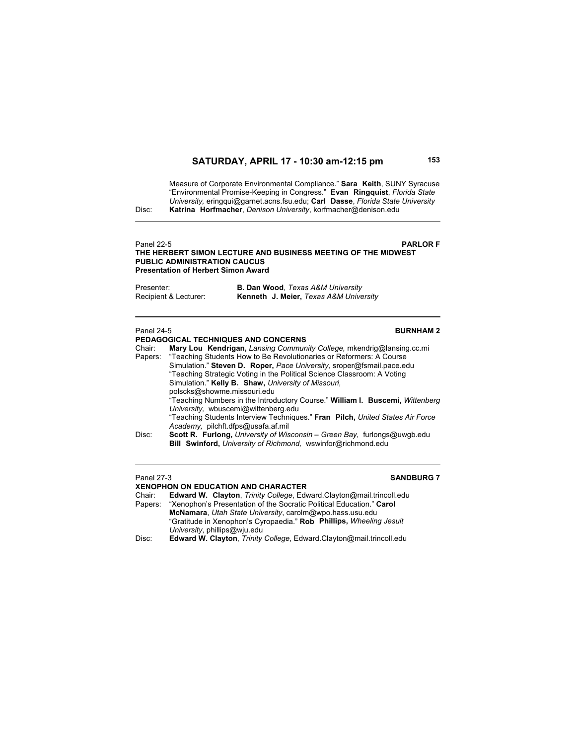Measure of Corporate Environmental Compliance." **Sara Keith**, SUNY Syracuse "Environmental Promise-Keeping in Congress." **Evan Ringquist**, *Florida State University,* eringqui@garnet.acns.fsu.edu; **Carl Dasse**, *Florida State University* Disc: **Katrina Horfmacher**, *Denison University*, korfmacher@denison.edu

## Panel 22-5 **PARLOR F THE HERBERT SIMON LECTURE AND BUSINESS MEETING OF THE MIDWEST PUBLIC ADMINISTRATION CAUCUS**

**Presentation of Herbert Simon Award**

| Presenter:            | <b>B. Dan Wood, Texas A&amp;M University</b>      |
|-----------------------|---------------------------------------------------|
| Recipient & Lecturer: | <b>Kenneth J. Meier, Texas A&amp;M University</b> |

### Panel 24-5 **BURNHAM 2**

|         | PEDAGOGICAL TECHNIQUES AND CONCERNS                                             |
|---------|---------------------------------------------------------------------------------|
| Chair:  | Mary Lou Kendrigan, Lansing Community College, mkendrig@lansing.cc.mi           |
| Papers: | "Teaching Students How to Be Revolutionaries or Reformers: A Course             |
|         | Simulation." Steven D. Roper, Pace University, sroper@fsmail.pace.edu           |
|         | "Teaching Strategic Voting in the Political Science Classroom: A Voting         |
|         | Simulation." Kelly B. Shaw, University of Missouri.                             |
|         | polscks@showme.missouri.edu                                                     |
|         | "Teaching Numbers in the Introductory Course." William I. Buscemi, Wittenberg   |
|         | University, wbuscemi@wittenberg.edu                                             |
|         | "Teaching Students Interview Techniques." Fran Pilch, United States Air Force   |
|         | Academy, pilchft.dfps@usafa.af.mil                                              |
| Disc:   | <b>Scott R. Furlong, University of Wisconsin – Green Bay, furlongs@uwgb.edu</b> |
|         | Bill Swinford, University of Richmond, wswinfor@richmond.edu                    |
|         |                                                                                 |

## Panel 27-3 **SANDBURG 7**

## **XENOPHON ON EDUCATION AND CHARACTER**

| Chair:  | <b>Edward W. Clayton, Trinity College, Edward Clayton@mail.trincoll.edu</b> |  |
|---------|-----------------------------------------------------------------------------|--|
| Papers: | "Xenophon's Presentation of the Socratic Political Education." Carol        |  |
|         | McNamara, Utah State University, carolm@wpo.hass.usu.edu                    |  |
|         | "Gratitude in Xenophon's Cyropaedia." Rob Phillips, Wheeling Jesuit         |  |
|         | University, phillips@wiu.edu                                                |  |
| Disc:   | Edward W. Clayton, Trinity College, Edward.Clayton@mail.trincoll.edu        |  |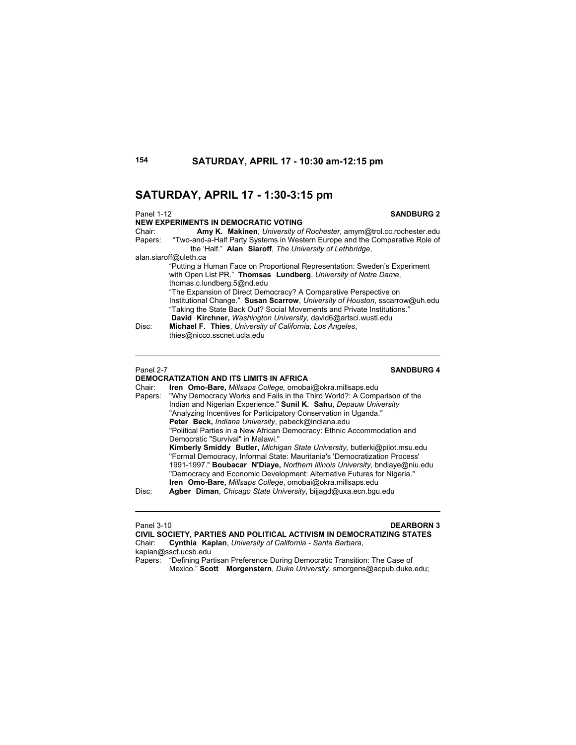## **SATURDAY, APRIL 17 - 1:30-3:15 pm**

| <b>SANDBURG 2</b><br><b>Panel 1-12</b>                                                 |  |  |
|----------------------------------------------------------------------------------------|--|--|
| <b>NEW EXPERIMENTS IN DEMOCRATIC VOTING</b>                                            |  |  |
| Amy K. Makinen, University of Rochester, amym@trol.cc.rochester.edu<br>Chair:          |  |  |
| "Two-and-a-Half Party Systems in Western Europe and the Comparative Role of<br>Papers: |  |  |
| the 'Half." Alan Siaroff, The University of Lethbridge,                                |  |  |
| alan siaroff@uleth.ca                                                                  |  |  |
| "Putting a Human Face on Proportional Representation: Sweden's Experiment              |  |  |
| with Open List PR." Thomsas Lundberg, University of Notre Dame,                        |  |  |
| thomas.c.lundberg.5@nd.edu                                                             |  |  |
| "The Expansion of Direct Democracy? A Comparative Perspective on                       |  |  |
| Institutional Change." Susan Scarrow, University of Houston, sscarrow@uh.edu           |  |  |
| "Taking the State Back Out? Social Movements and Private Institutions."                |  |  |
| David Kirchner, Washington University, david6@artsci.wustl.edu                         |  |  |
| Michael F. Thies, University of California, Los Angeles,<br>Disc:                      |  |  |
| thies@nicco.sscnet.ucla.edu                                                            |  |  |

**Panel 2-7** SANDBURG 4

### **DEMOCRATIZATION AND ITS LIMITS IN AFRICA**<br>Chair: **Iren Omo-Bare, Millsaps College**, omoba Chair: **Iren Omo-Bare,** *Millsaps College,* omobai@okra.millsaps.edu Papers: "Why Democracy Works and Fails in the Third World?: A Comparison of the Indian and Nigerian Experience." **Sunil K. Sahu**, *Depauw University*

 "Analyzing Incentives for Participatory Conservation in Uganda." **Peter Beck,** *Indiana University*, pabeck@indiana.edu "Political Parties in a New African Democracy: Ethnic Accommodation and Democratic "Survival" in Malawi." **Kimberly Smiddy Butler,** *Michigan State University,* butlerki@pilot.msu.edu "Formal Democracy, Informal State: Mauritania's 'Democratization Process' 1991-1997." **Boubacar N'Diaye,** *Northern Illinois University,* bndiaye@niu.edu "Democracy and Economic Development: Alternative Futures for Nigeria." **Iren Omo-Bare,** *Millsaps College*, omobai@okra.millsaps.edu

Disc: **Agber Diman**, *Chicago State University*, bijjagd@uxa.ecn.bgu.edu

### Panel 3-10 **DEARBORN 3**

**CIVIL SOCIETY, PARTIES AND POLITICAL ACTIVISM IN DEMOCRATIZING STATES** Chair: **Cynthia Kaplan**, *University of California - Santa Barbara*, kaplan@sscf.ucsb.edu

Papers: "Defining Partisan Preference During Democratic Transition: The Case of Mexico." **Scott Morgenstern**, *Duke University*, smorgens@acpub.duke.edu;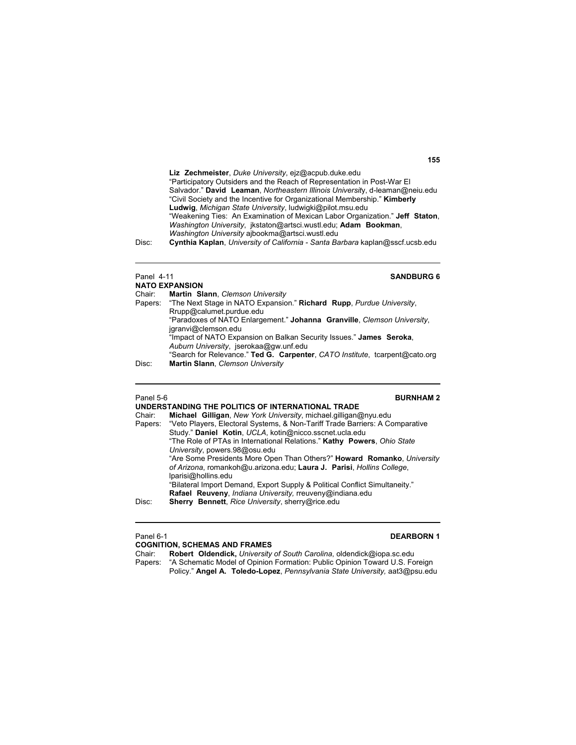**Liz Zechmeister**, *Duke University*, ejz@acpub.duke.edu "Participatory Outsiders and the Reach of Representation in Post-War El Salvador." **David Leaman**, *Northeastern Illinois Universit*y, d-leaman@neiu.edu "Civil Society and the Incentive for Organizational Membership." **Kimberly Ludwig**, *Michigan State University*, ludwigki@pilot.msu.edu "Weakening Ties: An Examination of Mexican Labor Organization." **Jeff Staton**, *Washington University*, jkstaton@artsci.wustl.edu; **Adam Bookman**, *Washington University* ajbookma@artsci.wustl.edu

Disc: **Cynthia Kaplan**, *University of California - Santa Barbara* kaplan@sscf.ucsb.edu

### Panel 4-11 **SANDBURG 6**

|        | <b>NATO EXPANSION</b>                                                        |
|--------|------------------------------------------------------------------------------|
| Chair: | Martin Slann, Clemson University                                             |
|        | Papers: "The Next Stage in NATO Expansion." Richard Rupp, Purdue University, |
|        | Rrupp@calumet.purdue.edu                                                     |
|        | "Paradoxes of NATO Enlargement." Johanna Granville, Clemson University,      |
|        | jgranvi@clemson.edu                                                          |
|        | "Impact of NATO Expansion on Balkan Security Issues." James Seroka,          |
|        | Auburn University, jserokaa@gw.unf.edu                                       |
|        | "Search for Relevance." Ted G. Carpenter, CATO Institute, tcarpent@cato.org  |
| Disc:  | Martin Slann, Clemson University                                             |

# Panel 5-6 **BURNHAM 2**

|                                                                                      | UNDERSTANDING THE POLITICS OF INTERNATIONAL TRADE                               |  |  |
|--------------------------------------------------------------------------------------|---------------------------------------------------------------------------------|--|--|
| Chair:                                                                               | Michael Gilligan, New York University, michael.gilligan@nyu.edu                 |  |  |
| Papers: "Veto Players, Electoral Systems, & Non-Tariff Trade Barriers: A Comparative |                                                                                 |  |  |
|                                                                                      | Study." Daniel Kotin, UCLA, kotin@nicco.sscnet.ucla.edu                         |  |  |
|                                                                                      | "The Role of PTAs in International Relations." Kathy Powers, Ohio State         |  |  |
|                                                                                      | University, powers.98@osu.edu                                                   |  |  |
|                                                                                      | "Are Some Presidents More Open Than Others?" <b>Howard Romanko</b> , University |  |  |
|                                                                                      | of Arizona, romankoh@u.arizona.edu; Laura J. Parisi, Hollins College,           |  |  |
|                                                                                      | lparisi@hollins.edu                                                             |  |  |
|                                                                                      | "Bilateral Import Demand, Export Supply & Political Conflict Simultaneity."     |  |  |
|                                                                                      | Rafael Reuveny, Indiana University, rreuveny@indiana.edu                        |  |  |
| Disc:                                                                                | Sherry Bennett, Rice University, sherry@rice.edu                                |  |  |
|                                                                                      |                                                                                 |  |  |

### Panel 6-1 **DEARBORN 1**

**COGNITION, SCHEMAS AND FRAMES**<br>Chair: **Robert Oldendick, University** Robert Oldendick, University of South Carolina, oldendick@iopa.sc.edu Papers: "A Schematic Model of Opinion Formation: Public Opinion Toward U.S. Foreign Policy." **Angel A. Toledo-Lopez**, *Pennsylvania State University,* aat3@psu.edu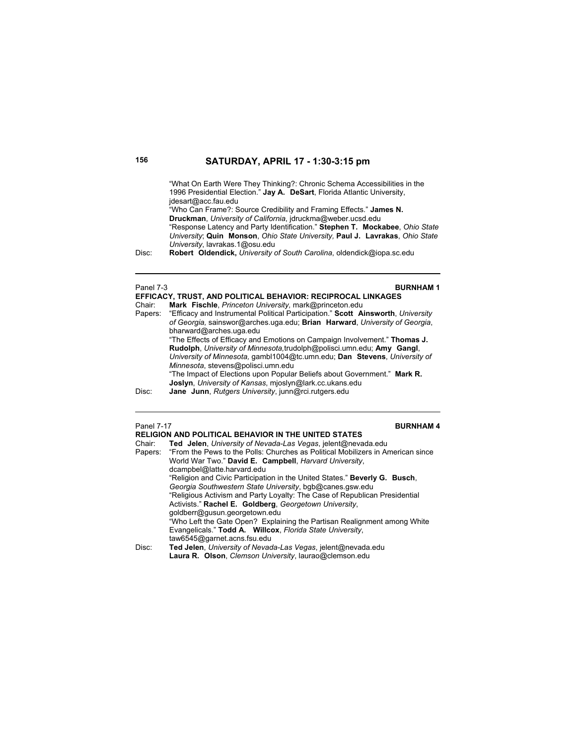"What On Earth Were They Thinking?: Chronic Schema Accessibilities in the 1996 Presidential Election." **Jay A. DeSart**, Florida Atlantic University, jdesart@acc.fau.edu "Who Can Frame?: Source Credibility and Framing Effects." **James N. Druckman**, *University of California*, jdruckma@weber.ucsd.edu "Response Latency and Party Identification." **Stephen T. Mockabee**, *Ohio State University*; **Quin Monson**, *Ohio State University,* **Paul J. Lavrakas**, *Ohio State University*, lavrakas.1@osu.edu Disc: **Robert Oldendick,** *University of South Carolina*, oldendick@iopa.sc.edu Panel 7-3 **BURNHAM 1 EFFICACY, TRUST, AND POLITICAL BEHAVIOR: RECIPROCAL LINKAGES** Chair: **Mark Fischle**, *Princeton University,* mark@princeton.edu "Efficacy and Instrumental Political Participation." Scott Ainsworth, University *of Georgia,* sainswor@arches.uga.edu; **Brian Harward**, *University of Georgia*, bharward@arches.uga.edu "The Effects of Efficacy and Emotions on Campaign Involvement." **Thomas J. Rudolph**, *University of Minnesota,*trudolph@polisci.umn.edu; **Amy Gangl**, *University of Minnesota,* gambl1004@tc.umn.edu; **Dan Stevens**, *University of Minnesota*, stevens@polisci.umn.edu "The Impact of Elections upon Popular Beliefs about Government." **Mark R. Joslyn**, *University of Kansas*, mjoslyn@lark.cc.ukans.edu Disc: **Jane Junn**, *Rutgers University*, junn@rci.rutgers.edu Panel 7-17 **BURNHAM 4 RELIGION AND POLITICAL BEHAVIOR IN THE UNITED STATES**  Chair: **Ted Jelen**, *University of Nevada-Las Vegas*, jelent@nevada.edu

| T <b>ed   Jelen</b> , <i>University of Nevada-Las Veqas</i> , jelent@nevada.edu         |  |  |
|-----------------------------------------------------------------------------------------|--|--|
| Papers: "From the Pews to the Polls: Churches as Political Mobilizers in American since |  |  |
| World War Two." David E. Campbell, Harvard University,                                  |  |  |
| dcampbel@latte.harvard.edu                                                              |  |  |
| "Religion and Civic Participation in the United States." <b>Beverly G. Busch</b> ,      |  |  |
| Georgia Southwestern State University, bgb@canes.gsw.edu                                |  |  |
| "Religious Activism and Party Loyalty: The Case of Republican Presidential              |  |  |
| Activists." Rachel E. Goldberg, Georgetown University,                                  |  |  |
| goldberr@gusun.georgetown.edu                                                           |  |  |
| "Who Left the Gate Open? Explaining the Partisan Realignment among White                |  |  |
| Evangelicals." Todd A. Willcox, Florida State University,                               |  |  |
| taw6545@garnet.acns.fsu.edu                                                             |  |  |
| Ted Jelen, University of Nevada-Las Vegas, jelent@nevada.edu                            |  |  |
| Laura R. Olson, Clemson University, laurao@clemson.edu                                  |  |  |
|                                                                                         |  |  |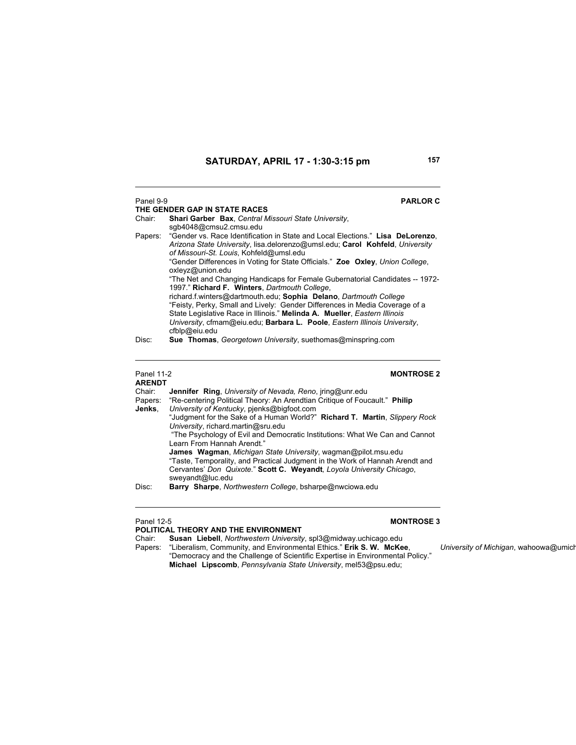| Panel 9-9<br>Chair: | <b>PARLOR C</b><br>THE GENDER GAP IN STATE RACES<br>Shari Garber Bax, Central Missouri State University,<br>sqb4048@cmsu2.cmsu.edu                                                                                                                                                                                                                                                                                                                                                                                                                                                                                                                                                                                                                                                     |
|---------------------|----------------------------------------------------------------------------------------------------------------------------------------------------------------------------------------------------------------------------------------------------------------------------------------------------------------------------------------------------------------------------------------------------------------------------------------------------------------------------------------------------------------------------------------------------------------------------------------------------------------------------------------------------------------------------------------------------------------------------------------------------------------------------------------|
|                     | Papers: "Gender vs. Race Identification in State and Local Elections." Lisa DeLorenzo,<br>Arizona State University, lisa delorenzo@umsl.edu: Carol Kohfeld, University<br>of Missouri-St. Louis, Kohfeld@umsl.edu<br>"Gender Differences in Voting for State Officials." Zoe Oxley, Union College,<br>oxleyz@union.edu<br>"The Net and Changing Handicaps for Female Gubernatorial Candidates -- 1972-<br>1997." Richard F. Winters, Dartmouth College,<br>richard.f.winters@dartmouth.edu: Sophia Delano, Dartmouth College<br>"Feisty, Perky, Small and Lively: Gender Differences in Media Coverage of a<br>State Legislative Race in Illinois." Melinda A. Mueller, Eastern Illinois<br>University, cfmam@eiu.edu; Barbara L. Poole, Eastern Illinois University,<br>cfblp@eiu.edu |
| Disc:               | <b>Sue Thomas, Georgetown University, suethomas@minspring.com</b>                                                                                                                                                                                                                                                                                                                                                                                                                                                                                                                                                                                                                                                                                                                      |

# Panel 11-2<br>**ARENDT**

# **MONTROSE 2**

| 80 C D  |                                                                                    |  |  |
|---------|------------------------------------------------------------------------------------|--|--|
| Chair:  | <b>Jennifer Ring, University of Nevada, Reno, iring@unr.edu</b>                    |  |  |
| Papers: | "Re-centering Political Theory: An Arendtian Critique of Foucault." Philip         |  |  |
| Jenks.  | University of Kentucky, pienks@bigfoot.com                                         |  |  |
|         | "Judgment for the Sake of a Human World?" <b>Richard T. Martin</b> , Slippery Rock |  |  |
|         | University, richard martin@sru.edu                                                 |  |  |
|         | "The Psychology of Evil and Democratic Institutions: What We Can and Cannot        |  |  |
|         | Learn From Hannah Arendt."                                                         |  |  |
|         | James Wagman, Michigan State University, wagman@pilot.msu.edu                      |  |  |
|         | "Taste, Temporality, and Practical Judgment in the Work of Hannah Arendt and       |  |  |
|         | Cervantes' Don Quixote." Scott C. Weyandt, Loyola University Chicago,              |  |  |
|         | sweyandt@luc.edu                                                                   |  |  |
| Disc:   | Barry Sharpe, Northwestern College, bsharpe@nwciowa.edu                            |  |  |
|         |                                                                                    |  |  |

### Panel 12-5 **MONTROSE 3**

**POLITICAL THEORY AND THE ENVIRONMENT** Chair: **Susan Liebell**, *Northwestern University*, spl3@midway.uchicago.edu

Papers: "Liberalism, Community, and Environmental Ethics." **Erik S. W. McKee**, *University of Michigan*, wahoowa@umich "Democracy and the Challenge of Scientific Expertise in Environmental Policy." **Michael Lipscomb**, *Pennsylvania State University*, mel53@psu.edu;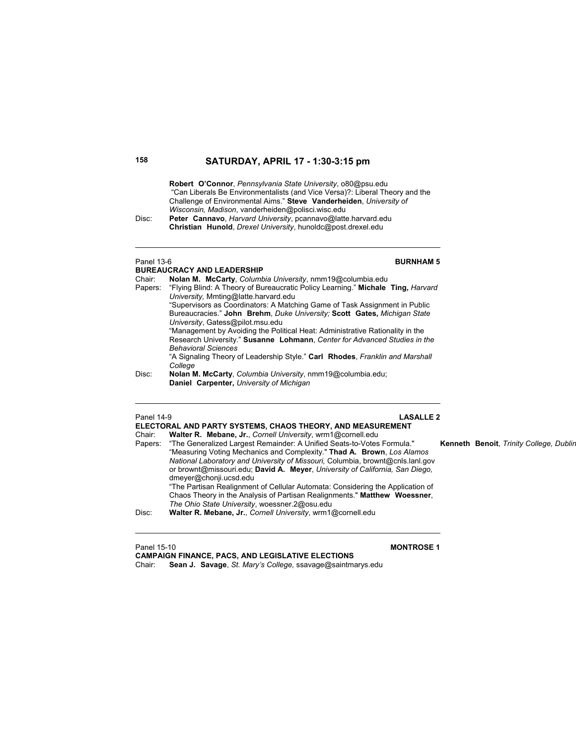**Robert O'Connor**, *Pennsylvania State University*, o80@psu.edu "Can Liberals Be Environmentalists (and Vice Versa)?: Liberal Theory and the Challenge of Environmental Aims." **Steve Vanderheiden**, *University of Wisconsin, Madison*, vanderheiden@polisci.wisc.edu

Disc: **Peter Cannavo**, *Harvard University*, pcannavo@latte.harvard.edu **Christian Hunold**, *Drexel University*, hunoldc@post.drexel.edu

# **BUREAUCRACY AND LEADERSHIP**

### Panel 13-6 **BURNHAM 5**

| Chair:                                                                                  | Nolan M. McCarty, Columbia University, nmm19@columbia.edu                     |  |  |
|-----------------------------------------------------------------------------------------|-------------------------------------------------------------------------------|--|--|
| Papers: "Flying Blind: A Theory of Bureaucratic Policy Learning." Michale Ting, Harvard |                                                                               |  |  |
|                                                                                         | University, Mmting@latte.harvard.edu                                          |  |  |
| "Supervisors as Coordinators: A Matching Game of Task Assignment in Public              |                                                                               |  |  |
|                                                                                         | Bureaucracies." John Brehm, Duke University: Scott Gates, Michigan State      |  |  |
|                                                                                         | University, Gatess@pilot.msu.edu                                              |  |  |
|                                                                                         | "Management by Avoiding the Political Heat: Administrative Rationality in the |  |  |
|                                                                                         | Research University." Susanne Lohmann, Center for Advanced Studies in the     |  |  |
|                                                                                         | <b>Behavioral Sciences</b>                                                    |  |  |
|                                                                                         | "A Signaling Theory of Leadership Style." Carl Rhodes, Franklin and Marshall  |  |  |
|                                                                                         | College                                                                       |  |  |
| Disc:                                                                                   | Nolan M. McCarty, Columbia University, nmm19@columbia.edu;                    |  |  |

 **Daniel Carpenter,** *University of Michigan*

### Panel 14-9 **LASALLE 2 ELECTORAL AND PARTY SYSTEMS, CHAOS THEORY, AND MEASUREMENT**  Chair: **Walter R. Mebane, Jr.**, *Cornell University*, wrm1@cornell.edu Papers: "The Generalized Largest Remainder: A Unified Seats-to-Votes Formula." **Kenneth Benoit**, *Trinity College, Dublin* "Measuring Voting Mechanics and Complexity." **Thad A. Brown**, *Los Alamos National Laboratory and University of Missouri,* Columbia, brownt@cnls.lanl.gov or brownt@missouri.edu; **David A. Meyer**, *University of California, San Diego,* dmeyer@chonji.ucsd.edu "The Partisan Realignment of Cellular Automata: Considering the Application of Chaos Theory in the Analysis of Partisan Realignments." **Matthew Woessner**, *The Ohio State University*, woessner.2@osu.edu

Disc: **Walter R. Mebane, Jr.**, *Cornell University*, wrm1@cornell.edu

Panel 15-10 **MONTROSE 1**

**CAMPAIGN FINANCE, PACS, AND LEGISLATIVE ELECTIONS** Chair: **Sean J. Savage**, *St. Mary's College,* ssavage@saintmarys.edu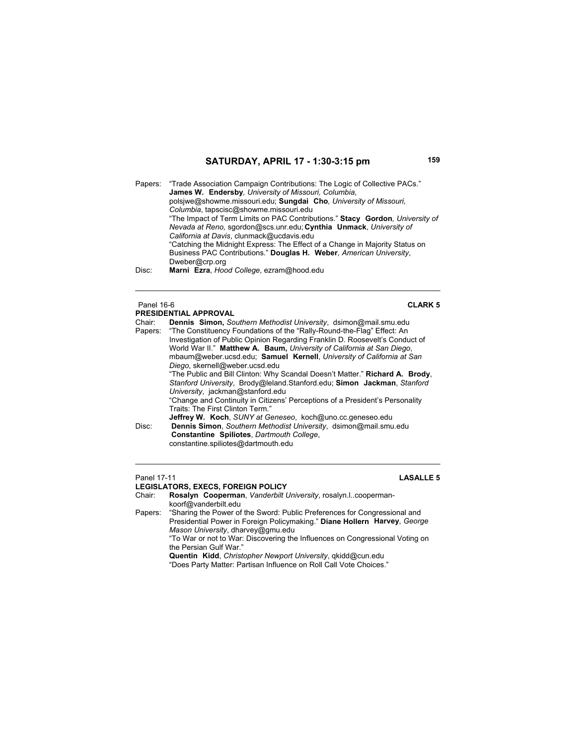Papers: "Trade Association Campaign Contributions: The Logic of Collective PACs." **James W. Endersby***, University of Missouri, Columbia*, polsjwe@showme.missouri.edu; **Sungdai Cho***, University of Missouri, Columbia*, tapscisc@showme.missouri.edu "The Impact of Term Limits on PAC Contributions." **Stacy Gordon***, University of Nevada at Reno,* sgordon@scs.unr.edu; **Cynthia Unmack**, *University of California at Davis*, clunmack@ucdavis.edu "Catching the Midnight Express: The Effect of a Change in Majority Status on Business PAC Contributions." **Douglas H. Weber***, American University*, Dweber@crp.org Disc: **Marni Ezra**, *Hood College*, ezram@hood.edu

### Panel 16-6 **CLARK 5 PRESIDENTIAL APPROVAL**

Chair: **Dennis Simon,** *Southern Methodist University*, dsimon@mail.smu.edu "The Constituency Foundations of the "Rally-Round-the-Flag" Effect: An Investigation of Public Opinion Regarding Franklin D. Roosevelt's Conduct of World War II." **Matthew A. Baum,** *University of California at San Diego*, mbaum@weber.ucsd.edu; **Samuel Kernell**, *University of California at San Diego*, skernell@weber.ucsd.edu "The Public and Bill Clinton: Why Scandal Doesn't Matter." **Richard A. Brody**, *Stanford University*, Brody@leland.Stanford.edu; **Simon Jackman**, *Stanford University*, jackman@stanford.edu "Change and Continuity in Citizens' Perceptions of a President's Personality Traits: The First Clinton Term."  **Jeffrey W. Koch**, *SUNY at Geneseo*, koch@uno.cc.geneseo.edu Disc: **Dennis Simon**, *Southern Methodist University*, dsimon@mail.smu.edu **Constantine Spiliotes**, *Dartmouth College*, constantine.spiliotes@dartmouth.edu

### Panel 17-11 **LASALLE 5**

### **LEGISLATORS, EXECS, FOREIGN POLICY**

Chair: **Rosalyn Cooperman**, *Vanderbilt University*, rosalyn.l..coopermankoorf@vanderbilt.edu

Papers: "Sharing the Power of the Sword: Public Preferences for Congressional and Presidential Power in Foreign Policymaking." **Diane Hollern Harvey**, *George Mason University*, dharvey@gmu.edu

 "To War or not to War: Discovering the Influences on Congressional Voting on the Persian Gulf War."

**Quentin Kidd**, *Christopher Newport University*, qkidd@cun.edu

"Does Party Matter: Partisan Influence on Roll Call Vote Choices."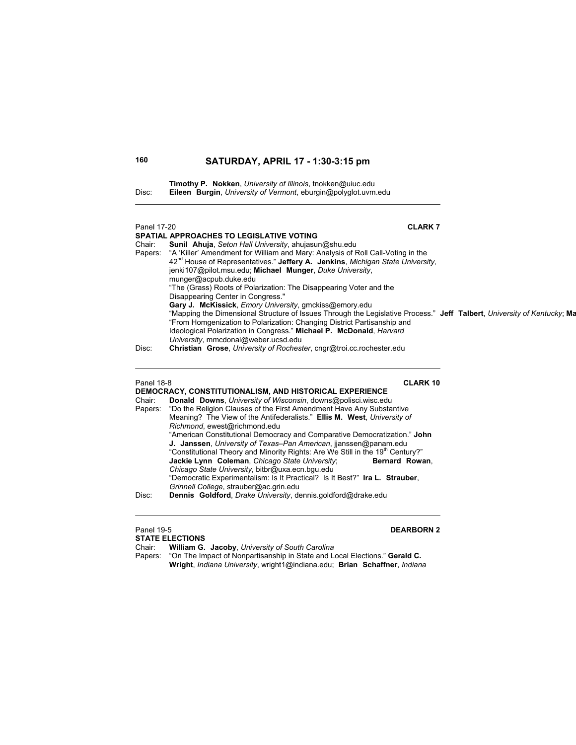**Timothy P. Nokken**, *University of Illinois*, tnokken@uiuc.edu Disc: **Eileen Burgin**, *University of Vermont*, eburgin@polyglot.uvm.edu

| Panel 17-20<br>Chair:<br>Papers:                | <b>CLARK7</b><br><b>SPATIAL APPROACHES TO LEGISLATIVE VOTING</b><br>Sunil Ahuja, Seton Hall University, ahujasun@shu.edu<br>"A 'Killer' Amendment for William and Mary: Analysis of Roll Call-Voting in the<br>42 <sup>nd</sup> House of Representatives." Jeffery A. Jenkins, Michigan State University,<br>jenki107@pilot.msu.edu; Michael Munger, Duke University,<br>munger@acpub.duke.edu<br>"The (Grass) Roots of Polarization: The Disappearing Voter and the<br>Disappearing Center in Congress."<br>Gary J. McKissick, Emory University, gmckiss@emory.edu<br>"Mapping the Dimensional Structure of Issues Through the Legislative Process." Jeff Talbert, University of Kentucky; Ma<br>"From Homgenization to Polarization: Changing District Partisanship and<br>Ideological Polarization in Congress." Michael P. McDonald, Harvard<br>University, mmcdonal@weber.ucsd.edu       |  |
|-------------------------------------------------|-----------------------------------------------------------------------------------------------------------------------------------------------------------------------------------------------------------------------------------------------------------------------------------------------------------------------------------------------------------------------------------------------------------------------------------------------------------------------------------------------------------------------------------------------------------------------------------------------------------------------------------------------------------------------------------------------------------------------------------------------------------------------------------------------------------------------------------------------------------------------------------------------|--|
| Disc:                                           | Christian Grose, University of Rochester, cngr@troi.cc.rochester.edu                                                                                                                                                                                                                                                                                                                                                                                                                                                                                                                                                                                                                                                                                                                                                                                                                          |  |
| <b>Panel 18-8</b><br>Chair:<br>Papers:<br>Disc: | <b>CLARK 10</b><br>DEMOCRACY, CONSTITUTIONALISM, AND HISTORICAL EXPERIENCE<br>Donald Downs, University of Wisconsin, downs@polisci.wisc.edu<br>"Do the Religion Clauses of the First Amendment Have Any Substantive<br>Meaning? The View of the Antifederalists." Ellis M. West, University of<br>Richmond, ewest@richmond.edu<br>"American Constitutional Democracy and Comparative Democratization." John<br>J. Janssen, University of Texas-Pan American, ijanssen@panam.edu<br>"Constitutional Theory and Minority Rights: Are We Still in the 19 <sup>th</sup> Century?"<br>Jackie Lynn Coleman, Chicago State University;<br>Bernard Rowan,<br>Chicago State University, bitbr@uxa.ecn.bgu.edu<br>"Democratic Experimentalism: Is It Practical? Is It Best?" Ira L. Strauber,<br>Grinnell College, strauber@ac.grin.edu<br>Dennis Goldford, Drake University, dennis.goldford@drake.edu |  |
| <b>Panel 19-5</b>                               | <b>DEARBORN 2</b>                                                                                                                                                                                                                                                                                                                                                                                                                                                                                                                                                                                                                                                                                                                                                                                                                                                                             |  |

| <b>DEARBOR</b><br>Panel 19-5                                                          |
|---------------------------------------------------------------------------------------|
| <b>STATE ELECTIONS</b>                                                                |
| <b>William G. Jacoby, University of South Carolina</b>                                |
| "On The Impact of Nonpartisanship in State and Local Elections." Gerald C.<br>Papers: |
| Wright, Indiana University, wright 1@indiana.edu; Brian Schaffner, Indiana            |
|                                                                                       |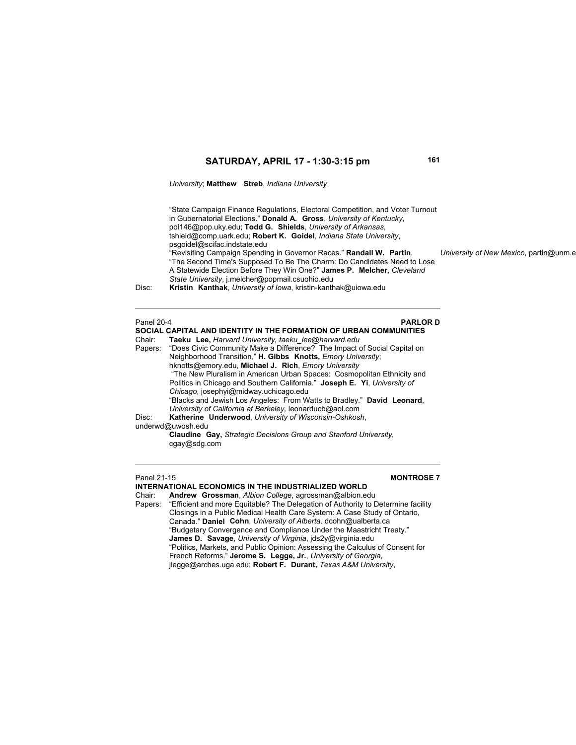*University*; **Matthew Streb**, *Indiana University*

 "State Campaign Finance Regulations, Electoral Competition, and Voter Turnout in Gubernatorial Elections." **Donald A. Gross**, *University of Kentucky*, pol146@pop.uky.edu; **Todd G. Shields**, *University of Arkansas*, tshield@comp.uark.edu; **Robert K. Goidel**, *Indiana State University*, psgoidel@scifac.indstate.edu "Revisiting Campaign Spending in Governor Races." **Randall W. Partin**, *University of New Mexico*, partin@unm.e "The Second Time's Supposed To Be The Charm: Do Candidates Need to Lose A Statewide Election Before They Win One?" **James P. Melcher**, *Cleveland State University*, j.melcher@popmail.csuohio.edu Disc: **Kristin Kanthak**, *University of Iowa*, kristin-kanthak@uiowa.edu

| Panel 20-4                                                                       | <b>PARLORD</b>                                                            |  |
|----------------------------------------------------------------------------------|---------------------------------------------------------------------------|--|
|                                                                                  | SOCIAL CAPITAL AND IDENTITY IN THE FORMATION OF URBAN COMMUNITIES         |  |
| Chair:                                                                           | Taeku Lee, Harvard University, taeku lee@harvard.edu                      |  |
| Papers: "Does Civic Community Make a Difference? The Impact of Social Capital on |                                                                           |  |
|                                                                                  | Neighborhood Transition," H. Gibbs Knotts, Emory University;              |  |
|                                                                                  | hknotts@emory.edu, Michael J. Rich, Emory University                      |  |
|                                                                                  | "The New Pluralism in American Urban Spaces: Cosmopolitan Ethnicity and   |  |
|                                                                                  | Politics in Chicago and Southern California." Joseph E. Yi, University of |  |
|                                                                                  | Chicago, josephyi@midway.uchicago.edu                                     |  |
|                                                                                  | "Blacks and Jewish Los Angeles: From Watts to Bradley." David Leonard,    |  |
|                                                                                  | University of California at Berkeley, leonarducb@aol.com                  |  |
| Disc:                                                                            | Katherine Underwood, University of Wisconsin-Oshkosh,                     |  |
|                                                                                  | underwd@uwosh.edu                                                         |  |
|                                                                                  | <b>Claudine Gay, Strategic Decisions Group and Stanford University,</b>   |  |
|                                                                                  | cgay@sdg.com                                                              |  |
|                                                                                  |                                                                           |  |

### Panel 21-15 **MONTROSE 7**

**INTERNATIONAL ECONOMICS IN THE INDUSTRIALIZED WORLD** Chair: **Andrew Grossman**, *Albion College*, agrossman@albion.edu Papers: "Efficient and more Equitable? The Delegation of Authority to Determine facility Closings in a Public Medical Health Care System: A Case Study of Ontario, Canada." **Daniel Cohn**, *University of Alberta,* dcohn@ualberta.ca "Budgetary Convergence and Compliance Under the Maastricht Treaty."  **James D. Savage**, *University of Virginia*, jds2y@virginia.edu "Politics, Markets, and Public Opinion: Assessing the Calculus of Consent for French Reforms." **Jerome S. Legge, Jr.**, *University of Georgia*, jlegge@arches.uga.edu; **Robert F. Durant,** *Texas A&M University*,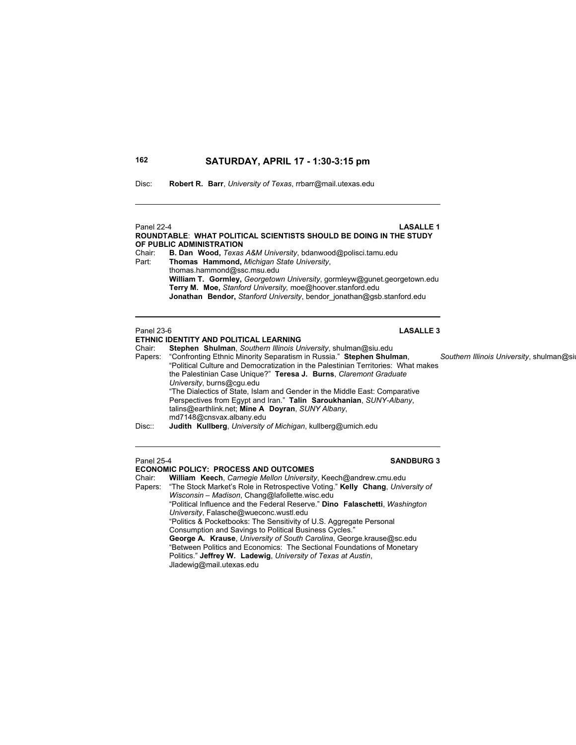Disc: **Robert R. Barr**, *University of Texas*, rrbarr@mail.utexas.edu

| Panel 22-4 | <b>LASALLE1</b>                                                          |
|------------|--------------------------------------------------------------------------|
|            | ROUNDTABLE: WHAT POLITICAL SCIENTISTS SHOULD BE DOING IN THE STUDY       |
|            | OF PUBLIC ADMINISTRATION                                                 |
| Chair:     | <b>B. Dan Wood, Texas A&amp;M University, bdanwood@polisci.tamu.edu</b>  |
| Part:      | Thomas Hammond, Michigan State University,                               |
|            | thomas.hammond@ssc.msu.edu                                               |
|            | William T. Gormley, Georgetown University, gormleyw@gunet.georgetown.edu |
|            | Terry M. Moe, Stanford University, moe@hoover.stanford.edu               |
|            | Jonathan Bendor, Stanford University, bendor jonathan@qsb.stanford.edu   |
|            |                                                                          |
|            |                                                                          |

# Panel 23-6 **LASALLE 3**

### **ETHNIC IDENTITY AND POLITICAL LEARNING**<br>Chair: **Stephen Shulman**, Southern Illinois Un Chair: **Stephen Shulman**, *Southern Illinois University*, shulman@siu.edu Papers: "Confronting Ethnic Minority Separatism in Russia." **Stephen Shulman**, *Southern Illinois University*, shulman@siu "Political Culture and Democratization in the Palestinian Territories: What makes the Palestinian Case Unique?" **Teresa J. Burns**, *Claremont Graduate University*, burns@cgu.edu "The Dialectics of State, Islam and Gender in the Middle East: Comparative Perspectives from Egypt and Iran." **Talin Saroukhanian**, *SUNY-Albany*, talins@earthlink.net; **Mine A Doyran**, *SUNY Albany*, md7148@cnsvax.albany.edu Disc:: **Judith Kullberg**, *University of Michigan*, kullberg@umich.edu

# **ECONOMIC POLICY: PROCESS AND OUTCOMES**

Chair: **William Keech**, *Carnegie Mellon University*, Keech@andrew.cmu.edu "The Stock Market's Role in Retrospective Voting." Kelly Chang, University of *Wisconsin – Madison*, Chang@lafollette.wisc.edu "Political Influence and the Federal Reserve." **Dino Falaschetti**, *Washington University*, Falasche@wueconc.wustl.edu "Politics & Pocketbooks: The Sensitivity of U.S. Aggregate Personal Consumption and Savings to Political Business Cycles." **George A. Krause**, *University of South Carolina*, George.krause@sc.edu "Between Politics and Economics: The Sectional Foundations of Monetary Politics." **Jeffrey W. Ladewig**, *University of Texas at Austin*, Jladewig@mail.utexas.edu

Panel 25-4 **SANDBURG 3**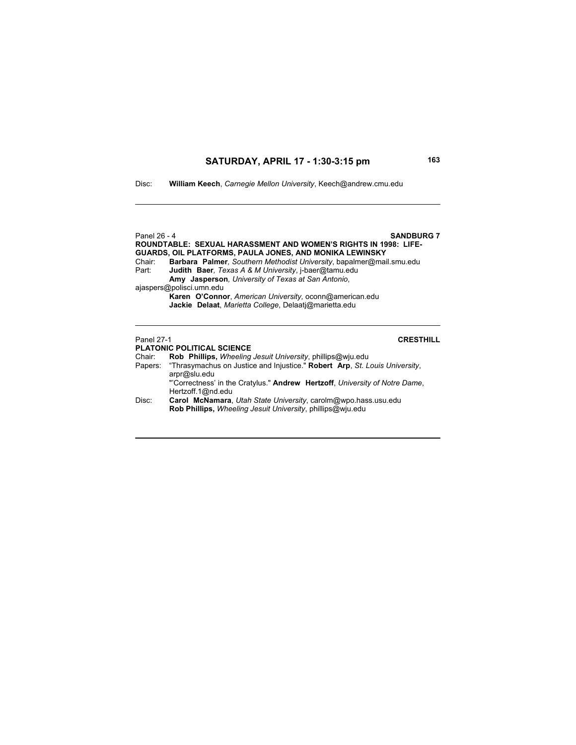Disc: **William Keech**, *Carnegie Mellon University*, Keech@andrew.cmu.edu

Panel 26 - 4 **SANDBURG 7 ROUNDTABLE: SEXUAL HARASSMENT AND WOMEN'S RIGHTS IN 1998: LIFE-GUARDS, OIL PLATFORMS, PAULA JONES, AND MONIKA LEWINSKY** Chair: **Barbara Palmer***, Southern Methodist University*, bapalmer@mail.smu.edu Part: **Judith Baer***, Texas A & M University*, j-baer@tamu.edu **Amy Jasperson***, University of Texas at San Antonio*, ajaspers@polisci.umn.edu **Karen O'Connor**, *American University,* oconn@american.edu **Jackie Delaat**, *Marietta College*, Delaatj@marietta.edu Panel 27-1 **CRESTHILL PLATONIC POLITICAL SCIENCE**

### Chair: **Rob Phillips,** *Wheeling Jesuit University*, phillips@wju.edu Papers: "Thrasymachus on Justice and Injustice." **Robert Arp**, *St. Louis University*, arpr@slu.edu "'Correctness' in the Cratylus." **Andrew Hertzoff**, *University of Notre Dame*, Hertzoff.1@nd.edu Disc: **Carol McNamara**, *Utah State University*, carolm@wpo.hass.usu.edu **Rob Phillips,** *Wheeling Jesuit University*, phillips@wju.edu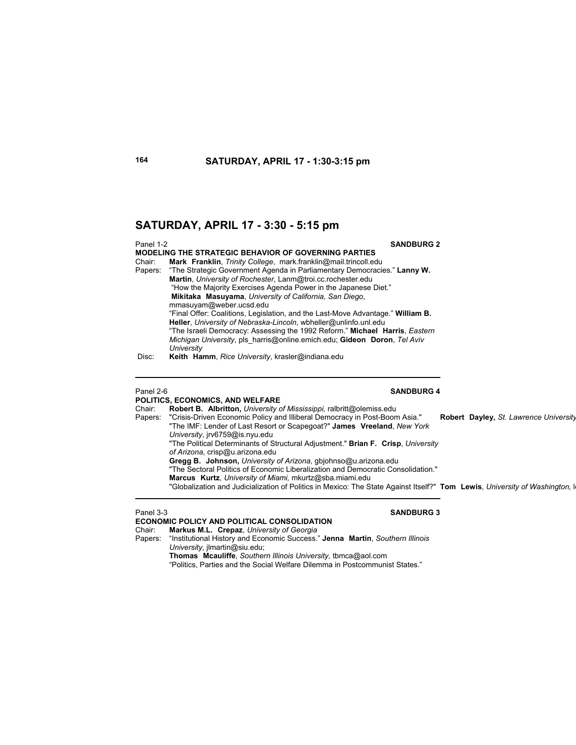Panel 1-2 **SANDBURG 2 MODELING THE STRATEGIC BEHAVIOR OF GOVERNING PARTIES** Chair: **Mark Franklin**, *Trinity College*, mark.franklin@mail.trincoll.edu Papers: "The Strategic Government Agenda in Parliamentary Democracies." **Lanny W. Martin**, *University of Rochester*, Lanm@troi.cc.rochester.edu "How the Majority Exercises Agenda Power in the Japanese Diet." **Mikitaka Masuyama**, *University of California, San Diego*, mmasuyam@weber.ucsd.edu "Final Offer: Coalitions, Legislation, and the Last-Move Advantage." **William B. Heller**, *University of Nebraska-Lincoln*, wbheller@unlinfo.unl.edu "The Israeli Democracy: Assessing the 1992 Reform." **Michael Harris**, *Eastern Michigan University*, pls\_harris@online.emich.edu; **Gideon Doron**, *Tel Aviv University* Disc: **Keith Hamm**, *Rice University*, krasler@indiana.edu

## **POLITICS, ECONOMICS, AND WELFARE**

### Panel 2-6 **SANDBURG 4**

Chair: **Robert B. Albritton,** *University of Mississippi,* ralbritt@olemiss.edu Papers: "Crisis-Driven Economic Policy and Illiberal Democracy in Post-Boom Asia." **Robert Dayley,** *St. Lawrence University* "The IMF: Lender of Last Resort or Scapegoat?" **James Vreeland**, *New York University*, jrv6759@is.nyu.edu "The Political Determinants of Structural Adjustment." **Brian F. Crisp**, *University of Arizona*, crisp@u.arizona.edu **Gregg B. Johnson,** *University of Arizona*, gbjohnso@u.arizona.edu "The Sectoral Politics of Economic Liberalization and Democratic Consolidation." **Marcus Kurtz**, *University of Miami,* mkurtz@sba.miami.edu "Globalization and Judicialization of Politics in Mexico: The State Against Itself?" **Tom Lewis**, *University of Washington,* le

### Panel 3-3 **SANDBURG 3**

 $\overline{a}$ 

**ECONOMIC POLICY AND POLITICAL CONSOLIDATION** 

Chair: **Markus M.L. Crepaz**, *University of Georgia*

Papers: "Institutional History and Economic Success." **Jenna Martin**, *Southern Illinois University*, jlmartin@siu.edu;

**Thomas Mcauliffe**, *Southern Illinois University,* tbmca@aol.com

"Politics, Parties and the Social Welfare Dilemma in Postcommunist States."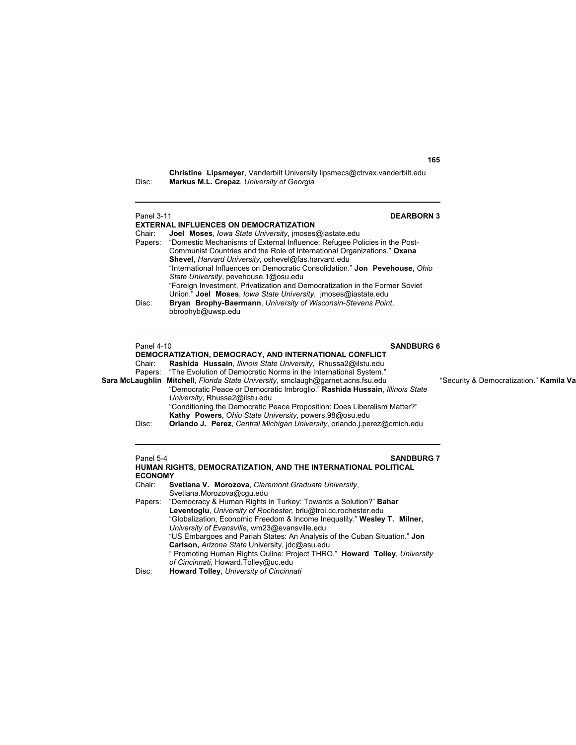**Christine Lipsmeyer**, Vanderbilt University lipsmecs@ctrvax.vanderbilt.edu Disc: **Markus M.L. Crepaz**, *University of Georgia*

| Panel 3-11 | <b>DEARBORN 3</b><br><b>EXTERNAL INFLUENCES ON DEMOCRATIZATION</b>                |  |
|------------|-----------------------------------------------------------------------------------|--|
| Chair:     | Joel Moses, lowa State University, imoses@iastate.edu                             |  |
|            | Papers: "Domestic Mechanisms of External Influence: Refugee Policies in the Post- |  |
|            | Communist Countries and the Role of International Organizations." Oxana           |  |
|            | Shevel, Harvard University, oshevel@fas.harvard.edu                               |  |
|            | "International Influences on Democratic Consolidation." Jon Pevehouse, Ohio       |  |
|            | State University, pevehouse.1@osu.edu                                             |  |
|            | "Foreign Investment, Privatization and Democratization in the Former Soviet       |  |
|            | Union." Joel Moses, lowa State University, imoses@iastate.edu                     |  |
| Disc:      | Bryan Brophy-Baermann, University of Wisconsin-Stevens Point,                     |  |
|            | bbrophyb@uwsp.edu                                                                 |  |
|            |                                                                                   |  |
|            |                                                                                   |  |

### Panel 4-10 **SANDBURG 6**

**DEMOCRATIZATION, DEMOCRACY, AND INTERNATIONAL CONFLICT**<br>Chair: Rashida Hussain, *Illinois State University*, Rhussa2@ilstu.edu Chair: **Rashida Hussain**, *Illinois State University*, Rhussa2@ilstu.edu Papers: "The Evolution of Democratic Norms in the International System." **Sara McLaughlin Mitchell**, *Florida State University*, smclaugh@garnet.acns.fsu.edu "Security & Democratization." **Kamila Va** "Democratic Peace or Democratic Imbroglio." **Rashida Hussain**, *Illinois State University*, Rhussa2@ilstu.edu "Conditioning the Democratic Peace Proposition: Does Liberalism Matter?"

**Kathy Powers**, *Ohio State University*, powers.98@osu.edu Disc: **Orlando J. Perez**, *Central Michigan University*, orlando.j.perez@cmich.edu

### **Panel 5-4 SANDBURG 7**

**HUMAN RIGHTS, DEMOCRATIZATION, AND THE INTERNATIONAL POLITICAL ECONOMY** Chair: **Svetlana V. Morozova**, *Claremont Graduate University*, Svetlana.Morozova@cgu.edu Papers: "Democracy & Human Rights in Turkey: Towards a Solution?" **Bahar Leventoglu**, *University of Rochester,* brlu@troi.cc.rochester.edu "Globalization, Economic Freedom & Income Inequality." **Wesley T. Milner,** *University of Evansville*, wm23@evansville.edu "US Embargoes and Pariah States: An Analysis of the Cuban Situation." **Jon Carlson,** *Arizona State* University, jdc@asu.edu " Promoting Human Rights Ouline: Project THRO." **Howard Tolley**, *University of Cincinnati*, Howard.Tolley@uc.edu

Disc: **Howard Tolley**, *University of Cincinnati*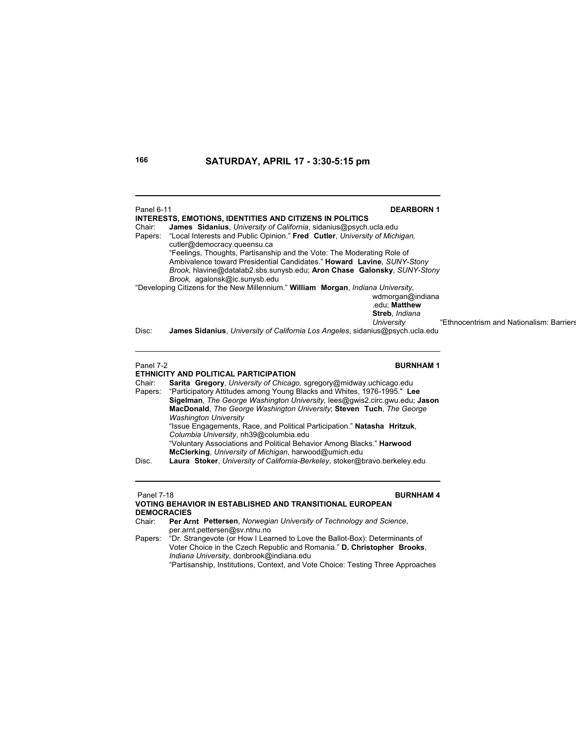| Panel 6-11<br>Chair:<br>Papers: | <b>DEARBORN1</b><br><b>INTERESTS, EMOTIONS, IDENTITIES AND CITIZENS IN POLITICS</b><br>James Sidanius, University of California, sidanius@psych.ucla.edu<br>"Local Interests and Public Opinion." Fred Cutler, University of Michigan,<br>cutler@democracy.queensu.ca<br>"Feelings, Thoughts, Partisanship and the Vote: The Moderating Role of<br>Ambivalence toward Presidential Candidates." Howard Lavine, SUNY-Stony                                                                                                                                                                                                                                                  |                                         |
|---------------------------------|----------------------------------------------------------------------------------------------------------------------------------------------------------------------------------------------------------------------------------------------------------------------------------------------------------------------------------------------------------------------------------------------------------------------------------------------------------------------------------------------------------------------------------------------------------------------------------------------------------------------------------------------------------------------------|-----------------------------------------|
|                                 | Brook, hlavine@datalab2.sbs.sunysb.edu; Aron Chase Galonsky, SUNY-Stony<br>Brook, agalonsk@ic.sunysb.edu<br>"Developing Citizens for the New Millennium." William Morgan, Indiana University,<br>wdmorgan@indiana                                                                                                                                                                                                                                                                                                                                                                                                                                                          |                                         |
| Disc:                           | .edu: Matthew<br>Streb, Indiana<br>University<br>James Sidanius, University of California Los Angeles, sidanius@psych.ucla.edu                                                                                                                                                                                                                                                                                                                                                                                                                                                                                                                                             | "Ethnocentrism and Nationalism: Barrier |
| Panel 7-2                       | <b>BURNHAM1</b><br>ETHNICITY AND POLITICAL PARTICIPATION                                                                                                                                                                                                                                                                                                                                                                                                                                                                                                                                                                                                                   |                                         |
| Chair:<br>Papers:<br>Disc.      | Sarita Gregory, University of Chicago, sgregory@midway.uchicago.edu<br>"Participatory Attitudes among Young Blacks and Whites, 1976-1995." Lee<br>Sigelman, The George Washington University, lees@qwis2.circ.qwu.edu; Jason<br>MacDonald, The George Washington University; Steven Tuch, The George<br><b>Washington University</b><br>"Issue Engagements, Race, and Political Participation." Natasha Hritzuk,<br>Columbia University, nh39@columbia.edu<br>"Voluntary Associations and Political Behavior Among Blacks." Harwood<br>McClerking, University of Michigan, harwood@umich.edu<br>Laura Stoker, University of California-Berkeley, stoker@bravo.berkeley.edu |                                         |
| <b>Panel 7-18</b>               | <b>BURNHAM4</b><br>VOTING BEHAVIOR IN ESTABLISHED AND TRANSITIONAL ELIBOREAN                                                                                                                                                                                                                                                                                                                                                                                                                                                                                                                                                                                               |                                         |

**VOTING BEHAVIOR IN ESTABLISHED AND TRANSITIONAL EUROPEAN DEMOCRACIES**<br>Chair: Per Ari

Per Arnt Pettersen, *Norwegian University of Technology and Science*, per.arnt.pettersen@sv.ntnu.no

Papers: "Dr. Strangevote (or How I Learned to Love the Ballot-Box): Determinants of Voter Choice in the Czech Republic and Romania." **D. Christopher Brooks**, *Indiana University*, donbrook@indiana.edu "Partisanship, Institutions, Context, and Vote Choice: Testing Three Approaches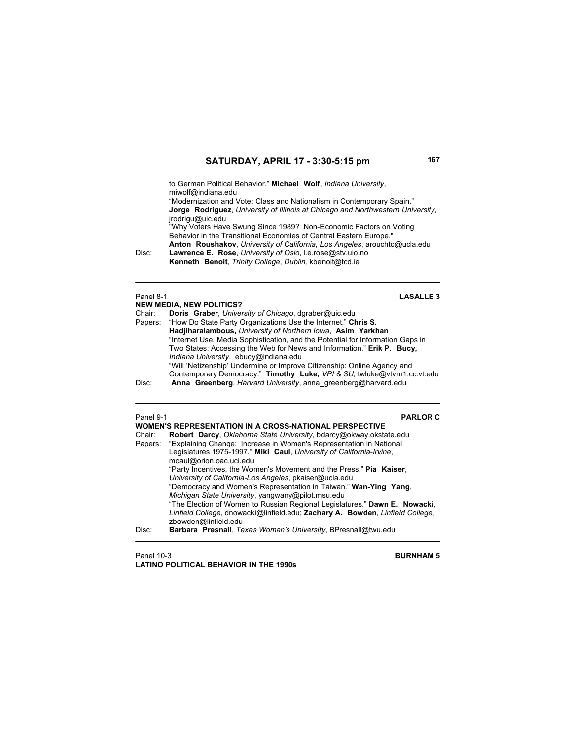to German Political Behavior." **Michael Wolf**, *Indiana University*, miwolf@indiana.edu

"Modernization and Vote: Class and Nationalism in Contemporary Spain."  **Jorge Rodriguez**, *University of Illinois at Chicago and Northwestern University*, jrodrigu@uic.edu

"Why Voters Have Swung Since 1989? Non-Economic Factors on Voting Behavior in the Transitional Economies of Central Eastern Europe." **Anton Roushakov**, *University of California, Los Angeles*, arouchtc@ucla.edu<br>Disc: Lawrence E. Rose, *University of Oslo*, I.e.rose@stv.uio.no

Lawrence E. Rose, *University of Oslo*, I.e.rose@stv.uio.no **Kenneth Benoit**, *Trinity College*, *Dublin,* kbenoit@tcd.ie

# Panel 8-1

# LASALLE 3

|        | <b>NEW MEDIA, NEW POLITICS?</b>                                                |  |
|--------|--------------------------------------------------------------------------------|--|
| Chair: | Doris Graber, University of Chicago, dgraber@uic.edu                           |  |
|        | Papers: "How Do State Party Organizations Use the Internet." Chris S.          |  |
|        | Hadjiharalambous, University of Northern Iowa, Asim Yarkhan                    |  |
|        | "Internet Use, Media Sophistication, and the Potential for Information Gaps in |  |
|        | Two States: Accessing the Web for News and Information." Erik P. Bucy,         |  |
|        | Indiana University, ebucy@indiana.edu                                          |  |
|        | "Will 'Netizenship' Undermine or Improve Citizenship: Online Agency and        |  |
|        | Contemporary Democracy." Timothy Luke, VPI & SU, twluke@vtvm1.cc.vt.edu        |  |
| Disc:  | Anna Greenberg, Harvard University, anna greenberg@harvard.edu                 |  |
|        |                                                                                |  |

# Panel 9-1 **PARLOR C**

|        | <b>WOMEN'S REPRESENTATION IN A CROSS-NATIONAL PERSPECTIVE</b>                                         |
|--------|-------------------------------------------------------------------------------------------------------|
| Chair: | Robert Darcy, Oklahoma State University, bdarcy@okway.okstate.edu                                     |
|        | Papers: "Explaining Change: Increase in Women's Representation in National                            |
|        | Legislatures 1975-1997." Miki Caul, University of California-Irvine,<br>mcaul@orion.oac.uci.edu       |
|        |                                                                                                       |
|        | "Party Incentives, the Women's Movement and the Press." Pia Kaiser,                                   |
|        | University of California-Los Angeles, pkaiser@ucla.edu                                                |
|        | "Democracy and Women's Representation in Taiwan." Wan-Ying Yang,                                      |
|        | Michigan State University, yangwany@pilot.msu.edu                                                     |
|        | "The Election of Women to Russian Regional Legislatures." Dawn E. Nowacki,                            |
|        | Linfield College, dnowacki@linfield.edu; Zachary A. Bowden, Linfield College,<br>zbowden@linfield.edu |
| Disc:  | Barbara Presnall, Texas Woman's University, BPresnall@twu.edu                                         |

Panel 10-3 **BURNHAM 5 LATINO POLITICAL BEHAVIOR IN THE 1990s**

**NEW MEDIA, NEW POLITICS?**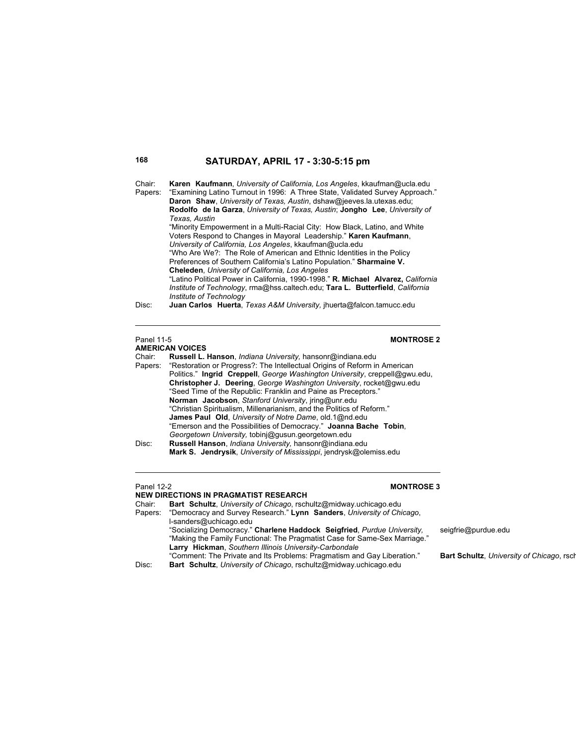Chair: **Karen Kaufmann**, *University of California, Los Angeles*, kkaufman@ucla.edu

Papers: "Examining Latino Turnout in 1996: A Three State, Validated Survey Approach." **Daron Shaw**, *University of Texas, Austin*, dshaw@jeeves.la.utexas.edu; **Rodolfo de la Garza**, *University of Texas, Austin*; **Jongho Lee**, *University of Texas, Austin* "Minority Empowerment in a Multi-Racial City: How Black, Latino, and White Voters Respond to Changes in Mayoral Leadership." **Karen Kaufmann**, *University of California, Los Angeles*, kkaufman@ucla.edu "Who Are We?: The Role of American and Ethnic Identities in the Policy

Preferences of Southern California's Latino Population." **Sharmaine V. Cheleden**, *University of California, Los Angeles*

 "Latino Political Power in California, 1990-1998." **R. Michael Alvarez,** *California Institute of Technology*, rma@hss.caltech.edu; **Tara L. Butterfield**, *California Institute of Technology*

Disc: **Juan Carlos Huerta**, *Texas A&M University,* jhuerta@falcon.tamucc.edu

## **AMERICAN VOICES**

| Chair:  | Russell L. Hanson, <i>Indiana University</i> , hansonr@indiana.edu          |
|---------|-----------------------------------------------------------------------------|
| Papers: | "Restoration or Progress?: The Intellectual Origins of Reform in American   |
|         | Politics." Ingrid Creppell, George Washington University, creppell@gwu.edu, |
|         | Christopher J. Deering, George Washington University, rocket@gwu.edu        |
|         | "Seed Time of the Republic: Franklin and Paine as Preceptors."              |
|         | Norman Jacobson, Stanford University, jring@unr.edu                         |
|         | "Christian Spiritualism, Millenarianism, and the Politics of Reform."       |
|         | <b>James Paul Old.</b> University of Notre Dame, old.1@nd.edu               |
|         | "Emerson and the Possibilities of Democracy." Joanna Bache Tobin,           |
|         | Georgetown University, tobini@gusun.georgetown.edu                          |
| Disc:   | Russell Hanson, Indiana University, hansonr@indiana.edu                     |
|         | Mark S. Jendrysik, University of Mississippi, jendrysk@olemiss.edu          |

### Panel 12-2 **MONTROSE 3**

**NEW DIRECTIONS IN PRAGMATIST RESEARCH** Chair: **Bart Schultz**, *University of Chicago*, rschultz@midway.uchicago.edu Papers: "Democracy and Survey Research." **Lynn Sanders**, *University of Chicago*, l-sanders@uchicago.edu "Socializing Democracy." **Charlene Haddock Seigfried**, *Purdue University,* seigfrie@purdue.edu "Making the Family Functional: The Pragmatist Case for Same-Sex Marriage." **Larry Hickman**, *Southern Illinois University-Carbondale* "Comment: The Private and Its Problems: Pragmatism and Gay Liberation." **Bart Schultz**, *University of Chicago*, rsch Bart Schultz, University of Chicago, rschultz@midway.uchicago.edu

Panel 11-5 **MONTROSE 2**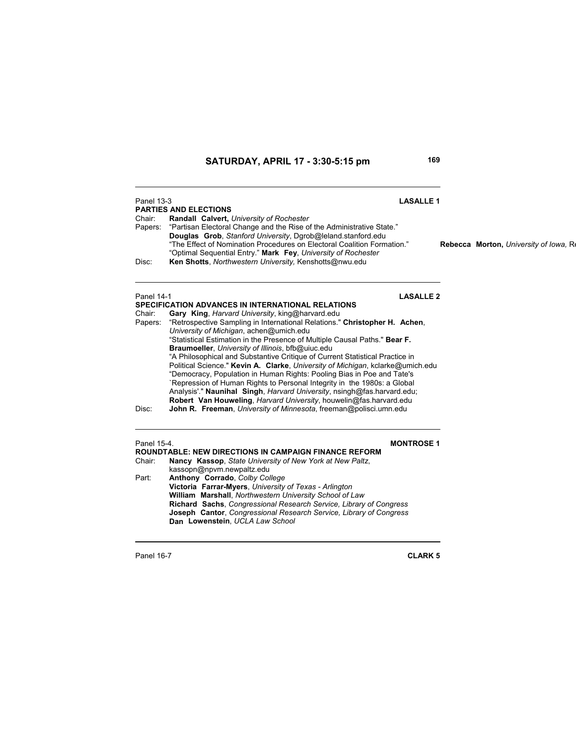**Joseph Cantor**, *Congressional Research Service, Library of Congress*

**Dan Lowenstein**, *UCLA Law School*

Panel 13-3 **LASALLE 1 PARTIES AND ELECTIONS**<br>Chair: **Randall Calvert,** *L* **Randall Calvert, University of Rochester** Papers: "Partisan Electoral Change and the Rise of the Administrative State."  **Douglas Grob**, *Stanford University*, Dgrob@leland.stanford.edu "The Effect of Nomination Procedures on Electoral Coalition Formation." **Rebecca Morton,** *University of Iowa,* Re "Optimal Sequential Entry." **Mark Fey**, *University of Rochester* Ken Shotts, *Northwestern University*, Kenshotts@nwu.edu Panel 14-1 **LASALLE 2 SPECIFICATION ADVANCES IN INTERNATIONAL RELATIONS**<br>Chair: **Gary King**, *Harvard University*, king@harvard.edu Gary King, *Harvard University*, king@harvard.edu Papers: "Retrospective Sampling in International Relations." **Christopher H. Achen**, *University of Michigan*, achen@umich.edu "Statistical Estimation in the Presence of Multiple Causal Paths." **Bear F. Braumoeller**, *University of Illinois*, bfb@uiuc.edu "A Philosophical and Substantive Critique of Current Statistical Practice in Political Science." **Kevin A. Clarke**, *University of Michigan*, kclarke@umich.edu "Democracy, Population in Human Rights: Pooling Bias in Poe and Tate's `Repression of Human Rights to Personal Integrity in the 1980s: a Global Analysis'." **Naunihal Singh**, *Harvard University*, nsingh@fas.harvard.edu; **Robert Van Houweling**, *Harvard University*, houwelin@fas.harvard.edu Disc: **John R. Freeman**, *University of Minnesota*, freeman@polisci.umn.edu Panel 15-4. **MONTROSE 1 ROUNDTABLE: NEW DIRECTIONS IN CAMPAIGN FINANCE REFORM** Chair: **Nancy Kassop**, *State University of New York at New Paltz*, kassopn@npvm.newpaltz.edu Part: **Anthony Corrado**, *Colby College* **Victoria Farrar-Myers**, *University of Texas - Arlington* **William Marshall**, *Northwestern University School of Law* **Richard Sachs**, *Congressional Research Service, Library of Congress*

Panel 16-7 **CLARK 5**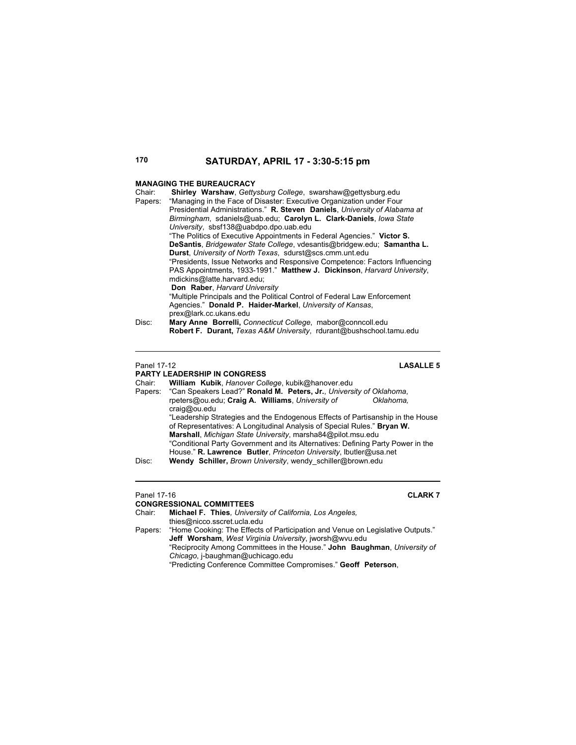### **MANAGING THE BUREAUCRACY**

| Chair:  | Shirley Warshaw, Gettysburg College, swarshaw@gettysburg.edu               |
|---------|----------------------------------------------------------------------------|
| Papers: | "Managing in the Face of Disaster: Executive Organization under Four       |
|         | Presidential Administrations." R. Steven Daniels, University of Alabama at |
|         | Birmingham, sdaniels@uab.edu; Carolyn L. Clark-Daniels, lowa State         |
|         | University, sbsf138@uabdpo.dpo.uab.edu                                     |
|         | "The Politics of Executive Appointments in Federal Agencies." Victor S.    |
|         | DeSantis, Bridgewater State College, vdesantis@bridgew.edu; Samantha L.    |
|         | <b>Durst.</b> University of North Texas, sdurst@scs.cmm.unt.edu            |
|         | "Presidents, Issue Networks and Responsive Competence: Factors Influencing |
|         | PAS Appointments, 1933-1991." Matthew J. Dickinson, Harvard University,    |
|         | mdickins@latte.harvard.edu:                                                |
|         | Don Raber, Harvard University                                              |
|         | "Multiple Principals and the Political Control of Federal Law Enforcement  |
|         | Agencies." Donald P. Haider-Markel, University of Kansas,                  |
|         | prex@lark.cc.ukans.edu                                                     |
| Disc:   | Mary Anne Borrelli, Connecticut College, mabor@conncoll.edu                |
|         | Robert F. Durant, Texas A&M University, rdurant@bushschool.tamu.edu        |
|         |                                                                            |

### Panel 17-12 **LASALLE 5**

**PARTY LEADERSHIP IN CONGRESS**<br>Chair: William Kubik, Hanover Col. Chair: **William Kubik**, *Hanover College*, kubik@hanover.edu Papers: "Can Speakers Lead?" **Ronald M. Peters, Jr.**, *University of Oklahoma*, rpeters@ou.edu; Craig A. Williams, University of craig@ou.edu "Leadership Strategies and the Endogenous Effects of Partisanship in the House of Representatives: A Longitudinal Analysis of Special Rules." **Bryan W. Marshall**, *Michigan State University*, marsha84@pilot.msu.edu "Conditional Party Government and its Alternatives: Defining Party Power in the House." **R. Lawrence Butler**, *Princeton University*, lbutler@usa.net Disc: **Wendy Schiller,** *Brown University*, wendy\_schiller@brown.edu

### Panel 17-16 **CLARK 7**

**CONGRESSIONAL COMMITTEES**<br>Chair: **Michael F. Thies**. Univer Michael F. Thies, University of California, Los Angeles, thies@nicco.sscret.ucla.edu Papers: "Home Cooking: The Effects of Participation and Venue on Legislative Outputs." **Jeff Worsham**, *West Virginia University*, jworsh@wvu.edu "Reciprocity Among Committees in the House." **John Baughman**, *University of Chicago*, j-baughman@uchicago.edu "Predicting Conference Committee Compromises." **Geoff Peterson**,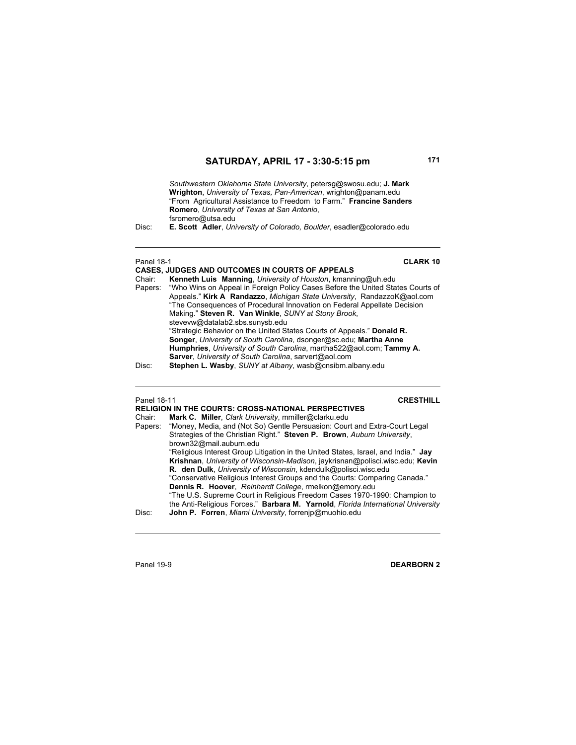*Southwestern Oklahoma State University*, petersg@swosu.edu; **J. Mark Wrighton**, *University of Texas, Pan-American*, wrighton@panam.edu "From Agricultural Assistance to Freedom to Farm." **Francine Sanders Romero**, *University of Texas at San Antonio*, fsromero@utsa.edu

Disc: **E. Scott Adler**, *University of Colorado, Boulder*, esadler@colorado.edu

| <b>Panel 18-1</b> | <b>CLARK 10</b><br><b>CASES, JUDGES AND OUTCOMES IN COURTS OF APPEALS</b>                                                                                                                                                                                                                                                                                                                                                                                                                                                                                                                                                                                                                                                                                  |
|-------------------|------------------------------------------------------------------------------------------------------------------------------------------------------------------------------------------------------------------------------------------------------------------------------------------------------------------------------------------------------------------------------------------------------------------------------------------------------------------------------------------------------------------------------------------------------------------------------------------------------------------------------------------------------------------------------------------------------------------------------------------------------------|
| Chair:<br>Disc:   | Kenneth Luis Manning, University of Houston, kmanning@uh.edu<br>Papers: "Who Wins on Appeal in Foreign Policy Cases Before the United States Courts of<br>Appeals." Kirk A Randazzo, Michigan State University, RandazzoK@aol.com<br>"The Consequences of Procedural Innovation on Federal Appellate Decision<br>Making." Steven R. Van Winkle, SUNY at Stony Brook,<br>stevevw@datalab2.sbs.sunysb.edu<br>"Strategic Behavior on the United States Courts of Appeals." Donald R.<br><b>Songer, University of South Carolina, dsonger@sc.edu; Martha Anne</b><br>Humphries, University of South Carolina, martha522@aol.com; Tammy A.<br>Sarver, University of South Carolina, sarvert@aol.com<br>Stephen L. Wasby, SUNY at Albany, wasb@cnsibm.albany.edu |
|                   |                                                                                                                                                                                                                                                                                                                                                                                                                                                                                                                                                                                                                                                                                                                                                            |

# Panel 18-11 **CRESTHILL**

| Chair:  | <b>RELIGION IN THE COURTS: CROSS-NATIONAL PERSPECTIVES</b><br>Mark C. Miller, Clark University, mmiller@clarku.edu                                                                                                                                                                                                                                                             |
|---------|--------------------------------------------------------------------------------------------------------------------------------------------------------------------------------------------------------------------------------------------------------------------------------------------------------------------------------------------------------------------------------|
| Papers: | "Money, Media, and (Not So) Gentle Persuasion: Court and Extra-Court Legal<br>Strategies of the Christian Right." Steven P. Brown, Auburn University,<br>brown32@mail.auburn.edu                                                                                                                                                                                               |
|         | "Religious Interest Group Litigation in the United States, Israel, and India." Jay<br>Krishnan, University of Wisconsin-Madison, jaykrisnan@polisci.wisc.edu; Kevin<br>R. den Dulk, University of Wisconsin, kdendulk@polisci.wisc.edu<br>"Conservative Religious Interest Groups and the Courts: Comparing Canada."<br>Dennis R. Hoover, Reinhardt College, rmelkon@emory.edu |
| Disc:   | "The U.S. Supreme Court in Religious Freedom Cases 1970-1990: Champion to<br>the Anti-Religious Forces." Barbara M. Yarnold, Florida International University<br>John P. Forren, Miami University, forrenip@muohio.edu                                                                                                                                                         |

Panel 19-9 **DEARBORN 2**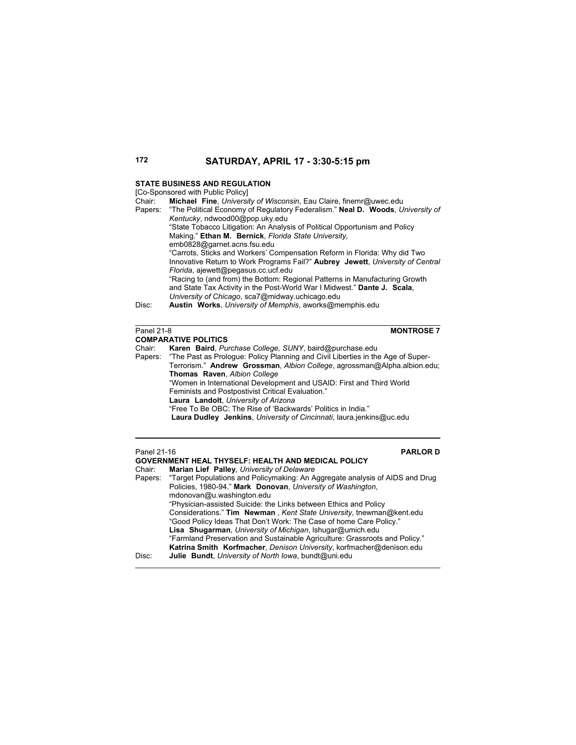# **STATE BUSINESS AND REGULATION**

[Co-Sponsored with Public Policy]

| Chair:  | <b>Michael Fine.</b> University of Wisconsin, Eau Claire, finemr@uwec.edu              |
|---------|----------------------------------------------------------------------------------------|
| Papers: | "The Political Economy of Regulatory Federalism." Neal D. Woods, University of         |
|         | Kentucky, ndwood00@pop.uky.edu                                                         |
|         | "State Tobacco Litigation: An Analysis of Political Opportunism and Policy             |
|         | Making." Ethan M. Bernick, Florida State University,                                   |
|         | emb0828@garnet.acns.fsu.edu                                                            |
|         | "Carrots, Sticks and Workers' Compensation Reform in Florida: Why did Two              |
|         | Innovative Return to Work Programs Fail?" <b>Aubrey Jewett</b> , University of Central |
|         | Florida, ajewett@pegasus.cc.ucf.edu                                                    |
|         | "Racing to (and from) the Bottom: Regional Patterns in Manufacturing Growth            |
|         | and State Tax Activity in the Post-World War I Midwest." Dante J. Scala,               |
|         | University of Chicago, sca7@midway.uchicago.edu                                        |
| Disc:   | Austin Works, University of Memphis, aworks@memphis.edu                                |
|         |                                                                                        |

Panel 21-8 **MONTROSE 7**

|        | <b>COMPARATIVE POLITICS</b>                                                             |
|--------|-----------------------------------------------------------------------------------------|
| Chair: | Karen Baird, Purchase College, SUNY, baird@purchase.edu                                 |
|        | Papers: "The Past as Prologue: Policy Planning and Civil Liberties in the Age of Super- |
|        | Terrorism." Andrew Grossman, Albion College, agrossman@Alpha.albion.edu;                |
|        | Thomas Raven, Albion College                                                            |
|        | "Women in International Development and USAID: First and Third World                    |
|        | Feminists and Postpostivist Critical Evaluation."                                       |
|        | Laura Landolt, University of Arizona                                                    |
|        | "Free To Be OBC: The Rise of 'Backwards' Politics in India."                            |
|        | <b>Laura Dudley Jenkins, University of Cincinnati, laura jenkins@uc.edu</b>             |
|        |                                                                                         |

 $\overline{a}$ 

| Panel 21-16 | <b>PARLORD</b>                                                                       |
|-------------|--------------------------------------------------------------------------------------|
|             | <b>GOVERNMENT HEAL THYSELF: HEALTH AND MEDICAL POLICY</b>                            |
| Chair:      | Marian Lief Palley, University of Delaware                                           |
|             | Papers: "Target Populations and Policymaking: An Aggregate analysis of AIDS and Drug |
|             | Policies, 1980-94." Mark Donovan, University of Washington,                          |
|             | mdonovan@u.washington.edu                                                            |
|             | "Physician-assisted Suicide: the Links between Ethics and Policy                     |
|             | Considerations." Tim Newman, Kent State University, tnewman@kent.edu                 |
|             | "Good Policy Ideas That Don't Work: The Case of home Care Policy."                   |
|             | <b>Lisa Shugarman, University of Michigan, Ishugar@umich.edu</b>                     |
|             | "Farmland Preservation and Sustainable Agriculture: Grassroots and Policy."          |
|             | Katrina Smith Korfmacher, Denison University, korfmacher@denison.edu                 |
| Disc:       | Julie Bundt, University of North Iowa, bundt@uni.edu                                 |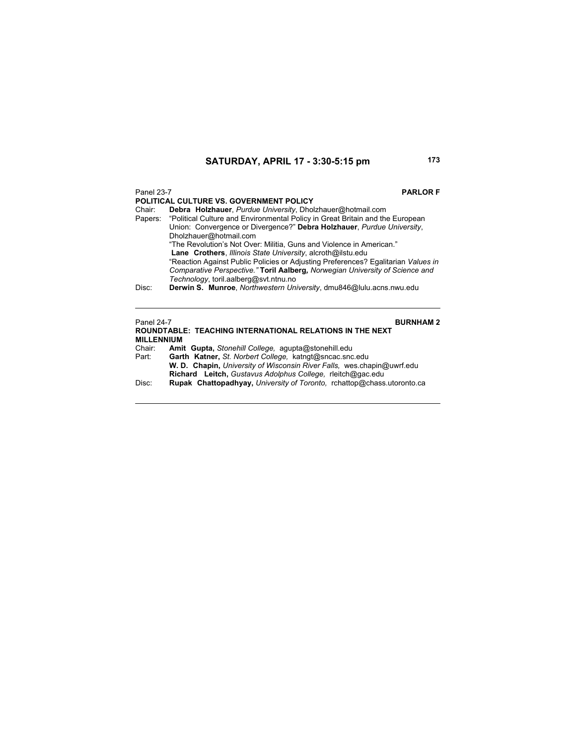# Panel 23-7 **PARLOR F POLITICAL CULTURE VS. GOVERNMENT POLICY**<br>Chair: **Debra Holzhauer**. Purdue University. Dhol Debra Holzhauer, Purdue University, Dholzhauer@hotmail.com Papers: "Political Culture and Environmental Policy in Great Britain and the European Union: Convergence or Divergence?" **Debra Holzhauer**, *Purdue University*, Dholzhauer@hotmail.com "The Revolution's Not Over: Militia, Guns and Violence in American." **Lane Crothers**, *Illinois State University*, alcroth@ilstu.edu "Reaction Against Public Policies or Adjusting Preferences? Egalitarian *Values in Comparative Perspective."* **Toril Aalberg***, Norwegian University of Science and Technology*, toril.aalberg@svt.ntnu.no Disc: **Derwin S. Munroe**, *Northwestern University*, dmu846@lulu.acns.nwu.edu Panel 24-7 **BURNHAM 2 ROUNDTABLE: TEACHING INTERNATIONAL RELATIONS IN THE NEXT**

|                   | <b>ROUNDTABLE: TEACHING INTERNATIONAL RELATIONS IN THE NEXT</b>               |
|-------------------|-------------------------------------------------------------------------------|
| <b>MILLENNIUM</b> |                                                                               |
| Chair:            | Amit Gupta, Stonehill College, agupta@stonehill.edu                           |
| Part:             | Garth Katner, St. Norbert College, katngt@sncac.snc.edu                       |
|                   | <b>W. D. Chapin, University of Wisconsin River Falls, wes chapin@uwrf.edu</b> |
|                   | Richard Leitch, Gustavus Adolphus College, rieitch@gac.edu                    |
| Disc:             | <b>Rupak Chattopadhyay, University of Toronto, rchattop@chass.utoronto.ca</b> |
|                   |                                                                               |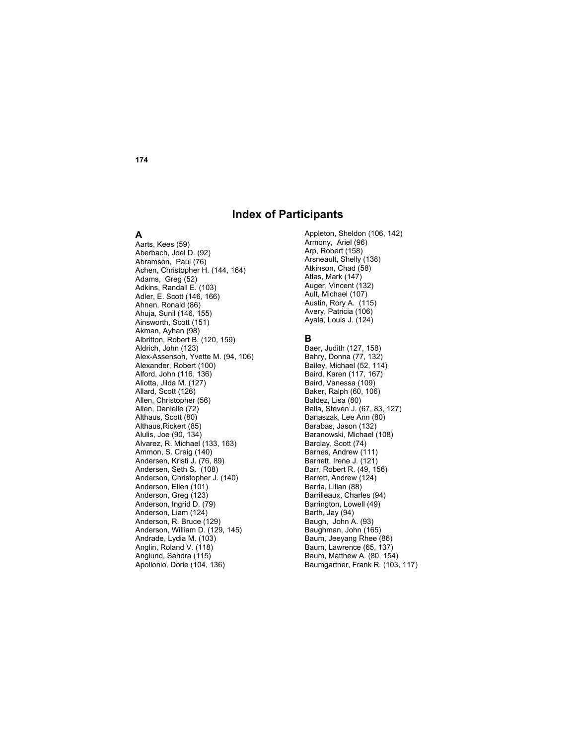# **Index of Participants**

### **A**

Aarts, Kees (59) Aberbach, Joel D. (92) Abramson, Paul (76) Achen, Christopher H. (144, 164) Adams, Greg (52) Adkins, Randall E. (103) Adler, E. Scott (146, 166) Ahnen, Ronald (86) Ahuja, Sunil (146, 155) Ainsworth, Scott (151) Akman, Ayhan (98) Albritton, Robert B. (120, 159) Aldrich, John (123) Alex-Assensoh, Yvette M. (94, 106) Alexander, Robert (100) Alford, John (116, 136) Aliotta, Jilda M. (127) Allard, Scott (126) Allen, Christopher (56) Allen, Danielle (72) Althaus, Scott (80) Althaus,Rickert (85) Alulis, Joe (90, 134) Alvarez, R. Michael (133, 163) Ammon, S. Craig (140) Andersen, Kristi J. (76, 89) Andersen, Seth S. (108) Anderson, Christopher J. (140) Anderson, Ellen (101) Anderson, Greg (123) Anderson, Ingrid D. (79) Anderson, Liam (124) Anderson, R. Bruce (129) Anderson, William D. (129, 145) Andrade, Lydia M. (103) Anglin, Roland V. (118) Anglund, Sandra (115) Apollonio, Dorie (104, 136)

Appleton, Sheldon (106, 142) Armony, Ariel (96) Arp, Robert (158) Arsneault, Shelly (138) Atkinson, Chad (58) Atlas, Mark (147) Auger, Vincent (132) Ault, Michael (107) Austin, Rory A. (115) Avery, Patricia (106) Ayala, Louis J. (124)

# **B**

Baer, Judith (127, 158) Bahry, Donna (77, 132) Bailey, Michael (52, 114) Baird, Karen (117, 167) Baird, Vanessa (109) Baker, Ralph (60, 106) Baldez, Lisa (80) Balla, Steven J. (67, 83, 127) Banaszak, Lee Ann (80) Barabas, Jason (132) Baranowski, Michael (108) Barclay, Scott (74) Barnes, Andrew (111) Barnett, Irene J. (121) Barr, Robert R. (49, 156) Barrett, Andrew (124) Barria, Lilian (88) Barrilleaux, Charles (94) Barrington, Lowell (49) Barth, Jay (94) Baugh, John A. (93) Baughman, John (165) Baum, Jeeyang Rhee (86) Baum, Lawrence (65, 137) Baum, Matthew A. (80, 154) Baumgartner, Frank R. (103, 117)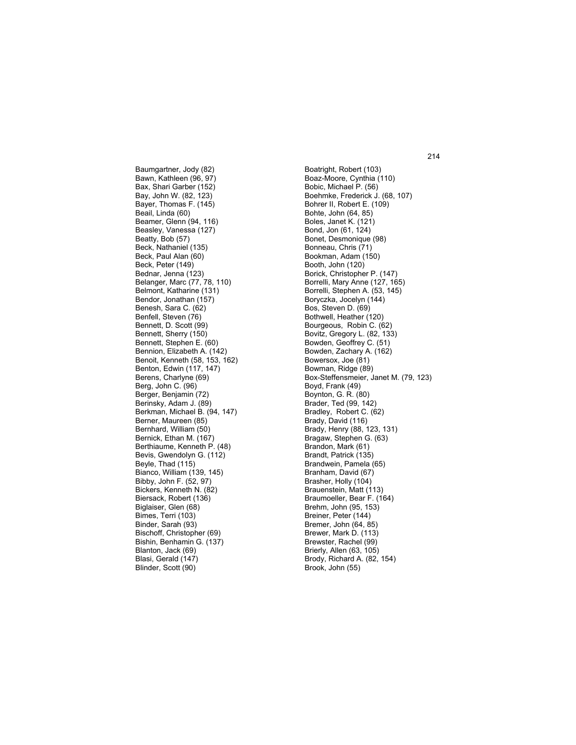Baumgartner, Jody (82) Bawn, Kathleen (96, 97) Bax, Shari Garber (152) Bay, John W. (82, 123) Bayer, Thomas F. (145) Beail, Linda (60) Beamer, Glenn (94, 116) Beasley, Vanessa (127) Beatty, Bob (57) Beck, Nathaniel (135) Beck, Paul Alan (60) Beck, Peter (149) Bednar, Jenna (123) Belanger, Marc (77, 78, 110) Belmont, Katharine (131) Bendor, Jonathan (157) Benesh, Sara C. (62) Benfell, Steven (76) Bennett, D. Scott (99) Bennett, Sherry (150) Bennett, Stephen E. (60) Bennion, Elizabeth A. (142) Benoit, Kenneth (58, 153, 162) Benton, Edwin (117, 147) Berens, Charlyne (69) Berg, John C. (96) Berger, Benjamin (72) Berinsky, Adam J. (89) Berkman, Michael B. (94, 147) Berner, Maureen (85) Bernhard, William (50) Bernick, Ethan M. (167) Berthiaume, Kenneth P. (48) Bevis, Gwendolyn G. (112) Beyle, Thad (115) Bianco, William (139, 145) Bibby, John F. (52, 97) Bickers, Kenneth N. (82) Biersack, Robert (136) Biglaiser, Glen (68) Bimes, Terri (103) Binder, Sarah (93) Bischoff, Christopher (69) Bishin, Benhamin G. (137) Blanton, Jack (69) Blasi, Gerald (147) Blinder, Scott (90)

Boatright, Robert (103) Boaz-Moore, Cynthia (110) Bobic, Michael P. (56) Boehmke, Frederick J. (68, 107) Bohrer II, Robert E. (109) Bohte, John (64, 85) Boles, Janet K. (121) Bond, Jon (61, 124) Bonet, Desmonique (98) Bonneau, Chris (71) Bookman, Adam (150) Booth, John (120) Borick, Christopher P. (147) Borrelli, Mary Anne (127, 165) Borrelli, Stephen A. (53, 145) Boryczka, Jocelyn (144) Bos, Steven D. (69) Bothwell, Heather (120) Bourgeous, Robin C. (62) Bovitz, Gregory L. (82, 133) Bowden, Geoffrey C. (51) Bowden, Zachary A. (162) Bowersox, Joe (81) Bowman, Ridge (89) Box-Steffensmeier, Janet M. (79, 123) Boyd, Frank (49) Boynton, G. R. (80) Brader, Ted (99, 142) Bradley, Robert C. (62) Brady, David (116) Brady, Henry (88, 123, 131) Bragaw, Stephen G. (63) Brandon, Mark (61) Brandt, Patrick (135) Brandwein, Pamela (65) Branham, David (67) Brasher, Holly (104) Brauenstein, Matt (113) Braumoeller, Bear F. (164) Brehm, John (95, 153) Breiner, Peter (144) Bremer, John (64, 85) Brewer, Mark D. (113) Brewster, Rachel (99) Brierly, Allen (63, 105) Brody, Richard A. (82, 154) Brook, John (55)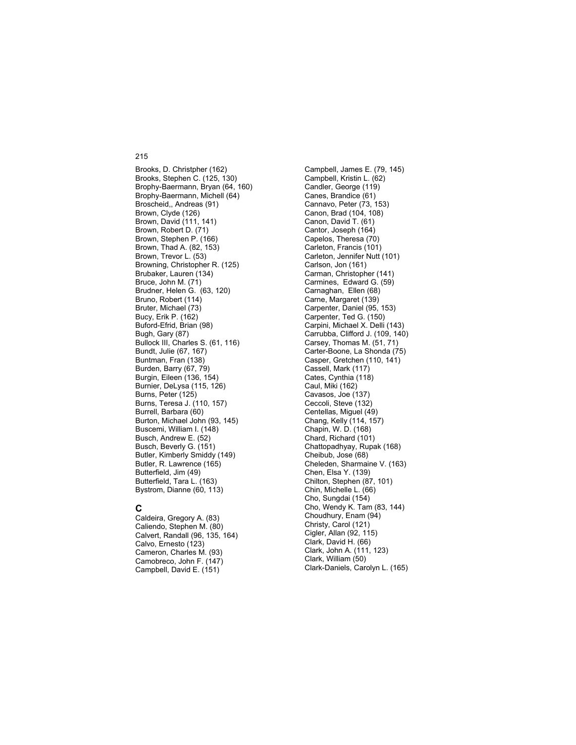Brooks, D. Christpher (162) Brooks, Stephen C. (125, 130) Brophy-Baermann, Bryan (64, 160) Brophy-Baermann, Michell (64) Broscheid,, Andreas (91) Brown, Clyde (126) Brown, David (111, 141) Brown, Robert D. (71) Brown, Stephen P. (166) Brown, Thad A. (82, 153) Brown, Trevor L. (53) Browning, Christopher R. (125) Brubaker, Lauren (134) Bruce, John M. (71) Brudner, Helen G. (63, 120) Bruno, Robert (114) Bruter, Michael (73) Bucy, Erik P. (162) Buford-Efrid, Brian (98) Bugh, Gary (87) Bullock III, Charles S. (61, 116) Bundt, Julie (67, 167) Buntman, Fran (138) Burden, Barry (67, 79) Burgin, Eileen (136, 154) Burnier, DeLysa (115, 126) Burns, Peter (125) Burns, Teresa J. (110, 157) Burrell, Barbara (60) Burton, Michael John (93, 145) Buscemi, William I. (148) Busch, Andrew E. (52) Busch, Beverly G. (151) Butler, Kimberly Smiddy (149) Butler, R. Lawrence (165) Butterfield, Jim (49) Butterfield, Tara L. (163) Bystrom, Dianne (60, 113)

### **C**

Caldeira, Gregory A. (83) Caliendo, Stephen M. (80) Calvert, Randall (96, 135, 164) Calvo, Ernesto (123) Cameron, Charles M. (93) Camobreco, John F. (147) Campbell, David E. (151)

Campbell, James E. (79, 145) Campbell, Kristin L. (62) Candler, George (119) Canes, Brandice (61) Cannavo, Peter (73, 153) Canon, Brad (104, 108) Canon, David T. (61) Cantor, Joseph (164) Capelos, Theresa (70) Carleton, Francis (101) Carleton, Jennifer Nutt (101) Carlson, Jon (161) Carman, Christopher (141) Carmines, Edward G. (59) Carnaghan, Ellen (68) Carne, Margaret (139) Carpenter, Daniel (95, 153) Carpenter, Ted G. (150) Carpini, Michael X. Delli (143) Carrubba, Clifford J. (109, 140) Carsey, Thomas M. (51, 71) Carter-Boone, La Shonda (75) Casper, Gretchen (110, 141) Cassell, Mark (117) Cates, Cynthia (118) Caul, Miki (162) Cavasos, Joe (137) Ceccoli, Steve (132) Centellas, Miguel (49) Chang, Kelly (114, 157) Chapin, W. D. (168) Chard, Richard (101) Chattopadhyay, Rupak (168) Cheibub, Jose (68) Cheleden, Sharmaine V. (163) Chen, Elsa Y. (139) Chilton, Stephen (87, 101) Chin, Michelle L. (66) Cho, Sungdai (154) Cho, Wendy K. Tam (83, 144) Choudhury, Enam (94) Christy, Carol (121) Cigler, Allan (92, 115) Clark, David H. (66) Clark, John A. (111, 123) Clark, William (50) Clark-Daniels, Carolyn L. (165)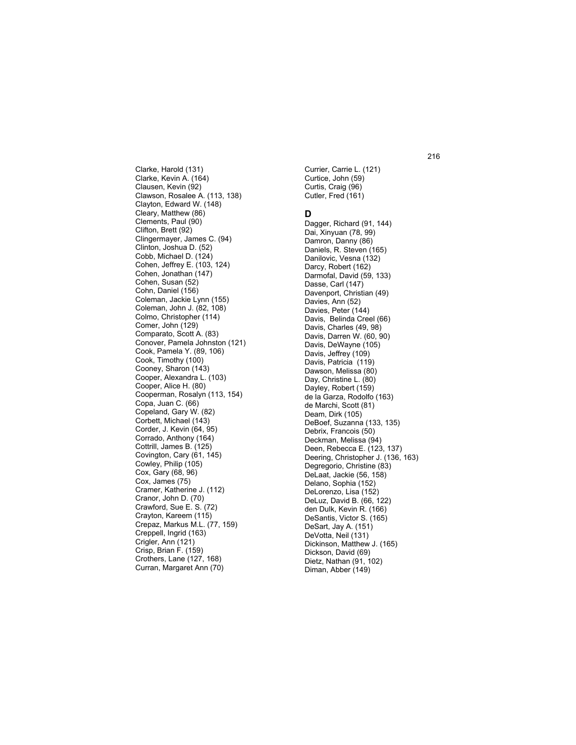Clarke, Harold (131) Clarke, Kevin A. (164) Clausen, Kevin (92) Clawson, Rosalee A. (113, 138) Clayton, Edward W. (148) Cleary, Matthew (86) Clements, Paul (90) Clifton, Brett (92) Clingermayer, James C. (94) Clinton, Joshua D. (52) Cobb, Michael D. (124) Cohen, Jeffrey E. (103, 124) Cohen, Jonathan (147) Cohen, Susan (52) Cohn, Daniel (156) Coleman, Jackie Lynn (155) Coleman, John J. (82, 108) Colmo, Christopher (114) Comer, John (129) Comparato, Scott A. (83) Conover, Pamela Johnston (121) Cook, Pamela Y. (89, 106) Cook, Timothy (100) Cooney, Sharon (143) Cooper, Alexandra L. (103) Cooper, Alice H. (80) Cooperman, Rosalyn (113, 154) Copa, Juan C. (66) Copeland, Gary W. (82) Corbett, Michael (143) Corder, J. Kevin (64, 95) Corrado, Anthony (164) Cottrill, James B. (125) Covington, Cary (61, 145) Cowley, Philip (105) Cox, Gary (68, 96) Cox, James (75) Cramer, Katherine J. (112) Cranor, John D. (70) Crawford, Sue E. S. (72) Crayton, Kareem (115) Crepaz, Markus M.L. (77, 159) Creppell, Ingrid (163) Crigler, Ann (121) Crisp, Brian F. (159) Crothers, Lane (127, 168) Curran, Margaret Ann (70)

Currier, Carrie L. (121) Curtice, John (59) Curtis, Craig (96) Cutler, Fred (161)

# **D**

Dagger, Richard (91, 144) Dai, Xinyuan (78, 99) Damron, Danny (86) Daniels, R. Steven (165) Danilovic, Vesna (132) Darcy, Robert (162) Darmofal, David (59, 133) Dasse, Carl (147) Davenport, Christian (49) Davies, Ann (52) Davies, Peter (144) Davis, Belinda Creel (66) Davis, Charles (49, 98) Davis, Darren W. (60, 90) Davis, DeWayne (105) Davis, Jeffrey (109) Davis, Patricia (119) Dawson, Melissa (80) Day, Christine L. (80) Dayley, Robert (159) de la Garza, Rodolfo (163) de Marchi, Scott (81) Deam, Dirk (105) DeBoef, Suzanna (133, 135) Debrix, Francois (50) Deckman, Melissa (94) Deen, Rebecca E. (123, 137) Deering, Christopher J. (136, 163) Degregorio, Christine (83) DeLaat, Jackie (56, 158) Delano, Sophia (152) DeLorenzo, Lisa (152) DeLuz, David B. (66, 122) den Dulk, Kevin R. (166) DeSantis, Victor S. (165) DeSart, Jay A. (151) DeVotta, Neil (131) Dickinson, Matthew J. (165) Dickson, David (69) Dietz, Nathan (91, 102) Diman, Abber (149)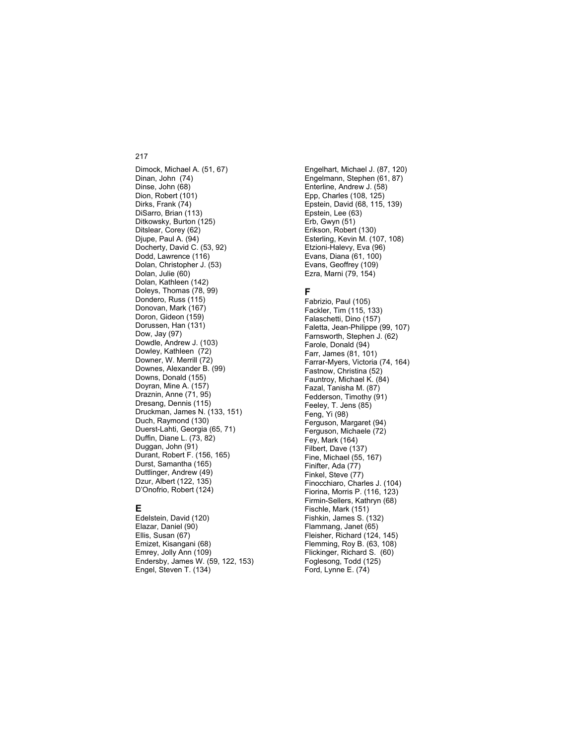Dimock, Michael A. (51, 67) Dinan, John (74) Dinse, John (68) Dion, Robert (101) Dirks, Frank (74) DiSarro, Brian (113) Ditkowsky, Burton (125) Ditslear, Corey (62) Djupe, Paul A. (94) Docherty, David C. (53, 92) Dodd, Lawrence (116) Dolan, Christopher J. (53) Dolan, Julie (60) Dolan, Kathleen (142) Doleys, Thomas (78, 99) Dondero, Russ (115) Donovan, Mark (167) Doron, Gideon (159) Dorussen, Han (131) Dow, Jay (97) Dowdle, Andrew J. (103) Dowley, Kathleen (72) Downer, W. Merrill (72) Downes, Alexander B. (99) Downs, Donald (155) Doyran, Mine A. (157) Draznin, Anne (71, 95) Dresang, Dennis (115) Druckman, James N. (133, 151) Duch, Raymond (130) Duerst-Lahti, Georgia (65, 71) Duffin, Diane L. (73, 82) Duggan, John (91) Durant, Robert F. (156, 165) Durst, Samantha (165) Duttlinger, Andrew (49) Dzur, Albert (122, 135) D'Onofrio, Robert (124)

# **E**

Edelstein, David (120) Elazar, Daniel (90) Ellis, Susan (67) Emizet, Kisangani (68) Emrey, Jolly Ann (109) Endersby, James W. (59, 122, 153) Engel, Steven T. (134)

Engelhart, Michael J. (87, 120) Engelmann, Stephen (61, 87) Enterline, Andrew J. (58) Epp, Charles (108, 125) Epstein, David (68, 115, 139) Epstein, Lee (63) Erb, Gwyn (51) Erikson, Robert (130) Esterling, Kevin M. (107, 108) Etzioni-Halevy, Eva (96) Evans, Diana (61, 100) Evans, Geoffrey (109) Ezra, Marni (79, 154)

# **F**

Fabrizio, Paul (105) Fackler, Tim (115, 133) Falaschetti, Dino (157) Faletta, Jean-Philippe (99, 107) Farnsworth, Stephen J. (62) Farole, Donald (94) Farr, James (81, 101) Farrar-Myers, Victoria (74, 164) Fastnow, Christina (52) Fauntroy, Michael K. (84) Fazal, Tanisha M. (87) Fedderson, Timothy (91) Feeley, T. Jens (85) Feng, Yi (98) Ferguson, Margaret (94) Ferguson, Michaele (72) Fey, Mark (164) Filbert, Dave (137) Fine, Michael (55, 167) Finifter, Ada (77) Finkel, Steve (77) Finocchiaro, Charles J. (104) Fiorina, Morris P. (116, 123) Firmin-Sellers, Kathryn (68) Fischle, Mark (151) Fishkin, James S. (132) Flammang, Janet (65) Fleisher, Richard (124, 145) Flemming, Roy B. (63, 108) Flickinger, Richard S. (60) Foglesong, Todd (125) Ford, Lynne E. (74)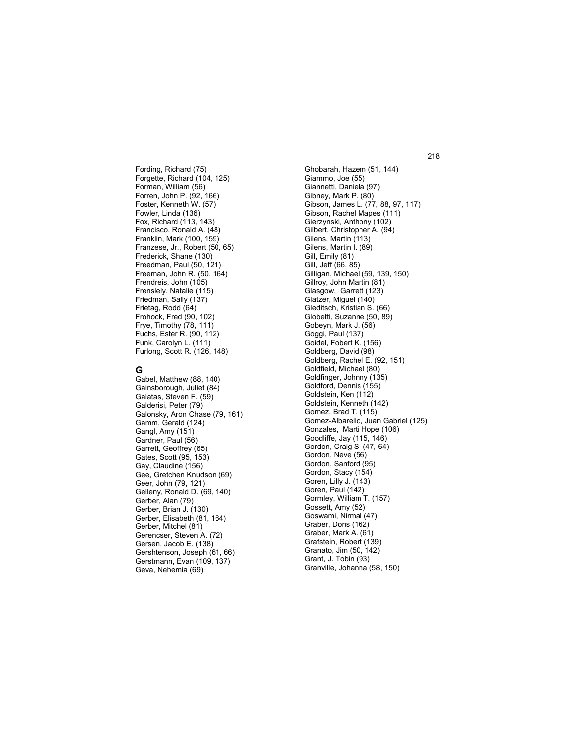Fording, Richard (75) Forgette, Richard (104, 125) Forman, William (56) Forren, John P. (92, 166) Foster, Kenneth W. (57) Fowler, Linda (136) Fox, Richard (113, 143) Francisco, Ronald A. (48) Franklin, Mark (100, 159) Franzese, Jr., Robert (50, 65) Frederick, Shane (130) Freedman, Paul (50, 121) Freeman, John R. (50, 164) Frendreis, John (105) Frenslely, Natalie (115) Friedman, Sally (137) Frietag, Rodd (64) Frohock, Fred (90, 102) Frye, Timothy (78, 111) Fuchs, Ester R. (90, 112) Funk, Carolyn L. (111) Furlong, Scott R. (126, 148)

# **G**

Gabel, Matthew (88, 140) Gainsborough, Juliet (84) Galatas, Steven F. (59) Galderisi, Peter (79) Galonsky, Aron Chase (79, 161) Gamm, Gerald (124) Gangl, Amy (151) Gardner, Paul (56) Garrett, Geoffrey (65) Gates, Scott (95, 153) Gay, Claudine (156) Gee, Gretchen Knudson (69) Geer, John (79, 121) Gelleny, Ronald D. (69, 140) Gerber, Alan (79) Gerber, Brian J. (130) Gerber, Elisabeth (81, 164) Gerber, Mitchel (81) Gerencser, Steven A. (72) Gersen, Jacob E. (138) Gershtenson, Joseph (61, 66) Gerstmann, Evan (109, 137) Geva, Nehemia (69)

Ghobarah, Hazem (51, 144) Giammo, Joe (55) Giannetti, Daniela (97) Gibney, Mark P. (80) Gibson, James L. (77, 88, 97, 117) Gibson, Rachel Mapes (111) Gierzynski, Anthony (102) Gilbert, Christopher A. (94) Gilens, Martin (113) Gilens, Martin I. (89) Gill, Emily (81) Gill, Jeff (66, 85) Gilligan, Michael (59, 139, 150) Gillroy, John Martin (81) Glasgow, Garrett (123) Glatzer, Miguel (140) Gleditsch, Kristian S. (66) Globetti, Suzanne (50, 89) Gobeyn, Mark J. (56) Goggi, Paul (137) Goidel, Fobert K. (156) Goldberg, David (98) Goldberg, Rachel E. (92, 151) Goldfield, Michael (80) Goldfinger, Johnny (135) Goldford, Dennis (155) Goldstein, Ken (112) Goldstein, Kenneth (142) Gomez, Brad T. (115) Gomez-Albarello, Juan Gabriel (125) Gonzales, Marti Hope (106) Goodliffe, Jay (115, 146) Gordon, Craig S. (47, 64) Gordon, Neve (56) Gordon, Sanford (95) Gordon, Stacy (154) Goren, Lilly J. (143) Goren, Paul (142) Gormley, William T. (157) Gossett, Amy (52) Goswami, Nirmal (47) Graber, Doris (162) Graber, Mark A. (61) Grafstein, Robert (139) Granato, Jim (50, 142) Grant, J. Tobin (93) Granville, Johanna (58, 150)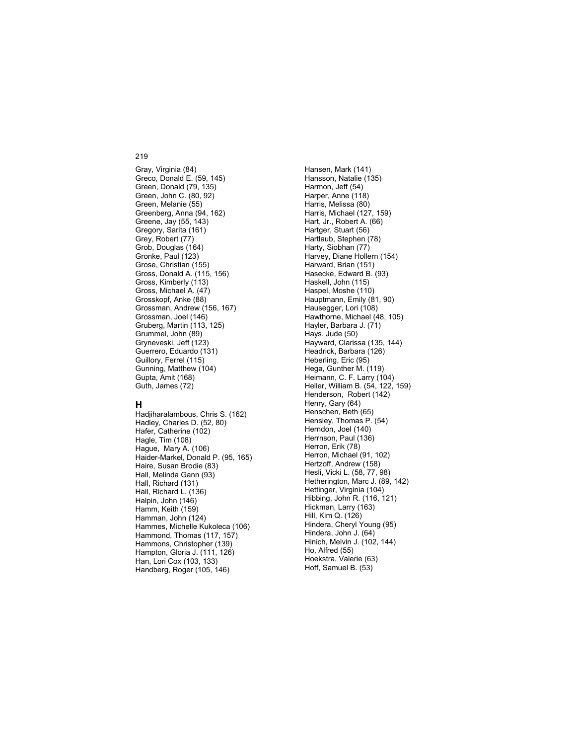Gray, Virginia (84) Greco, Donald E. (59, 145) Green, Donald (79, 135) Green, John C. (80, 92) Green, Melanie (55) Greenberg, Anna (94, 162) Greene, Jay (55, 143) Gregory, Sarita (161) Grey, Robert (77) Grob, Douglas (164) Gronke, Paul (123) Grose, Christian (155) Gross, Donald A. (115, 156) Gross, Kimberly (113) Gross, Michael A. (47) Grosskopf, Anke (88) Grossman, Andrew (156, 167) Grossman, Joel (146) Gruberg, Martin (113, 125) Grummel, John (89) Gryneveski, Jeff (123) Guerrero, Eduardo (131) Guillory, Ferrel (115) Gunning, Matthew (104) Gupta, Amit (168) Guth, James (72)

# **H**

Hadjiharalambous, Chris S. (162) Hadley, Charles D. (52, 80) Hafer, Catherine (102) Hagle, Tim (108) Hague, Mary A. (106) Haider-Markel, Donald P. (95, 165) Haire, Susan Brodie (83) Hall, Melinda Gann (93) Hall, Richard (131) Hall, Richard L. (136) Halpin, John (146) Hamm, Keith (159) Hamman, John (124) Hammes, Michelle Kukoleca (106) Hammond, Thomas (117, 157) Hammons, Christopher (139) Hampton, Gloria J. (111, 126) Han, Lori Cox (103, 133) Handberg, Roger (105, 146)

Hansen, Mark (141) Hansson, Natalie (135) Harmon, Jeff (54) Harper, Anne (118) Harris, Melissa (80) Harris, Michael (127, 159) Hart, Jr., Robert A. (66) Hartger, Stuart (56) Hartlaub, Stephen (78) Harty, Siobhan (77) Harvey, Diane Hollern (154) Harward, Brian (151) Hasecke, Edward B. (93) Haskell, John (115) Haspel, Moshe (110) Hauptmann, Emily (81, 90) Hausegger, Lori (108) Hawthorne, Michael (48, 105) Hayler, Barbara J. (71) Hays, Jude (50) Hayward, Clarissa (135, 144) Headrick, Barbara (126) Heberling, Eric (95) Hega, Gunther M. (119) Heimann, C. F. Larry (104) Heller, William B. (54, 122, 159) Henderson, Robert (142) Henry, Gary (64) Henschen, Beth (65) Hensley, Thomas P. (54) Herndon, Joel (140) Herrnson, Paul (136) Herron, Erik (78) Herron, Michael (91, 102) Hertzoff, Andrew (158) Hesli, Vicki L. (58, 77, 98) Hetherington, Marc J. (89, 142) Hettinger, Virginia (104) Hibbing, John R. (116, 121) Hickman, Larry (163) Hill, Kim Q. (126) Hindera, Cheryl Young (95) Hindera, John J. (64) Hinich, Melvin J. (102, 144) Ho, Alfred (55) Hoekstra, Valerie (63) Hoff, Samuel B. (53)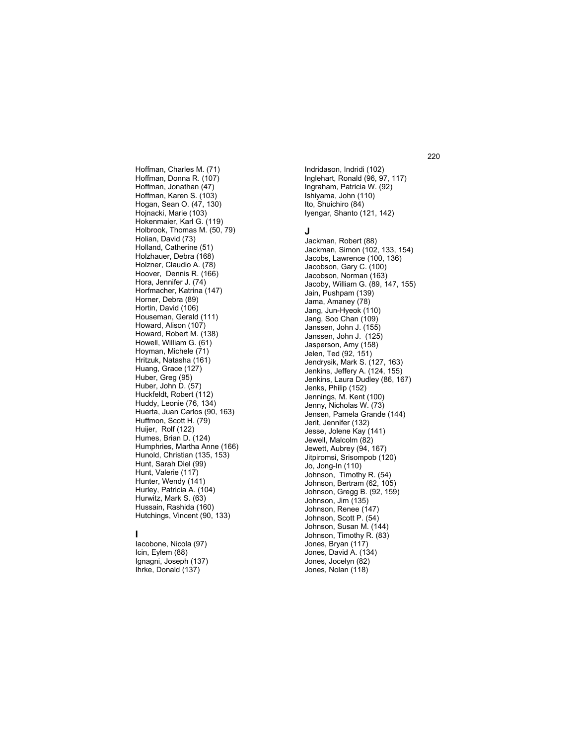Hoffman, Donna R. (107) Hoffman, Jonathan (47) Hoffman, Karen S. (103) Hogan, Sean O. (47, 130) Hojnacki, Marie (103) Hokenmaier, Karl G. (119) Holbrook, Thomas M. (50, 79) Holian, David (73) Holland, Catherine (51) Holzhauer, Debra (168) Holzner, Claudio A. (78) Hoover, Dennis R. (166) Hora, Jennifer J. (74) Horfmacher, Katrina (147) Horner, Debra (89) Hortin, David (106) Houseman, Gerald (111) Howard, Alison (107) Howard, Robert M. (138) Howell, William G. (61) Hoyman, Michele (71) Hritzuk, Natasha (161) Huang, Grace (127) Huber, Greg (95) Huber, John D. (57) Huckfeldt, Robert (112) Huddy, Leonie (76, 134) Huerta, Juan Carlos (90, 163) Huffmon, Scott H. (79) Huijer, Rolf (122) Humes, Brian D. (124) Humphries, Martha Anne (166) Hunold, Christian (135, 153) Hunt, Sarah Diel (99) Hunt, Valerie (117) Hunter, Wendy (141) Hurley, Patricia A. (104) Hurwitz, Mark S. (63) Hussain, Rashida (160) Hutchings, Vincent (90, 133)

Hoffman, Charles M. (71)

# **I**

Iacobone, Nicola (97) Icin, Eylem (88) Ignagni, Joseph (137) Ihrke, Donald (137)

Indridason, Indridi (102) Inglehart, Ronald (96, 97, 117) Ingraham, Patricia W. (92) Ishiyama, John (110) Ito, Shuichiro (84) Iyengar, Shanto (121, 142)

# **J**

Jackman, Robert (88) Jackman, Simon (102, 133, 154) Jacobs, Lawrence (100, 136) Jacobson, Gary C. (100) Jacobson, Norman (163) Jacoby, William G. (89, 147, 155) Jain, Pushpam (139) Jama, Amaney (78) Jang, Jun-Hyeok (110) Jang, Soo Chan (109) Janssen, John J. (155) Janssen, John J. (125) Jasperson, Amy (158) Jelen, Ted (92, 151) Jendrysik, Mark S. (127, 163) Jenkins, Jeffery A. (124, 155) Jenkins, Laura Dudley (86, 167) Jenks, Philip (152) Jennings, M. Kent (100) Jenny, Nicholas W. (73) Jensen, Pamela Grande (144) Jerit, Jennifer (132) Jesse, Jolene Kay (141) Jewell, Malcolm (82) Jewett, Aubrey (94, 167) Jitpiromsi, Srisompob (120) Jo, Jong-In (110) Johnson, Timothy R. (54) Johnson, Bertram (62, 105) Johnson, Gregg B. (92, 159) Johnson, Jim (135) Johnson, Renee (147) Johnson, Scott P. (54) Johnson, Susan M. (144) Johnson, Timothy R. (83) Jones, Bryan (117) Jones, David A. (134) Jones, Jocelyn (82) Jones, Nolan (118)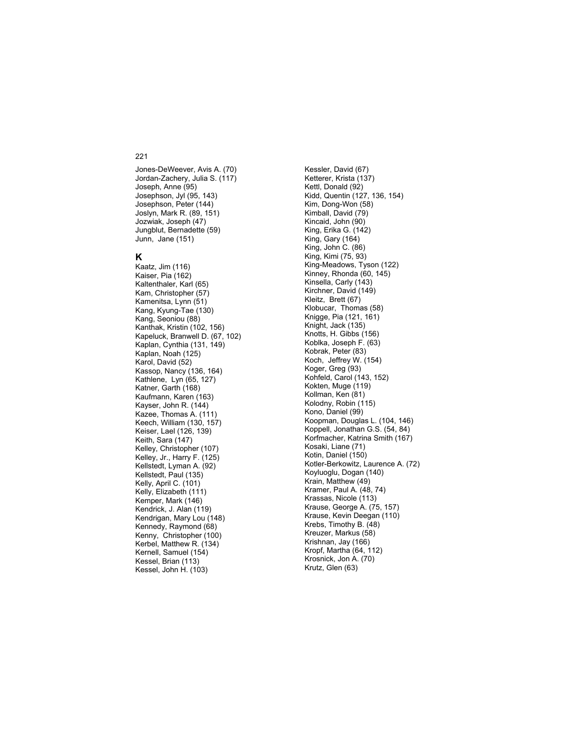Jones-DeWeever, Avis A. (70) Jordan-Zachery, Julia S. (117) Joseph, Anne (95) Josephson, Jyl (95, 143) Josephson, Peter (144) Joslyn, Mark R. (89, 151) Jozwiak, Joseph (47) Jungblut, Bernadette (59) Junn, Jane (151)

# **K**

Kaatz, Jim (116) Kaiser, Pia (162) Kaltenthaler, Karl (65) Kam, Christopher (57) Kamenitsa, Lynn (51) Kang, Kyung-Tae (130) Kang, Seoniou (88) Kanthak, Kristin (102, 156) Kapeluck, Branwell D. (67, 102) Kaplan, Cynthia (131, 149) Kaplan, Noah (125) Karol, David (52) Kassop, Nancy (136, 164) Kathlene, Lyn (65, 127) Katner, Garth (168) Kaufmann, Karen (163) Kayser, John R. (144) Kazee, Thomas A. (111) Keech, William (130, 157) Keiser, Lael (126, 139) Keith, Sara (147) Kelley, Christopher (107) Kelley, Jr., Harry F. (125) Kellstedt, Lyman A. (92) Kellstedt, Paul (135) Kelly, April C. (101) Kelly, Elizabeth (111) Kemper, Mark (146) Kendrick, J. Alan (119) Kendrigan, Mary Lou (148) Kennedy, Raymond (68) Kenny, Christopher (100) Kerbel, Matthew R. (134) Kernell, Samuel (154) Kessel, Brian (113) Kessel, John H. (103)

Kessler, David (67) Ketterer, Krista (137) Kettl, Donald (92) Kidd, Quentin (127, 136, 154) Kim, Dong-Won (58) Kimball, David (79) Kincaid, John (90) King, Erika G. (142) King, Gary (164) King, John C. (86) King, Kimi (75, 93) King-Meadows, Tyson (122) Kinney, Rhonda (60, 145) Kinsella, Carly (143) Kirchner, David (149) Kleitz, Brett (67) Klobucar, Thomas (58) Knigge, Pia (121, 161) Knight, Jack (135) Knotts, H. Gibbs (156) Koblka, Joseph F. (63) Kobrak, Peter (83) Koch, Jeffrey W. (154) Koger, Greg (93) Kohfeld, Carol (143, 152) Kokten, Muge (119) Kollman, Ken (81) Kolodny, Robin (115) Kono, Daniel (99) Koopman, Douglas L. (104, 146) Koppell, Jonathan G.S. (54, 84) Korfmacher, Katrina Smith (167) Kosaki, Liane (71) Kotin, Daniel (150) Kotler-Berkowitz, Laurence A. (72) Koyluoglu, Dogan (140) Krain, Matthew (49) Kramer, Paul A. (48, 74) Krassas, Nicole (113) Krause, George A. (75, 157) Krause, Kevin Deegan (110) Krebs, Timothy B. (48) Kreuzer, Markus (58) Krishnan, Jay (166) Kropf, Martha (64, 112) Krosnick, Jon A. (70) Krutz, Glen (63)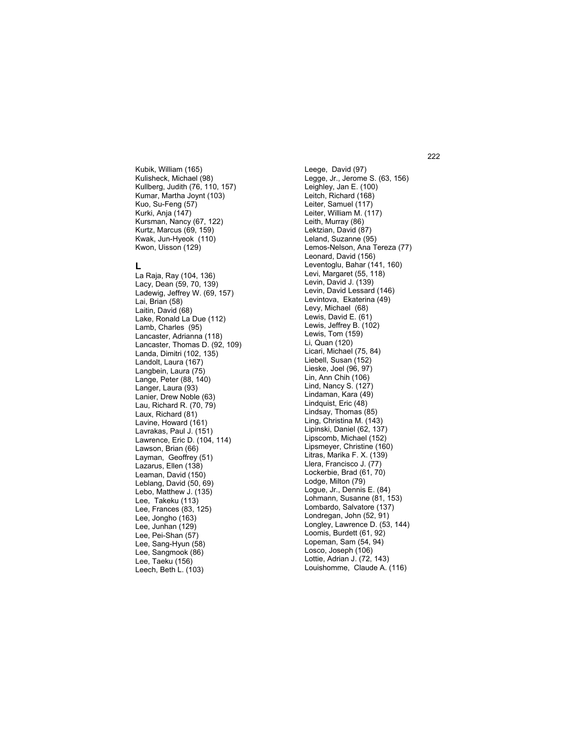Kubik, William (165) Kulisheck, Michael (98) Kullberg, Judith (76, 110, 157) Kumar, Martha Joynt (103) Kuo, Su-Feng (57) Kurki, Anja (147) Kursman, Nancy (67, 122) Kurtz, Marcus (69, 159) Kwak, Jun-Hyeok (110) Kwon, Uisson (129)

# **L**

La Raja, Ray (104, 136) Lacy, Dean (59, 70, 139) Ladewig, Jeffrey W. (69, 157) Lai, Brian (58) Laitin, David (68) Lake, Ronald La Due (112) Lamb, Charles (95) Lancaster, Adrianna (118) Lancaster, Thomas D. (92, 109) Landa, Dimitri (102, 135) Landolt, Laura (167) Langbein, Laura (75) Lange, Peter (88, 140) Langer, Laura (93) Lanier, Drew Noble (63) Lau, Richard R. (70, 79) Laux, Richard (81) Lavine, Howard (161) Lavrakas, Paul J. (151) Lawrence, Eric D. (104, 114) Lawson, Brian (66) Layman, Geoffrey (51) Lazarus, Ellen (138) Leaman, David (150) Leblang, David (50, 69) Lebo, Matthew J. (135) Lee, Takeku (113) Lee, Frances (83, 125) Lee, Jongho (163) Lee, Junhan (129) Lee, Pei-Shan (57) Lee, Sang-Hyun (58) Lee, Sangmook (86) Lee, Taeku (156) Leech, Beth L. (103)

Leege, David (97) Legge, Jr., Jerome S. (63, 156) Leighley, Jan E. (100) Leitch, Richard (168) Leiter, Samuel (117) Leiter, William M. (117) Leith, Murray (86) Lektzian, David (87) Leland, Suzanne (95) Lemos-Nelson, Ana Tereza (77) Leonard, David (156) Leventoglu, Bahar (141, 160) Levi, Margaret (55, 118) Levin, David J. (139) Levin, David Lessard (146) Levintova, Ekaterina (49) Levy, Michael (68) Lewis, David E. (61) Lewis, Jeffrey B. (102) Lewis, Tom (159) Li, Quan (120) Licari, Michael (75, 84) Liebell, Susan (152) Lieske, Joel (96, 97) Lin, Ann Chih (106) Lind, Nancy S. (127) Lindaman, Kara (49) Lindquist, Eric (48) Lindsay, Thomas (85) Ling, Christina M. (143) Lipinski, Daniel (62, 137) Lipscomb, Michael (152) Lipsmeyer, Christine (160) Litras, Marika F. X. (139) Llera, Francisco J. (77) Lockerbie, Brad (61, 70) Lodge, Milton (79) Logue, Jr., Dennis E. (84) Lohmann, Susanne (81, 153) Lombardo, Salvatore (137) Londregan, John (52, 91) Longley, Lawrence D. (53, 144) Loomis, Burdett (61, 92) Lopeman, Sam (54, 94) Losco, Joseph (106) Lottie, Adrian J. (72, 143) Louishomme, Claude A. (116)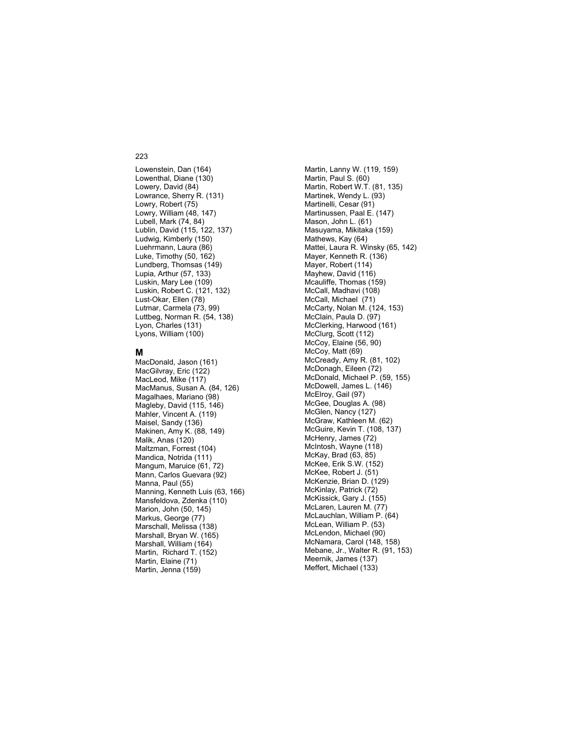Lowenstein, Dan (164) Lowenthal, Diane (130) Lowery, David (84) Lowrance, Sherry R. (131) Lowry, Robert (75) Lowry, William (48, 147) Lubell, Mark (74, 84) Lublin, David (115, 122, 137) Ludwig, Kimberly (150) Luehrmann, Laura (86) Luke, Timothy (50, 162) Lundberg, Thomsas (149) Lupia, Arthur (57, 133) Luskin, Mary Lee (109) Luskin, Robert C. (121, 132) Lust-Okar, Ellen (78) Lutmar, Carmela (73, 99) Luttbeg, Norman R. (54, 138) Lyon, Charles (131) Lyons, William (100)

### **M**

MacDonald, Jason (161) MacGilvray, Eric (122) MacLeod, Mike (117) MacManus, Susan A. (84, 126) Magalhaes, Mariano (98) Magleby, David (115, 146) Mahler, Vincent A. (119) Maisel, Sandy (136) Makinen, Amy K. (88, 149) Malik, Anas (120) Maltzman, Forrest (104) Mandica, Notrida (111) Mangum, Maruice (61, 72) Mann, Carlos Guevara (92) Manna, Paul (55) Manning, Kenneth Luis (63, 166) Mansfeldova, Zdenka (110) Marion, John (50, 145) Markus, George (77) Marschall, Melissa (138) Marshall, Bryan W. (165) Marshall, William (164) Martin, Richard T. (152) Martin, Elaine (71) Martin, Jenna (159)

Martin, Lanny W. (119, 159) Martin, Paul S. (60) Martin, Robert W.T. (81, 135) Martinek, Wendy L. (93) Martinelli, Cesar (91) Martinussen, Paal E. (147) Mason, John L. (61) Masuyama, Mikitaka (159) Mathews, Kay (64) Mattei, Laura R. Winsky (65, 142) Mayer, Kenneth R. (136) Mayer, Robert (114) Mayhew, David (116) Mcauliffe, Thomas (159) McCall, Madhavi (108) McCall, Michael (71) McCarty, Nolan M. (124, 153) McClain, Paula D. (97) McClerking, Harwood (161) McClurg, Scott (112) McCoy, Elaine (56, 90) McCoy, Matt (69) McCready, Amy R. (81, 102) McDonagh, Eileen (72) McDonald, Michael P. (59, 155) McDowell, James L. (146) McElroy, Gail (97) McGee, Douglas A. (98) McGlen, Nancy (127) McGraw, Kathleen M. (62) McGuire, Kevin T. (108, 137) McHenry, James (72) McIntosh, Wayne (118) McKay, Brad (63, 85) McKee, Erik S.W. (152) McKee, Robert J. (51) McKenzie, Brian D. (129) McKinlay, Patrick (72) McKissick, Gary J. (155) McLaren, Lauren M. (77) McLauchlan, William P. (64) McLean, William P. (53) McLendon, Michael (90) McNamara, Carol (148, 158) Mebane, Jr., Walter R. (91, 153) Meernik, James (137) Meffert, Michael (133)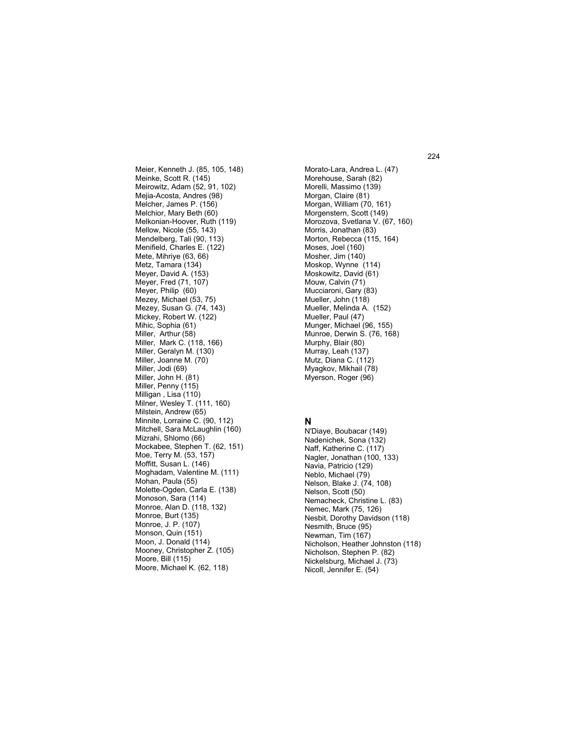Meier, Kenneth J. (85, 105, 148) Meinke, Scott R. (145) Meirowitz, Adam (52, 91, 102) Mejia-Acosta, Andres (98) Melcher, James P. (156) Melchior, Mary Beth (60) Melkonian-Hoover, Ruth (119) Mellow, Nicole (55, 143) Mendelberg, Tali (90, 113) Menifield, Charles E. (122) Mete, Mihriye (63, 66) Metz, Tamara (134) Meyer, David A. (153) Meyer, Fred (71, 107) Meyer, Philip (60) Mezey, Michael (53, 75) Mezey, Susan G. (74, 143) Mickey, Robert W. (122) Mihic, Sophia (61) Miller, Arthur (58) Miller, Mark C. (118, 166) Miller, Geralyn M. (130) Miller, Joanne M. (70) Miller, Jodi (69) Miller, John H. (81) Miller, Penny (115) Milligan , Lisa (110) Milner, Wesley T. (111, 160) Milstein, Andrew (65) Minnite, Lorraine C. (90, 112) Mitchell, Sara McLaughlin (160) Mizrahi, Shlomo (66) Mockabee, Stephen T. (62, 151) Moe, Terry M. (53, 157) Moffitt, Susan L. (146) Moghadam, Valentine M. (111) Mohan, Paula (55) Molette-Ogden, Carla E. (138) Monoson, Sara (114) Monroe, Alan D. (118, 132) Monroe, Burt (135) Monroe, J. P. (107) Monson, Quin (151) Moon, J. Donald (114) Mooney, Christopher Z. (105) Moore, Bill (115) Moore, Michael K. (62, 118)

Morato-Lara, Andrea L. (47) Morehouse, Sarah (82) Morelli, Massimo (139) Morgan, Claire (81) Morgan, William (70, 161) Morgenstern, Scott (149) Morozova, Svetlana V. (67, 160) Morris, Jonathan (83) Morton, Rebecca (115, 164) Moses, Joel (160) Mosher, Jim (140) Moskop, Wynne (114) Moskowitz, David (61) Mouw, Calvin (71) Mucciaroni, Gary (83) Mueller, John (118) Mueller, Melinda A. (152) Mueller, Paul (47) Munger, Michael (96, 155) Munroe, Derwin S. (76, 168) Murphy, Blair (80) Murray, Leah (137) Mutz, Diana C. (112) Myagkov, Mikhail (78) Myerson, Roger (96)

### **N**

N'Diaye, Boubacar (149) Nadenichek, Sona (132) Naff, Katherine C. (117) Nagler, Jonathan (100, 133) Navia, Patricio (129) Neblo, Michael (79) Nelson, Blake J. (74, 108) Nelson, Scott (50) Nemacheck, Christine L. (83) Nemec, Mark (75, 126) Nesbit, Dorothy Davidson (118) Nesmith, Bruce (95) Newman, Tim (167) Nicholson, Heather Johnston (118) Nicholson, Stephen P. (82) Nickelsburg, Michael J. (73) Nicoll, Jennifer E. (54)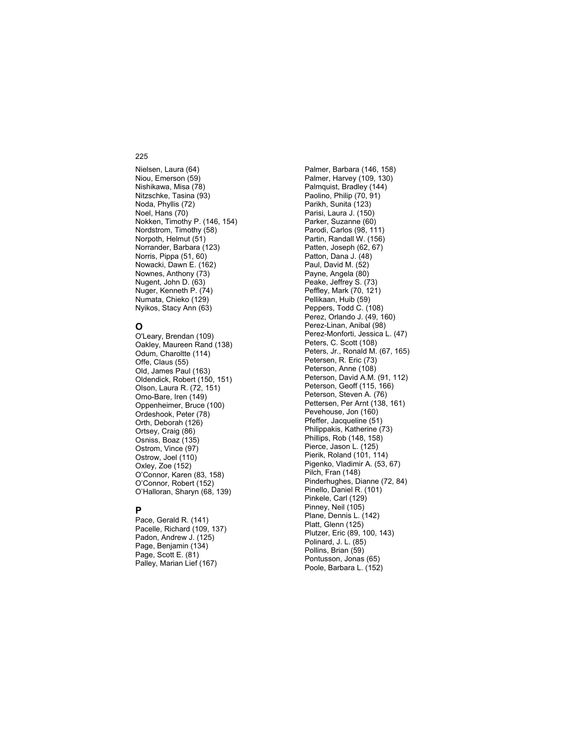Nielsen, Laura (64) Niou, Emerson (59) Nishikawa, Misa (78) Nitzschke, Tasina (93) Noda, Phyllis (72) Noel, Hans (70) Nokken, Timothy P. (146, 154) Nordstrom, Timothy (58) Norpoth, Helmut (51) Norrander, Barbara (123) Norris, Pippa (51, 60) Nowacki, Dawn E. (162) Nownes, Anthony (73) Nugent, John D. (63) Nuger, Kenneth P. (74) Numata, Chieko (129) Nyikos, Stacy Ann (63)

# **O**

O'Leary, Brendan (109) Oakley, Maureen Rand (138) Odum, Charoltte (114) Offe, Claus (55) Old, James Paul (163) Oldendick, Robert (150, 151) Olson, Laura R. (72, 151) Omo-Bare, Iren (149) Oppenheimer, Bruce (100) Ordeshook, Peter (78) Orth, Deborah (126) Ortsey, Craig (86) Osniss, Boaz (135) Ostrom, Vince (97) Ostrow, Joel (110) Oxley, Zoe (152) O'Connor, Karen (83, 158) O'Connor, Robert (152) O'Halloran, Sharyn (68, 139)

### **P**

Pace, Gerald R. (141) Pacelle, Richard (109, 137) Padon, Andrew J. (125) Page, Benjamin (134) Page, Scott E. (81) Palley, Marian Lief (167)

Palmer, Barbara (146, 158) Palmer, Harvey (109, 130) Palmquist, Bradley (144) Paolino, Philip (70, 91) Parikh, Sunita (123) Parisi, Laura J. (150) Parker, Suzanne (60) Parodi, Carlos (98, 111) Partin, Randall W. (156) Patten, Joseph (62, 67) Patton, Dana J. (48) Paul, David M. (52) Payne, Angela (80) Peake, Jeffrey S. (73) Peffley, Mark (70, 121) Pellikaan, Huib (59) Peppers, Todd C. (108) Perez, Orlando J. (49, 160) Perez-Linan, Anibal (98) Perez-Monforti, Jessica L. (47) Peters, C. Scott (108) Peters, Jr., Ronald M. (67, 165) Petersen, R. Eric (73) Peterson, Anne (108) Peterson, David A.M. (91, 112) Peterson, Geoff (115, 166) Peterson, Steven A. (76) Pettersen, Per Arnt (138, 161) Pevehouse, Jon (160) Pfeffer, Jacqueline (51) Philippakis, Katherine (73) Phillips, Rob (148, 158) Pierce, Jason L. (125) Pierik, Roland (101, 114) Pigenko, Vladimir A. (53, 67) Pilch, Fran (148) Pinderhughes, Dianne (72, 84) Pinello, Daniel R. (101) Pinkele, Carl (129) Pinney, Neil (105) Plane, Dennis L. (142) Platt, Glenn (125) Plutzer, Eric (89, 100, 143) Polinard, J. L. (85) Pollins, Brian (59) Pontusson, Jonas (65) Poole, Barbara L. (152)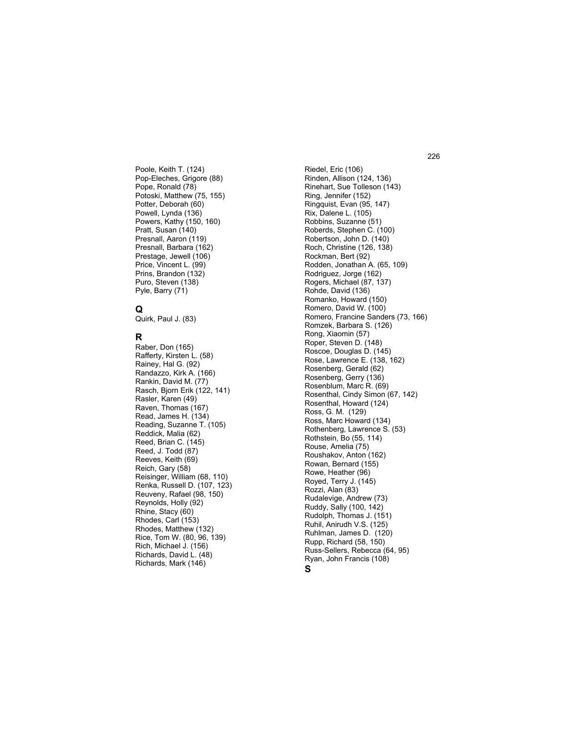Poole, Keith T. (124) Pop-Eleches, Grigore (88) Pope, Ronald (78) Potoski, Matthew (75, 155) Potter, Deborah (60) Powell, Lynda (136) Powers, Kathy (150, 160) Pratt, Susan (140) Presnall, Aaron (119) Presnall, Barbara (162) Prestage, Jewell (106) Price, Vincent L. (99) Prins, Brandon (132) Puro, Steven (138) Pyle, Barry (71)

# **Q**

Quirk, Paul J. (83)

### **R**

Raber, Don (165) Rafferty, Kirsten L. (58) Rainey, Hal G. (92) Randazzo, Kirk A. (166) Rankin, David M. (77) Rasch, Bjorn Erik (122, 141) Rasler, Karen (49) Raven, Thomas (167) Read, James H. (134) Reading, Suzanne T. (105) Reddick, Malia (62) Reed, Brian C. (145) Reed, J. Todd (87) Reeves, Keith (69) Reich, Gary (58) Reisinger, William (68, 110) Renka, Russell D. (107, 123) Reuveny, Rafael (98, 150) Reynolds, Holly (92) Rhine, Stacy (60) Rhodes, Carl (153) Rhodes, Matthew (132) Rice, Tom W. (80, 96, 139) Rich, Michael J. (156) Richards, David L. (48) Richards, Mark (146)

Riedel, Eric (106) Rinden, Allison (124, 136) Rinehart, Sue Tolleson (143) Ring, Jennifer (152) Ringquist, Evan (95, 147) Rix, Dalene L. (105) Robbins, Suzanne (51) Roberds, Stephen C. (100) Robertson, John D. (140) Roch, Christine (126, 138) Rockman, Bert (92) Rodden, Jonathan A. (65, 109) Rodriguez, Jorge (162) Rogers, Michael (87, 137) Rohde, David (136) Romanko, Howard (150) Romero, David W. (100) Romero, Francine Sanders (73, 166) Romzek, Barbara S. (126) Rong, Xiaomin (57) Roper, Steven D. (148) Roscoe, Douglas D. (145) Rose, Lawrence E. (138, 162) Rosenberg, Gerald (62) Rosenberg, Gerry (136) Rosenblum, Marc R. (69) Rosenthal, Cindy Simon (67, 142) Rosenthal, Howard (124) Ross, G. M. (129) Ross, Marc Howard (134) Rothenberg, Lawrence S. (53) Rothstein, Bo (55, 114) Rouse, Amelia (75) Roushakov, Anton (162) Rowan, Bernard (155) Rowe, Heather (96) Royed, Terry J. (145) Rozzi, Alan (83) Rudalevige, Andrew (73) Ruddy, Sally (100, 142) Rudolph, Thomas J. (151) Ruhil, Anirudh V.S. (125) Ruhlman, James D. (120) Rupp, Richard (58, 150) Russ-Sellers, Rebecca (64, 95) Ryan, John Francis (108) **S**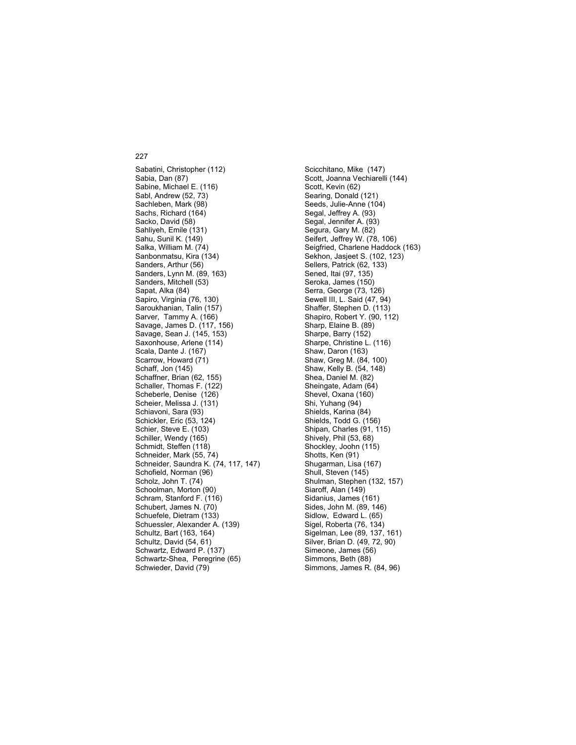Sabatini, Christopher (112) Sabia, Dan (87) Sabine, Michael E. (116) Sabl, Andrew (52, 73) Sachleben, Mark (98) Sachs, Richard (164) Sacko, David (58) Sahliyeh, Emile (131) Sahu, Sunil K. (149) Salka, William M. (74) Sanbonmatsu, Kira (134) Sanders, Arthur (56) Sanders, Lynn M. (89, 163) Sanders, Mitchell (53) Sapat, Alka (84) Sapiro, Virginia (76, 130) Saroukhanian, Talin (157) Sarver, Tammy A. (166) Savage, James D. (117, 156) Savage, Sean J. (145, 153) Saxonhouse, Arlene (114) Scala, Dante J. (167) Scarrow, Howard (71) Schaff, Jon (145) Schaffner, Brian (62, 155) Schaller, Thomas F. (122) Scheberle, Denise (126) Scheier, Melissa J. (131) Schiavoni, Sara (93) Schickler, Eric (53, 124) Schier, Steve E. (103) Schiller, Wendy (165) Schmidt, Steffen (118) Schneider, Mark (55, 74) Schneider, Saundra K. (74, 117, 147) Schofield, Norman (96) Scholz, John T. (74) Schoolman, Morton (90) Schram, Stanford F. (116) Schubert, James N. (70) Schuefele, Dietram (133) Schuessler, Alexander A. (139) Schultz, Bart (163, 164) Schultz, David (54, 61) Schwartz, Edward P. (137) Schwartz-Shea, Peregrine (65) Schwieder, David (79)

Scicchitano, Mike (147) Scott, Joanna Vechiarelli (144) Scott, Kevin (62) Searing, Donald (121) Seeds, Julie-Anne (104) Segal, Jeffrey A. (93) Segal, Jennifer A. (93) Segura, Gary M. (82) Seifert, Jeffrey W. (78, 106) Seigfried, Charlene Haddock (163) Sekhon, Jasjeet S. (102, 123) Sellers, Patrick (62, 133) Sened, Itai (97, 135) Seroka, James (150) Serra, George (73, 126) Sewell III, L. Said (47, 94) Shaffer, Stephen D. (113) Shapiro, Robert Y. (90, 112) Sharp, Elaine B. (89) Sharpe, Barry (152) Sharpe, Christine L. (116) Shaw, Daron (163) Shaw, Greg M. (84, 100) Shaw, Kelly B. (54, 148) Shea, Daniel M. (82) Sheingate, Adam (64) Shevel, Oxana (160) Shi, Yuhang (94) Shields, Karina (84) Shields, Todd G. (156) Shipan, Charles (91, 115) Shively, Phil (53, 68) Shockley, Joohn (115) Shotts, Ken (91) Shugarman, Lisa (167) Shull, Steven (145) Shulman, Stephen (132, 157) Siaroff, Alan (149) Sidanius, James (161) Sides, John M. (89, 146) Sidlow, Edward L. (65) Sigel, Roberta (76, 134) Sigelman, Lee (89, 137, 161) Silver, Brian D. (49, 72, 90) Simeone, James (56) Simmons, Beth (88) Simmons, James R. (84, 96)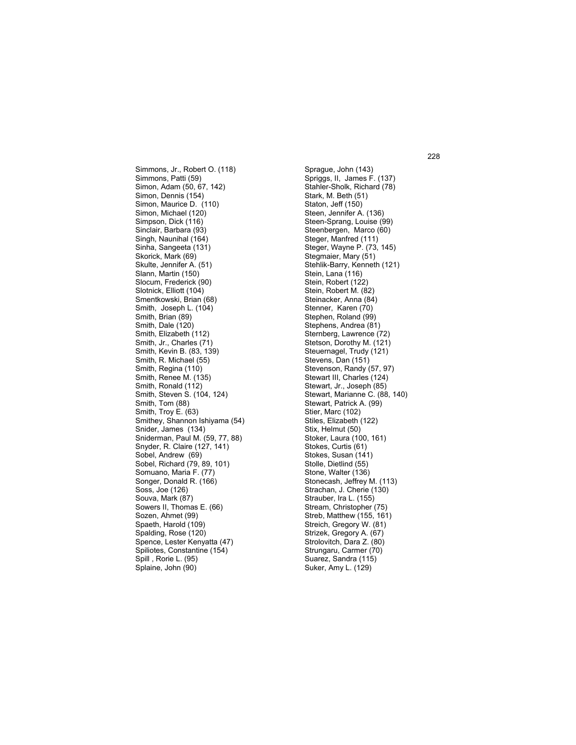Simmons, Jr., Robert O. (118) Simmons, Patti (59) Simon, Adam (50, 67, 142) Simon, Dennis (154) Simon, Maurice D. (110) Simon, Michael (120) Simpson, Dick (116) Sinclair, Barbara (93) Singh, Naunihal (164) Sinha, Sangeeta (131) Skorick, Mark (69) Skulte, Jennifer A. (51) Slann, Martin (150) Slocum, Frederick (90) Slotnick, Elliott (104) Smentkowski, Brian (68) Smith, Joseph L. (104) Smith, Brian (89) Smith, Dale (120) Smith, Elizabeth (112) Smith, Jr., Charles (71) Smith, Kevin B. (83, 139) Smith, R. Michael (55) Smith, Regina (110) Smith, Renee M. (135) Smith, Ronald (112) Smith, Steven S. (104, 124) Smith, Tom (88) Smith, Troy E. (63) Smithey, Shannon Ishiyama (54) Snider, James (134) Sniderman, Paul M. (59, 77, 88) Snyder, R. Claire (127, 141) Sobel, Andrew (69) Sobel, Richard (79, 89, 101) Somuano, Maria F. (77) Songer, Donald R. (166) Soss, Joe (126) Souva, Mark (87) Sowers II, Thomas E. (66) Sozen, Ahmet (99) Spaeth, Harold (109) Spalding, Rose (120) Spence, Lester Kenyatta (47) Spiliotes, Constantine (154) Spill , Rorie L. (95) Splaine, John (90)

Sprague, John (143) Spriggs, II, James F. (137) Stahler-Sholk, Richard (78) Stark, M. Beth (51) Staton, Jeff (150) Steen, Jennifer A. (136) Steen-Sprang, Louise (99) Steenbergen, Marco (60) Steger, Manfred (111) Steger, Wayne P. (73, 145) Stegmaier, Mary (51) Stehlik-Barry, Kenneth (121) Stein, Lana (116) Stein, Robert (122) Stein, Robert M. (82) Steinacker, Anna (84) Stenner, Karen (70) Stephen, Roland (99) Stephens, Andrea (81) Sternberg, Lawrence (72) Stetson, Dorothy M. (121) Steuernagel, Trudy (121) Stevens, Dan (151) Stevenson, Randy (57, 97) Stewart III, Charles (124) Stewart, Jr., Joseph (85) Stewart, Marianne C. (88, 140) Stewart, Patrick A. (99) Stier, Marc (102) Stiles, Elizabeth (122) Stix, Helmut (50) Stoker, Laura (100, 161) Stokes, Curtis (61) Stokes, Susan (141) Stolle, Dietlind (55) Stone, Walter (136) Stonecash, Jeffrey M. (113) Strachan, J. Cherie (130) Strauber, Ira L. (155) Stream, Christopher (75) Streb, Matthew (155, 161) Streich, Gregory W. (81) Strizek, Gregory A. (67) Strolovitch, Dara Z. (80) Strungaru, Carmer (70) Suarez, Sandra (115) Suker, Amy L. (129)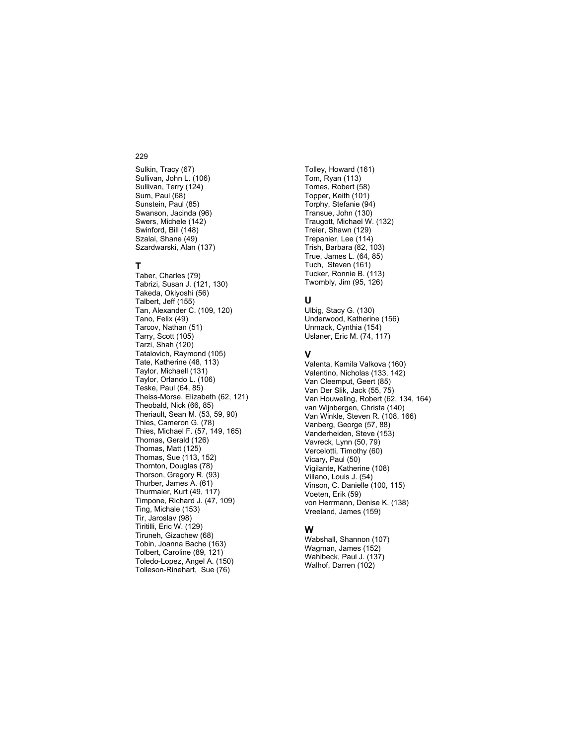Sulkin, Tracy (67) Sullivan, John L. (106) Sullivan, Terry (124) Sum, Paul (68) Sunstein, Paul (85) Swanson, Jacinda (96) Swers, Michele (142) Swinford, Bill (148) Szalai, Shane (49) Szardwarski, Alan (137)

# **T**

Taber, Charles (79) Tabrizi, Susan J. (121, 130) Takeda, Okiyoshi (56) Talbert, Jeff (155) Tan, Alexander C. (109, 120) Tano, Felix (49) Tarcov, Nathan (51) Tarry, Scott (105) Tarzi, Shah (120) Tatalovich, Raymond (105) Tate, Katherine (48, 113) Taylor, Michaell (131) Taylor, Orlando L. (106) Teske, Paul (64, 85) Theiss-Morse, Elizabeth (62, 121) Theobald, Nick (66, 85) Theriault, Sean M. (53, 59, 90) Thies, Cameron G. (78) Thies, Michael F. (57, 149, 165) Thomas, Gerald (126) Thomas, Matt (125) Thomas, Sue (113, 152) Thornton, Douglas (78) Thorson, Gregory R. (93) Thurber, James A. (61) Thurmaier, Kurt (49, 117) Timpone, Richard J. (47, 109) Ting, Michale (153) Tir, Jaroslav (98) Tiritilli, Eric W. (129) Tiruneh, Gizachew (68) Tobin, Joanna Bache (163) Tolbert, Caroline (89, 121) Toledo-Lopez, Angel A. (150) Tolleson-Rinehart, Sue (76)

Tolley, Howard (161) Tom, Ryan (113) Tomes, Robert (58) Topper, Keith (101) Torphy, Stefanie (94) Transue, John (130) Traugott, Michael W. (132) Treier, Shawn (129) Trepanier, Lee (114) Trish, Barbara (82, 103) True, James L. (64, 85) Tuch, Steven (161) Tucker, Ronnie B. (113) Twombly, Jim (95, 126)

## **U**

Ulbig, Stacy G. (130) Underwood, Katherine (156) Unmack, Cynthia (154) Uslaner, Eric M. (74, 117)

### **V**

Valenta, Kamila Valkova (160) Valentino, Nicholas (133, 142) Van Cleemput, Geert (85) Van Der Slik, Jack (55, 75) Van Houweling, Robert (62, 134, 164) van Wijnbergen, Christa (140) Van Winkle, Steven R. (108, 166) Vanberg, George (57, 88) Vanderheiden, Steve (153) Vavreck, Lynn (50, 79) Vercelotti, Timothy (60) Vicary, Paul (50) Vigilante, Katherine (108) Villano, Louis J. (54) Vinson, C. Danielle (100, 115) Voeten, Erik (59) von Herrmann, Denise K. (138) Vreeland, James (159)

### **W**

Wabshall, Shannon (107) Wagman, James (152) Wahlbeck, Paul J. (137) Walhof, Darren (102)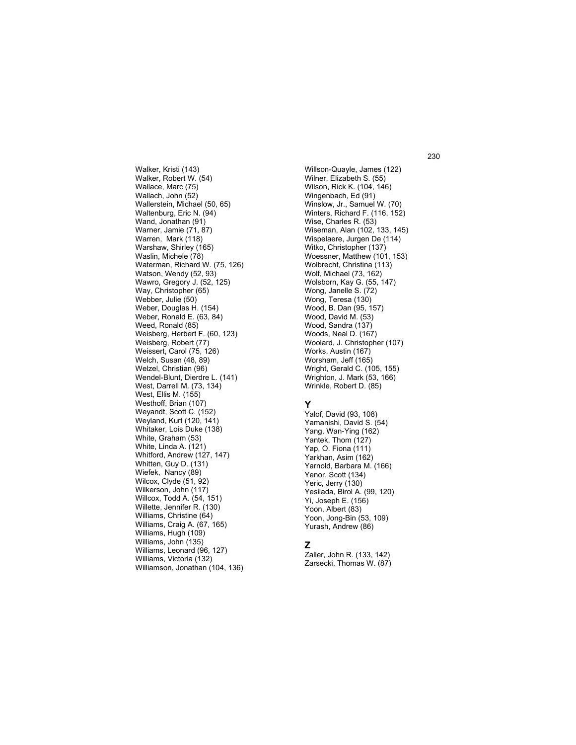Walker, Kristi (143) Walker, Robert W. (54) Wallace, Marc (75) Wallach, John (52) Wallerstein, Michael (50, 65) Waltenburg, Eric N. (94) Wand, Jonathan (91) Warner, Jamie (71, 87) Warren, Mark (118) Warshaw, Shirley (165) Waslin, Michele (78) Waterman, Richard W. (75, 126) Watson, Wendy (52, 93) Wawro, Gregory J. (52, 125) Way, Christopher (65) Webber, Julie (50) Weber, Douglas H. (154) Weber, Ronald E. (63, 84) Weed, Ronald (85) Weisberg, Herbert F. (60, 123) Weisberg, Robert (77) Weissert, Carol (75, 126) Welch, Susan (48, 89) Welzel, Christian (96) Wendel-Blunt, Dierdre L. (141) West, Darrell M. (73, 134) West, Ellis M. (155) Westhoff, Brian (107) Weyandt, Scott C. (152) Weyland, Kurt (120, 141) Whitaker, Lois Duke (138) White, Graham (53) White, Linda A. (121) Whitford, Andrew (127, 147) Whitten, Guy D. (131) Wiefek, Nancy (89) Wilcox, Clyde (51, 92) Wilkerson, John (117) Willcox, Todd A. (54, 151) Willette, Jennifer R. (130) Williams, Christine (64) Williams, Craig A. (67, 165) Williams, Hugh (109) Williams, John (135) Williams, Leonard (96, 127) Williams, Victoria (132) Williamson, Jonathan (104, 136)

Willson-Quayle, James (122) Wilner, Elizabeth S. (55) Wilson, Rick K. (104, 146) Wingenbach, Ed (91) Winslow, Jr., Samuel W. (70) Winters, Richard F. (116, 152) Wise, Charles R. (53) Wiseman, Alan (102, 133, 145) Wispelaere, Jurgen De (114) Witko, Christopher (137) Woessner, Matthew (101, 153) Wolbrecht, Christina (113) Wolf, Michael (73, 162) Wolsborn, Kay G. (55, 147) Wong, Janelle S. (72) Wong, Teresa (130) Wood, B. Dan (95, 157) Wood, David M. (53) Wood, Sandra (137) Woods, Neal D. (167) Woolard, J. Christopher (107) Works, Austin (167) Worsham, Jeff (165) Wright, Gerald C. (105, 155) Wrighton, J. Mark (53, 166) Wrinkle, Robert D. (85)

## **Y**

Yalof, David (93, 108) Yamanishi, David S. (54) Yang, Wan-Ying (162) Yantek, Thom (127) Yap, O. Fiona (111) Yarkhan, Asim (162) Yarnold, Barbara M. (166) Yenor, Scott (134) Yeric, Jerry (130) Yesilada, Birol A. (99, 120) Yi, Joseph E. (156) Yoon, Albert (83) Yoon, Jong-Bin (53, 109) Yurash, Andrew (86)

## **Z**

Zaller, John R. (133, 142) Zarsecki, Thomas W. (87) 230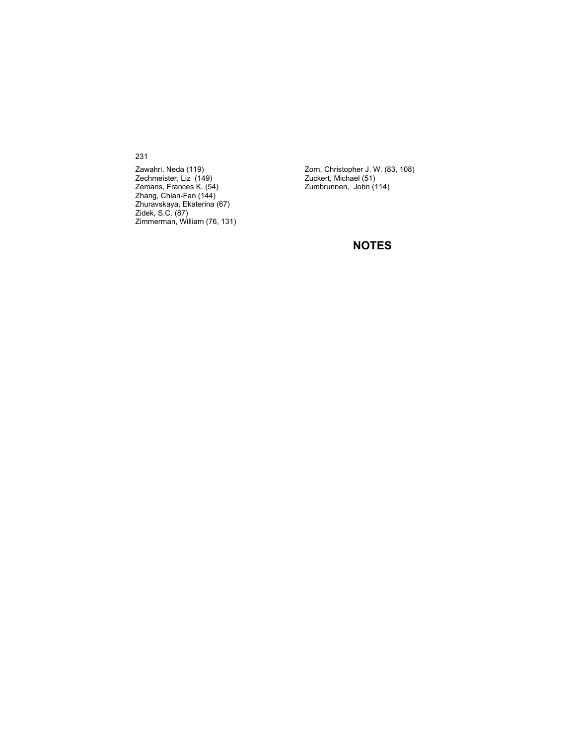231

Zawahri, Neda (119) Zechmeister, Liz (149) Zemans, Frances K. (54) Zhang, Chian-Fan (144) Zhuravskaya, Ekaterina (67) Zidek, S.C. (87) Zimmerman, William (76, 131)

Zorn, Christopher J. W. (83, 108) Zuckert, Michael (51) Zumbrunnen, John (114)

## **NOTES**